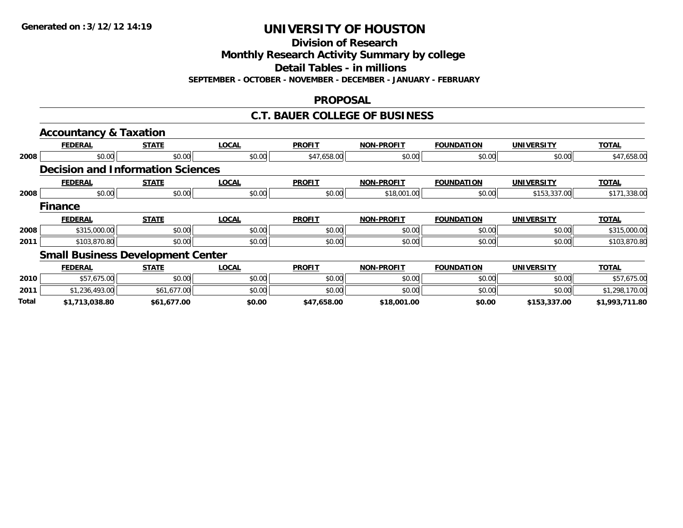**Division of Research**

**Monthly Research Activity Summary by college**

**Detail Tables - in millions**

**SEPTEMBER - OCTOBER - NOVEMBER - DECEMBER - JANUARY - FEBRUARY**

#### **PROPOSAL**

#### **C.T. BAUER COLLEGE OF BUSINESS**

|       | <b>Accountancy &amp; Taxation</b>        |              |              |               |                   |                   |                   |                |
|-------|------------------------------------------|--------------|--------------|---------------|-------------------|-------------------|-------------------|----------------|
|       | <b>FEDERAL</b>                           | <b>STATE</b> | <b>LOCAL</b> | <b>PROFIT</b> | <b>NON-PROFIT</b> | <b>FOUNDATION</b> | <b>UNIVERSITY</b> | <b>TOTAL</b>   |
| 2008  | \$0.00                                   | \$0.00       | \$0.00       | \$47,658.00   | \$0.00            | \$0.00            | \$0.00            | \$47,658.00    |
|       | <b>Decision and Information Sciences</b> |              |              |               |                   |                   |                   |                |
|       | <b>FEDERAL</b>                           | <b>STATE</b> | <b>LOCAL</b> | <b>PROFIT</b> | <b>NON-PROFIT</b> | <b>FOUNDATION</b> | <b>UNIVERSITY</b> | <b>TOTAL</b>   |
| 2008  | \$0.00                                   | \$0.00       | \$0.00       | \$0.00        | \$18,001.00       | \$0.00            | \$153,337.00      | \$171,338.00   |
|       | <b>Finance</b>                           |              |              |               |                   |                   |                   |                |
|       | <b>FEDERAL</b>                           | <b>STATE</b> | <b>LOCAL</b> | <b>PROFIT</b> | <b>NON-PROFIT</b> | <b>FOUNDATION</b> | <b>UNIVERSITY</b> | <b>TOTAL</b>   |
| 2008  | \$315,000.00                             | \$0.00       | \$0.00       | \$0.00        | \$0.00            | \$0.00            | \$0.00            | \$315,000.00   |
| 2011  | \$103,870.80                             | \$0.00       | \$0.00       | \$0.00        | \$0.00            | \$0.00            | \$0.00            | \$103,870.80   |
|       | <b>Small Business Development Center</b> |              |              |               |                   |                   |                   |                |
|       | <b>FEDERAL</b>                           | <b>STATE</b> | <b>LOCAL</b> | <b>PROFIT</b> | <b>NON-PROFIT</b> | <b>FOUNDATION</b> | <b>UNIVERSITY</b> | <b>TOTAL</b>   |
| 2010  | \$57,675.00                              | \$0.00       | \$0.00       | \$0.00        | \$0.00            | \$0.00            | \$0.00            | \$57,675.00    |
| 2011  | \$1,236,493.00                           | \$61,677.00  | \$0.00       | \$0.00        | \$0.00            | \$0.00            | \$0.00            | \$1,298,170.00 |
| Total | \$1,713,038.80                           | \$61,677.00  | \$0.00       | \$47,658.00   | \$18,001.00       | \$0.00            | \$153,337.00      | \$1,993,711.80 |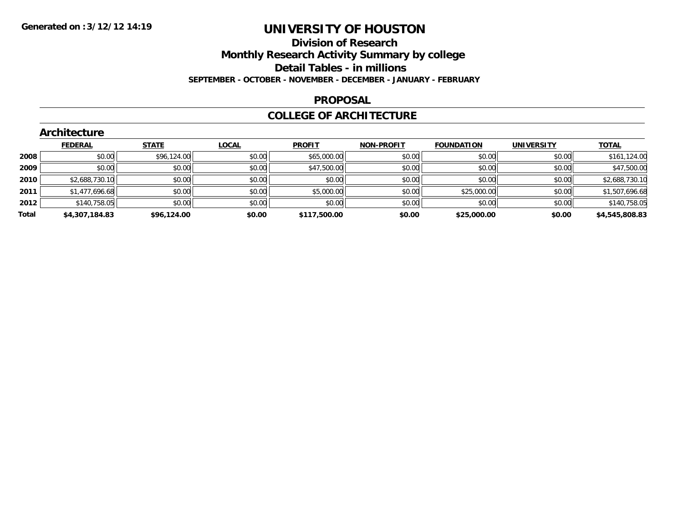#### **Division of Research**

**Monthly Research Activity Summary by college**

**Detail Tables - in millions**

**SEPTEMBER - OCTOBER - NOVEMBER - DECEMBER - JANUARY - FEBRUARY**

#### **PROPOSAL**

#### **COLLEGE OF ARCHITECTURE**

|       | Architecture   |              |              |               |                   |                   |                   |                |  |  |  |
|-------|----------------|--------------|--------------|---------------|-------------------|-------------------|-------------------|----------------|--|--|--|
|       | <b>FEDERAL</b> | <b>STATE</b> | <b>LOCAL</b> | <b>PROFIT</b> | <b>NON-PROFIT</b> | <b>FOUNDATION</b> | <b>UNIVERSITY</b> | <b>TOTAL</b>   |  |  |  |
| 2008  | \$0.00         | \$96,124.00  | \$0.00       | \$65,000.00   | \$0.00            | \$0.00            | \$0.00            | \$161,124.00   |  |  |  |
| 2009  | \$0.00         | \$0.00       | \$0.00       | \$47,500.00   | \$0.00            | \$0.00            | \$0.00            | \$47,500.00    |  |  |  |
| 2010  | \$2,688,730.10 | \$0.00       | \$0.00       | \$0.00        | \$0.00            | \$0.00            | \$0.00            | \$2,688,730.10 |  |  |  |
| 2011  | \$1,477,696.68 | \$0.00       | \$0.00       | \$5,000.00    | \$0.00            | \$25,000.00       | \$0.00            | \$1,507,696.68 |  |  |  |
| 2012  | \$140,758.05   | \$0.00       | \$0.00       | \$0.00        | \$0.00            | \$0.00            | \$0.00            | \$140,758.05   |  |  |  |
| Total | \$4,307,184.83 | \$96,124.00  | \$0.00       | \$117,500.00  | \$0.00            | \$25,000.00       | \$0.00            | \$4,545,808.83 |  |  |  |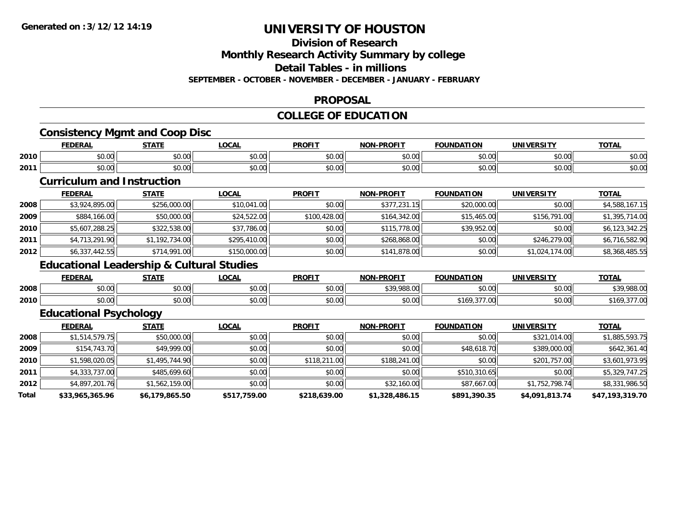### **Division of Research**

**Monthly Research Activity Summary by college**

**Detail Tables - in millions**

**SEPTEMBER - OCTOBER - NOVEMBER - DECEMBER - JANUARY - FEBRUARY**

#### **PROPOSAL**

### **COLLEGE OF EDUCATION**

### **Consistency Mgmt and Coop Disc**

|      | <b>FEDERAL</b> | <b>CTATE</b><br>,,,,,,              | <b>OCAL</b>   | <b>PROFIT</b>                  | -PROFIT<br><b>NON</b> | <b>FOUNDATION</b>  | <b>UNIVERSITY</b> | <b>TOTAL</b>            |
|------|----------------|-------------------------------------|---------------|--------------------------------|-----------------------|--------------------|-------------------|-------------------------|
| 2010 | \$0.00         | $\uparrow$ $\land$ $\land$<br>JU.UU | 0000<br>JU.UU | 0000<br>\$U.UU                 | ልስ ለሰ<br>JU.UU        | $\sim$ 00<br>JU.UU | 0000<br>vu.vu     | $\sim$ $\sim$<br>\$U.UU |
| 2011 | \$0.00         | $*$ $\cap$ $\cap$<br>JU.UU          | 0000<br>JU.UU | 0 <sup>0</sup><br><b>SU.UU</b> | ልስ ለሰ<br>JU.UU        | $\sim$ 00<br>JU.UU | 0000<br>JU.UU     | $\sim$ $\sim$<br>\$U.UU |

### **Curriculum and Instruction**

|      | <b>FEDERAL</b> | <u>STATE</u>   | <u>LOCAL</u> | <b>PROFIT</b> | <b>NON-PROFIT</b> | <b>FOUNDATION</b> | <b>UNIVERSITY</b> | <b>TOTAL</b>   |
|------|----------------|----------------|--------------|---------------|-------------------|-------------------|-------------------|----------------|
| 2008 | \$3,924,895.00 | \$256,000.00   | \$10,041.00  | \$0.00        | \$377.231.15      | \$20,000.00       | \$0.00            | \$4,588,167.15 |
| 2009 | \$884,166.00   | \$50,000.00    | \$24,522.00  | \$100,428.00  | \$164,342.00      | \$15,465.00       | \$156,791,00      | \$1,395,714.00 |
| 2010 | \$5,607,288.25 | \$322,538.00   | \$37,786.00  | \$0.00        | \$115,778.00      | \$39,952.00       | \$0.00            | \$6,123,342.25 |
| 2011 | \$4,713,291.90 | \$1,192,734.00 | \$295,410.00 | \$0.00        | \$268,868.00      | \$0.00            | \$246,279.00      | \$6,716,582.90 |
| 2012 | \$6,337,442.55 | \$714,991.00   | \$150,000.00 | \$0.00        | \$141,878.00      | \$0.00            | \$1,024,174.00    | \$8,368,485.55 |

### **Educational Leadership & Cultural Studies**

|      | <b>FEDERAL</b> | CTATE<br>31 A L           | .OCAI              | <b>PROFIT</b> | <b>NON-PROFIT</b>         | <b>FOUNDATION</b>                                     | UNIVERSITY | <b>TOTAL</b> |
|------|----------------|---------------------------|--------------------|---------------|---------------------------|-------------------------------------------------------|------------|--------------|
| 2008 | 0000<br>DU.UU  | $\sim$<br>$\sim$<br>JU.UU | 0000<br>vu.uu      | \$0.00        | 0.200000<br>'oo.uu<br>. ט | \$0.00                                                | \$0.00     | \$39,988.00  |
| 2010 | ልስ ስስ<br>PU.UU | $\sim$ 00<br>JU.U         | $\sim$ 00<br>PO.OO | \$0.00        | \$0.00                    | $\sim$ $\sim$ $\sim$ $\sim$<br>7.UU<br>, 109<br>,,,,, | \$0.00     | 10           |

### **Educational Psychology**

|       | <b>FEDERAL</b>  | <b>STATE</b>   | <b>LOCAL</b> | <b>PROFIT</b> | <b>NON-PROFIT</b> | <b>FOUNDATION</b> | UNIVERSITY     | <b>TOTAL</b>    |
|-------|-----------------|----------------|--------------|---------------|-------------------|-------------------|----------------|-----------------|
| 2008  | \$1,514,579.75  | \$50,000.00    | \$0.00       | \$0.00        | \$0.00            | \$0.00            | \$321,014.00   | \$1,885,593.75  |
| 2009  | \$154,743.70    | \$49,999.00    | \$0.00       | \$0.00        | \$0.00            | \$48,618.70       | \$389,000.00   | \$642,361.40    |
| 2010  | \$1,598,020.05  | \$1,495,744.90 | \$0.00       | \$118,211.00  | \$188,241.00      | \$0.00            | \$201,757.00   | \$3,601,973.95  |
| 2011  | \$4,333,737.00  | \$485,699.60   | \$0.00       | \$0.00        | \$0.00            | \$510,310.65      | \$0.00         | \$5,329,747.25  |
| 2012  | \$4,897,201.76  | \$1,562,159.00 | \$0.00       | \$0.00        | \$32,160.00       | \$87,667.00       | \$1,752,798.74 | \$8,331,986.50  |
| Total | \$33,965,365.96 | \$6,179,865.50 | \$517,759.00 | \$218,639.00  | \$1,328,486.15    | \$891,390.35      | \$4,091,813.74 | \$47,193,319.70 |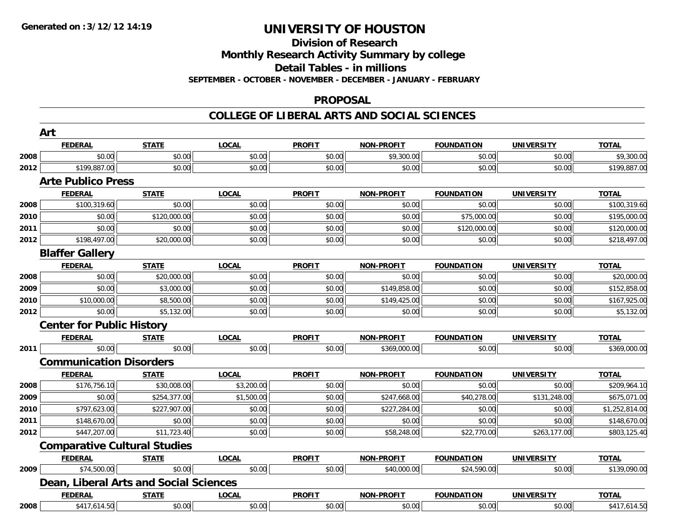#### **Division of Research**

**Monthly Research Activity Summary by college**

**Detail Tables - in millions**

**SEPTEMBER - OCTOBER - NOVEMBER - DECEMBER - JANUARY - FEBRUARY**

#### **PROPOSAL**

#### **COLLEGE OF LIBERAL ARTS AND SOCIAL SCIENCES**

|      | Art                                    |              |              |               |                   |                   |                   |                |
|------|----------------------------------------|--------------|--------------|---------------|-------------------|-------------------|-------------------|----------------|
|      | <b>FEDERAL</b>                         | <b>STATE</b> | <b>LOCAL</b> | <b>PROFIT</b> | <b>NON-PROFIT</b> | <b>FOUNDATION</b> | <b>UNIVERSITY</b> | <b>TOTAL</b>   |
| 2008 | \$0.00                                 | \$0.00       | \$0.00       | \$0.00        | \$9,300.00        | \$0.00            | \$0.00            | \$9,300.00     |
| 2012 | \$199,887.00                           | \$0.00       | \$0.00       | \$0.00        | \$0.00            | \$0.00            | \$0.00            | \$199,887.00   |
|      | <b>Arte Publico Press</b>              |              |              |               |                   |                   |                   |                |
|      | <b>FEDERAL</b>                         | <b>STATE</b> | <b>LOCAL</b> | <b>PROFIT</b> | <b>NON-PROFIT</b> | <b>FOUNDATION</b> | <b>UNIVERSITY</b> | <b>TOTAL</b>   |
| 2008 | \$100,319.60                           | \$0.00       | \$0.00       | \$0.00        | \$0.00            | \$0.00            | \$0.00            | \$100,319.60   |
| 2010 | \$0.00                                 | \$120,000.00 | \$0.00       | \$0.00        | \$0.00            | \$75,000.00       | \$0.00            | \$195,000.00   |
| 2011 | \$0.00                                 | \$0.00       | \$0.00       | \$0.00        | \$0.00            | \$120,000.00      | \$0.00            | \$120,000.00   |
| 2012 | \$198,497.00                           | \$20,000.00  | \$0.00       | \$0.00        | \$0.00            | \$0.00            | \$0.00            | \$218,497.00   |
|      | <b>Blaffer Gallery</b>                 |              |              |               |                   |                   |                   |                |
|      | <b>FEDERAL</b>                         | <b>STATE</b> | <b>LOCAL</b> | <b>PROFIT</b> | <b>NON-PROFIT</b> | <b>FOUNDATION</b> | <b>UNIVERSITY</b> | <b>TOTAL</b>   |
| 2008 | \$0.00                                 | \$20,000.00  | \$0.00       | \$0.00        | \$0.00            | \$0.00            | \$0.00            | \$20,000.00    |
| 2009 | \$0.00                                 | \$3,000.00   | \$0.00       | \$0.00        | \$149,858.00      | \$0.00            | \$0.00            | \$152,858.00   |
| 2010 | \$10,000.00                            | \$8,500.00   | \$0.00       | \$0.00        | \$149,425.00      | \$0.00            | \$0.00            | \$167,925.00   |
| 2012 | \$0.00                                 | \$5,132.00   | \$0.00       | \$0.00        | \$0.00            | \$0.00            | \$0.00            | \$5,132.00     |
|      | <b>Center for Public History</b>       |              |              |               |                   |                   |                   |                |
|      | <b>FEDERAL</b>                         | <b>STATE</b> | <b>LOCAL</b> | <b>PROFIT</b> | <b>NON-PROFIT</b> | <b>FOUNDATION</b> | <b>UNIVERSITY</b> | <b>TOTAL</b>   |
| 2011 | \$0.00                                 | \$0.00       | \$0.00       | \$0.00        | \$369,000.00      | \$0.00            | \$0.00            | \$369,000.00   |
|      | <b>Communication Disorders</b>         |              |              |               |                   |                   |                   |                |
|      | <b>FEDERAL</b>                         | <b>STATE</b> | <b>LOCAL</b> | <b>PROFIT</b> | <b>NON-PROFIT</b> | <b>FOUNDATION</b> | <b>UNIVERSITY</b> | <b>TOTAL</b>   |
| 2008 | \$176,756.10                           | \$30,008.00  | \$3,200.00   | \$0.00        | \$0.00            | \$0.00            | \$0.00            | \$209,964.10   |
| 2009 | \$0.00                                 | \$254,377.00 | \$1,500.00   | \$0.00        | \$247,668.00      | \$40,278.00       | \$131,248.00      | \$675,071.00   |
| 2010 | \$797,623.00                           | \$227,907.00 | \$0.00       | \$0.00        | \$227,284.00      | \$0.00            | \$0.00            | \$1,252,814.00 |
| 2011 | \$148,670.00                           | \$0.00       | \$0.00       | \$0.00        | \$0.00            | \$0.00            | \$0.00            | \$148,670.00   |
| 2012 | \$447,207.00                           | \$11,723.40  | \$0.00       | \$0.00        | \$58,248.00       | \$22,770.00       | \$263,177.00      | \$803,125.40   |
|      | <b>Comparative Cultural Studies</b>    |              |              |               |                   |                   |                   |                |
|      | <b>FEDERAL</b>                         | <b>STATE</b> | <b>LOCAL</b> | <b>PROFIT</b> | <b>NON-PROFIT</b> | <b>FOUNDATION</b> | <b>UNIVERSITY</b> | <b>TOTAL</b>   |
| 2009 | \$74,500.00                            | \$0.00       | \$0.00       | \$0.00        | \$40,000.00       | \$24,590.00       | \$0.00            | \$139,090.00   |
|      | Dean, Liberal Arts and Social Sciences |              |              |               |                   |                   |                   |                |
|      | <b>FEDERAL</b>                         | <b>STATE</b> | <b>LOCAL</b> | <b>PROFIT</b> | <b>NON-PROFIT</b> | <b>FOUNDATION</b> | <b>UNIVERSITY</b> | <b>TOTAL</b>   |
| 2008 | \$417,614.50                           | \$0.00       | \$0.00       | \$0.00        | \$0.00            | \$0.00            | \$0.00            | \$417,614.50   |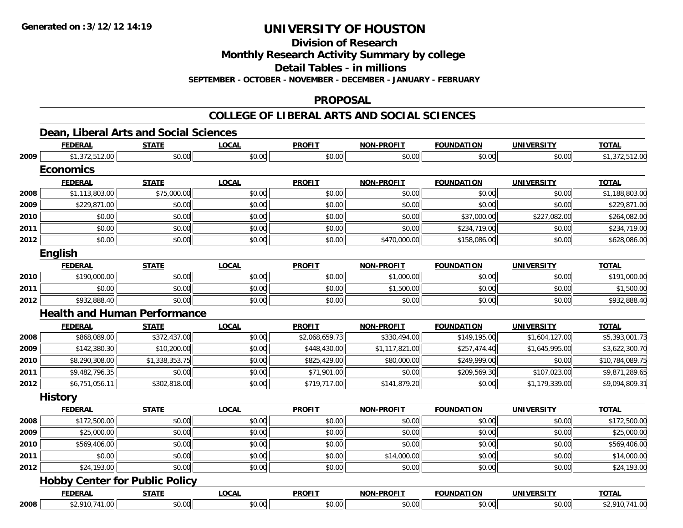**Division of Research**

**Monthly Research Activity Summary by college**

**Detail Tables - in millions**

**SEPTEMBER - OCTOBER - NOVEMBER - DECEMBER - JANUARY - FEBRUARY**

#### **PROPOSAL**

#### **COLLEGE OF LIBERAL ARTS AND SOCIAL SCIENCES**

### **Dean, Liberal Arts and Social Sciences**

|      | <b>FEDERAL</b>   | <b>STATE</b>                          | <b>LOCAL</b> | <b>PROFIT</b>  | <b>NON-PROFIT</b> | <b>FOUNDATION</b> | <b>UNIVERSITY</b> | <b>TOTAL</b>    |
|------|------------------|---------------------------------------|--------------|----------------|-------------------|-------------------|-------------------|-----------------|
| 2009 | \$1,372,512.00   | \$0.00                                | \$0.00       | \$0.00         | \$0.00            | \$0.00            | \$0.00            | \$1,372,512.00  |
|      | <b>Economics</b> |                                       |              |                |                   |                   |                   |                 |
|      | <b>FEDERAL</b>   | <b>STATE</b>                          | <b>LOCAL</b> | <b>PROFIT</b>  | <b>NON-PROFIT</b> | <b>FOUNDATION</b> | <b>UNIVERSITY</b> | <b>TOTAL</b>    |
| 2008 | \$1,113,803.00   | \$75,000.00                           | \$0.00       | \$0.00         | \$0.00            | \$0.00            | \$0.00            | \$1,188,803.00  |
| 2009 | \$229,871.00     | \$0.00                                | \$0.00       | \$0.00         | \$0.00            | \$0.00            | \$0.00            | \$229,871.00    |
| 2010 | \$0.00           | \$0.00                                | \$0.00       | \$0.00         | \$0.00            | \$37,000.00       | \$227,082.00      | \$264,082.00    |
| 2011 | \$0.00           | \$0.00                                | \$0.00       | \$0.00         | \$0.00            | \$234,719.00      | \$0.00            | \$234,719.00    |
| 2012 | \$0.00           | \$0.00                                | \$0.00       | \$0.00         | \$470,000.00      | \$158,086.00      | \$0.00            | \$628,086.00    |
|      | English          |                                       |              |                |                   |                   |                   |                 |
|      | <b>FEDERAL</b>   | <b>STATE</b>                          | <b>LOCAL</b> | <b>PROFIT</b>  | <b>NON-PROFIT</b> | <b>FOUNDATION</b> | <b>UNIVERSITY</b> | <b>TOTAL</b>    |
| 2010 | \$190,000.00     | \$0.00                                | \$0.00       | \$0.00         | \$1,000.00        | \$0.00            | \$0.00            | \$191,000.00    |
| 2011 | \$0.00           | \$0.00                                | \$0.00       | \$0.00         | \$1,500.00        | \$0.00            | \$0.00            | \$1,500.00      |
| 2012 | \$932,888.40     | \$0.00                                | \$0.00       | \$0.00         | \$0.00            | \$0.00            | \$0.00            | \$932,888.40    |
|      |                  | <b>Health and Human Performance</b>   |              |                |                   |                   |                   |                 |
|      | <b>FEDERAL</b>   | <b>STATE</b>                          | <b>LOCAL</b> | <b>PROFIT</b>  | <b>NON-PROFIT</b> | <b>FOUNDATION</b> | <b>UNIVERSITY</b> | <b>TOTAL</b>    |
| 2008 | \$868,089.00     | \$372,437.00                          | \$0.00       | \$2,068,659.73 | \$330,494.00      | \$149,195.00      | \$1,604,127.00    | \$5,393,001.73  |
| 2009 | \$142,380.30     | \$10,200.00                           | \$0.00       | \$448,430.00   | \$1,117,821.00    | \$257,474.40      | \$1,645,995.00    | \$3,622,300.70  |
| 2010 | \$8,290,308.00   | \$1,338,353.75                        | \$0.00       | \$825,429.00   | \$80,000.00       | \$249,999.00      | \$0.00            | \$10,784,089.75 |
| 2011 | \$9,482,796.35   | \$0.00                                | \$0.00       | \$71,901.00    | \$0.00            | \$209,569.30      | \$107,023.00      | \$9,871,289.65  |
| 2012 | \$6,751,056.11   | \$302,818.00                          | \$0.00       | \$719,717.00   | \$141,879.20      | \$0.00            | \$1,179,339.00    | \$9,094,809.31  |
|      | <b>History</b>   |                                       |              |                |                   |                   |                   |                 |
|      | <b>FEDERAL</b>   | <b>STATE</b>                          | <b>LOCAL</b> | <b>PROFIT</b>  | NON-PROFIT        | <b>FOUNDATION</b> | <b>UNIVERSITY</b> | <b>TOTAL</b>    |
| 2008 | \$172,500.00     | \$0.00                                | \$0.00       | \$0.00         | \$0.00            | \$0.00            | \$0.00            | \$172,500.00    |
| 2009 | \$25,000.00      | \$0.00                                | \$0.00       | \$0.00         | \$0.00            | \$0.00            | \$0.00            | \$25,000.00     |
| 2010 | \$569,406.00     | \$0.00                                | \$0.00       | \$0.00         | \$0.00            | \$0.00            | \$0.00            | \$569,406.00    |
| 2011 | \$0.00           | \$0.00                                | \$0.00       | \$0.00         | \$14,000.00       | \$0.00            | \$0.00            | \$14,000.00     |
| 2012 | \$24,193.00      | \$0.00                                | \$0.00       | \$0.00         | \$0.00            | \$0.00            | \$0.00            | \$24,193.00     |
|      |                  | <b>Hobby Center for Public Policy</b> |              |                |                   |                   |                   |                 |
|      | <b>FEDERAL</b>   | <b>STATE</b>                          | <b>LOCAL</b> | <b>PROFIT</b>  | <b>NON-PROFIT</b> | <b>FOUNDATION</b> | <b>UNIVERSITY</b> | <b>TOTAL</b>    |
| 2008 | \$2,910,741.00   | \$0.00                                | \$0.00       | \$0.00         | \$0.00            | \$0.00            | \$0.00            | \$2,910,741.00  |
|      |                  |                                       |              |                |                   |                   |                   |                 |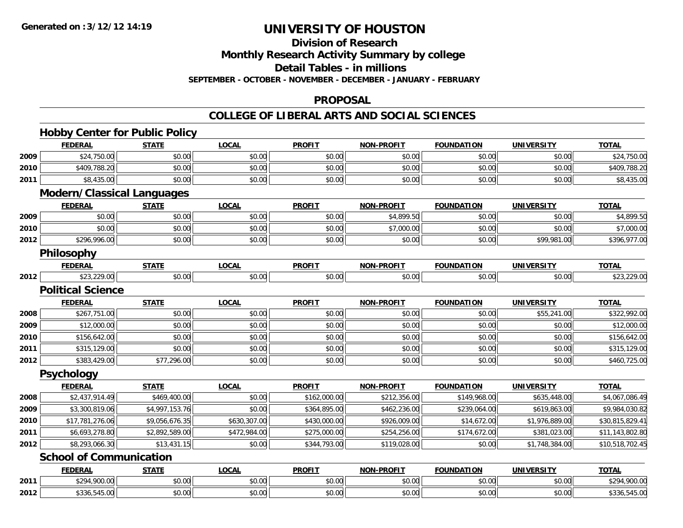**Division of Research**

**Monthly Research Activity Summary by college**

**Detail Tables - in millions**

**SEPTEMBER - OCTOBER - NOVEMBER - DECEMBER - JANUARY - FEBRUARY**

#### **PROPOSAL**

#### **COLLEGE OF LIBERAL ARTS AND SOCIAL SCIENCES**

|      |                                   | <b>Hobby Center for Public Policy</b> |              |               |                   |                   |                   |                 |
|------|-----------------------------------|---------------------------------------|--------------|---------------|-------------------|-------------------|-------------------|-----------------|
|      | <b>FEDERAL</b>                    | <b>STATE</b>                          | <b>LOCAL</b> | <b>PROFIT</b> | <b>NON-PROFIT</b> | <b>FOUNDATION</b> | <b>UNIVERSITY</b> | <b>TOTAL</b>    |
| 2009 | \$24,750.00                       | \$0.00                                | \$0.00       | \$0.00        | \$0.00            | \$0.00            | \$0.00            | \$24,750.00     |
| 2010 | \$409,788.20                      | \$0.00                                | \$0.00       | \$0.00        | \$0.00            | \$0.00            | \$0.00            | \$409,788.20    |
| 2011 | \$8,435.00                        | \$0.00                                | \$0.00       | \$0.00        | \$0.00            | \$0.00            | \$0.00            | \$8,435.00      |
|      | <b>Modern/Classical Languages</b> |                                       |              |               |                   |                   |                   |                 |
|      | <b>FEDERAL</b>                    | <b>STATE</b>                          | <b>LOCAL</b> | <b>PROFIT</b> | <b>NON-PROFIT</b> | <b>FOUNDATION</b> | <b>UNIVERSITY</b> | <b>TOTAL</b>    |
| 2009 | \$0.00                            | \$0.00                                | \$0.00       | \$0.00        | \$4,899.50        | \$0.00            | \$0.00            | \$4,899.50      |
| 2010 | \$0.00                            | \$0.00                                | \$0.00       | \$0.00        | \$7,000.00        | \$0.00            | \$0.00            | \$7,000.00      |
| 2012 | \$296,996.00                      | \$0.00                                | \$0.00       | \$0.00        | \$0.00            | \$0.00            | \$99,981.00       | \$396,977.00    |
|      | Philosophy                        |                                       |              |               |                   |                   |                   |                 |
|      | <b>FEDERAL</b>                    | <b>STATE</b>                          | <b>LOCAL</b> | <b>PROFIT</b> | <b>NON-PROFIT</b> | <b>FOUNDATION</b> | <b>UNIVERSITY</b> | <b>TOTAL</b>    |
| 2012 | \$23,229.00                       | \$0.00                                | \$0.00       | \$0.00        | \$0.00            | \$0.00            | \$0.00            | \$23,229.00     |
|      | <b>Political Science</b>          |                                       |              |               |                   |                   |                   |                 |
|      | <b>FEDERAL</b>                    | <b>STATE</b>                          | <b>LOCAL</b> | <b>PROFIT</b> | <b>NON-PROFIT</b> | <b>FOUNDATION</b> | <b>UNIVERSITY</b> | <b>TOTAL</b>    |
| 2008 | \$267,751.00                      | \$0.00                                | \$0.00       | \$0.00        | \$0.00            | \$0.00            | \$55,241.00       | \$322,992.00    |
| 2009 | \$12,000.00                       | \$0.00                                | \$0.00       | \$0.00        | \$0.00            | \$0.00            | \$0.00            | \$12,000.00     |
| 2010 | \$156,642.00                      | \$0.00                                | \$0.00       | \$0.00        | \$0.00            | \$0.00            | \$0.00            | \$156,642.00    |
| 2011 | \$315,129.00                      | \$0.00                                | \$0.00       | \$0.00        | \$0.00            | \$0.00            | \$0.00            | \$315,129.00    |
| 2012 | \$383,429.00                      | \$77,296.00                           | \$0.00       | \$0.00        | \$0.00            | \$0.00            | \$0.00            | \$460,725.00    |
|      | Psychology                        |                                       |              |               |                   |                   |                   |                 |
|      | <b>FEDERAL</b>                    | <b>STATE</b>                          | <b>LOCAL</b> | <b>PROFIT</b> | <b>NON-PROFIT</b> | <b>FOUNDATION</b> | <b>UNIVERSITY</b> | <b>TOTAL</b>    |
| 2008 | \$2,437,914.49                    | \$469,400.00                          | \$0.00       | \$162,000.00  | \$212,356.00      | \$149,968.00      | \$635,448.00      | \$4,067,086.49  |
| 2009 | \$3,300,819.06                    | \$4,997,153.76                        | \$0.00       | \$364,895.00  | \$462,236.00      | \$239,064.00      | \$619,863.00      | \$9,984,030.82  |
| 2010 | \$17,781,276.06                   | \$9,056,676.35                        | \$630,307.00 | \$430,000.00  | \$926,009.00      | \$14,672.00       | \$1,976,889.00    | \$30,815,829.41 |
| 2011 | \$6,693,278.80                    | \$2,892,589.00                        | \$472,984.00 | \$275,000.00  | \$254,256.00      | \$174,672.00      | \$381,023.00      | \$11,143,802.80 |
| 2012 | \$8,293,066.30                    | \$13,431.15                           | \$0.00       | \$344,793.00  | \$119,028.00      | \$0.00            | \$1,748,384.00    | \$10,518,702.45 |
|      | <b>School of Communication</b>    |                                       |              |               |                   |                   |                   |                 |
|      | <b>FEDERAL</b>                    | <b>STATE</b>                          | <b>LOCAL</b> | <b>PROFIT</b> | <b>NON-PROFIT</b> | <b>FOUNDATION</b> | <b>UNIVERSITY</b> | <b>TOTAL</b>    |
| 2011 | \$294,900.00                      | \$0.00                                | \$0.00       | \$0.00        | \$0.00            | \$0.00            | \$0.00            | \$294,900.00    |
| 2012 | \$336,545.00                      | \$0.00                                | \$0.00       | \$0.00        | \$0.00            | \$0.00            | \$0.00            | \$336,545.00    |
|      |                                   |                                       |              |               |                   |                   |                   |                 |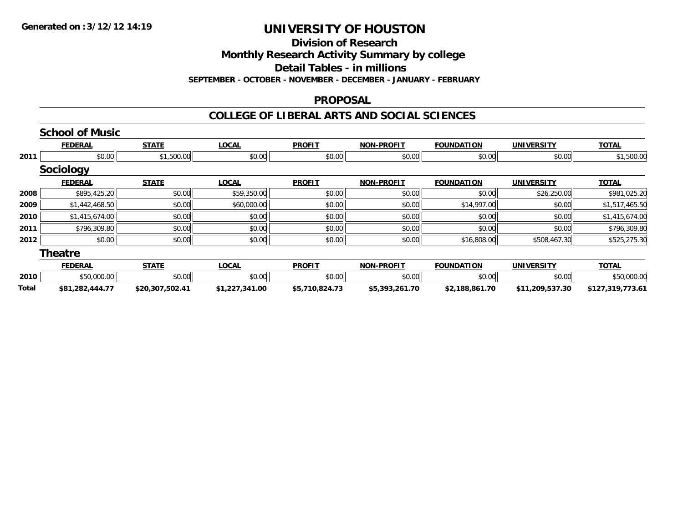## **Division of Research**

**Monthly Research Activity Summary by college**

**Detail Tables - in millions**

**SEPTEMBER - OCTOBER - NOVEMBER - DECEMBER - JANUARY - FEBRUARY**

#### **PROPOSAL**

#### **COLLEGE OF LIBERAL ARTS AND SOCIAL SCIENCES**

|       | <b>School of Music</b> |                 |                |                |                   |                   |                   |                  |
|-------|------------------------|-----------------|----------------|----------------|-------------------|-------------------|-------------------|------------------|
|       | <b>FEDERAL</b>         | <b>STATE</b>    | <b>LOCAL</b>   | <b>PROFIT</b>  | <b>NON-PROFIT</b> | <b>FOUNDATION</b> | <b>UNIVERSITY</b> | <b>TOTAL</b>     |
| 2011  | \$0.00                 | \$1,500.00      | \$0.00         | \$0.00         | \$0.00            | \$0.00            | \$0.00            | \$1,500.00       |
|       | <b>Sociology</b>       |                 |                |                |                   |                   |                   |                  |
|       | <b>FEDERAL</b>         | <b>STATE</b>    | <b>LOCAL</b>   | <b>PROFIT</b>  | <b>NON-PROFIT</b> | <b>FOUNDATION</b> | <b>UNIVERSITY</b> | <b>TOTAL</b>     |
| 2008  | \$895,425.20           | \$0.00          | \$59,350.00    | \$0.00         | \$0.00            | \$0.00            | \$26,250.00       | \$981,025.20     |
| 2009  | \$1,442,468.50         | \$0.00          | \$60,000.00    | \$0.00         | \$0.00            | \$14,997.00       | \$0.00            | \$1,517,465.50   |
| 2010  | \$1,415,674.00         | \$0.00          | \$0.00         | \$0.00         | \$0.00            | \$0.00            | \$0.00            | \$1,415,674.00   |
| 2011  | \$796,309.80           | \$0.00          | \$0.00         | \$0.00         | \$0.00            | \$0.00            | \$0.00            | \$796,309.80     |
| 2012  | \$0.00                 | \$0.00          | \$0.00         | \$0.00         | \$0.00            | \$16,808.00       | \$508,467.30      | \$525,275.30     |
|       | <b>Theatre</b>         |                 |                |                |                   |                   |                   |                  |
|       | <b>FEDERAL</b>         | <b>STATE</b>    | <b>LOCAL</b>   | <b>PROFIT</b>  | <b>NON-PROFIT</b> | <b>FOUNDATION</b> | <b>UNIVERSITY</b> | <b>TOTAL</b>     |
| 2010  | \$50,000.00            | \$0.00          | \$0.00         | \$0.00         | \$0.00            | \$0.00            | \$0.00            | \$50,000.00      |
| Total | \$81,282,444.77        | \$20,307,502.41 | \$1,227,341.00 | \$5,710,824.73 | \$5,393,261.70    | \$2,188,861.70    | \$11,209,537.30   | \$127,319,773.61 |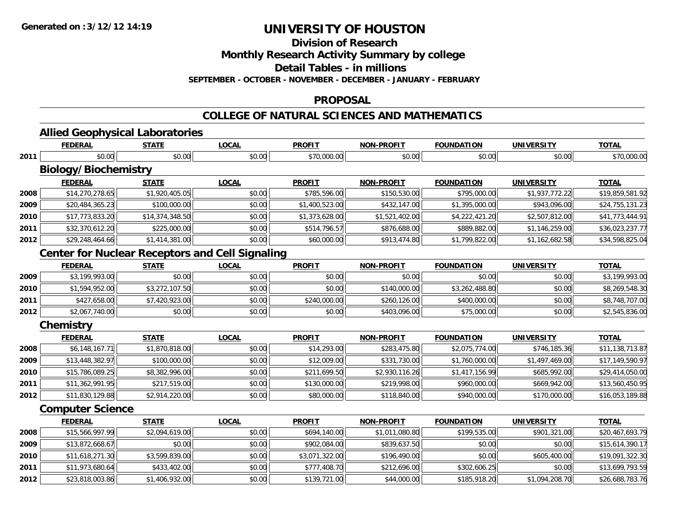**2012**

# **UNIVERSITY OF HOUSTON**

**Division of Research**

**Monthly Research Activity Summary by college**

**Detail Tables - in millions**

**SEPTEMBER - OCTOBER - NOVEMBER - DECEMBER - JANUARY - FEBRUARY**

#### **PROPOSAL**

#### **COLLEGE OF NATURAL SCIENCES AND MATHEMATICS**

|      | <b>Allied Geophysical Laboratories</b>                 |                 |              |                |                   |                   |                   |                 |
|------|--------------------------------------------------------|-----------------|--------------|----------------|-------------------|-------------------|-------------------|-----------------|
|      | <b>FEDERAL</b>                                         | <b>STATE</b>    | <b>LOCAL</b> | <b>PROFIT</b>  | <b>NON-PROFIT</b> | <b>FOUNDATION</b> | <b>UNIVERSITY</b> | <b>TOTAL</b>    |
| 2011 | \$0.00                                                 | \$0.00          | \$0.00       | \$70,000.00    | \$0.00            | \$0.00            | \$0.00            | \$70,000.00     |
|      | <b>Biology/Biochemistry</b>                            |                 |              |                |                   |                   |                   |                 |
|      | <b>FEDERAL</b>                                         | <b>STATE</b>    | <b>LOCAL</b> | <b>PROFIT</b>  | <b>NON-PROFIT</b> | <b>FOUNDATION</b> | <b>UNIVERSITY</b> | <b>TOTAL</b>    |
| 2008 | \$14,270,278.65                                        | \$1,920,405.05  | \$0.00       | \$785,596.00   | \$150,530.00      | \$795,000.00      | \$1,937,772.22    | \$19,859,581.92 |
| 2009 | \$20,484,365.23                                        | \$100,000.00    | \$0.00       | \$1,400,523.00 | \$432,147.00      | \$1,395,000.00    | \$943,096.00      | \$24,755,131.23 |
| 2010 | \$17,773,833.20                                        | \$14,374,348.50 | \$0.00       | \$1,373,628.00 | \$1,521,402.00    | \$4,222,421.20    | \$2,507,812.00    | \$41,773,444.91 |
| 2011 | \$32,370,612.20                                        | \$225,000.00    | \$0.00       | \$514,796.57   | \$876,688.00      | \$889,882.00      | \$1,146,259.00    | \$36,023,237.77 |
| 2012 | \$29,248,464.66                                        | \$1,414,381.00  | \$0.00       | \$60,000.00    | \$913,474.80      | \$1,799,822.00    | \$1,162,682.58    | \$34,598,825.04 |
|      | <b>Center for Nuclear Receptors and Cell Signaling</b> |                 |              |                |                   |                   |                   |                 |
|      | <b>FEDERAL</b>                                         | <b>STATE</b>    | <b>LOCAL</b> | <b>PROFIT</b>  | <b>NON-PROFIT</b> | <b>FOUNDATION</b> | <b>UNIVERSITY</b> | <b>TOTAL</b>    |
| 2009 | \$3,199,993.00                                         | \$0.00          | \$0.00       | \$0.00         | \$0.00            | \$0.00            | \$0.00            | \$3,199,993.00  |
| 2010 | \$1,594,952.00                                         | \$3,272,107.50  | \$0.00       | \$0.00         | \$140,000.00      | \$3,262,488.80    | \$0.00            | \$8,269,548.30  |
| 2011 | \$427,658.00                                           | \$7,420,923.00  | \$0.00       | \$240,000.00   | \$260,126.00      | \$400,000.00      | \$0.00            | \$8,748,707.00  |
| 2012 | \$2,067,740.00                                         | \$0.00          | \$0.00       | \$0.00         | \$403,096.00      | \$75,000.00       | \$0.00            | \$2,545,836.00  |
|      | Chemistry                                              |                 |              |                |                   |                   |                   |                 |
|      | <b>FEDERAL</b>                                         | <b>STATE</b>    | <b>LOCAL</b> | <b>PROFIT</b>  | <b>NON-PROFIT</b> | <b>FOUNDATION</b> | <b>UNIVERSITY</b> | <b>TOTAL</b>    |
| 2008 | \$6,148,167.71                                         | \$1,870,818.00  | \$0.00       | \$14,293.00    | \$283,475.80      | \$2,075,774.00    | \$746,185.36      | \$11,138,713.87 |
| 2009 | \$13,448,382.97                                        | \$100,000.00    | \$0.00       | \$12,009.00    | \$331,730.00      | \$1,760,000.00    | \$1,497,469.00    | \$17,149,590.97 |
| 2010 | \$15,786,089.25                                        | \$8,382,996.00  | \$0.00       | \$211,699.50   | \$2,930,116.26    | \$1,417,156.99    | \$685,992.00      | \$29,414,050.00 |
| 2011 | \$11,362,991.95                                        | \$217,519.00    | \$0.00       | \$130,000.00   | \$219,998.00      | \$960,000.00      | \$669,942.00      | \$13,560,450.95 |
| 2012 | \$11,830,129.88                                        | \$2,914,220.00  | \$0.00       | \$80,000.00    | \$118,840.00      | \$940,000.00      | \$170,000.00      | \$16,053,189.88 |
|      | <b>Computer Science</b>                                |                 |              |                |                   |                   |                   |                 |
|      | <b>FEDERAL</b>                                         | <b>STATE</b>    | <b>LOCAL</b> | <b>PROFIT</b>  | <b>NON-PROFIT</b> | <b>FOUNDATION</b> | <b>UNIVERSITY</b> | <b>TOTAL</b>    |
| 2008 | \$15,566,997.99                                        | \$2,094,619.00  | \$0.00       | \$694,140.00   | \$1,011,080.80    | \$199,535.00      | \$901,321.00      | \$20,467,693.79 |
| 2009 | \$13,872,668.67                                        | \$0.00          | \$0.00       | \$902,084.00   | \$839,637.50      | \$0.00            | \$0.00            | \$15,614,390.17 |
| 2010 | \$11,618,271.30                                        | \$3,599,839.00  | \$0.00       | \$3,071,322.00 | \$196,490.00      | \$0.00            | \$605,400.00      | \$19,091,322.30 |
| 2011 | \$11,973,680.64                                        | \$433,402.00    | \$0.00       | \$777,408.70   | \$212,696.00      | \$302,606.25      | \$0.00            | \$13,699,793.59 |

 $\textbf{2} \parallel \textcolor{red}{ \textbf{25.35.818,003.86}} \textcolor{red}{ \textbf{36.86.87.83.76}} \textcolor{white}{ \textbf{43.87.83.76}} \textcolor{white}{ \textbf{44.800.00}} \textcolor{white}{ \textbf{44.000.00}} \textcolor{white}{ \textbf{44.000.00}} \textcolor{white}{ \textbf{44.000.00}} \textcolor{white}{ \textbf{44.000.00}} \textcolor{white}{ \textbf{44.000.00}} \textcolor{white}{ \textbf{44.000.00$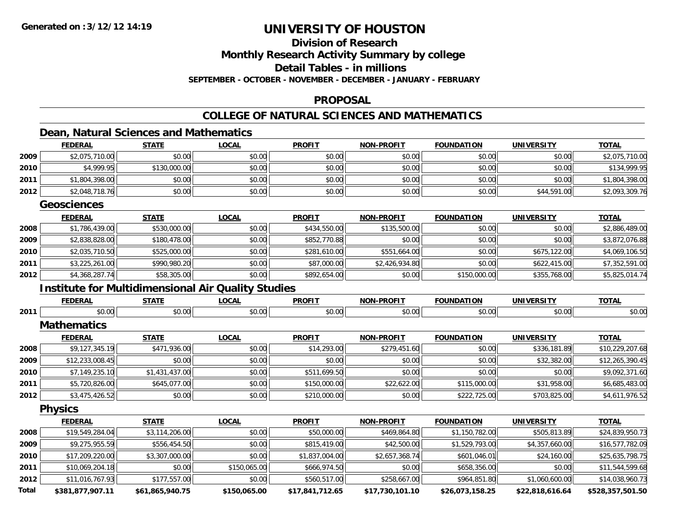## **Division of Research**

**Monthly Research Activity Summary by college**

**Detail Tables - in millions**

**SEPTEMBER - OCTOBER - NOVEMBER - DECEMBER - JANUARY - FEBRUARY**

#### **PROPOSAL**

#### **COLLEGE OF NATURAL SCIENCES AND MATHEMATICS**

### **Dean, Natural Sciences and Mathematics**

|       | <b>FEDERAL</b>                                            | <b>STATE</b>    | <b>LOCAL</b> | <b>PROFIT</b>   | NON-PROFIT        | <b>FOUNDATION</b> | <b>UNIVERSITY</b> | <b>TOTAL</b>     |
|-------|-----------------------------------------------------------|-----------------|--------------|-----------------|-------------------|-------------------|-------------------|------------------|
| 2009  | \$2,075,710.00                                            | \$0.00          | \$0.00       | \$0.00          | \$0.00            | \$0.00            | \$0.00            | \$2,075,710.00   |
| 2010  | \$4,999.95                                                | \$130,000.00    | \$0.00       | \$0.00          | \$0.00            | \$0.00            | \$0.00            | \$134,999.95     |
| 2011  | \$1,804,398.00                                            | \$0.00          | \$0.00       | \$0.00          | \$0.00            | \$0.00            | \$0.00            | \$1,804,398.00   |
| 2012  | \$2,048,718.76                                            | \$0.00          | \$0.00       | \$0.00          | \$0.00            | \$0.00            | \$44,591.00       | \$2,093,309.76   |
|       | <b>Geosciences</b>                                        |                 |              |                 |                   |                   |                   |                  |
|       | <b>FEDERAL</b>                                            | <b>STATE</b>    | <b>LOCAL</b> | <b>PROFIT</b>   | <b>NON-PROFIT</b> | <b>FOUNDATION</b> | <b>UNIVERSITY</b> | <b>TOTAL</b>     |
| 2008  | \$1,786,439.00                                            | \$530,000.00    | \$0.00       | \$434,550.00    | \$135,500.00      | \$0.00            | \$0.00            | \$2,886,489.00   |
| 2009  | \$2,838,828.00                                            | \$180,478.00    | \$0.00       | \$852,770.88    | \$0.00            | \$0.00            | \$0.00            | \$3,872,076.88   |
| 2010  | \$2,035,710.50                                            | \$525,000.00    | \$0.00       | \$281,610.00    | \$551,664.00      | \$0.00            | \$675,122.00      | \$4,069,106.50   |
| 2011  | \$3,225,261.00                                            | \$990,980.20    | \$0.00       | \$87,000.00     | \$2,426,934.80    | \$0.00            | \$622,415.00      | \$7,352,591.00   |
| 2012  | \$4,368,287.74                                            | \$58,305.00     | \$0.00       | \$892,654.00    | \$0.00            | \$150,000.00      | \$355,768.00      | \$5,825,014.74   |
|       | <b>Institute for Multidimensional Air Quality Studies</b> |                 |              |                 |                   |                   |                   |                  |
|       | <b>FEDERAL</b>                                            | <b>STATE</b>    | <b>LOCAL</b> | <b>PROFIT</b>   | <b>NON-PROFIT</b> | <b>FOUNDATION</b> | <b>UNIVERSITY</b> | <b>TOTAL</b>     |
| 2011  | \$0.00                                                    | \$0.00          | \$0.00       | \$0.00          | \$0.00            | \$0.00            | \$0.00            | \$0.00           |
|       | <b>Mathematics</b>                                        |                 |              |                 |                   |                   |                   |                  |
|       | <b>FEDERAL</b>                                            | <b>STATE</b>    | <b>LOCAL</b> | <b>PROFIT</b>   | NON-PROFIT        | <b>FOUNDATION</b> | <b>UNIVERSITY</b> | <b>TOTAL</b>     |
| 2008  | \$9,127,345.19                                            | \$471,936.00    | \$0.00       | \$14,293.00     | \$279,451.60      | \$0.00            | \$336,181.89      | \$10,229,207.68  |
| 2009  | \$12,233,008.45                                           | \$0.00          | \$0.00       | \$0.00          | \$0.00            | \$0.00            | \$32,382.00       | \$12,265,390.45  |
| 2010  | \$7,149,235.10                                            | \$1,431,437.00  | \$0.00       | \$511,699.50    | \$0.00            | \$0.00            | \$0.00            | \$9,092,371.60   |
| 2011  | \$5,720,826.00                                            | \$645,077.00    | \$0.00       | \$150,000.00    | \$22,622.00       | \$115,000.00      | \$31,958.00       | \$6,685,483.00   |
| 2012  | \$3,475,426.52                                            | \$0.00          | \$0.00       | \$210,000.00    | \$0.00            | \$222,725.00      | \$703,825.00      | \$4,611,976.52   |
|       | <b>Physics</b>                                            |                 |              |                 |                   |                   |                   |                  |
|       | <b>FEDERAL</b>                                            | <b>STATE</b>    | <b>LOCAL</b> | <b>PROFIT</b>   | <b>NON-PROFIT</b> | <b>FOUNDATION</b> | <b>UNIVERSITY</b> | <b>TOTAL</b>     |
| 2008  | \$19,549,284.04                                           | \$3,114,206.00  | \$0.00       | \$50,000.00     | \$469,864.80      | \$1,150,782.00    | \$505,813.89      | \$24,839,950.73  |
| 2009  | \$9,275,955.59                                            | \$556,454.50    | \$0.00       | \$815,419.00    | \$42,500.00       | \$1,529,793.00    | \$4,357,660.00    | \$16,577,782.09  |
| 2010  | \$17,209,220.00                                           | \$3,307,000.00  | \$0.00       | \$1,837,004.00  | \$2,657,368.74    | \$601,046.01      | \$24,160.00       | \$25,635,798.75  |
| 2011  | \$10,069,204.18                                           | \$0.00          | \$150,065.00 | \$666,974.50    | \$0.00            | \$658,356.00      | \$0.00            | \$11,544,599.68  |
| 2012  | \$11,016,767.93                                           | \$177,557.00    | \$0.00       | \$560,517.00    | \$258,667.00      | \$964,851.80      | \$1,060,600.00    | \$14,038,960.73  |
| Total | \$381,877,907.11                                          | \$61,865,940.75 | \$150,065.00 | \$17,841,712.65 | \$17,730,101.10   | \$26,073,158.25   | \$22,818,616.64   | \$528,357,501.50 |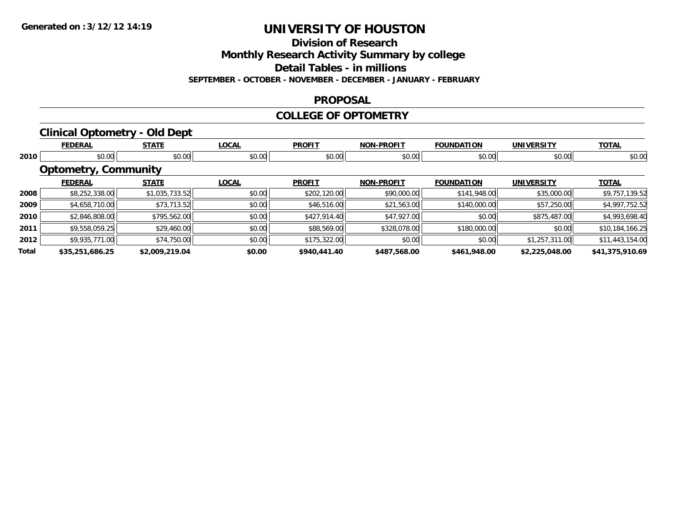**Division of Research**

**Monthly Research Activity Summary by college**

**Detail Tables - in millions**

**SEPTEMBER - OCTOBER - NOVEMBER - DECEMBER - JANUARY - FEBRUARY**

#### **PROPOSAL**

#### **COLLEGE OF OPTOMETRY**

### **Clinical Optometry - Old Dept**

|       | <b>FEDERAL</b>              | <b>STATE</b>   | <b>LOCAL</b> | <b>PROFIT</b> | <b>NON-PROFIT</b> | <b>FOUNDATION</b> | <b>UNIVERSITY</b> | <b>TOTAL</b>    |
|-------|-----------------------------|----------------|--------------|---------------|-------------------|-------------------|-------------------|-----------------|
| 2010  | \$0.00                      | \$0.00         | \$0.00       | \$0.00        | \$0.00            | \$0.00            | \$0.00            | \$0.00          |
|       | <b>Optometry, Community</b> |                |              |               |                   |                   |                   |                 |
|       | <b>FEDERAL</b>              | <b>STATE</b>   | <b>LOCAL</b> | <b>PROFIT</b> | <b>NON-PROFIT</b> | <b>FOUNDATION</b> | <b>UNIVERSITY</b> | <b>TOTAL</b>    |
| 2008  | \$8,252,338.00              | \$1,035,733.52 | \$0.00       | \$202,120.00  | \$90,000.00       | \$141,948.00      | \$35,000.00       | \$9,757,139.52  |
| 2009  | \$4,658,710.00              | \$73,713.52    | \$0.00       | \$46,516.00   | \$21,563.00       | \$140,000.00      | \$57,250.00       | \$4,997,752.52  |
| 2010  | \$2,846,808.00              | \$795,562.00   | \$0.00       | \$427,914.40  | \$47,927.00       | \$0.00            | \$875,487.00      | \$4,993,698.40  |
| 2011  | \$9,558,059.25              | \$29,460.00    | \$0.00       | \$88,569.00   | \$328,078.00      | \$180,000.00      | \$0.00            | \$10,184,166.25 |
| 2012  | \$9,935,771.00              | \$74,750.00    | \$0.00       | \$175,322.00  | \$0.00            | \$0.00            | \$1,257,311.00    | \$11,443,154.00 |
| Total | \$35,251,686.25             | \$2,009,219.04 | \$0.00       | \$940,441.40  | \$487,568.00      | \$461,948.00      | \$2,225,048.00    | \$41,375,910.69 |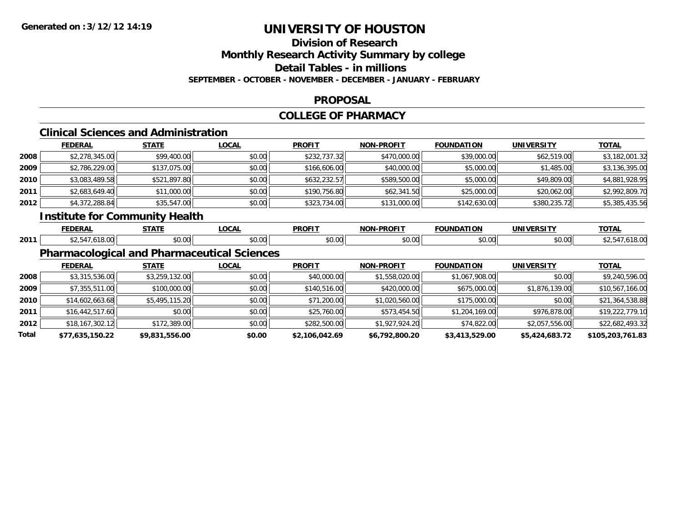## **Division of Research**

**Monthly Research Activity Summary by college**

**Detail Tables - in millions**

**SEPTEMBER - OCTOBER - NOVEMBER - DECEMBER - JANUARY - FEBRUARY**

#### **PROPOSAL**

#### **COLLEGE OF PHARMACY**

## **Clinical Sciences and Administration**

|      | <b>FEDERAL</b> | <b>STATE</b> | <b>LOCAL</b> | <b>PROFIT</b> | <b>NON-PROFIT</b> | <b>FOUNDATION</b> | <b>UNIVERSITY</b> | <b>TOTAL</b>   |
|------|----------------|--------------|--------------|---------------|-------------------|-------------------|-------------------|----------------|
| 2008 | \$2,278,345.00 | \$99,400.00  | \$0.00       | \$232,737.32  | \$470,000.00      | \$39,000.00       | \$62,519.00       | \$3,182,001.32 |
| 2009 | \$2,786,229.00 | \$137,075.00 | \$0.00       | \$166,606.00  | \$40,000.00       | \$5,000.00        | \$1,485.00        | \$3,136,395.00 |
| 2010 | \$3,083,489.58 | \$521,897.80 | \$0.00       | \$632,232.57  | \$589,500.00      | \$5,000.00        | \$49,809.00       | \$4,881,928.95 |
| 2011 | \$2,683,649.40 | \$11,000.00  | \$0.00       | \$190,756.80  | \$62,341.50       | \$25,000.00       | \$20,062.00       | \$2,992,809.70 |
| 2012 | \$4,372,288.84 | \$35,547.00  | \$0.00       | \$323,734.00  | \$131,000.00      | \$142,630.00      | \$380,235.72      | \$5,385,435.56 |

### **Institute for Community Health**

|      | <b>FEDERAL</b> | $- - - - -$    | <b>OCAL</b>    | <b>PROFIT</b> | $ -$<br>$\sim$ | תטו          | INIVI          | $T^{\prime}$ |
|------|----------------|----------------|----------------|---------------|----------------|--------------|----------------|--------------|
| 2011 |                | ሶስ ሰሰ<br>90.OO | ົດ ດ<br>טע, טע | 0000<br>ww.   | י. ש           | ტი იი<br>w.w | 30.00<br>JU.UU |              |

### **Pharmacological and Pharmaceutical Sciences**

|       | <b>FEDERAL</b>    | <b>STATE</b>   | <b>LOCAL</b> | <b>PROFIT</b>  | <b>NON-PROFIT</b> | <b>FOUNDATION</b> | <b>UNIVERSITY</b> | <b>TOTAL</b>     |
|-------|-------------------|----------------|--------------|----------------|-------------------|-------------------|-------------------|------------------|
| 2008  | \$3,315,536.00    | \$3,259,132.00 | \$0.00       | \$40,000.00    | \$1,558,020.00    | \$1,067,908.00    | \$0.00            | \$9,240,596.00   |
| 2009  | \$7,355,511.00    | \$100,000.00   | \$0.00       | \$140,516.00   | \$420,000.00      | \$675,000.00      | \$1,876,139.00    | \$10,567,166.00  |
| 2010  | \$14,602,663.68   | \$5,495,115.20 | \$0.00       | \$71,200.00    | \$1,020,560.00    | \$175,000.00      | \$0.00            | \$21,364,538.88  |
| 2011  | \$16,442,517.60   | \$0.00         | \$0.00       | \$25,760.00    | \$573,454.50      | \$1,204,169.00    | \$976,878.00      | \$19,222,779.10  |
| 2012  | \$18, 167, 302.12 | \$172,389.00   | \$0.00       | \$282,500.00   | \$1,927,924.20    | \$74,822.00       | \$2,057,556.00    | \$22,682,493.32  |
| Total | \$77,635,150.22   | \$9,831,556.00 | \$0.00       | \$2,106,042.69 | \$6,792,800.20    | \$3,413,529.00    | \$5,424,683.72    | \$105,203,761.83 |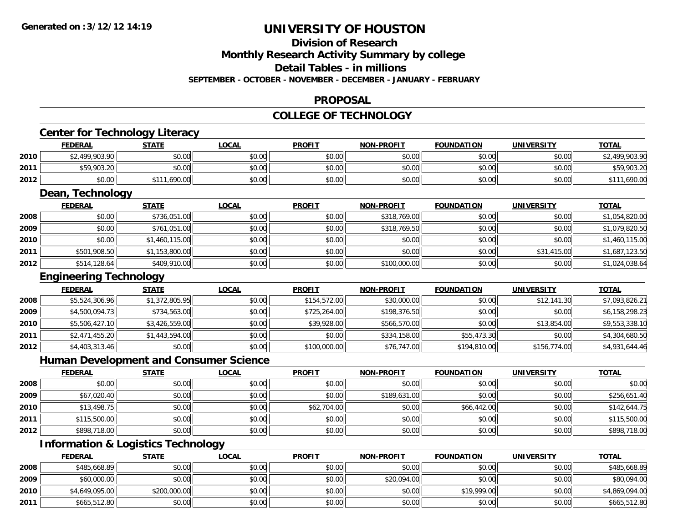#### **Division of Research**

**Monthly Research Activity Summary by college**

**Detail Tables - in millions**

**SEPTEMBER - OCTOBER - NOVEMBER - DECEMBER - JANUARY - FEBRUARY**

#### **PROPOSAL**

#### **COLLEGE OF TECHNOLOGY**

|      | <b>FEDERAL</b>                                | <b>STATE</b>   | <b>LOCAL</b> | <b>PROFIT</b> | <b>NON-PROFIT</b> | <b>FOUNDATION</b> | <b>UNIVERSITY</b> | <b>TOTAL</b>   |
|------|-----------------------------------------------|----------------|--------------|---------------|-------------------|-------------------|-------------------|----------------|
| 2010 | \$2,499,903.90                                | \$0.00         | \$0.00       | \$0.00        | \$0.00            | \$0.00            | \$0.00            | \$2,499,903.90 |
| 2011 | \$59,903.20                                   | \$0.00         | \$0.00       | \$0.00        | \$0.00            | \$0.00            | \$0.00            | \$59,903.20    |
| 2012 | \$0.00                                        | \$111,690.00   | \$0.00       | \$0.00        | \$0.00            | \$0.00            | \$0.00            | \$111,690.00   |
|      | Dean, Technology                              |                |              |               |                   |                   |                   |                |
|      | <b>FEDERAL</b>                                | <b>STATE</b>   | <b>LOCAL</b> | <b>PROFIT</b> | <b>NON-PROFIT</b> | <b>FOUNDATION</b> | <b>UNIVERSITY</b> | <b>TOTAL</b>   |
| 2008 | \$0.00                                        | \$736,051.00   | \$0.00       | \$0.00        | \$318,769.00      | \$0.00            | \$0.00            | \$1,054,820.00 |
| 2009 | \$0.00                                        | \$761,051.00   | \$0.00       | \$0.00        | \$318,769.50      | \$0.00            | \$0.00            | \$1,079,820.50 |
| 2010 | \$0.00                                        | \$1,460,115.00 | \$0.00       | \$0.00        | \$0.00            | \$0.00            | \$0.00            | \$1,460,115.00 |
| 2011 | \$501,908.50                                  | \$1,153,800.00 | \$0.00       | \$0.00        | \$0.00            | \$0.00            | \$31,415.00       | \$1,687,123.50 |
| 2012 | \$514,128.64                                  | \$409,910.00   | \$0.00       | \$0.00        | \$100,000.00      | \$0.00            | \$0.00            | \$1,024,038.64 |
|      | <b>Engineering Technology</b>                 |                |              |               |                   |                   |                   |                |
|      | <b>FEDERAL</b>                                | <b>STATE</b>   | <b>LOCAL</b> | <b>PROFIT</b> | <b>NON-PROFIT</b> | <b>FOUNDATION</b> | <b>UNIVERSITY</b> | <b>TOTAL</b>   |
| 2008 | \$5,524,306.96                                | \$1,372,805.95 | \$0.00       | \$154,572.00  | \$30,000.00       | \$0.00            | \$12,141.30       | \$7,093,826.21 |
| 2009 | \$4,500,094.73                                | \$734,563.00   | \$0.00       | \$725,264.00  | \$198,376.50      | \$0.00            | \$0.00            | \$6,158,298.23 |
| 2010 | \$5,506,427.10                                | \$3,426,559.00 | \$0.00       | \$39,928.00   | \$566,570.00      | \$0.00            | \$13,854.00       | \$9,553,338.10 |
| 2011 | \$2,471,455.20                                | \$1,443,594.00 | \$0.00       | \$0.00        | \$334,158.00      | \$55,473.30       | \$0.00            | \$4,304,680.50 |
| 2012 | \$4,403,313.46                                | \$0.00         | \$0.00       | \$100,000.00  | \$76,747.00       | \$194,810.00      | \$156,774.00      | \$4,931,644.46 |
|      | <b>Human Development and Consumer Science</b> |                |              |               |                   |                   |                   |                |
|      | <b>FEDERAL</b>                                | <b>STATE</b>   | <b>LOCAL</b> | <b>PROFIT</b> | <b>NON-PROFIT</b> | <b>FOUNDATION</b> | <b>UNIVERSITY</b> | <b>TOTAL</b>   |
| 2008 | \$0.00                                        | \$0.00         | \$0.00       | \$0.00        | \$0.00            | \$0.00            | \$0.00            | \$0.00         |
| 2009 | \$67,020.40                                   | \$0.00         | \$0.00       | \$0.00        | \$189,631.00      | \$0.00            | \$0.00            | \$256,651.40   |
| 2010 | \$13,498.75                                   | \$0.00         | \$0.00       | \$62,704.00   | \$0.00            | \$66,442.00       | \$0.00            | \$142,644.75   |
| 2011 | \$115,500.00                                  | \$0.00         | \$0.00       | \$0.00        | \$0.00            | \$0.00            | \$0.00            | \$115,500.00   |
| 2012 | \$898,718.00                                  | \$0.00         | \$0.00       | \$0.00        | \$0.00            | \$0.00            | \$0.00            | \$898,718.00   |
|      | <b>Information &amp; Logistics Technology</b> |                |              |               |                   |                   |                   |                |
|      | <b>FEDERAL</b>                                | <b>STATE</b>   | <b>LOCAL</b> | <b>PROFIT</b> | <b>NON-PROFIT</b> | <b>FOUNDATION</b> | <b>UNIVERSITY</b> | <b>TOTAL</b>   |
| 2008 | \$485,668.89                                  | \$0.00         | \$0.00       | \$0.00        | \$0.00            | \$0.00            | \$0.00            | \$485.668.89   |

| 2008 | \$485,668.89   | \$0.00       | \$0.00 | \$0.00 | \$0.00      | \$0.00      | \$0.00 | \$485,668.89   |
|------|----------------|--------------|--------|--------|-------------|-------------|--------|----------------|
| 2009 | \$60,000.00    | \$0.00       | \$0.00 | \$0.00 | \$20,094.00 | \$0.00      | \$0.00 | \$80,094.00    |
| 2010 | \$4,649,095.00 | \$200,000.00 | \$0.00 | \$0.00 | \$0.00      | \$19,999.00 | \$0.00 | \$4,869,094.00 |
| 2011 | \$665,512.80   | \$0.00       | \$0.00 | \$0.00 | \$0.00      | \$0.00      | \$0.00 | \$665,512.80   |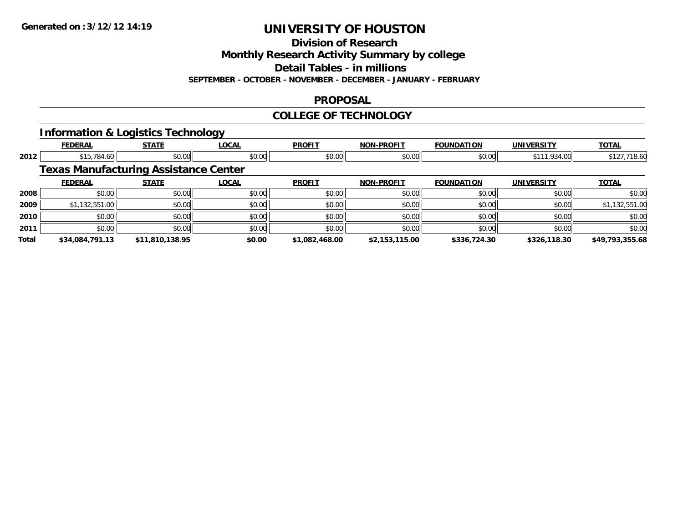**Division of Research**

**Monthly Research Activity Summary by college**

**Detail Tables - in millions**

**SEPTEMBER - OCTOBER - NOVEMBER - DECEMBER - JANUARY - FEBRUARY**

#### **PROPOSAL**

#### **COLLEGE OF TECHNOLOGY**

### **Information & Logistics Technology**

|              | <b>FEDERAL</b>                               | <b>STATE</b>    | <b>LOCAL</b> | <b>PROFIT</b>  | <b>NON-PROFIT</b> | <b>FOUNDATION</b> | <b>UNIVERSITY</b> | <b>TOTAL</b>    |
|--------------|----------------------------------------------|-----------------|--------------|----------------|-------------------|-------------------|-------------------|-----------------|
| 2012         | \$15,784.60                                  | \$0.00          | \$0.00       | \$0.00         | \$0.00            | \$0.00            | \$111,934.00      | \$127,718.60    |
|              | <b>Texas Manufacturing Assistance Center</b> |                 |              |                |                   |                   |                   |                 |
|              | <b>FEDERAL</b>                               | <b>STATE</b>    | <b>LOCAL</b> | <b>PROFIT</b>  | <b>NON-PROFIT</b> | <b>FOUNDATION</b> | <b>UNIVERSITY</b> | <b>TOTAL</b>    |
| 2008         | \$0.00                                       | \$0.00          | \$0.00       | \$0.00         | \$0.00            | \$0.00            | \$0.00            | \$0.00          |
| 2009         | \$1,132,551.00                               | \$0.00          | \$0.00       | \$0.00         | \$0.00            | \$0.00            | \$0.00            | \$1,132,551.00  |
| 2010         | \$0.00                                       | \$0.00          | \$0.00       | \$0.00         | \$0.00            | \$0.00            | \$0.00            | \$0.00          |
| 2011         | \$0.00                                       | \$0.00          | \$0.00       | \$0.00         | \$0.00            | \$0.00            | \$0.00            | \$0.00          |
| <b>Total</b> | \$34,084,791.13                              | \$11,810,138.95 | \$0.00       | \$1.082.468.00 | \$2,153,115.00    | \$336,724.30      | \$326,118.30      | \$49,793,355.68 |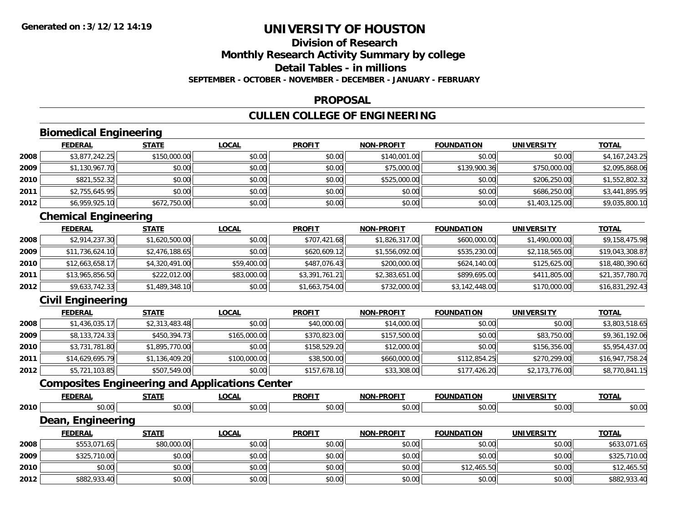## **Division of Research**

**Monthly Research Activity Summary by college**

**Detail Tables - in millions**

**SEPTEMBER - OCTOBER - NOVEMBER - DECEMBER - JANUARY - FEBRUARY**

#### **PROPOSAL**

### **CULLEN COLLEGE OF ENGINEERING**

## **Biomedical Engineering**

|      | <b>FEDERAL</b> | <u>STATE</u> | <u>LOCAL</u> | <b>PROFIT</b> | <b>NON-PROFIT</b> | <b>FOUNDATION</b> | <b>UNIVERSITY</b> | <b>TOTAL</b>   |
|------|----------------|--------------|--------------|---------------|-------------------|-------------------|-------------------|----------------|
| 2008 | \$3,877,242.25 | \$150,000.00 | \$0.00       | \$0.00        | \$140,001.00      | \$0.00            | \$0.00            | \$4,167,243.25 |
| 2009 | \$1,130,967.70 | \$0.00       | \$0.00       | \$0.00        | \$75,000.00       | \$139,900.36      | \$750,000.00      | \$2,095,868.06 |
| 2010 | \$821,552.32   | \$0.00       | \$0.00       | \$0.00        | \$525,000.00      | \$0.00            | \$206,250,00      | \$1,552,802.32 |
| 2011 | \$2,755,645.95 | \$0.00       | \$0.00       | \$0.00        | \$0.00            | \$0.00            | \$686,250.00      | \$3,441,895.95 |
| 2012 | \$6,959,925.10 | \$672,750.00 | \$0.00       | \$0.00        | \$0.00            | \$0.00            | \$1,403,125.00    | \$9,035,800.10 |

### **Chemical Engineering**

|      | <b>FEDERAL</b>  | <b>STATE</b>   | <b>LOCAL</b> | <b>PROFIT</b>  | <b>NON-PROFIT</b> | <b>FOUNDATION</b> | UNIVERSITY     | <u>TOTAL</u>    |
|------|-----------------|----------------|--------------|----------------|-------------------|-------------------|----------------|-----------------|
| 2008 | \$2,914,237.30  | \$1,620,500.00 | \$0.00       | \$707,421.68   | \$1,826,317.00    | \$600,000.00      | \$1,490,000.00 | \$9,158,475.98  |
| 2009 | \$11,736,624.10 | \$2,476,188.65 | \$0.00       | \$620,609.12   | \$1,556,092.00    | \$535,230.00      | \$2,118,565.00 | \$19,043,308.87 |
| 2010 | \$12,663,658.17 | \$4,320,491.00 | \$59,400.00  | \$487,076.43   | \$200,000.00      | \$624,140.00      | \$125,625,00   | \$18,480,390.60 |
| 2011 | \$13,965,856.50 | \$222,012.00   | \$83,000.00  | \$3,391,761.21 | \$2,383,651.00    | \$899,695.00      | \$411,805.00   | \$21,357,780.70 |
| 2012 | \$9,633,742.33  | \$1,489,348.10 | \$0.00       | \$1,663,754.00 | \$732,000.00      | \$3,142,448.00    | \$170,000.00   | \$16,831,292.43 |

### **Civil Engineering**

|      | <b>FEDERAL</b>  | <b>STATE</b>   | <b>LOCAL</b> | <b>PROFIT</b> | <b>NON-PROFIT</b> | <b>FOUNDATION</b> | <b>UNIVERSITY</b> | <b>TOTAL</b>    |
|------|-----------------|----------------|--------------|---------------|-------------------|-------------------|-------------------|-----------------|
| 2008 | \$1,436,035.17  | \$2,313,483.48 | \$0.00       | \$40,000.00   | \$14,000.00       | \$0.00            | \$0.00            | \$3,803,518.65  |
| 2009 | \$8,133,724.33  | \$450,394.73   | \$165,000.00 | \$370,823.00  | \$157,500.00      | \$0.00            | \$83,750.00       | \$9,361,192.06  |
| 2010 | \$3,731,781.80  | \$1,895,770.00 | \$0.00       | \$158,529.20  | \$12,000.00       | \$0.00            | \$156,356.00      | \$5,954,437.00  |
| 2011 | \$14,629,695.79 | \$1,136,409.20 | \$100,000.00 | \$38,500.00   | \$660,000.00      | \$112,854.25      | \$270,299.00      | \$16,947,758.24 |
| 2012 | \$5,721,103.85  | \$507,549.00   | \$0.00       | \$157,678.10  | \$33,308.00       | \$177,426.20      | \$2,173,776.00    | \$8,770,841.15  |

### **Composites Engineering and Applications Center**

|      | <b>FEDERAL</b>    | <b>STATE</b> | <b>LOCAL</b> | <b>PROFIT</b> | <b>NON-PROFIT</b> | <b>FOUNDATION</b> | <b>UNIVERSITY</b> | <b>TOTAL</b> |
|------|-------------------|--------------|--------------|---------------|-------------------|-------------------|-------------------|--------------|
| 2010 | \$0.00            | \$0.00       | \$0.00       | \$0.00        | \$0.00            | \$0.00            | \$0.00            | \$0.00       |
|      | Dean, Engineering |              |              |               |                   |                   |                   |              |
|      | <b>FEDERAL</b>    | <b>STATE</b> | <b>LOCAL</b> | <b>PROFIT</b> | <b>NON-PROFIT</b> | <b>FOUNDATION</b> | <b>UNIVERSITY</b> | <b>TOTAL</b> |
| 2008 | \$553,071.65      | \$80,000.00  | \$0.00       | \$0.00        | \$0.00            | \$0.00            | \$0.00            | \$633,071.65 |
| 2009 | \$325,710.00      | \$0.00       | \$0.00       | \$0.00        | \$0.00            | \$0.00            | \$0.00            | \$325,710.00 |
| 2010 | \$0.00            | \$0.00       | \$0.00       | \$0.00        | \$0.00            | \$12,465.50       | \$0.00            | \$12,465.50  |
| 2012 | \$882,933.40      | \$0.00       | \$0.00       | \$0.00        | \$0.00            | \$0.00            | \$0.00            | \$882,933.40 |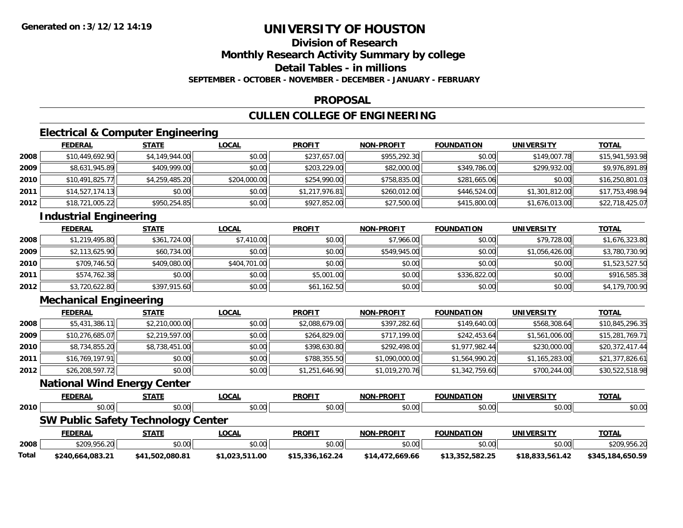# **Division of Research**

**Monthly Research Activity Summary by college**

**Detail Tables - in millions**

**SEPTEMBER - OCTOBER - NOVEMBER - DECEMBER - JANUARY - FEBRUARY**

#### **PROPOSAL**

## **CULLEN COLLEGE OF ENGINEERING**

### **Electrical & Computer Engineering**

|      | <b>FEDERAL</b>  | <b>STATE</b>   | <u>LOCAL</u> | <b>PROFIT</b>  | <b>NON-PROFIT</b> | <b>FOUNDATION</b> | <b>UNIVERSITY</b> | <b>TOTAL</b>    |
|------|-----------------|----------------|--------------|----------------|-------------------|-------------------|-------------------|-----------------|
| 2008 | \$10,449,692.90 | \$4,149,944.00 | \$0.00       | \$237,657.00   | \$955,292.30      | \$0.00            | \$149,007.78      | \$15,941,593.98 |
| 2009 | \$8,631,945.89  | \$409,999.00   | \$0.00       | \$203,229.00   | \$82,000.00       | \$349,786.00      | \$299,932.00      | \$9,976,891.89  |
| 2010 | \$10,491,825.77 | \$4,259,485.20 | \$204,000.00 | \$254,990.00   | \$758,835.00      | \$281,665.06      | \$0.00            | \$16,250,801.03 |
| 2011 | \$14,527,174.13 | \$0.00         | \$0.00       | \$1,217,976.81 | \$260,012.00      | \$446,524.00      | \$1,301,812.00    | \$17,753,498.94 |
| 2012 | \$18,721,005.22 | \$950,254.85   | \$0.00       | \$927,852.00   | \$27,500.00       | \$415,800.00      | \$1,676,013.00    | \$22,718,425.07 |

### **Industrial Engineering**

|      | <b>FEDERAL</b> | <b>STATE</b> | <u>LOCAL</u> | <b>PROFIT</b> | <b>NON-PROFIT</b> | <b>FOUNDATION</b> | <b>UNIVERSITY</b> | <b>TOTAL</b>   |
|------|----------------|--------------|--------------|---------------|-------------------|-------------------|-------------------|----------------|
| 2008 | \$1,219,495.80 | \$361,724.00 | \$7,410.00   | \$0.00        | \$7,966.00        | \$0.00            | \$79,728.00       | \$1,676,323.80 |
| 2009 | \$2,113,625.90 | \$60,734.00  | \$0.00       | \$0.00        | \$549,945.00      | \$0.00            | \$1,056,426.00    | \$3,780,730.90 |
| 2010 | \$709,746.50   | \$409,080.00 | \$404,701.00 | \$0.00        | \$0.00            | \$0.00            | \$0.00            | \$1,523,527.50 |
| 2011 | \$574,762.38   | \$0.00       | \$0.00       | \$5,001.00    | \$0.00            | \$336,822.00      | \$0.00            | \$916,585.38   |
| 2012 | \$3,720,622.80 | \$397,915.60 | \$0.00       | \$61,162.50   | \$0.00            | \$0.00            | \$0.00            | \$4,179,700.90 |

# **Mechanical Engineering**

|      | <b>FEDERAL</b>  | <u>STATE</u>   | <b>LOCAL</b> | <b>PROFIT</b>  | <b>NON-PROFIT</b> | <b>FOUNDATION</b> | <b>UNIVERSITY</b> | <b>TOTAL</b>    |
|------|-----------------|----------------|--------------|----------------|-------------------|-------------------|-------------------|-----------------|
| 2008 | \$5,431,386.11  | \$2,210,000.00 | \$0.00       | \$2,088,679.00 | \$397,282.60      | \$149,640.00      | \$568,308.64      | \$10,845,296.35 |
| 2009 | \$10,276,685.07 | \$2,219,597.00 | \$0.00       | \$264,829,00   | \$717,199.00      | \$242,453.64      | \$1,561,006.00    | \$15,281,769.71 |
| 2010 | \$8,734,855.20  | \$8,738,451.00 | \$0.00       | \$398,630.80   | \$292,498,00      | \$1,977,982.44    | \$230,000.00      | \$20,372,417.44 |
| 2011 | \$16,769,197.91 | \$0.00         | \$0.00       | \$788,355.50   | \$1,090,000.00    | \$1,564,990.20    | \$1,165,283.00    | \$21,377,826.61 |
| 2012 | \$26,208,597.72 | \$0.00         | \$0.00       | \$1,251,646.90 | \$1,019,270.76    | \$1,342,759.60    | \$700,244.00      | \$30,522,518.98 |

#### **National Wind Energy Center**

|       | <b>FEDERAL</b>                            | <b>STATE</b>    | <u>LOCAL</u>   | <b>PROFIT</b>   | <b>NON-PROFIT</b> | <b>FOUNDATION</b> | UNIVERSITY        | <b>TOTAL</b>     |
|-------|-------------------------------------------|-----------------|----------------|-----------------|-------------------|-------------------|-------------------|------------------|
| 2010  | \$0.00                                    | \$0.00          | \$0.00         | \$0.00          | \$0.00            | \$0.00            | \$0.00            | \$0.00           |
|       | <b>SW Public Safety Technology Center</b> |                 |                |                 |                   |                   |                   |                  |
|       | <b>FEDERAL</b>                            | <b>STATE</b>    | <u>LOCAL</u>   | <b>PROFIT</b>   | <b>NON-PROFIT</b> | <b>FOUNDATION</b> | <b>UNIVERSITY</b> | <b>TOTAL</b>     |
| 2008  | \$209,956.20                              | \$0.00          | \$0.00         | \$0.00          | \$0.00            | \$0.00            | \$0.00            | \$209,956.20     |
| Total | \$240.664.083.21                          | \$41,502,080.81 | \$1,023,511.00 | \$15,336,162.24 | \$14,472,669.66   | \$13,352,582.25   | \$18,833,561.42   | \$345,184,650.59 |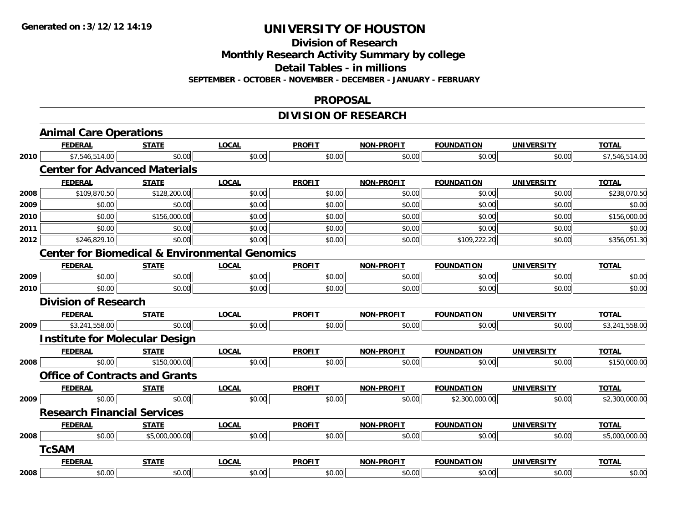**Division of Research**

**Monthly Research Activity Summary by college**

**Detail Tables - in millions**

**SEPTEMBER - OCTOBER - NOVEMBER - DECEMBER - JANUARY - FEBRUARY**

#### **PROPOSAL**

## **DIVISION OF RESEARCH**

|      | <b>Animal Care Operations</b>                             |                |              |               |                   |                   |                   |                |
|------|-----------------------------------------------------------|----------------|--------------|---------------|-------------------|-------------------|-------------------|----------------|
|      | <b>FEDERAL</b>                                            | <b>STATE</b>   | <b>LOCAL</b> | <b>PROFIT</b> | NON-PROFIT        | <b>FOUNDATION</b> | <b>UNIVERSITY</b> | <b>TOTAL</b>   |
| 2010 | \$7,546,514.00                                            | \$0.00         | \$0.00       | \$0.00        | \$0.00            | \$0.00            | \$0.00            | \$7,546,514.00 |
|      | <b>Center for Advanced Materials</b>                      |                |              |               |                   |                   |                   |                |
|      | <b>FEDERAL</b>                                            | <b>STATE</b>   | <b>LOCAL</b> | <b>PROFIT</b> | <b>NON-PROFIT</b> | <b>FOUNDATION</b> | <b>UNIVERSITY</b> | <b>TOTAL</b>   |
| 2008 | \$109,870.50                                              | \$128,200.00   | \$0.00       | \$0.00        | \$0.00            | \$0.00            | \$0.00            | \$238,070.50   |
| 2009 | \$0.00                                                    | \$0.00         | \$0.00       | \$0.00        | \$0.00            | \$0.00            | \$0.00            | \$0.00         |
| 2010 | \$0.00                                                    | \$156,000.00   | \$0.00       | \$0.00        | \$0.00            | \$0.00            | \$0.00            | \$156,000.00   |
| 2011 | \$0.00                                                    | \$0.00         | \$0.00       | \$0.00        | \$0.00            | \$0.00            | \$0.00            | \$0.00         |
| 2012 | \$246,829.10                                              | \$0.00         | \$0.00       | \$0.00        | \$0.00            | \$109,222.20      | \$0.00            | \$356,051.30   |
|      | <b>Center for Biomedical &amp; Environmental Genomics</b> |                |              |               |                   |                   |                   |                |
|      | <b>FEDERAL</b>                                            | <b>STATE</b>   | <b>LOCAL</b> | <b>PROFIT</b> | <b>NON-PROFIT</b> | <b>FOUNDATION</b> | <b>UNIVERSITY</b> | <b>TOTAL</b>   |
| 2009 | \$0.00                                                    | \$0.00         | \$0.00       | \$0.00        | \$0.00            | \$0.00            | \$0.00            | \$0.00         |
| 2010 | \$0.00                                                    | \$0.00         | \$0.00       | \$0.00        | \$0.00            | \$0.00            | \$0.00            | \$0.00         |
|      | <b>Division of Research</b>                               |                |              |               |                   |                   |                   |                |
|      | <b>FEDERAL</b>                                            | <b>STATE</b>   | <b>LOCAL</b> | <b>PROFIT</b> | <b>NON-PROFIT</b> | <b>FOUNDATION</b> | <b>UNIVERSITY</b> | <b>TOTAL</b>   |
| 2009 | \$3,241,558.00                                            | \$0.00         | \$0.00       | \$0.00        | \$0.00            | \$0.00            | \$0.00            | \$3,241,558.00 |
|      | <b>Institute for Molecular Design</b>                     |                |              |               |                   |                   |                   |                |
|      | <b>FEDERAL</b>                                            | <b>STATE</b>   | <b>LOCAL</b> | <b>PROFIT</b> | NON-PROFIT        | <b>FOUNDATION</b> | <b>UNIVERSITY</b> | <b>TOTAL</b>   |
| 2008 | \$0.00                                                    | \$150,000.00   | \$0.00       | \$0.00        | \$0.00            | \$0.00            | \$0.00            | \$150,000.00   |
|      | <b>Office of Contracts and Grants</b>                     |                |              |               |                   |                   |                   |                |
|      | <b>FEDERAL</b>                                            | <b>STATE</b>   | <b>LOCAL</b> | <b>PROFIT</b> | NON-PROFIT        | <b>FOUNDATION</b> | <b>UNIVERSITY</b> | <b>TOTAL</b>   |
| 2009 | \$0.00                                                    | \$0.00         | \$0.00       | \$0.00        | \$0.00            | \$2,300,000.00    | \$0.00            | \$2,300,000.00 |
|      | <b>Research Financial Services</b>                        |                |              |               |                   |                   |                   |                |
|      | <b>FEDERAL</b>                                            | <b>STATE</b>   | <b>LOCAL</b> | <b>PROFIT</b> | <b>NON-PROFIT</b> | <b>FOUNDATION</b> | <b>UNIVERSITY</b> | <b>TOTAL</b>   |
| 2008 | \$0.00                                                    | \$5,000,000.00 | \$0.00       | \$0.00        | \$0.00            | \$0.00            | \$0.00            | \$5,000,000.00 |
|      | <b>TcSAM</b>                                              |                |              |               |                   |                   |                   |                |
|      | <b>FEDERAL</b>                                            | <b>STATE</b>   | <b>LOCAL</b> | <b>PROFIT</b> | <b>NON-PROFIT</b> | <b>FOUNDATION</b> | <b>UNIVERSITY</b> | <b>TOTAL</b>   |
| 2008 | \$0.00                                                    | \$0.00         | \$0.00       | \$0.00        | \$0.00            | \$0.00            | \$0.00            | \$0.00         |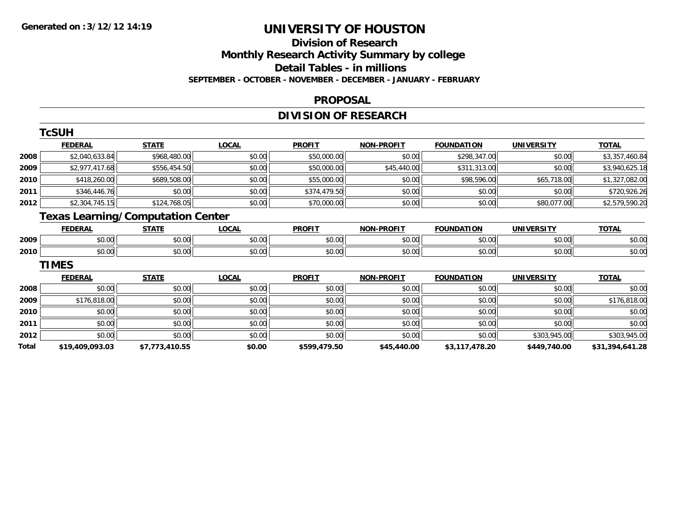#### **Division of Research Monthly Research Activity Summary by college Detail Tables - in millions**

**SEPTEMBER - OCTOBER - NOVEMBER - DECEMBER - JANUARY - FEBRUARY**

#### **PROPOSAL**

## **DIVISION OF RESEARCH**

|       | <b>TcSUH</b>    |                                          |              |               |                   |                   |                   |                 |
|-------|-----------------|------------------------------------------|--------------|---------------|-------------------|-------------------|-------------------|-----------------|
|       | <b>FEDERAL</b>  | <b>STATE</b>                             | <b>LOCAL</b> | <b>PROFIT</b> | <b>NON-PROFIT</b> | <b>FOUNDATION</b> | <b>UNIVERSITY</b> | <b>TOTAL</b>    |
| 2008  | \$2,040,633.84  | \$968,480.00                             | \$0.00       | \$50,000.00   | \$0.00            | \$298,347.00      | \$0.00            | \$3,357,460.84  |
| 2009  | \$2,977,417.68  | \$556,454.50                             | \$0.00       | \$50,000.00   | \$45,440.00       | \$311,313.00      | \$0.00            | \$3,940,625.18  |
| 2010  | \$418,260.00    | \$689,508.00                             | \$0.00       | \$55,000.00   | \$0.00            | \$98,596.00       | \$65,718.00       | \$1,327,082.00  |
| 2011  | \$346,446.76    | \$0.00                                   | \$0.00       | \$374,479.50  | \$0.00            | \$0.00            | \$0.00            | \$720,926.26    |
| 2012  | \$2,304,745.15  | \$124,768.05                             | \$0.00       | \$70,000.00   | \$0.00            | \$0.00            | \$80,077.00       | \$2,579,590.20  |
|       |                 | <b>Texas Learning/Computation Center</b> |              |               |                   |                   |                   |                 |
|       | <b>FEDERAL</b>  | <b>STATE</b>                             | <b>LOCAL</b> | <b>PROFIT</b> | <b>NON-PROFIT</b> | <b>FOUNDATION</b> | <b>UNIVERSITY</b> | <b>TOTAL</b>    |
| 2009  | \$0.00          | \$0.00                                   | \$0.00       | \$0.00        | \$0.00            | \$0.00            | \$0.00            | \$0.00          |
| 2010  | \$0.00          | \$0.00                                   | \$0.00       | \$0.00        | \$0.00            | \$0.00            | \$0.00            | \$0.00          |
|       | <b>TIMES</b>    |                                          |              |               |                   |                   |                   |                 |
|       | <b>FEDERAL</b>  | <b>STATE</b>                             | <b>LOCAL</b> | <b>PROFIT</b> | <b>NON-PROFIT</b> | <b>FOUNDATION</b> | <b>UNIVERSITY</b> | <b>TOTAL</b>    |
| 2008  | \$0.00          | \$0.00                                   | \$0.00       | \$0.00        | \$0.00            | \$0.00            | \$0.00            | \$0.00          |
| 2009  | \$176,818.00    | \$0.00                                   | \$0.00       | \$0.00        | \$0.00            | \$0.00            | \$0.00            | \$176,818.00    |
| 2010  | \$0.00          | \$0.00                                   | \$0.00       | \$0.00        | \$0.00            | \$0.00            | \$0.00            | \$0.00          |
| 2011  | \$0.00          | \$0.00                                   | \$0.00       | \$0.00        | \$0.00            | \$0.00            | \$0.00            | \$0.00          |
| 2012  | \$0.00          | \$0.00                                   | \$0.00       | \$0.00        | \$0.00            | \$0.00            | \$303,945.00      | \$303,945.00    |
| Total | \$19,409,093.03 | \$7,773,410.55                           | \$0.00       | \$599,479.50  | \$45,440.00       | \$3,117,478.20    | \$449,740.00      | \$31,394,641.28 |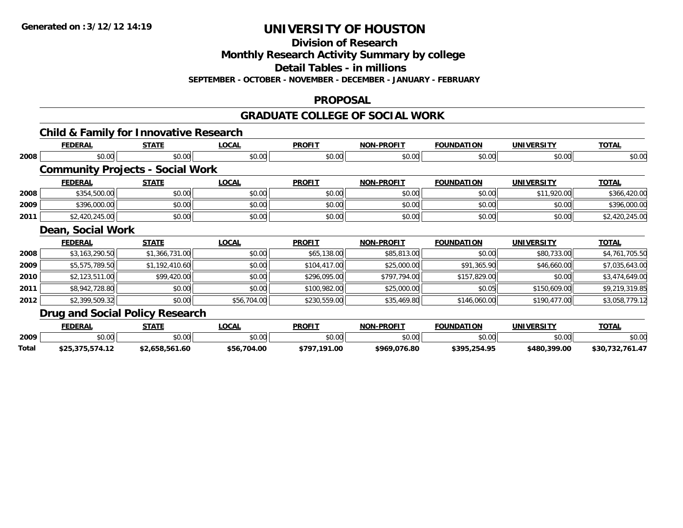**Division of Research**

**Monthly Research Activity Summary by college**

**Detail Tables - in millions**

**SEPTEMBER - OCTOBER - NOVEMBER - DECEMBER - JANUARY - FEBRUARY**

#### **PROPOSAL**

#### **GRADUATE COLLEGE OF SOCIAL WORK**

### **Child & Family for Innovative Research**

|      | <b>FEDERAL</b>                          | <b>STATE</b>   | LOCAL        | <b>PROFIT</b> | <b>NON-PROFIT</b> | <b>FOUNDATION</b> | <b>UNIVERSITY</b> | <b>TOTAL</b>   |
|------|-----------------------------------------|----------------|--------------|---------------|-------------------|-------------------|-------------------|----------------|
| 2008 | \$0.00                                  | \$0.00         | \$0.00       | \$0.00        | \$0.00            | \$0.00            | \$0.00            | \$0.00         |
|      | <b>Community Projects - Social Work</b> |                |              |               |                   |                   |                   |                |
|      | <b>FEDERAL</b>                          | <b>STATE</b>   | <b>LOCAL</b> | <b>PROFIT</b> | <b>NON-PROFIT</b> | <b>FOUNDATION</b> | <b>UNIVERSITY</b> | <b>TOTAL</b>   |
| 2008 | \$354,500.00                            | \$0.00         | \$0.00       | \$0.00        | \$0.00            | \$0.00            | \$11,920.00       | \$366,420.00   |
| 2009 | \$396,000.00                            | \$0.00         | \$0.00       | \$0.00        | \$0.00            | \$0.00            | \$0.00            | \$396,000.00   |
| 2011 | \$2,420,245.00                          | \$0.00         | \$0.00       | \$0.00        | \$0.00            | \$0.00            | \$0.00            | \$2,420,245.00 |
|      | Dean, Social Work                       |                |              |               |                   |                   |                   |                |
|      | <b>FEDERAL</b>                          | <b>STATE</b>   | <u>LOCAL</u> | <b>PROFIT</b> | <b>NON-PROFIT</b> | <b>FOUNDATION</b> | <b>UNIVERSITY</b> | <b>TOTAL</b>   |
| 2008 | \$3,163,290.50                          | \$1,366,731.00 | \$0.00       | \$65,138.00   | \$85,813.00       | \$0.00            | \$80,733.00       | \$4,761,705.50 |
| 2009 | \$5,575,789.50                          | \$1,192,410.60 | \$0.00       | \$104,417.00  | \$25,000.00       | \$91,365.90       | \$46,660.00       | \$7,035,643.00 |
| 2010 | \$2,123,511.00                          | \$99,420.00    | \$0.00       | \$296,095.00  | \$797,794.00      | \$157,829.00      | \$0.00            | \$3,474,649.00 |
| 2011 | \$8,942,728.80                          | \$0.00         | \$0.00       | \$100,982.00  | \$25,000.00       | \$0.05            | \$150,609.00      | \$9,219,319.85 |
| 2012 | \$2,399,509.32                          | \$0.00         | \$56,704.00  | \$230,559.00  | \$35,469.80       | \$146,060.00      | \$190,477.00      | \$3,058,779.12 |
|      | Drug and Social Policy Research         |                |              |               |                   |                   |                   |                |
|      | <b>FEDERAL</b>                          | <b>STATE</b>   | <b>LOCAL</b> | <b>PROFIT</b> | <b>NON-PROFIT</b> | <b>FOUNDATION</b> | <b>UNIVERSITY</b> | <b>TOTAL</b>   |

|       | FEDERAL             | стлті                                        | <b>OCAL</b>                               | <b>PROFI</b>           | NON<br>-PROFIT    | FOUNDATION                              | UNIVERSITY                        | ----   |
|-------|---------------------|----------------------------------------------|-------------------------------------------|------------------------|-------------------|-----------------------------------------|-----------------------------------|--------|
| 2009  | $\sim$ 00<br>,u.uu  | \$0.00                                       | $\uparrow$ $\uparrow$ $\uparrow$<br>טע.טע | ልስ ለሰ<br>DU.UU         | $\sim$ 00<br>ס.טי | \$0.00                                  | $\uparrow$ $\cap$ $\cap$<br>DU.UG | \$0.00 |
| Total | .<br>.<br>, , , , , | $\overline{\phantom{a}}$<br>1.OU<br>5.000.30 | \$56<br>,704.00                           | .191.00<br><b>¢707</b> | \$969,076.80      | 25105<br><b>4305</b><br>254.Yt<br>,,,,, | \$480,399.00                      | \$30   |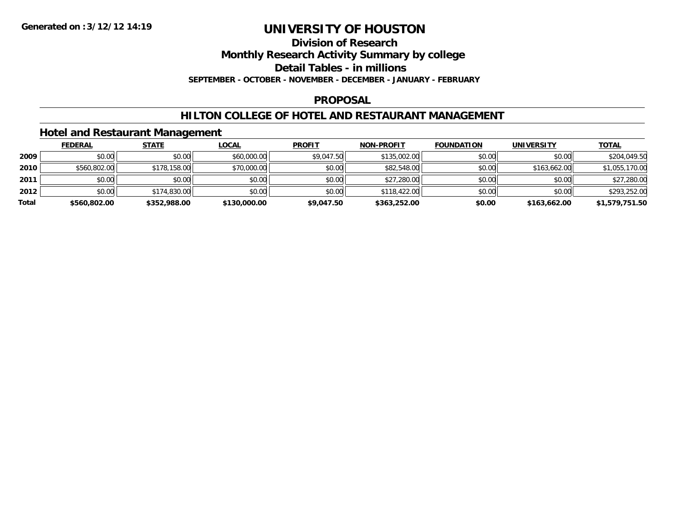#### **Division of Research**

**Monthly Research Activity Summary by college**

**Detail Tables - in millions**

**SEPTEMBER - OCTOBER - NOVEMBER - DECEMBER - JANUARY - FEBRUARY**

#### **PROPOSAL**

#### **HILTON COLLEGE OF HOTEL AND RESTAURANT MANAGEMENT**

### **Hotel and Restaurant Management**

|       | <b>FEDERAL</b> | <b>STATE</b> | <u>LOCAL</u> | <b>PROFIT</b> | NON-PROFIT   | <b>FOUNDATION</b> | <b>UNIVERSITY</b> | <b>TOTAL</b>   |
|-------|----------------|--------------|--------------|---------------|--------------|-------------------|-------------------|----------------|
| 2009  | \$0.00         | \$0.00       | \$60,000.00  | \$9,047.50    | \$135,002.00 | \$0.00            | \$0.00            | \$204,049.50   |
| 2010  | \$560,802.00   | \$178,158.00 | \$70,000.00  | \$0.00        | \$82,548.00  | \$0.00            | \$163,662.00      | \$1,055,170.00 |
| 2011  | \$0.00         | \$0.00       | \$0.00       | \$0.00        | \$27,280.00  | \$0.00            | \$0.00            | \$27,280.00    |
| 2012  | \$0.00         | \$174,830.00 | \$0.00       | \$0.00        | \$118,422.00 | \$0.00            | \$0.00            | \$293,252.00   |
| Total | \$560,802.00   | \$352,988.00 | \$130,000.00 | \$9,047.50    | \$363,252.00 | \$0.00            | \$163,662.00      | \$1,579,751.50 |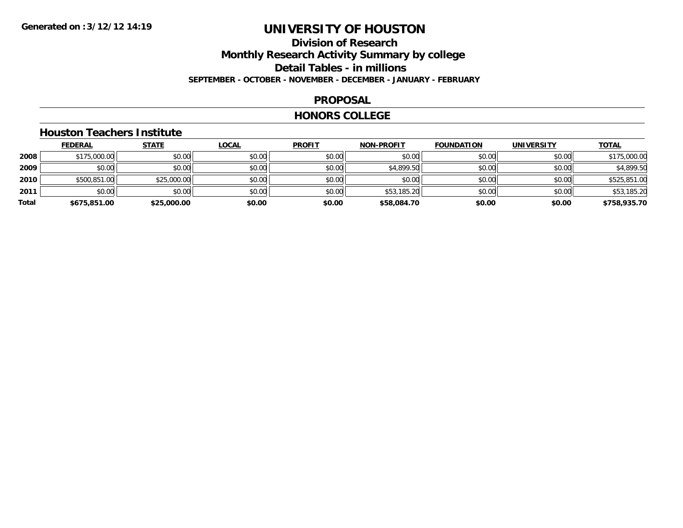### **Division of ResearchMonthly Research Activity Summary by college Detail Tables - in millions SEPTEMBER - OCTOBER - NOVEMBER - DECEMBER - JANUARY - FEBRUARY**

#### **PROPOSAL**

#### **HONORS COLLEGE**

### **Houston Teachers Institute**

|       | <b>FEDERAL</b> | <b>STATE</b> | <b>LOCAL</b> | <b>PROFIT</b> | <b>NON-PROFIT</b> | <b>FOUNDATION</b> | <b>UNIVERSITY</b> | <b>TOTAL</b> |
|-------|----------------|--------------|--------------|---------------|-------------------|-------------------|-------------------|--------------|
| 2008  | \$175,000.00   | \$0.00       | \$0.00       | \$0.00        | \$0.00            | \$0.00            | \$0.00            | \$175,000.00 |
| 2009  | \$0.00         | \$0.00       | \$0.00       | \$0.00        | \$4,899.50        | \$0.00            | \$0.00            | \$4,899.50   |
| 2010  | \$500,851.00   | \$25,000.00  | \$0.00       | \$0.00        | \$0.00            | \$0.00            | \$0.00            | \$525,851.00 |
| 2011  | \$0.00         | \$0.00       | \$0.00       | \$0.00        | \$53,185.20       | \$0.00            | \$0.00            | \$53,185.20  |
| Total | \$675,851.00   | \$25,000.00  | \$0.00       | \$0.00        | \$58,084.70       | \$0.00            | \$0.00            | \$758,935.70 |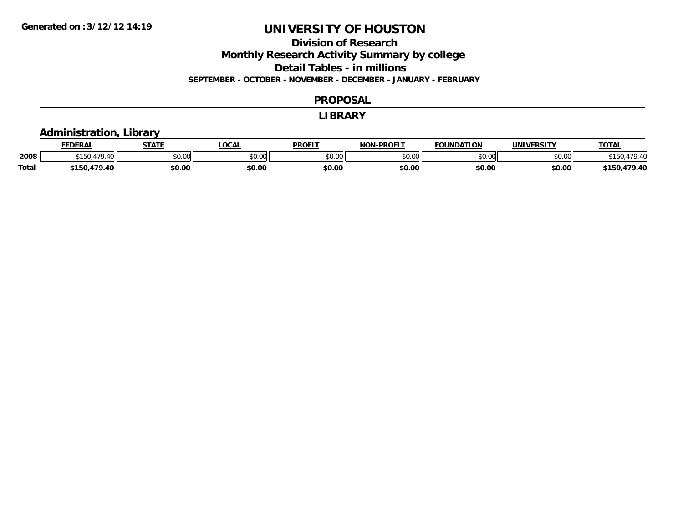### **Division of Research**

**Monthly Research Activity Summary by college**

**Detail Tables - in millions**

**SEPTEMBER - OCTOBER - NOVEMBER - DECEMBER - JANUARY - FEBRUARY**

#### **PROPOSAL**

#### **LIBRARY**

### **Administration, Library**

|              | <b>FEDERAL</b>  | <b>STATE</b> | <b>OCAL</b> | <b>PROFIT</b> | -PROFIT<br>NON | <b>FOUNDATION</b> | <b>UNIVERSITY</b> | <u> ΤΟΤΑ.</u> |
|--------------|-----------------|--------------|-------------|---------------|----------------|-------------------|-------------------|---------------|
| 2008         | $*150.$<br>9.40 | \$0.00       | JU.UU       | \$0.00        | ልስ ሀህ<br>DU.UU | \$0.00            | \$0.00            | 40            |
| <b>Total</b> | 479.40<br>t150. | \$0.00       | \$0.00      | \$0.00        | \$0.00         | \$0.00            | \$0.00            | 170.10        |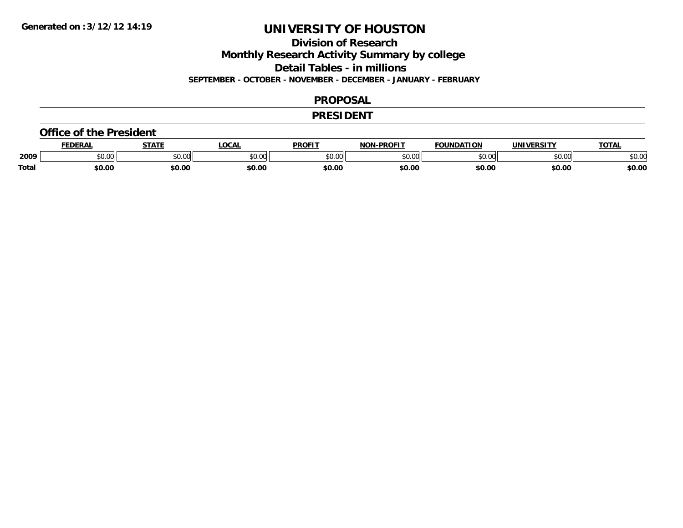**Division of Research**

**Monthly Research Activity Summary by college**

**Detail Tables - in millions**

**SEPTEMBER - OCTOBER - NOVEMBER - DECEMBER - JANUARY - FEBRUARY**

#### **PROPOSAL**

#### **PRESIDENT**

#### **Office of the President**

|       | DERAI  | <b>STATE</b>             | <b>LOCAL</b>                                          | PROFIT        | -PROFIT<br>חרות | <b>FOUNDATION</b> | UNIVERSITY | TOTA.  |
|-------|--------|--------------------------|-------------------------------------------------------|---------------|-----------------|-------------------|------------|--------|
| 2009  | \$0.00 | $\sim$ 0.0 $\sim$<br>JU. | $\mathsf{A} \cap \mathsf{A} \cap \mathsf{A}$<br>50.Ul | 0000<br>JU.UU | 0000<br>,u.uu   | $n \cap \Omega$   | \$0.00     | \$0.00 |
| Total | \$0.00 | \$0.00                   | \$0.00                                                | \$0.00        | \$0.00          | \$0.00            | \$0.00     | \$0.00 |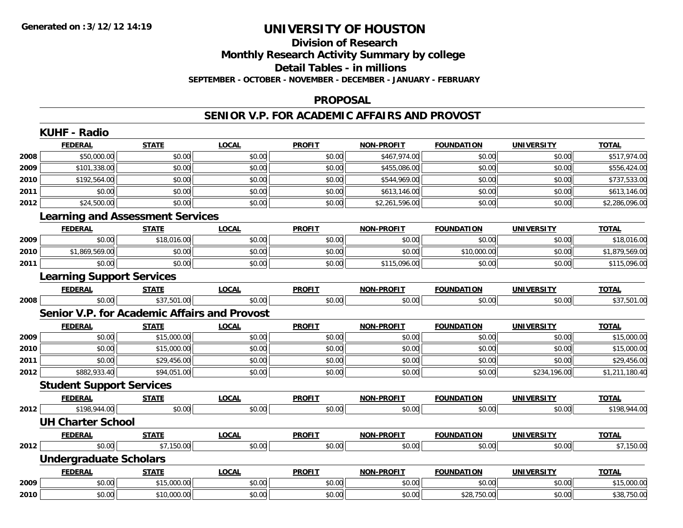# **Division of Research**

**Monthly Research Activity Summary by college**

**Detail Tables - in millions**

**SEPTEMBER - OCTOBER - NOVEMBER - DECEMBER - JANUARY - FEBRUARY**

#### **PROPOSAL**

#### **SENIOR V.P. FOR ACADEMIC AFFAIRS AND PROVOST**

|      | <b>KUHF - Radio</b>                          |              |              |               |                   |                   |                   |                |
|------|----------------------------------------------|--------------|--------------|---------------|-------------------|-------------------|-------------------|----------------|
|      | <b>FEDERAL</b>                               | <b>STATE</b> | <b>LOCAL</b> | <b>PROFIT</b> | <b>NON-PROFIT</b> | <b>FOUNDATION</b> | <b>UNIVERSITY</b> | <b>TOTAL</b>   |
| 2008 | \$50,000.00                                  | \$0.00       | \$0.00       | \$0.00        | \$467,974.00      | \$0.00            | \$0.00            | \$517,974.00   |
| 2009 | \$101,338.00                                 | \$0.00       | \$0.00       | \$0.00        | \$455,086.00      | \$0.00            | \$0.00            | \$556,424.00   |
| 2010 | \$192,564.00                                 | \$0.00       | \$0.00       | \$0.00        | \$544,969.00      | \$0.00            | \$0.00            | \$737,533.00   |
| 2011 | \$0.00                                       | \$0.00       | \$0.00       | \$0.00        | \$613,146.00      | \$0.00            | \$0.00            | \$613,146.00   |
| 2012 | \$24,500.00                                  | \$0.00       | \$0.00       | \$0.00        | \$2,261,596.00    | \$0.00            | \$0.00            | \$2,286,096.00 |
|      | <b>Learning and Assessment Services</b>      |              |              |               |                   |                   |                   |                |
|      | <b>FEDERAL</b>                               | <b>STATE</b> | <b>LOCAL</b> | <b>PROFIT</b> | <b>NON-PROFIT</b> | <b>FOUNDATION</b> | <b>UNIVERSITY</b> | <b>TOTAL</b>   |
| 2009 | \$0.00                                       | \$18,016.00  | \$0.00       | \$0.00        | \$0.00            | \$0.00            | \$0.00            | \$18,016.00    |
| 2010 | \$1,869,569.00                               | \$0.00       | \$0.00       | \$0.00        | \$0.00            | \$10,000.00       | \$0.00            | \$1,879,569.00 |
| 2011 | \$0.00                                       | \$0.00       | \$0.00       | \$0.00        | \$115,096.00      | \$0.00            | \$0.00            | \$115,096.00   |
|      | <b>Learning Support Services</b>             |              |              |               |                   |                   |                   |                |
|      | <b>FEDERAL</b>                               | <b>STATE</b> | <b>LOCAL</b> | <b>PROFIT</b> | <b>NON-PROFIT</b> | <b>FOUNDATION</b> | <b>UNIVERSITY</b> | <b>TOTAL</b>   |
| 2008 | \$0.00                                       | \$37,501.00  | \$0.00       | \$0.00        | \$0.00            | \$0.00            | \$0.00            | \$37,501.00    |
|      | Senior V.P. for Academic Affairs and Provost |              |              |               |                   |                   |                   |                |
|      | <b>FEDERAL</b>                               | <b>STATE</b> | <b>LOCAL</b> | <b>PROFIT</b> | <b>NON-PROFIT</b> | <b>FOUNDATION</b> | <b>UNIVERSITY</b> | <b>TOTAL</b>   |
| 2009 | \$0.00                                       | \$15,000.00  | \$0.00       | \$0.00        | \$0.00            | \$0.00            | \$0.00            | \$15,000.00    |
| 2010 | \$0.00                                       | \$15,000.00  | \$0.00       | \$0.00        | \$0.00            | \$0.00            | \$0.00            | \$15,000.00    |
| 2011 | \$0.00                                       | \$29,456.00  | \$0.00       | \$0.00        | \$0.00            | \$0.00            | \$0.00            | \$29,456.00    |
| 2012 | \$882,933.40                                 | \$94,051.00  | \$0.00       | \$0.00        | \$0.00            | \$0.00            | \$234,196.00      | \$1,211,180.40 |
|      | <b>Student Support Services</b>              |              |              |               |                   |                   |                   |                |
|      | <b>FEDERAL</b>                               | <b>STATE</b> | <b>LOCAL</b> | <b>PROFIT</b> | <b>NON-PROFIT</b> | <b>FOUNDATION</b> | <b>UNIVERSITY</b> | <b>TOTAL</b>   |
| 2012 | \$198,944.00                                 | \$0.00       | \$0.00       | \$0.00        | \$0.00            | \$0.00            | \$0.00            | \$198,944.00   |
|      | <b>UH Charter School</b>                     |              |              |               |                   |                   |                   |                |
|      | <b>FEDERAL</b>                               | <b>STATE</b> | <b>LOCAL</b> | <b>PROFIT</b> | <b>NON-PROFIT</b> | <b>FOUNDATION</b> | <b>UNIVERSITY</b> | <b>TOTAL</b>   |
| 2012 | \$0.00                                       | \$7,150.00   | \$0.00       | \$0.00        | \$0.00            | \$0.00            | \$0.00            | \$7,150.00     |
|      | <b>Undergraduate Scholars</b>                |              |              |               |                   |                   |                   |                |
|      | <b>FEDERAL</b>                               | <b>STATE</b> | <b>LOCAL</b> | <b>PROFIT</b> | NON-PROFIT        | <b>FOUNDATION</b> | UNIVERSITY        | <b>TOTAL</b>   |
| 2009 | \$0.00                                       | \$15,000.00  | \$0.00       | \$0.00        | \$0.00            | \$0.00            | \$0.00            | \$15,000.00    |
| 2010 | \$0.00                                       | \$10,000.00  | \$0.00       | \$0.00        | \$0.00            | \$28,750.00       | \$0.00            | \$38,750.00    |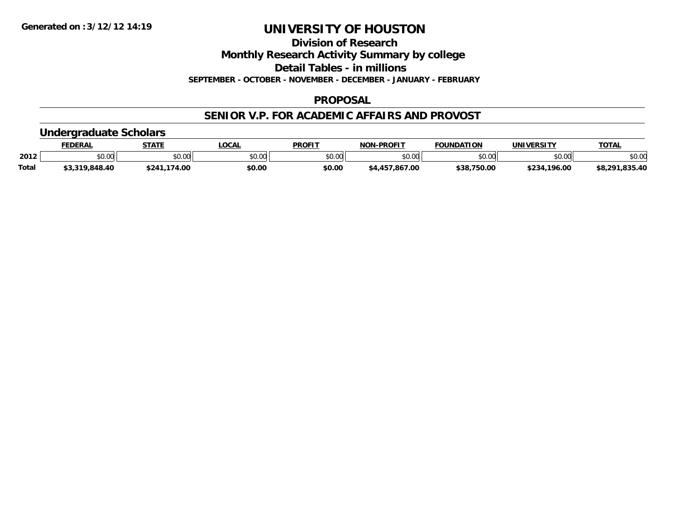**Division of Research**

**Monthly Research Activity Summary by college**

**Detail Tables - in millions**

**SEPTEMBER - OCTOBER - NOVEMBER - DECEMBER - JANUARY - FEBRUARY**

#### **PROPOSAL**

### **SENIOR V.P. FOR ACADEMIC AFFAIRS AND PROVOST**

### **Undergraduate Scholars**

|       | FEDERAI                  | <b>STATE</b>    | .OCA           | PROFIT | -PROFIT<br>NON    | <b>FOUNDATION</b> | UNIVERSITY    | <b>TOTAL</b>            |
|-------|--------------------------|-----------------|----------------|--------|-------------------|-------------------|---------------|-------------------------|
| 2012  | \$0.00                   | 60.00<br>JU.UU  | ልስ ሰሰ<br>pv.uu | \$0.00 | \$0.00            | nn na<br>JU.UU    | 0000<br>JU.UI | \$0.00                  |
| Total | 848.40<br><b>חו</b> פימי | .174.00<br>*24∴ | \$0.00         | \$0.00 | .867.00<br>. AF " | ৫ 9 0<br>: 750.00 | \$234.196.00  | 025 10<br><b>co</b> 201 |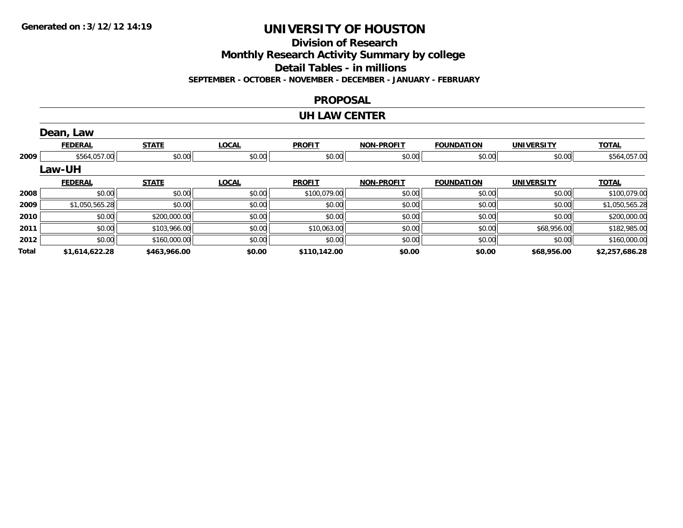**Division of Research**

**Monthly Research Activity Summary by college**

**Detail Tables - in millions**

**SEPTEMBER - OCTOBER - NOVEMBER - DECEMBER - JANUARY - FEBRUARY**

#### **PROPOSAL**

#### **UH LAW CENTER**

|       | Dean, Law      |              |              |               |                   |                   |                   |                |
|-------|----------------|--------------|--------------|---------------|-------------------|-------------------|-------------------|----------------|
|       | <b>FEDERAL</b> | <b>STATE</b> | <b>LOCAL</b> | <b>PROFIT</b> | <b>NON-PROFIT</b> | <b>FOUNDATION</b> | <b>UNIVERSITY</b> | <b>TOTAL</b>   |
| 2009  | \$564,057.00   | \$0.00       | \$0.00       | \$0.00        | \$0.00            | \$0.00            | \$0.00            | \$564,057.00   |
|       | Law-UH         |              |              |               |                   |                   |                   |                |
|       | <b>FEDERAL</b> | <b>STATE</b> | <b>LOCAL</b> | <b>PROFIT</b> | <b>NON-PROFIT</b> | <b>FOUNDATION</b> | <b>UNIVERSITY</b> | <b>TOTAL</b>   |
| 2008  | \$0.00         | \$0.00       | \$0.00       | \$100,079.00  | \$0.00            | \$0.00            | \$0.00            | \$100,079.00   |
| 2009  | \$1,050,565.28 | \$0.00       | \$0.00       | \$0.00        | \$0.00            | \$0.00            | \$0.00            | \$1,050,565.28 |
| 2010  | \$0.00         | \$200,000.00 | \$0.00       | \$0.00        | \$0.00            | \$0.00            | \$0.00            | \$200,000.00   |
| 2011  | \$0.00         | \$103,966.00 | \$0.00       | \$10,063.00   | \$0.00            | \$0.00            | \$68,956.00       | \$182,985.00   |
| 2012  | \$0.00         | \$160,000.00 | \$0.00       | \$0.00        | \$0.00            | \$0.00            | \$0.00            | \$160,000.00   |
| Total | \$1,614,622.28 | \$463,966.00 | \$0.00       | \$110,142.00  | \$0.00            | \$0.00            | \$68,956.00       | \$2,257,686.28 |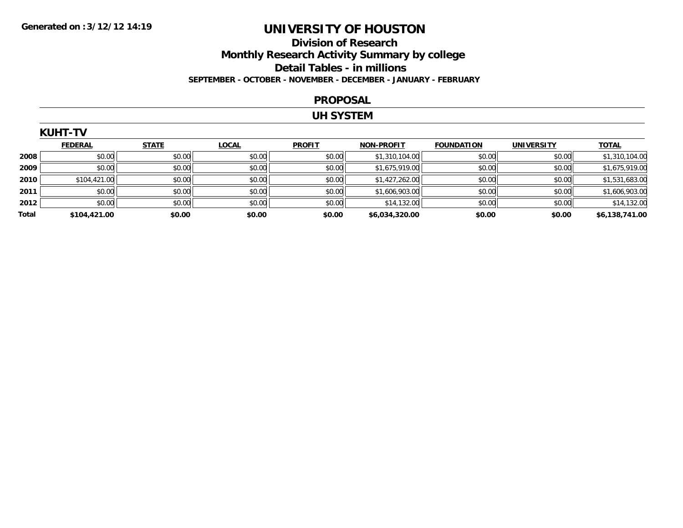### **Division of Research Monthly Research Activity Summary by college Detail Tables - in millions SEPTEMBER - OCTOBER - NOVEMBER - DECEMBER - JANUARY - FEBRUARY**

#### **PROPOSAL**

#### **UH SYSTEM**

|       | <b>KUHT-TV</b> |              |              |               |                   |                   |                   |                |  |  |  |  |
|-------|----------------|--------------|--------------|---------------|-------------------|-------------------|-------------------|----------------|--|--|--|--|
|       | <b>FEDERAL</b> | <b>STATE</b> | <b>LOCAL</b> | <b>PROFIT</b> | <b>NON-PROFIT</b> | <b>FOUNDATION</b> | <b>UNIVERSITY</b> | <b>TOTAL</b>   |  |  |  |  |
| 2008  | \$0.00         | \$0.00       | \$0.00       | \$0.00        | \$1,310,104.00    | \$0.00            | \$0.00            | \$1,310,104.00 |  |  |  |  |
| 2009  | \$0.00         | \$0.00       | \$0.00       | \$0.00        | \$1,675,919.00    | \$0.00            | \$0.00            | \$1,675,919.00 |  |  |  |  |
| 2010  | \$104,421.00   | \$0.00       | \$0.00       | \$0.00        | \$1,427,262.00    | \$0.00            | \$0.00            | \$1,531,683.00 |  |  |  |  |
| 2011  | \$0.00         | \$0.00       | \$0.00       | \$0.00        | \$1,606,903.00    | \$0.00            | \$0.00            | \$1,606,903.00 |  |  |  |  |
| 2012  | \$0.00         | \$0.00       | \$0.00       | \$0.00        | \$14,132.00       | \$0.00            | \$0.00            | \$14,132.00    |  |  |  |  |
| Total | \$104,421.00   | \$0.00       | \$0.00       | \$0.00        | \$6,034,320.00    | \$0.00            | \$0.00            | \$6,138,741.00 |  |  |  |  |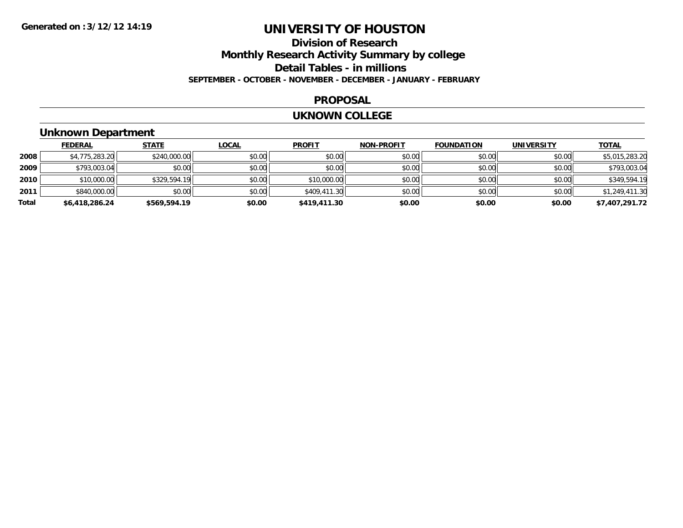### **Division of Research Monthly Research Activity Summary by college Detail Tables - in millions SEPTEMBER - OCTOBER - NOVEMBER - DECEMBER - JANUARY - FEBRUARY**

#### **PROPOSAL**

#### **UKNOWN COLLEGE**

### **Unknown Department**

|       | <b>FEDERAL</b> | <b>STATE</b> | <b>LOCAL</b> | <b>PROFIT</b> | <b>NON-PROFIT</b> | <b>FOUNDATION</b> | <b>UNIVERSITY</b> | <b>TOTAL</b>   |
|-------|----------------|--------------|--------------|---------------|-------------------|-------------------|-------------------|----------------|
| 2008  | \$4,775,283.20 | \$240,000.00 | \$0.00       | \$0.00        | \$0.00            | \$0.00            | \$0.00            | \$5,015,283.20 |
| 2009  | \$793,003.04   | \$0.00       | \$0.00       | \$0.00        | \$0.00            | \$0.00            | \$0.00            | \$793,003.04   |
| 2010  | \$10,000.00    | \$329,594.19 | \$0.00       | \$10,000.00   | \$0.00            | \$0.00            | \$0.00            | \$349,594.19   |
| 2011  | \$840,000.00   | \$0.00       | \$0.00       | \$409,411.30  | \$0.00            | \$0.00            | \$0.00            | \$1,249,411.30 |
| Total | \$6,418,286.24 | \$569,594.19 | \$0.00       | \$419,411.30  | \$0.00            | \$0.00            | \$0.00            | \$7,407,291.72 |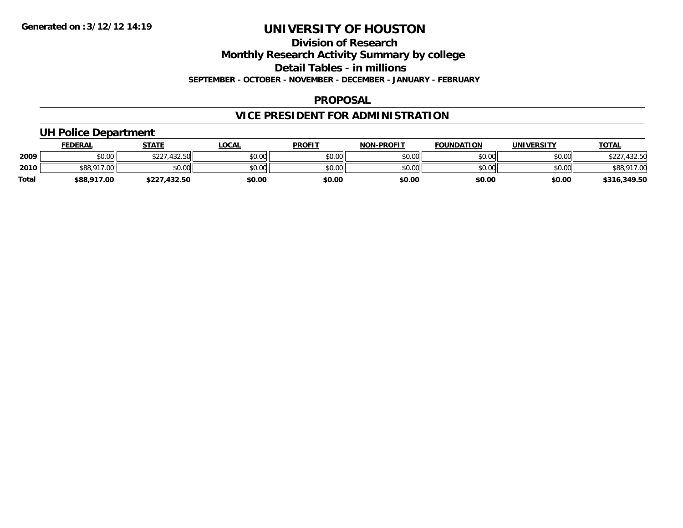#### **Division of Research**

**Monthly Research Activity Summary by college**

**Detail Tables - in millions**

**SEPTEMBER - OCTOBER - NOVEMBER - DECEMBER - JANUARY - FEBRUARY**

#### **PROPOSAL**

## **VICE PRESIDENT FOR ADMINISTRATION**

### **UH Police Department**

|              | <u>FEDERAL</u> | <b>STATE</b>      | LOCAL  | <b>PROFIT</b> | <b>NON-PROFIT</b> | <b>FOUNDATION</b> | UNIVERSITY | <b>TOTAL</b> |
|--------------|----------------|-------------------|--------|---------------|-------------------|-------------------|------------|--------------|
| 2009         | \$0.00         | .432.50<br>\$227. | \$0.00 | \$0.00        | \$0.00            | \$0.00            | \$0.00     | 432.50       |
| 2010         | \$88,917.00    | \$0.00            | \$0.00 | \$0.00        | \$0.00            | \$0.00            | \$0.00     | \$88,917.00  |
| <b>Total</b> | \$88,917.00    | \$227,432.50      | \$0.00 | \$0.00        | \$0.00            | \$0.00            | \$0.00     | \$316,349.50 |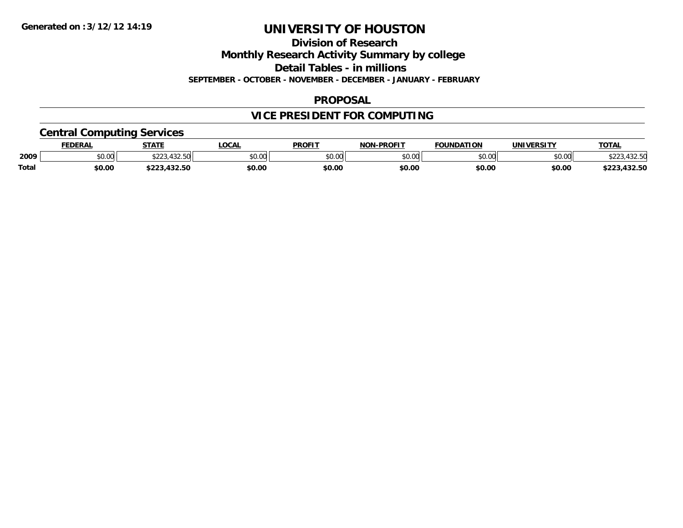**Division of Research**

**Monthly Research Activity Summary by college**

**Detail Tables - in millions**

**SEPTEMBER - OCTOBER - NOVEMBER - DECEMBER - JANUARY - FEBRUARY**

### **PROPOSAL**

## **VICE PRESIDENT FOR COMPUTING**

### **Central Computing Services**

|       | <b>FEDERAL</b> | <b>STATE</b>                        | <b>LOCAL</b> | <b>PROFIT</b> | <b>I-PROFIT</b><br>NON | <b>FOUNDATION</b> | UNIVERSITY | <b>TOTAL</b>             |
|-------|----------------|-------------------------------------|--------------|---------------|------------------------|-------------------|------------|--------------------------|
| 2009  | \$0.00         | 122 E<br>$\wedge$ $\wedge$ $\wedge$ | \$0.00       | 0000<br>JU.UU | \$0.00                 | \$0.00            | \$0.00     | 122 F<br>, JZ.JM         |
| Total | \$0.00         | $\sim$<br>$\cdots$<br>.432.30       | \$0.00       | \$0.00        | \$0.00                 | \$0.00            | \$0.00     | $\sim$<br>ホワワク<br>132.JL |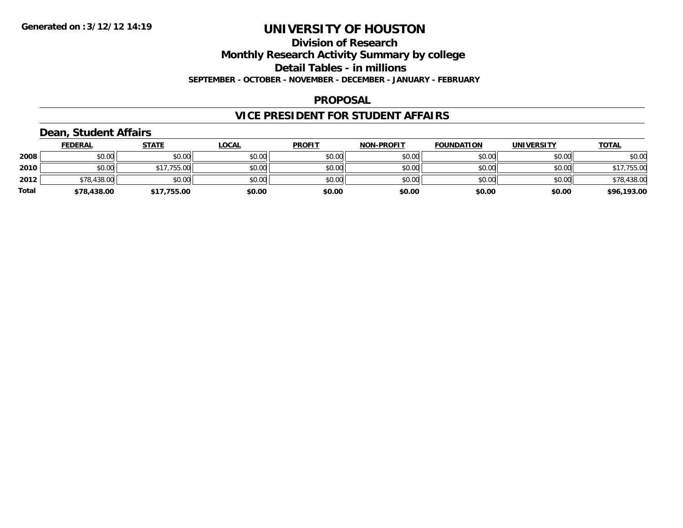#### **Division of Research**

**Monthly Research Activity Summary by college**

**Detail Tables - in millions**

**SEPTEMBER - OCTOBER - NOVEMBER - DECEMBER - JANUARY - FEBRUARY**

#### **PROPOSAL**

### **VICE PRESIDENT FOR STUDENT AFFAIRS**

### **Dean, Student Affairs**

|              | <b>FEDERAL</b> | <b>STATE</b> | <u>LOCAL</u> | <b>PROFIT</b> | <b>NON-PROFIT</b> | <b>FOUNDATION</b> | <b>UNIVERSITY</b> | <b>TOTAL</b> |
|--------------|----------------|--------------|--------------|---------------|-------------------|-------------------|-------------------|--------------|
| 2008         | \$0.00         | \$0.00       | \$0.00       | \$0.00        | \$0.00            | \$0.00            | \$0.00            | \$0.00       |
| 2010         | \$0.00         | \$17,755.00  | \$0.00       | \$0.00        | \$0.00            | \$0.00            | \$0.00            | \$17,755.00  |
| 2012         | \$78,438.00    | \$0.00       | \$0.00       | \$0.00        | \$0.00            | \$0.00            | \$0.00            | \$78,438.00  |
| <b>Total</b> | \$78,438.00    | \$17,755.00  | \$0.00       | \$0.00        | \$0.00            | \$0.00            | \$0.00            | \$96,193.00  |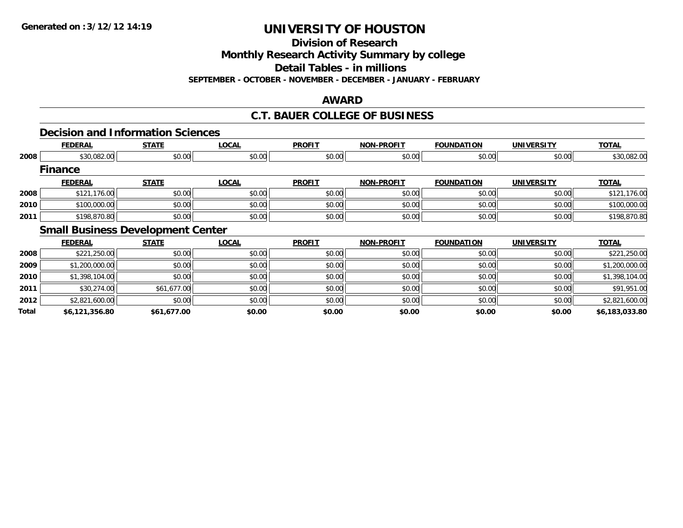**Division of Research**

**Monthly Research Activity Summary by college**

**Detail Tables - in millions**

**SEPTEMBER - OCTOBER - NOVEMBER - DECEMBER - JANUARY - FEBRUARY**

### **AWARD**

### **C.T. BAUER COLLEGE OF BUSINESS**

### **Decision and Information Sciences**

|       | <b>FEDERAL</b> | <b>STATE</b>                             | <b>LOCAL</b> | <b>PROFIT</b> | <b>NON-PROFIT</b> | <b>FOUNDATION</b> | <b>UNIVERSITY</b> | <b>TOTAL</b>   |
|-------|----------------|------------------------------------------|--------------|---------------|-------------------|-------------------|-------------------|----------------|
| 2008  | \$30,082.00    | \$0.00                                   | \$0.00       | \$0.00        | \$0.00            | \$0.00            | \$0.00            | \$30,082.00    |
|       | <b>Finance</b> |                                          |              |               |                   |                   |                   |                |
|       | <b>FEDERAL</b> | <b>STATE</b>                             | <b>LOCAL</b> | <b>PROFIT</b> | <b>NON-PROFIT</b> | <b>FOUNDATION</b> | <b>UNIVERSITY</b> | <b>TOTAL</b>   |
| 2008  | \$121,176.00   | \$0.00                                   | \$0.00       | \$0.00        | \$0.00            | \$0.00            | \$0.00            | \$121,176.00   |
| 2010  | \$100,000.00   | \$0.00                                   | \$0.00       | \$0.00        | \$0.00            | \$0.00            | \$0.00            | \$100,000.00   |
| 2011  | \$198,870.80   | \$0.00                                   | \$0.00       | \$0.00        | \$0.00            | \$0.00            | \$0.00            | \$198,870.80   |
|       |                | <b>Small Business Development Center</b> |              |               |                   |                   |                   |                |
|       | <b>FEDERAL</b> | <b>STATE</b>                             | <b>LOCAL</b> | <b>PROFIT</b> | <b>NON-PROFIT</b> | <b>FOUNDATION</b> | <b>UNIVERSITY</b> | <b>TOTAL</b>   |
| 2008  | \$221,250.00   | \$0.00                                   | \$0.00       | \$0.00        | \$0.00            | \$0.00            | \$0.00            | \$221,250.00   |
| 2009  | \$1,200,000.00 | \$0.00                                   | \$0.00       | \$0.00        | \$0.00            | \$0.00            | \$0.00            | \$1,200,000.00 |
| 2010  | \$1,398,104.00 | \$0.00                                   | \$0.00       | \$0.00        | \$0.00            | \$0.00            | \$0.00            | \$1,398,104.00 |
| 2011  | \$30,274.00    | \$61,677.00                              | \$0.00       | \$0.00        | \$0.00            | \$0.00            | \$0.00            | \$91,951.00    |
| 2012  | \$2,821,600.00 | \$0.00                                   | \$0.00       | \$0.00        | \$0.00            | \$0.00            | \$0.00            | \$2,821,600.00 |
| Total | \$6,121,356.80 | \$61,677.00                              | \$0.00       | \$0.00        | \$0.00            | \$0.00            | \$0.00            | \$6,183,033.80 |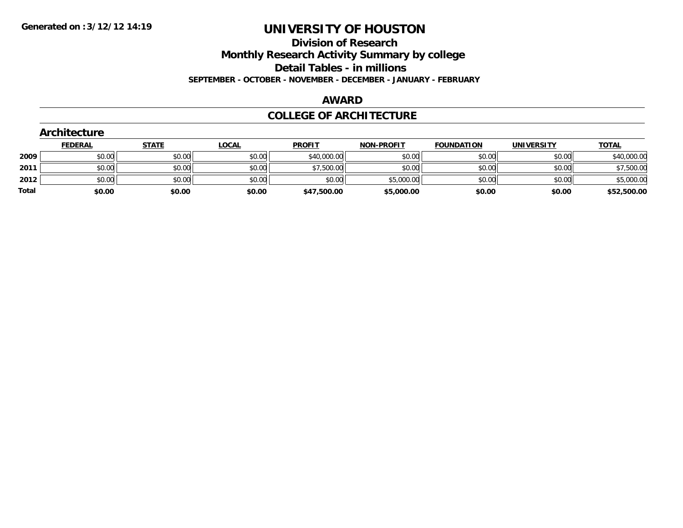**Division of Research**

**Monthly Research Activity Summary by college**

**Detail Tables - in millions**

**SEPTEMBER - OCTOBER - NOVEMBER - DECEMBER - JANUARY - FEBRUARY**

#### **AWARD**

#### **COLLEGE OF ARCHITECTURE**

| <b>Architecture</b> |              |                                      |                                      |                   |                                          |                   |              |
|---------------------|--------------|--------------------------------------|--------------------------------------|-------------------|------------------------------------------|-------------------|--------------|
| <b>FEDERAL</b>      | <b>STATE</b> | <u>LOCAL</u>                         | <b>PROFIT</b>                        | <b>NON-PROFIT</b> | <b>FOUNDATION</b>                        | <b>UNIVERSITY</b> | <b>TOTAL</b> |
|                     |              |                                      |                                      | \$0.00            | \$0.00                                   | \$0.00            | \$40,000.00  |
|                     |              | \$0.00                               |                                      | \$0.00            | \$0.00                                   | \$0.00            | \$7,500.00   |
|                     |              | \$0.00                               | \$0.00                               |                   | \$0.00                                   | \$0.00            | \$5,000.00   |
|                     |              | \$0.00                               |                                      | \$5,000.00        | \$0.00                                   | \$0.00            | \$52,500.00  |
|                     |              | \$0.00<br>\$0.00<br>\$0.00<br>\$0.00 | \$0.00<br>\$0.00<br>\$0.00<br>\$0.00 | \$0.00            | \$40,000.00<br>\$7,500.00<br>\$47,500.00 | \$5,000.00        |              |

### **Architecture**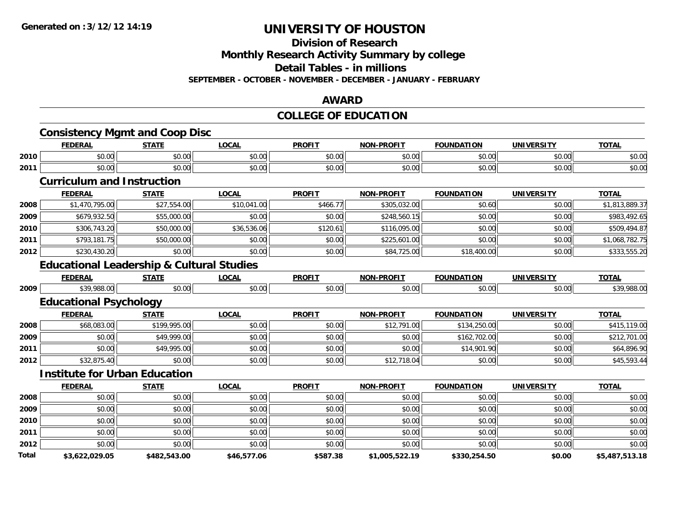#### **Division of Research**

**Monthly Research Activity Summary by college**

**Detail Tables - in millions**

**SEPTEMBER - OCTOBER - NOVEMBER - DECEMBER - JANUARY - FEBRUARY**

#### **AWARD**

### **COLLEGE OF EDUCATION**

|       | <b>Consistency Mgmt and Coop Disc</b>                |              |              |               |                   |                   |                   |                |
|-------|------------------------------------------------------|--------------|--------------|---------------|-------------------|-------------------|-------------------|----------------|
|       | <b>FEDERAL</b>                                       | <b>STATE</b> | <b>LOCAL</b> | <b>PROFIT</b> | <b>NON-PROFIT</b> | <b>FOUNDATION</b> | <b>UNIVERSITY</b> | <b>TOTAL</b>   |
| 2010  | \$0.00                                               | \$0.00       | \$0.00       | \$0.00        | \$0.00            | \$0.00            | \$0.00            | \$0.00         |
| 2011  | \$0.00                                               | \$0.00       | \$0.00       | \$0.00        | \$0.00            | \$0.00            | \$0.00            | \$0.00         |
|       | <b>Curriculum and Instruction</b>                    |              |              |               |                   |                   |                   |                |
|       | <b>FEDERAL</b>                                       | <b>STATE</b> | <b>LOCAL</b> | <b>PROFIT</b> | <b>NON-PROFIT</b> | <b>FOUNDATION</b> | <b>UNIVERSITY</b> | <b>TOTAL</b>   |
| 2008  | \$1,470,795.00                                       | \$27,554.00  | \$10,041.00  | \$466.77      | \$305,032.00      | \$0.60            | \$0.00            | \$1,813,889.37 |
| 2009  | \$679,932.50                                         | \$55,000.00  | \$0.00       | \$0.00        | \$248,560.15      | \$0.00            | \$0.00            | \$983,492.65   |
| 2010  | \$306,743.20                                         | \$50,000.00  | \$36,536.06  | \$120.61      | \$116,095.00      | \$0.00            | \$0.00            | \$509,494.87   |
| 2011  | \$793,181.75                                         | \$50,000.00  | \$0.00       | \$0.00        | \$225,601.00      | \$0.00            | \$0.00            | \$1,068,782.75 |
| 2012  | \$230,430.20                                         | \$0.00       | \$0.00       | \$0.00        | \$84,725.00       | \$18,400.00       | \$0.00            | \$333,555.20   |
|       | <b>Educational Leadership &amp; Cultural Studies</b> |              |              |               |                   |                   |                   |                |
|       | <b>FEDERAL</b>                                       | <b>STATE</b> | <b>LOCAL</b> | <b>PROFIT</b> | <b>NON-PROFIT</b> | <b>FOUNDATION</b> | <b>UNIVERSITY</b> | <b>TOTAL</b>   |
| 2009  | \$39,988.00                                          | \$0.00       | \$0.00       | \$0.00        | \$0.00            | \$0.00            | \$0.00            | \$39,988.00    |
|       | <b>Educational Psychology</b>                        |              |              |               |                   |                   |                   |                |
|       | <b>FEDERAL</b>                                       | <b>STATE</b> | <b>LOCAL</b> | <b>PROFIT</b> | <b>NON-PROFIT</b> | <b>FOUNDATION</b> | <b>UNIVERSITY</b> | <b>TOTAL</b>   |
| 2008  | \$68,083.00                                          | \$199,995.00 | \$0.00       | \$0.00        | \$12,791.00       | \$134,250.00      | \$0.00            | \$415,119.00   |
| 2009  | \$0.00                                               | \$49,999.00  | \$0.00       | \$0.00        | \$0.00            | \$162,702.00      | \$0.00            | \$212,701.00   |
| 2011  | \$0.00                                               | \$49,995.00  | \$0.00       | \$0.00        | \$0.00            | \$14,901.90       | \$0.00            | \$64,896.90    |
| 2012  | \$32,875.40                                          | \$0.00       | \$0.00       | \$0.00        | \$12,718.04       | \$0.00            | \$0.00            | \$45,593.44    |
|       | <b>Institute for Urban Education</b>                 |              |              |               |                   |                   |                   |                |
|       | <b>FEDERAL</b>                                       | <b>STATE</b> | <b>LOCAL</b> | <b>PROFIT</b> | <b>NON-PROFIT</b> | <b>FOUNDATION</b> | <b>UNIVERSITY</b> | <b>TOTAL</b>   |
| 2008  | \$0.00                                               | \$0.00       | \$0.00       | \$0.00        | \$0.00            | \$0.00            | \$0.00            | \$0.00         |
| 2009  | \$0.00                                               | \$0.00       | \$0.00       | \$0.00        | \$0.00            | \$0.00            | \$0.00            | \$0.00         |
| 2010  | \$0.00                                               | \$0.00       | \$0.00       | \$0.00        | \$0.00            | \$0.00            | \$0.00            | \$0.00         |
| 2011  | \$0.00                                               | \$0.00       | \$0.00       | \$0.00        | \$0.00            | \$0.00            | \$0.00            | \$0.00         |
| 2012  | \$0.00                                               | \$0.00       | \$0.00       | \$0.00        | \$0.00            | \$0.00            | \$0.00            | \$0.00         |
| Total | \$3,622,029.05                                       | \$482,543.00 | \$46,577.06  | \$587.38      | \$1,005,522.19    | \$330,254.50      | \$0.00            | \$5,487,513.18 |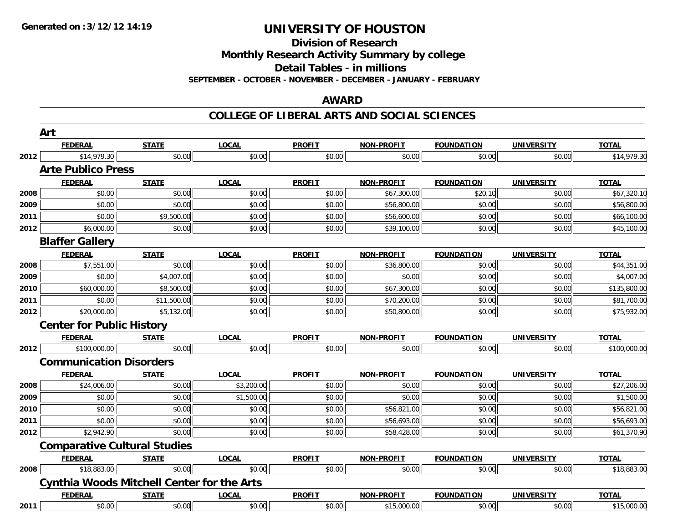**Division of Research**

**Monthly Research Activity Summary by college**

**Detail Tables - in millions**

**SEPTEMBER - OCTOBER - NOVEMBER - DECEMBER - JANUARY - FEBRUARY**

#### **AWARD**

#### **COLLEGE OF LIBERAL ARTS AND SOCIAL SCIENCES**

|      | Art                                               |              |              |               |                   |                   |                   |              |
|------|---------------------------------------------------|--------------|--------------|---------------|-------------------|-------------------|-------------------|--------------|
|      | <b>FEDERAL</b>                                    | <b>STATE</b> | <b>LOCAL</b> | <b>PROFIT</b> | NON-PROFIT        | <b>FOUNDATION</b> | <b>UNIVERSITY</b> | <b>TOTAL</b> |
| 2012 | \$14,979.30                                       | \$0.00       | \$0.00       | \$0.00        | \$0.00            | \$0.00            | \$0.00            | \$14,979.30  |
|      | <b>Arte Publico Press</b>                         |              |              |               |                   |                   |                   |              |
|      | <b>FEDERAL</b>                                    | <b>STATE</b> | <b>LOCAL</b> | <b>PROFIT</b> | <b>NON-PROFIT</b> | <b>FOUNDATION</b> | <b>UNIVERSITY</b> | <b>TOTAL</b> |
| 2008 | \$0.00                                            | \$0.00       | \$0.00       | \$0.00        | \$67,300.00       | \$20.10           | \$0.00            | \$67,320.10  |
| 2009 | \$0.00                                            | \$0.00       | \$0.00       | \$0.00        | \$56,800.00       | \$0.00            | \$0.00            | \$56,800.00  |
| 2011 | \$0.00                                            | \$9,500.00   | \$0.00       | \$0.00        | \$56,600.00       | \$0.00            | \$0.00            | \$66,100.00  |
| 2012 | \$6,000.00                                        | \$0.00       | \$0.00       | \$0.00        | \$39,100.00       | \$0.00            | \$0.00            | \$45,100.00  |
|      | <b>Blaffer Gallery</b>                            |              |              |               |                   |                   |                   |              |
|      | <b>FEDERAL</b>                                    | <b>STATE</b> | <b>LOCAL</b> | <b>PROFIT</b> | <b>NON-PROFIT</b> | <b>FOUNDATION</b> | <b>UNIVERSITY</b> | <b>TOTAL</b> |
| 2008 | \$7,551.00                                        | \$0.00       | \$0.00       | \$0.00        | \$36,800.00       | \$0.00            | \$0.00            | \$44,351.00  |
| 2009 | \$0.00                                            | \$4,007.00   | \$0.00       | \$0.00        | \$0.00            | \$0.00            | \$0.00            | \$4,007.00   |
| 2010 | \$60,000.00                                       | \$8,500.00   | \$0.00       | \$0.00        | \$67,300.00       | \$0.00            | \$0.00            | \$135,800.00 |
| 2011 | \$0.00                                            | \$11,500.00  | \$0.00       | \$0.00        | \$70,200.00       | \$0.00            | \$0.00            | \$81,700.00  |
| 2012 | \$20,000.00                                       | \$5,132.00   | \$0.00       | \$0.00        | \$50,800.00       | \$0.00            | \$0.00            | \$75,932.00  |
|      | <b>Center for Public History</b>                  |              |              |               |                   |                   |                   |              |
|      | <b>FEDERAL</b>                                    | <b>STATE</b> | <b>LOCAL</b> | <b>PROFIT</b> | <b>NON-PROFIT</b> | <b>FOUNDATION</b> | <b>UNIVERSITY</b> | <b>TOTAL</b> |
| 2012 | \$100,000.00                                      | \$0.00       | \$0.00       | \$0.00        | \$0.00            | \$0.00            | \$0.00            | \$100,000.00 |
|      | <b>Communication Disorders</b>                    |              |              |               |                   |                   |                   |              |
|      | <b>FEDERAL</b>                                    | <b>STATE</b> | <b>LOCAL</b> | <b>PROFIT</b> | <b>NON-PROFIT</b> | <b>FOUNDATION</b> | <b>UNIVERSITY</b> | <b>TOTAL</b> |
| 2008 | \$24,006.00                                       | \$0.00       | \$3,200.00   | \$0.00        | \$0.00            | \$0.00            | \$0.00            | \$27,206.00  |
| 2009 | \$0.00                                            | \$0.00       | \$1,500.00   | \$0.00        | \$0.00            | \$0.00            | \$0.00            | \$1,500.00   |
| 2010 | \$0.00                                            | \$0.00       | \$0.00       | \$0.00        | \$56,821.00       | \$0.00            | \$0.00            | \$56,821.00  |
| 2011 | \$0.00                                            | \$0.00       | \$0.00       | \$0.00        | \$56,693.00       | \$0.00            | \$0.00            | \$56,693.00  |
| 2012 | \$2,942.90                                        | \$0.00       | \$0.00       | \$0.00        | \$58,428.00       | \$0.00            | \$0.00            | \$61,370.90  |
|      | <b>Comparative Cultural Studies</b>               |              |              |               |                   |                   |                   |              |
|      | <b>FEDERAL</b>                                    | <b>STATE</b> | <b>LOCAL</b> | <b>PROFIT</b> | <b>NON-PROFIT</b> | <b>FOUNDATION</b> | <b>UNIVERSITY</b> | <b>TOTAL</b> |
| 2008 | \$18,883.00                                       | \$0.00       | \$0.00       | \$0.00        | \$0.00            | \$0.00            | \$0.00            | \$18,883.00  |
|      | <b>Cynthia Woods Mitchell Center for the Arts</b> |              |              |               |                   |                   |                   |              |
|      | <b>FEDERAL</b>                                    | <b>STATE</b> | <b>LOCAL</b> | <b>PROFIT</b> | <b>NON-PROFIT</b> | <b>FOUNDATION</b> | <b>UNIVERSITY</b> | <b>TOTAL</b> |
| 2011 | \$0.00                                            | \$0.00       | \$0.00       | \$0.00        | \$15,000.00       | \$0.00            | \$0.00            | \$15,000.00  |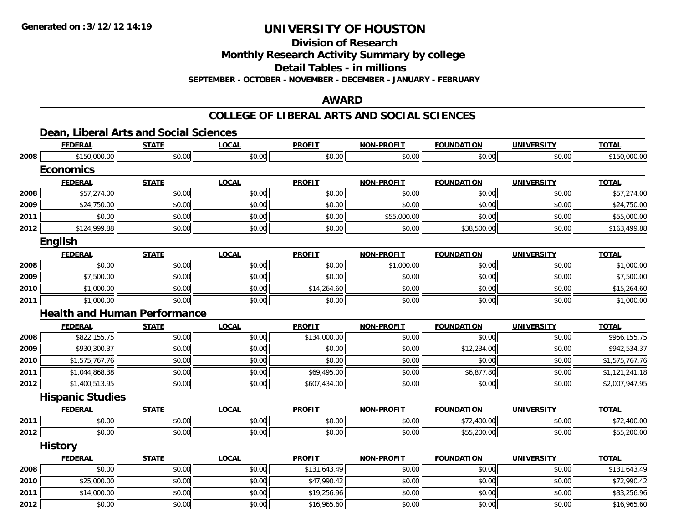**Division of Research**

**Monthly Research Activity Summary by college**

**Detail Tables - in millions**

**SEPTEMBER - OCTOBER - NOVEMBER - DECEMBER - JANUARY - FEBRUARY**

### **AWARD**

#### **COLLEGE OF LIBERAL ARTS AND SOCIAL SCIENCES**

### **Dean, Liberal Arts and Social Sciences**

|      | <b>FEDERAL</b>                      | <b>STATE</b> | <b>LOCAL</b> | <b>PROFIT</b> | <b>NON-PROFIT</b> | <b>FOUNDATION</b> | <b>UNIVERSITY</b> | <b>TOTAL</b>   |
|------|-------------------------------------|--------------|--------------|---------------|-------------------|-------------------|-------------------|----------------|
| 2008 | \$150,000.00                        | \$0.00       | \$0.00       | \$0.00        | \$0.00            | \$0.00            | \$0.00            | \$150,000.00   |
|      | <b>Economics</b>                    |              |              |               |                   |                   |                   |                |
|      | <b>FEDERAL</b>                      | <b>STATE</b> | <b>LOCAL</b> | <b>PROFIT</b> | <b>NON-PROFIT</b> | <b>FOUNDATION</b> | <b>UNIVERSITY</b> | <b>TOTAL</b>   |
| 2008 | \$57,274.00                         | \$0.00       | \$0.00       | \$0.00        | \$0.00            | \$0.00            | \$0.00            | \$57,274.00    |
| 2009 | \$24,750.00                         | \$0.00       | \$0.00       | \$0.00        | \$0.00            | \$0.00            | \$0.00            | \$24,750.00    |
| 2011 | \$0.00                              | \$0.00       | \$0.00       | \$0.00        | \$55,000.00       | \$0.00            | \$0.00            | \$55,000.00    |
| 2012 | \$124,999.88                        | \$0.00       | \$0.00       | \$0.00        | \$0.00            | \$38,500.00       | \$0.00            | \$163,499.88   |
|      | <b>English</b>                      |              |              |               |                   |                   |                   |                |
|      | <b>FEDERAL</b>                      | <b>STATE</b> | <b>LOCAL</b> | <b>PROFIT</b> | <b>NON-PROFIT</b> | <b>FOUNDATION</b> | <b>UNIVERSITY</b> | <b>TOTAL</b>   |
| 2008 | \$0.00                              | \$0.00       | \$0.00       | \$0.00        | \$1,000.00        | \$0.00            | \$0.00            | \$1,000.00     |
| 2009 | \$7,500.00                          | \$0.00       | \$0.00       | \$0.00        | \$0.00            | \$0.00            | \$0.00            | \$7,500.00     |
| 2010 | \$1,000.00                          | \$0.00       | \$0.00       | \$14,264.60   | \$0.00            | \$0.00            | \$0.00            | \$15,264.60    |
| 2011 | \$1,000.00                          | \$0.00       | \$0.00       | \$0.00        | \$0.00            | \$0.00            | \$0.00            | \$1,000.00     |
|      | <b>Health and Human Performance</b> |              |              |               |                   |                   |                   |                |
|      | <b>FEDERAL</b>                      | <b>STATE</b> | <b>LOCAL</b> | <b>PROFIT</b> | <b>NON-PROFIT</b> | <b>FOUNDATION</b> | <b>UNIVERSITY</b> | <b>TOTAL</b>   |
| 2008 | \$822,155.75                        | \$0.00       | \$0.00       | \$134,000.00  | \$0.00            | \$0.00            | \$0.00            | \$956,155.75   |
| 2009 | \$930,300.37                        | \$0.00       | \$0.00       | \$0.00        | \$0.00            | \$12,234.00       | \$0.00            | \$942,534.37   |
| 2010 | \$1,575,767.76                      | \$0.00       | \$0.00       | \$0.00        | \$0.00            | \$0.00            | \$0.00            | \$1,575,767.76 |
| 2011 | \$1,044,868.38                      | \$0.00       | \$0.00       | \$69,495.00   | \$0.00            | \$6,877.80        | \$0.00            | \$1,121,241.18 |
| 2012 | \$1,400,513.95                      | \$0.00       | \$0.00       | \$607,434.00  | \$0.00            | \$0.00            | \$0.00            | \$2,007,947.95 |
|      | <b>Hispanic Studies</b>             |              |              |               |                   |                   |                   |                |
|      | <b>FEDERAL</b>                      | <b>STATE</b> | <b>LOCAL</b> | <b>PROFIT</b> | <b>NON-PROFIT</b> | <b>FOUNDATION</b> | <b>UNIVERSITY</b> | <b>TOTAL</b>   |
| 2011 | \$0.00                              | \$0.00       | \$0.00       | \$0.00        | \$0.00            | \$72,400.00       | \$0.00            | \$72,400.00    |
| 2012 | \$0.00                              | \$0.00       | \$0.00       | \$0.00        | \$0.00            | \$55,200.00       | \$0.00            | \$55,200.00    |
|      | <b>History</b>                      |              |              |               |                   |                   |                   |                |
|      | <b>FEDERAL</b>                      | <b>STATE</b> | <b>LOCAL</b> | <b>PROFIT</b> | <b>NON-PROFIT</b> | <b>FOUNDATION</b> | <b>UNIVERSITY</b> | <b>TOTAL</b>   |
| 2008 | \$0.00                              | \$0.00       | \$0.00       | \$131,643.49  | \$0.00            | \$0.00            | \$0.00            | \$131,643.49   |
| 2010 | \$25,000.00                         | \$0.00       | \$0.00       | \$47,990.42   | \$0.00            | \$0.00            | \$0.00            | \$72,990.42    |
| 2011 | \$14,000.00                         | \$0.00       | \$0.00       | \$19,256.96   | \$0.00            | \$0.00            | \$0.00            | \$33,256.96    |
| 2012 | \$0.00                              | \$0.00       | \$0.00       | \$16,965.60   | \$0.00            | \$0.00            | \$0.00            | \$16,965.60    |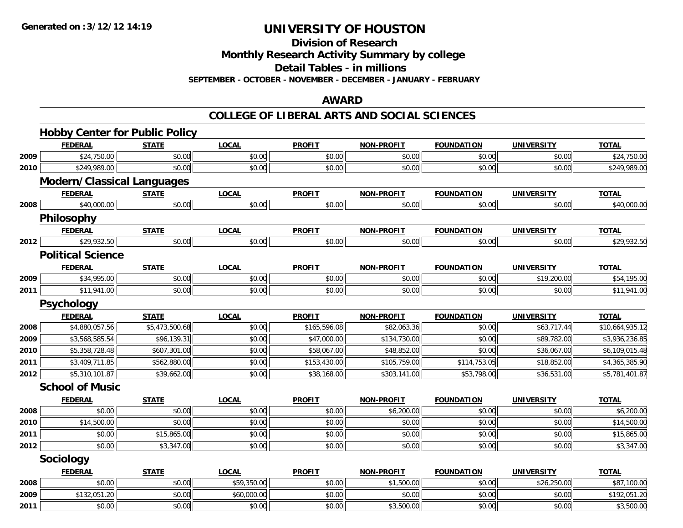**Division of Research**

**Monthly Research Activity Summary by college**

**Detail Tables - in millions**

**SEPTEMBER - OCTOBER - NOVEMBER - DECEMBER - JANUARY - FEBRUARY**

#### **AWARD**

#### **COLLEGE OF LIBERAL ARTS AND SOCIAL SCIENCES**

|      | <b>Hobby Center for Public Policy</b> |                |              |               |                   |                   |                   |                 |
|------|---------------------------------------|----------------|--------------|---------------|-------------------|-------------------|-------------------|-----------------|
|      | <b>FEDERAL</b>                        | <b>STATE</b>   | <b>LOCAL</b> | <b>PROFIT</b> | <b>NON-PROFIT</b> | <b>FOUNDATION</b> | <b>UNIVERSITY</b> | <b>TOTAL</b>    |
| 2009 | \$24,750.00                           | \$0.00         | \$0.00       | \$0.00        | \$0.00            | \$0.00            | \$0.00            | \$24,750.00     |
| 2010 | \$249,989.00                          | \$0.00         | \$0.00       | \$0.00        | \$0.00            | \$0.00            | \$0.00            | \$249,989.00    |
|      | <b>Modern/Classical Languages</b>     |                |              |               |                   |                   |                   |                 |
|      | <b>FEDERAL</b>                        | <b>STATE</b>   | <b>LOCAL</b> | <b>PROFIT</b> | <b>NON-PROFIT</b> | <b>FOUNDATION</b> | <b>UNIVERSITY</b> | <b>TOTAL</b>    |
| 2008 | \$40,000.00                           | \$0.00         | \$0.00       | \$0.00        | \$0.00            | \$0.00            | \$0.00            | \$40,000.00     |
|      | Philosophy                            |                |              |               |                   |                   |                   |                 |
|      | <b>FEDERAL</b>                        | <b>STATE</b>   | <b>LOCAL</b> | <b>PROFIT</b> | <b>NON-PROFIT</b> | <b>FOUNDATION</b> | <b>UNIVERSITY</b> | <b>TOTAL</b>    |
| 2012 | \$29,932.50                           | \$0.00         | \$0.00       | \$0.00        | \$0.00            | \$0.00            | \$0.00            | \$29,932.50     |
|      | <b>Political Science</b>              |                |              |               |                   |                   |                   |                 |
|      | <b>FEDERAL</b>                        | <b>STATE</b>   | <b>LOCAL</b> | <b>PROFIT</b> | <b>NON-PROFIT</b> | <b>FOUNDATION</b> | <b>UNIVERSITY</b> | <b>TOTAL</b>    |
| 2009 | \$34,995.00                           | \$0.00         | \$0.00       | \$0.00        | \$0.00            | \$0.00            | \$19,200.00       | \$54,195.00     |
| 2011 | \$11,941.00                           | \$0.00         | \$0.00       | \$0.00        | \$0.00            | \$0.00            | \$0.00            | \$11,941.00     |
|      | <b>Psychology</b>                     |                |              |               |                   |                   |                   |                 |
|      | <b>FEDERAL</b>                        | <b>STATE</b>   | <b>LOCAL</b> | <b>PROFIT</b> | <b>NON-PROFIT</b> | <b>FOUNDATION</b> | <b>UNIVERSITY</b> | <b>TOTAL</b>    |
| 2008 | \$4,880,057.56                        | \$5,473,500.68 | \$0.00       | \$165,596.08  | \$82,063.36       | \$0.00            | \$63,717.44       | \$10,664,935.12 |
| 2009 | \$3,568,585.54                        | \$96,139.31    | \$0.00       | \$47,000.00   | \$134,730.00      | \$0.00            | \$89,782.00       | \$3,936,236.85  |
| 2010 | \$5,358,728.48                        | \$607,301.00   | \$0.00       | \$58,067.00   | \$48,852.00       | \$0.00            | \$36,067.00       | \$6,109,015.48  |
| 2011 | \$3,409,711.85                        | \$562,880.00   | \$0.00       | \$153,430.00  | \$105,759.00      | \$114,753.05      | \$18,852.00       | \$4,365,385.90  |
| 2012 | \$5,310,101.87                        | \$39,662.00    | \$0.00       | \$38,168.00   | \$303,141.00      | \$53,798.00       | \$36,531.00       | \$5,781,401.87  |
|      | <b>School of Music</b>                |                |              |               |                   |                   |                   |                 |
|      | <b>FEDERAL</b>                        | <b>STATE</b>   | <b>LOCAL</b> | <b>PROFIT</b> | <b>NON-PROFIT</b> | <b>FOUNDATION</b> | <b>UNIVERSITY</b> | <b>TOTAL</b>    |
| 2008 | \$0.00                                | \$0.00         | \$0.00       | \$0.00        | \$6,200.00        | \$0.00            | \$0.00            | \$6,200.00      |
| 2010 | \$14,500.00                           | \$0.00         | \$0.00       | \$0.00        | \$0.00            | \$0.00            | \$0.00            | \$14,500.00     |
| 2011 | \$0.00                                | \$15,865.00    | \$0.00       | \$0.00        | \$0.00            | \$0.00            | \$0.00            | \$15,865.00     |
| 2012 | \$0.00                                | \$3,347.00     | \$0.00       | \$0.00        | \$0.00            | \$0.00            | \$0.00            | \$3,347.00      |
|      | Sociology                             |                |              |               |                   |                   |                   |                 |
|      | <b>FEDERAL</b>                        | <b>STATE</b>   | <b>LOCAL</b> | <b>PROFIT</b> | NON-PROFIT        | <b>FOUNDATION</b> | <b>UNIVERSITY</b> | <b>TOTAL</b>    |
| 2008 | \$0.00                                | \$0.00         | \$59,350.00  | \$0.00        | \$1,500.00        | \$0.00            | \$26,250.00       | \$87,100.00     |
| 2009 | \$132,051.20                          | \$0.00         | \$60,000.00  | \$0.00        | \$0.00            | \$0.00            | \$0.00            | \$192,051.20    |
| 2011 | \$0.00                                | \$0.00         | \$0.00       | \$0.00        | \$3,500.00        | \$0.00            | \$0.00            | \$3,500.00      |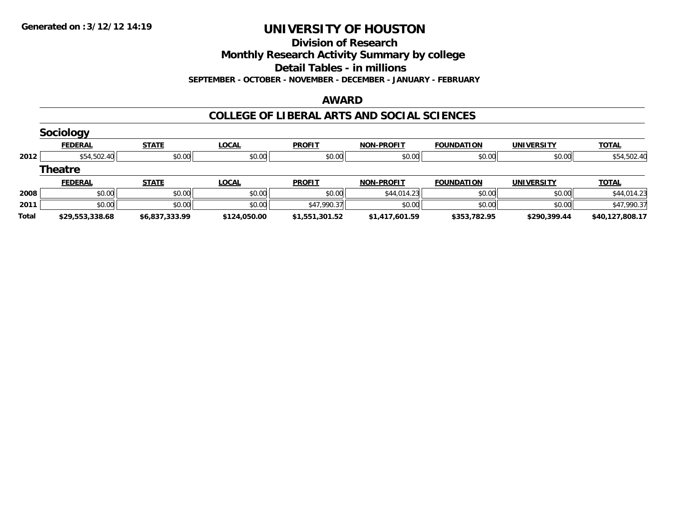#### **Division of Research**

**Monthly Research Activity Summary by college**

**Detail Tables - in millions**

**SEPTEMBER - OCTOBER - NOVEMBER - DECEMBER - JANUARY - FEBRUARY**

#### **AWARD**

#### **COLLEGE OF LIBERAL ARTS AND SOCIAL SCIENCES**

|       | Sociology       |                |              |                |                   |                   |                   |                 |
|-------|-----------------|----------------|--------------|----------------|-------------------|-------------------|-------------------|-----------------|
|       | <b>FEDERAL</b>  | <b>STATE</b>   | <b>LOCAL</b> | <b>PROFIT</b>  | <b>NON-PROFIT</b> | <b>FOUNDATION</b> | <b>UNIVERSITY</b> | <b>TOTAL</b>    |
| 2012  | \$54,502.40     | \$0.00         | \$0.00       | \$0.00         | \$0.00            | \$0.00            | \$0.00            | \$54,502.40     |
|       | <b>Theatre</b>  |                |              |                |                   |                   |                   |                 |
|       | <b>FEDERAL</b>  | <b>STATE</b>   | <b>LOCAL</b> | <b>PROFIT</b>  | <b>NON-PROFIT</b> | <b>FOUNDATION</b> | <b>UNIVERSITY</b> | <b>TOTAL</b>    |
| 2008  | \$0.00          | \$0.00         | \$0.00       | \$0.00         | \$44,014.23       | \$0.00            | \$0.00            | \$44,014.23     |
| 2011  | \$0.00          | \$0.00         | \$0.00       | \$47,990.37    | \$0.00            | \$0.00            | \$0.00            | \$47,990.37     |
| Total | \$29,553,338.68 | \$6,837,333.99 | \$124,050.00 | \$1,551,301.52 | \$1,417,601.59    | \$353,782.95      | \$290,399.44      | \$40,127,808.17 |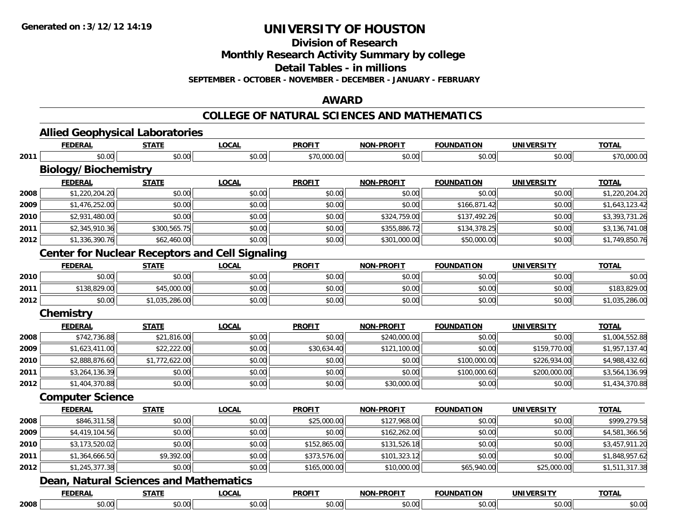**Division of Research**

**Monthly Research Activity Summary by college**

**Detail Tables - in millions**

**SEPTEMBER - OCTOBER - NOVEMBER - DECEMBER - JANUARY - FEBRUARY**

#### **AWARD**

#### **COLLEGE OF NATURAL SCIENCES AND MATHEMATICS**

|      |                             | <b>Allied Geophysical Laboratories</b>        |                                                        |               |                   |                   |                   |                |
|------|-----------------------------|-----------------------------------------------|--------------------------------------------------------|---------------|-------------------|-------------------|-------------------|----------------|
|      | <b>FEDERAL</b>              | <b>STATE</b>                                  | <b>LOCAL</b>                                           | <b>PROFIT</b> | <b>NON-PROFIT</b> | <b>FOUNDATION</b> | <b>UNIVERSITY</b> | <b>TOTAL</b>   |
| 2011 | \$0.00                      | \$0.00                                        | \$0.00                                                 | \$70,000.00   | \$0.00            | \$0.00            | \$0.00            | \$70,000.00    |
|      | <b>Biology/Biochemistry</b> |                                               |                                                        |               |                   |                   |                   |                |
|      | <b>FEDERAL</b>              | <b>STATE</b>                                  | <b>LOCAL</b>                                           | <b>PROFIT</b> | <b>NON-PROFIT</b> | <b>FOUNDATION</b> | <b>UNIVERSITY</b> | <b>TOTAL</b>   |
| 2008 | \$1,220,204.20              | \$0.00                                        | \$0.00                                                 | \$0.00        | \$0.00            | \$0.00            | \$0.00            | \$1,220,204.20 |
| 2009 | \$1,476,252.00              | \$0.00                                        | \$0.00                                                 | \$0.00        | \$0.00            | \$166,871.42      | \$0.00            | \$1,643,123.42 |
| 2010 | \$2,931,480.00              | \$0.00                                        | \$0.00                                                 | \$0.00        | \$324,759.00      | \$137,492.26      | \$0.00            | \$3,393,731.26 |
| 2011 | \$2,345,910.36              | \$300,565.75                                  | \$0.00                                                 | \$0.00        | \$355,886.72      | \$134,378.25      | \$0.00            | \$3,136,741.08 |
| 2012 | \$1,336,390.76              | \$62,460.00                                   | \$0.00                                                 | \$0.00        | \$301,000.00      | \$50,000.00       | \$0.00            | \$1,749,850.76 |
|      |                             |                                               | <b>Center for Nuclear Receptors and Cell Signaling</b> |               |                   |                   |                   |                |
|      | <b>FEDERAL</b>              | <b>STATE</b>                                  | <u>LOCAL</u>                                           | <b>PROFIT</b> | <b>NON-PROFIT</b> | <b>FOUNDATION</b> | <b>UNIVERSITY</b> | <b>TOTAL</b>   |
| 2010 | \$0.00                      | \$0.00                                        | \$0.00                                                 | \$0.00        | \$0.00            | \$0.00            | \$0.00            | \$0.00         |
| 2011 | \$138,829.00                | \$45,000.00                                   | \$0.00                                                 | \$0.00        | \$0.00            | \$0.00            | \$0.00            | \$183,829.00   |
| 2012 | \$0.00                      | \$1,035,286.00                                | \$0.00                                                 | \$0.00        | \$0.00            | \$0.00            | \$0.00            | \$1,035,286.00 |
|      | Chemistry                   |                                               |                                                        |               |                   |                   |                   |                |
|      | <b>FEDERAL</b>              | <b>STATE</b>                                  | <b>LOCAL</b>                                           | <b>PROFIT</b> | <b>NON-PROFIT</b> | <b>FOUNDATION</b> | <b>UNIVERSITY</b> | <b>TOTAL</b>   |
| 2008 | \$742,736.88                | \$21,816.00                                   | \$0.00                                                 | \$0.00        | \$240,000.00      | \$0.00            | \$0.00            | \$1,004,552.88 |
| 2009 | \$1,623,411.00              | \$22,222.00                                   | \$0.00                                                 | \$30,634.40   | \$121,100.00      | \$0.00            | \$159,770.00      | \$1,957,137.40 |
| 2010 | \$2,888,876.60              | \$1,772,622.00                                | \$0.00                                                 | \$0.00        | \$0.00            | \$100,000.00      | \$226,934.00      | \$4,988,432.60 |
| 2011 | \$3,264,136.39              | \$0.00                                        | \$0.00                                                 | \$0.00        | \$0.00            | \$100,000.60      | \$200,000.00      | \$3,564,136.99 |
| 2012 | \$1,404,370.88              | \$0.00                                        | \$0.00                                                 | \$0.00        | \$30,000.00       | \$0.00            | \$0.00            | \$1,434,370.88 |
|      | <b>Computer Science</b>     |                                               |                                                        |               |                   |                   |                   |                |
|      | <b>FEDERAL</b>              | <b>STATE</b>                                  | <b>LOCAL</b>                                           | <b>PROFIT</b> | NON-PROFIT        | <b>FOUNDATION</b> | <b>UNIVERSITY</b> | <b>TOTAL</b>   |
| 2008 | \$846,311.58                | \$0.00                                        | \$0.00                                                 | \$25,000.00   | \$127,968.00      | \$0.00            | \$0.00            | \$999,279.58   |
| 2009 | \$4,419,104.56              | \$0.00                                        | \$0.00                                                 | \$0.00        | \$162,262.00      | \$0.00            | \$0.00            | \$4,581,366.56 |
| 2010 | \$3,173,520.02              | \$0.00                                        | \$0.00                                                 | \$152,865.00  | \$131,526.18      | \$0.00            | \$0.00            | \$3,457,911.20 |
| 2011 | \$1,364,666.50              | \$9,392.00                                    | \$0.00                                                 | \$373,576.00  | \$101,323.12      | \$0.00            | \$0.00            | \$1,848,957.62 |
| 2012 | \$1,245,377.38              | \$0.00                                        | \$0.00                                                 | \$165,000.00  | \$10,000.00       | \$65,940.00       | \$25,000.00       | \$1,511,317.38 |
|      |                             | <b>Dean, Natural Sciences and Mathematics</b> |                                                        |               |                   |                   |                   |                |
|      | <b>FEDERAL</b>              | <b>STATE</b>                                  | <b>LOCAL</b>                                           | <b>PROFIT</b> | <b>NON-PROFIT</b> | <b>FOUNDATION</b> | <b>UNIVERSITY</b> | <b>TOTAL</b>   |
|      |                             |                                               |                                                        |               |                   |                   |                   |                |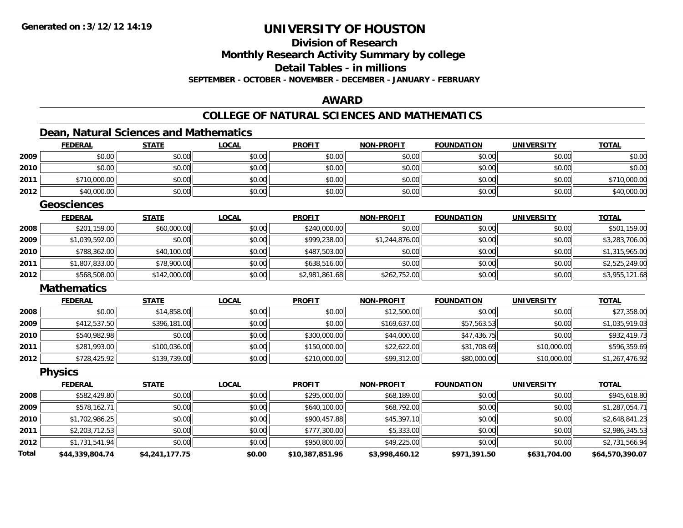### **Division of Research**

**Monthly Research Activity Summary by college**

**Detail Tables - in millions**

**SEPTEMBER - OCTOBER - NOVEMBER - DECEMBER - JANUARY - FEBRUARY**

#### **AWARD**

### **COLLEGE OF NATURAL SCIENCES AND MATHEMATICS**

#### **Dean, Natural Sciences and Mathematics**

|              | <b>FEDERAL</b>     | <b>STATE</b>   | <b>LOCAL</b> | <b>PROFIT</b>   | <b>NON-PROFIT</b> | <b>FOUNDATION</b> | <b>UNIVERSITY</b> | <b>TOTAL</b>    |
|--------------|--------------------|----------------|--------------|-----------------|-------------------|-------------------|-------------------|-----------------|
| 2009         | \$0.00             | \$0.00         | \$0.00       | \$0.00          | \$0.00            | \$0.00            | \$0.00            | \$0.00          |
| 2010         | \$0.00             | \$0.00         | \$0.00       | \$0.00          | \$0.00            | \$0.00            | \$0.00            | \$0.00          |
| 2011         | \$710,000.00       | \$0.00         | \$0.00       | \$0.00          | \$0.00            | \$0.00            | \$0.00            | \$710,000.00    |
| 2012         | \$40,000.00        | \$0.00         | \$0.00       | \$0.00          | \$0.00            | \$0.00            | \$0.00            | \$40,000.00     |
|              | <b>Geosciences</b> |                |              |                 |                   |                   |                   |                 |
|              | <b>FEDERAL</b>     | <b>STATE</b>   | <b>LOCAL</b> | <b>PROFIT</b>   | <b>NON-PROFIT</b> | <b>FOUNDATION</b> | <b>UNIVERSITY</b> | <b>TOTAL</b>    |
| 2008         | \$201,159.00       | \$60,000.00    | \$0.00       | \$240,000.00    | \$0.00            | \$0.00            | \$0.00            | \$501,159.00    |
| 2009         | \$1,039,592.00     | \$0.00         | \$0.00       | \$999,238.00    | \$1,244,876.00    | \$0.00            | \$0.00            | \$3,283,706.00  |
| 2010         | \$788,362.00       | \$40,100.00    | \$0.00       | \$487,503.00    | \$0.00            | \$0.00            | \$0.00            | \$1,315,965.00  |
| 2011         | \$1,807,833.00     | \$78,900.00    | \$0.00       | \$638,516.00    | \$0.00            | \$0.00            | \$0.00            | \$2,525,249.00  |
| 2012         | \$568,508.00       | \$142,000.00   | \$0.00       | \$2,981,861.68  | \$262,752.00      | \$0.00            | \$0.00            | \$3,955,121.68  |
|              | <b>Mathematics</b> |                |              |                 |                   |                   |                   |                 |
|              | <b>FEDERAL</b>     | <b>STATE</b>   | <b>LOCAL</b> | <b>PROFIT</b>   | <b>NON-PROFIT</b> | <b>FOUNDATION</b> | <b>UNIVERSITY</b> | <b>TOTAL</b>    |
| 2008         | \$0.00             | \$14,858.00    | \$0.00       | \$0.00          | \$12,500.00       | \$0.00            | \$0.00            | \$27,358.00     |
| 2009         | \$412,537.50       | \$396,181.00   | \$0.00       | \$0.00          | \$169,637.00      | \$57,563.53       | \$0.00            | \$1,035,919.03  |
| 2010         | \$540,982.98       | \$0.00         | \$0.00       | \$300,000.00    | \$44,000.00       | \$47,436.75       | \$0.00            | \$932,419.73    |
| 2011         | \$281,993.00       | \$100,036.00   | \$0.00       | \$150,000.00    | \$22,622.00       | \$31,708.69       | \$10,000.00       | \$596,359.69    |
| 2012         | \$728,425.92       | \$139,739.00   | \$0.00       | \$210,000.00    | \$99,312.00       | \$80,000.00       | \$10,000.00       | \$1,267,476.92  |
|              | <b>Physics</b>     |                |              |                 |                   |                   |                   |                 |
|              | <b>FEDERAL</b>     | <b>STATE</b>   | <b>LOCAL</b> | <b>PROFIT</b>   | <b>NON-PROFIT</b> | <b>FOUNDATION</b> | <b>UNIVERSITY</b> | <b>TOTAL</b>    |
| 2008         | \$582,429.80       | \$0.00         | \$0.00       | \$295,000.00    | \$68,189.00       | \$0.00            | \$0.00            | \$945,618.80    |
| 2009         | \$578,162.71       | \$0.00         | \$0.00       | \$640,100.00    | \$68,792.00       | \$0.00            | \$0.00            | \$1,287,054.71  |
| 2010         | \$1,702,986.25     | \$0.00         | \$0.00       | \$900,457.88    | \$45,397.10       | \$0.00            | \$0.00            | \$2,648,841.23  |
| 2011         | \$2,203,712.53     | \$0.00         | \$0.00       | \$777,300.00    | \$5,333.00        | \$0.00            | \$0.00            | \$2,986,345.53  |
| 2012         | \$1,731,541.94     | \$0.00         | \$0.00       | \$950,800.00    | \$49,225.00       | \$0.00            | \$0.00            | \$2,731,566.94  |
| <b>Total</b> | \$44,339,804.74    | \$4,241,177.75 | \$0.00       | \$10,387,851.96 | \$3,998,460.12    | \$971,391.50      | \$631,704.00      | \$64,570,390.07 |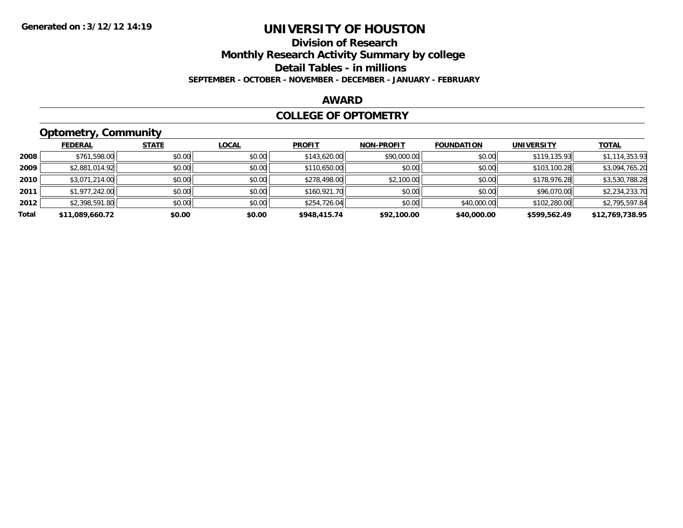#### **Division of Research**

**Monthly Research Activity Summary by college**

**Detail Tables - in millions**

**SEPTEMBER - OCTOBER - NOVEMBER - DECEMBER - JANUARY - FEBRUARY**

#### **AWARD**

#### **COLLEGE OF OPTOMETRY**

### **Optometry, Community**

|       | ___             |              |              |               |                   |                   |                   |                 |
|-------|-----------------|--------------|--------------|---------------|-------------------|-------------------|-------------------|-----------------|
|       | <b>FEDERAL</b>  | <b>STATE</b> | <b>LOCAL</b> | <b>PROFIT</b> | <b>NON-PROFIT</b> | <b>FOUNDATION</b> | <b>UNIVERSITY</b> | <b>TOTAL</b>    |
| 2008  | \$761,598.00    | \$0.00       | \$0.00       | \$143,620.00  | \$90,000.00       | \$0.00            | \$119.135.93      | \$1,114,353.93  |
| 2009  | \$2,881,014.92  | \$0.00       | \$0.00       | \$110,650.00  | \$0.00            | \$0.00            | \$103,100.28      | \$3,094,765.20  |
| 2010  | \$3,071,214.00  | \$0.00       | \$0.00       | \$278,498.00  | \$2,100.00        | \$0.00            | \$178,976.28      | \$3,530,788.28  |
| 2011  | \$1,977,242.00  | \$0.00       | \$0.00       | \$160,921.70  | \$0.00            | \$0.00            | \$96,070.00       | \$2,234,233.70  |
| 2012  | \$2,398,591.80  | \$0.00       | \$0.00       | \$254,726.04  | \$0.00            | \$40,000.00       | \$102,280.00      | \$2,795,597.84  |
| Total | \$11,089,660.72 | \$0.00       | \$0.00       | \$948,415.74  | \$92,100.00       | \$40,000.00       | \$599,562.49      | \$12,769,738.95 |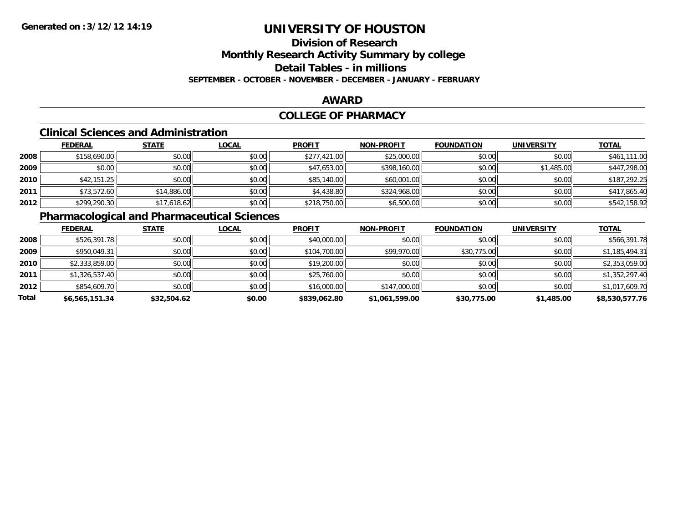# **Division of Research**

**Monthly Research Activity Summary by college**

**Detail Tables - in millions**

**SEPTEMBER - OCTOBER - NOVEMBER - DECEMBER - JANUARY - FEBRUARY**

#### **AWARD**

#### **COLLEGE OF PHARMACY**

#### **Clinical Sciences and Administration**

|      | <b>FEDERAL</b> | <b>STATE</b> | <u>LOCAL</u> | <b>PROFIT</b> | <b>NON-PROFIT</b> | <b>FOUNDATION</b> | <b>UNIVERSITY</b> | <b>TOTAL</b> |
|------|----------------|--------------|--------------|---------------|-------------------|-------------------|-------------------|--------------|
| 2008 | \$158,690.00   | \$0.00       | \$0.00       | \$277,421.00  | \$25,000.00       | \$0.00            | \$0.00            | \$461,111.00 |
| 2009 | \$0.00         | \$0.00       | \$0.00       | \$47,653.00   | \$398,160.00      | \$0.00            | \$1,485.00        | \$447,298.00 |
| 2010 | \$42,151.25    | \$0.00       | \$0.00       | \$85,140.00   | \$60,001.00       | \$0.00            | \$0.00            | \$187,292.25 |
| 2011 | \$73,572.60    | \$14,886.00  | \$0.00       | \$4,438.80    | \$324,968.00      | \$0.00            | \$0.00            | \$417,865.40 |
| 2012 | \$299,290.30   | \$17,618.62  | \$0.00       | \$218,750.00  | \$6,500.00        | \$0.00            | \$0.00            | \$542,158.92 |

### **Pharmacological and Pharmaceutical Sciences**

|       | <b>FEDERAL</b> | <b>STATE</b> | <b>LOCAL</b> | <b>PROFIT</b> | <b>NON-PROFIT</b> | <b>FOUNDATION</b> | <b>UNIVERSITY</b> | <b>TOTAL</b>   |
|-------|----------------|--------------|--------------|---------------|-------------------|-------------------|-------------------|----------------|
| 2008  | \$526,391.78   | \$0.00       | \$0.00       | \$40,000.00   | \$0.00            | \$0.00            | \$0.00            | \$566,391.78   |
| 2009  | \$950,049.31   | \$0.00       | \$0.00       | \$104,700.00  | \$99,970.00       | \$30,775.00       | \$0.00            | \$1,185,494.31 |
| 2010  | \$2,333,859.00 | \$0.00       | \$0.00       | \$19,200.00   | \$0.00            | \$0.00            | \$0.00            | \$2,353,059.00 |
| 2011  | \$1,326,537.40 | \$0.00       | \$0.00       | \$25,760.00   | \$0.00            | \$0.00            | \$0.00            | \$1,352,297.40 |
| 2012  | \$854,609.70   | \$0.00       | \$0.00       | \$16,000.00   | \$147,000.00      | \$0.00            | \$0.00            | \$1,017,609.70 |
| Total | \$6,565,151.34 | \$32,504.62  | \$0.00       | \$839,062.80  | \$1,061,599.00    | \$30,775.00       | \$1,485.00        | \$8,530,577.76 |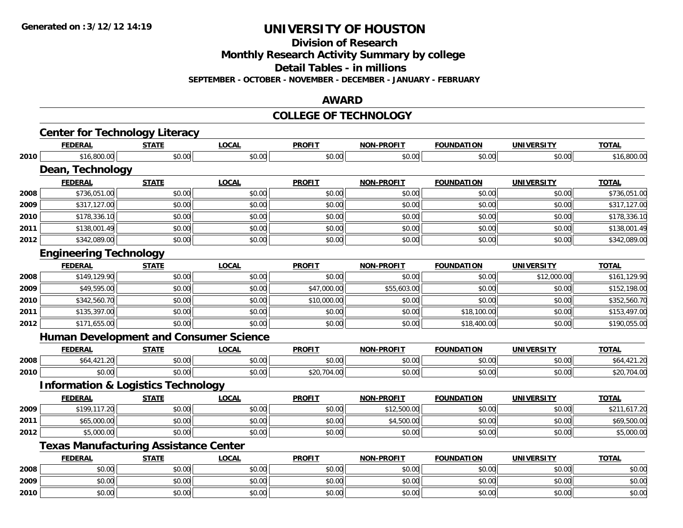**Division of Research**

**Monthly Research Activity Summary by college**

**Detail Tables - in millions**

**SEPTEMBER - OCTOBER - NOVEMBER - DECEMBER - JANUARY - FEBRUARY**

#### **AWARD**

#### **COLLEGE OF TECHNOLOGY**

|      | <b>Center for Technology Literacy</b>         |              |              |               |                   |                   |                   |              |
|------|-----------------------------------------------|--------------|--------------|---------------|-------------------|-------------------|-------------------|--------------|
|      | <b>FEDERAL</b>                                | <b>STATE</b> | <b>LOCAL</b> | <b>PROFIT</b> | <b>NON-PROFIT</b> | <b>FOUNDATION</b> | <b>UNIVERSITY</b> | <b>TOTAL</b> |
| 2010 | \$16,800.00                                   | \$0.00       | \$0.00       | \$0.00        | \$0.00            | \$0.00            | \$0.00            | \$16,800.00  |
|      | Dean, Technology                              |              |              |               |                   |                   |                   |              |
|      | <b>FEDERAL</b>                                | <b>STATE</b> | <b>LOCAL</b> | <b>PROFIT</b> | <b>NON-PROFIT</b> | <b>FOUNDATION</b> | <b>UNIVERSITY</b> | <b>TOTAL</b> |
| 2008 | \$736,051.00                                  | \$0.00       | \$0.00       | \$0.00        | \$0.00            | \$0.00            | \$0.00            | \$736,051.00 |
| 2009 | \$317,127.00                                  | \$0.00       | \$0.00       | \$0.00        | \$0.00            | \$0.00            | \$0.00            | \$317,127.00 |
| 2010 | \$178,336.10                                  | \$0.00       | \$0.00       | \$0.00        | \$0.00            | \$0.00            | \$0.00            | \$178,336.10 |
| 2011 | \$138,001.49                                  | \$0.00       | \$0.00       | \$0.00        | \$0.00            | \$0.00            | \$0.00            | \$138,001.49 |
| 2012 | \$342,089.00                                  | \$0.00       | \$0.00       | \$0.00        | \$0.00            | \$0.00            | \$0.00            | \$342,089.00 |
|      | <b>Engineering Technology</b>                 |              |              |               |                   |                   |                   |              |
|      | <b>FEDERAL</b>                                | <b>STATE</b> | <b>LOCAL</b> | <b>PROFIT</b> | <b>NON-PROFIT</b> | <b>FOUNDATION</b> | <b>UNIVERSITY</b> | <b>TOTAL</b> |
| 2008 | \$149,129.90                                  | \$0.00       | \$0.00       | \$0.00        | \$0.00            | \$0.00            | \$12,000.00       | \$161,129.90 |
| 2009 | \$49,595.00                                   | \$0.00       | \$0.00       | \$47,000.00   | \$55,603.00       | \$0.00            | \$0.00            | \$152,198.00 |
| 2010 | \$342,560.70                                  | \$0.00       | \$0.00       | \$10,000.00   | \$0.00            | \$0.00            | \$0.00            | \$352,560.70 |
| 2011 | \$135,397.00                                  | \$0.00       | \$0.00       | \$0.00        | \$0.00            | \$18,100.00       | \$0.00            | \$153,497.00 |
| 2012 | \$171,655.00                                  | \$0.00       | \$0.00       | \$0.00        | \$0.00            | \$18,400.00       | \$0.00            | \$190,055.00 |
|      | <b>Human Development and Consumer Science</b> |              |              |               |                   |                   |                   |              |
|      | <b>FEDERAL</b>                                | <b>STATE</b> | <b>LOCAL</b> | <b>PROFIT</b> | <b>NON-PROFIT</b> | <b>FOUNDATION</b> | <b>UNIVERSITY</b> | <b>TOTAL</b> |
| 2008 | \$64,421.20                                   | \$0.00       | \$0.00       | \$0.00        | \$0.00            | \$0.00            | \$0.00            | \$64,421.20  |
| 2010 | \$0.00                                        | \$0.00       | \$0.00       | \$20,704.00   | \$0.00            | \$0.00            | \$0.00            | \$20,704.00  |
|      | <b>Information &amp; Logistics Technology</b> |              |              |               |                   |                   |                   |              |
|      | <b>FEDERAL</b>                                | <b>STATE</b> | <b>LOCAL</b> | <b>PROFIT</b> | <b>NON-PROFIT</b> | <b>FOUNDATION</b> | <b>UNIVERSITY</b> | <b>TOTAL</b> |
| 2009 | \$199,117.20                                  | \$0.00       | \$0.00       | \$0.00        | \$12,500.00       | \$0.00            | \$0.00            | \$211,617.20 |
| 2011 | \$65,000.00                                   | \$0.00       | \$0.00       | \$0.00        | \$4,500.00        | \$0.00            | \$0.00            | \$69,500.00  |
| 2012 | \$5,000.00                                    | \$0.00       | \$0.00       | \$0.00        | \$0.00            | \$0.00            | \$0.00            | \$5,000.00   |
|      | <b>Texas Manufacturing Assistance Center</b>  |              |              |               |                   |                   |                   |              |
|      | <b>FEDERAL</b>                                | <b>STATE</b> | <b>LOCAL</b> | <b>PROFIT</b> | <b>NON-PROFIT</b> | <b>FOUNDATION</b> | <b>UNIVERSITY</b> | <b>TOTAL</b> |
| 2008 | \$0.00                                        | \$0.00       | \$0.00       | \$0.00        | \$0.00            | \$0.00            | \$0.00            | \$0.00       |
| 2009 | \$0.00                                        | \$0.00       | \$0.00       | \$0.00        | \$0.00            | \$0.00            | \$0.00            | \$0.00       |
| 2010 | \$0.00                                        | \$0.00       | \$0.00       | \$0.00        | \$0.00            | \$0.00            | \$0.00            | \$0.00       |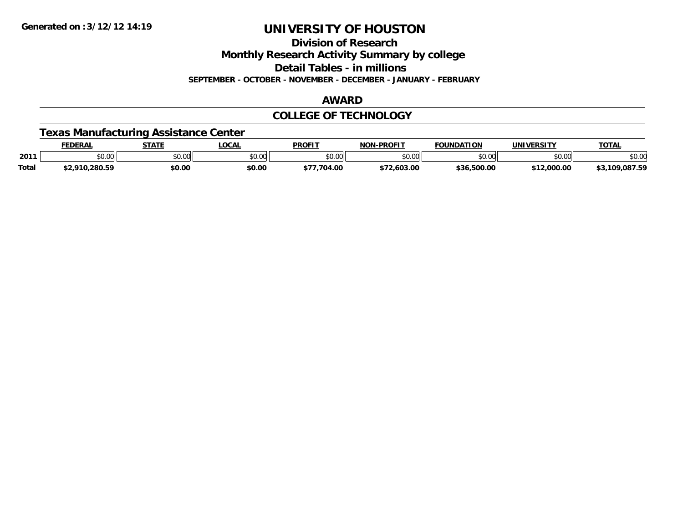**Division of Research**

**Monthly Research Activity Summary by college**

**Detail Tables - in millions**

**SEPTEMBER - OCTOBER - NOVEMBER - DECEMBER - JANUARY - FEBRUARY**

#### **AWARD**

#### **COLLEGE OF TECHNOLOGY**

### **Texas Manufacturing Assistance Center**

|              | <b>EDERAL</b> | <b>STATE</b>           | <b>LOCAL</b>  | <b>PROFIT</b>  | -PROFIT<br><b>NON</b> | <b>FOUNDATION</b> | <b>UNIVERSITY</b> | <b>TOTAL</b>       |
|--------------|---------------|------------------------|---------------|----------------|-----------------------|-------------------|-------------------|--------------------|
| 2011         | \$0.00        | $\sim$ $\sim$<br>JU.UU | 0000<br>งบ.บบ | ልስ ሰሰ<br>JU.UU | \$0.00                | nn nn<br>JU.UU    | \$0.00            | \$0.00             |
| <b>Total</b> | 2.910.280.59  | \$0.00                 | \$0.00        | .704.00        | 2,603.00<br>ሖግጣ       | ベマム<br>500.00,د   | \$12,000.00       | ,087.59<br>\$3.10° |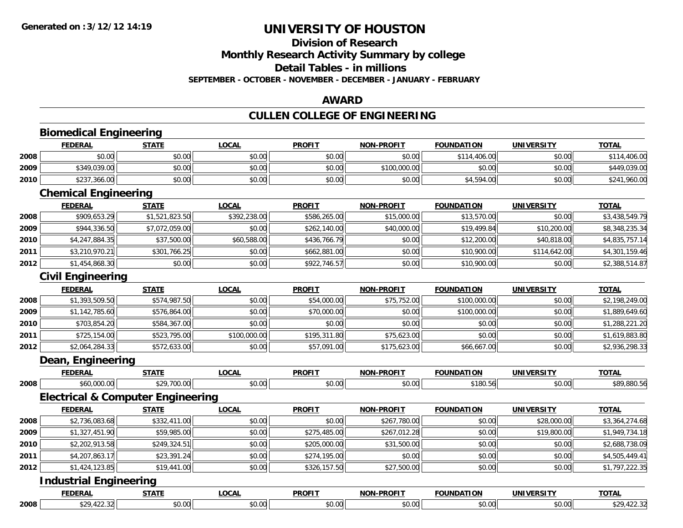### **Division of Research**

**Monthly Research Activity Summary by college**

**Detail Tables - in millions**

**SEPTEMBER - OCTOBER - NOVEMBER - DECEMBER - JANUARY - FEBRUARY**

#### **AWARD**

### **CULLEN COLLEGE OF ENGINEERING**

|      | <b>Biomedical Engineering</b> |                                              |              |               |                   |                   |                   |                |
|------|-------------------------------|----------------------------------------------|--------------|---------------|-------------------|-------------------|-------------------|----------------|
|      | <b>FEDERAL</b>                | <b>STATE</b>                                 | <b>LOCAL</b> | <b>PROFIT</b> | <b>NON-PROFIT</b> | <b>FOUNDATION</b> | <b>UNIVERSITY</b> | <b>TOTAL</b>   |
| 2008 | \$0.00                        | \$0.00                                       | \$0.00       | \$0.00        | \$0.00            | \$114,406.00      | \$0.00            | \$114,406.00   |
| 2009 | \$349,039.00                  | \$0.00                                       | \$0.00       | \$0.00        | \$100,000.00      | \$0.00            | \$0.00            | \$449,039.00   |
| 2010 | \$237,366.00                  | \$0.00                                       | \$0.00       | \$0.00        | \$0.00            | \$4,594.00        | \$0.00            | \$241,960.00   |
|      | <b>Chemical Engineering</b>   |                                              |              |               |                   |                   |                   |                |
|      | <b>FEDERAL</b>                | <b>STATE</b>                                 | <b>LOCAL</b> | <b>PROFIT</b> | <b>NON-PROFIT</b> | <b>FOUNDATION</b> | <b>UNIVERSITY</b> | <b>TOTAL</b>   |
| 2008 | \$909,653.29                  | \$1,521,823.50                               | \$392,238.00 | \$586,265.00  | \$15,000.00       | \$13,570.00       | \$0.00            | \$3,438,549.79 |
| 2009 | \$944,336.50                  | \$7,072,059.00                               | \$0.00       | \$262,140.00  | \$40,000.00       | \$19,499.84       | \$10,200.00       | \$8,348,235.34 |
| 2010 | \$4,247,884.35                | \$37,500.00                                  | \$60,588.00  | \$436,766.79  | \$0.00            | \$12,200.00       | \$40,818.00       | \$4,835,757.14 |
| 2011 | \$3,210,970.21                | \$301,766.25                                 | \$0.00       | \$662,881.00  | \$0.00            | \$10,900.00       | \$114,642.00      | \$4,301,159.46 |
| 2012 | \$1,454,868.30                | \$0.00                                       | \$0.00       | \$922,746.57  | \$0.00            | \$10,900.00       | \$0.00            | \$2,388,514.87 |
|      | <b>Civil Engineering</b>      |                                              |              |               |                   |                   |                   |                |
|      | <b>FEDERAL</b>                | <b>STATE</b>                                 | <b>LOCAL</b> | <b>PROFIT</b> | <b>NON-PROFIT</b> | <b>FOUNDATION</b> | <b>UNIVERSITY</b> | <b>TOTAL</b>   |
| 2008 | \$1,393,509.50                | \$574,987.50                                 | \$0.00       | \$54,000.00   | \$75,752.00       | \$100,000.00      | \$0.00            | \$2,198,249.00 |
| 2009 | \$1,142,785.60                | \$576,864.00                                 | \$0.00       | \$70,000.00   | \$0.00            | \$100,000.00      | \$0.00            | \$1,889,649.60 |
| 2010 | \$703.854.20                  | \$584,367.00                                 | \$0.00       | \$0.00        | \$0.00            | \$0.00            | \$0.00            | \$1,288,221.20 |
| 2011 | \$725,154.00                  | \$523,795.00                                 | \$100,000.00 | \$195,311.80  | \$75,623.00       | \$0.00            | \$0.00            | \$1,619,883.80 |
| 2012 | \$2,064,284.33                | \$572,633.00                                 | \$0.00       | \$57,091.00   | \$175,623.00      | \$66,667.00       | \$0.00            | \$2,936,298.33 |
|      | Dean, Engineering             |                                              |              |               |                   |                   |                   |                |
|      | <b>FEDERAL</b>                | <b>STATE</b>                                 | <b>LOCAL</b> | <b>PROFIT</b> | <b>NON-PROFIT</b> | <b>FOUNDATION</b> | <b>UNIVERSITY</b> | <b>TOTAL</b>   |
| 2008 | \$60,000.00                   | \$29,700.00                                  | \$0.00       | \$0.00        | \$0.00            | \$180.56          | \$0.00            | \$89,880.56    |
|      |                               | <b>Electrical &amp; Computer Engineering</b> |              |               |                   |                   |                   |                |
|      | <b>FEDERAL</b>                | <b>STATE</b>                                 | LOCAL        | <b>PROFIT</b> | <b>NON-PROFIT</b> | <b>FOUNDATION</b> | <b>UNIVERSITY</b> | <b>TOTAL</b>   |
| 2008 | \$2,736,083.68                | \$332,411.00                                 | \$0.00       | \$0.00        | \$267,780.00      | \$0.00            | \$28,000.00       | \$3,364,274.68 |
| 2009 | \$1,327,451.90                | \$59,985.00                                  | \$0.00       | \$275,485.00  | \$267,012.28      | \$0.00            | \$19,800.00       | \$1,949,734.18 |
| 2010 | \$2,202,913.58                | \$249,324.51                                 | \$0.00       | \$205,000.00  | \$31,500.00       | \$0.00            | \$0.00            | \$2,688,738.09 |
| 2011 | \$4,207,863.17                | \$23,391.24                                  | \$0.00       | \$274,195.00  | \$0.00            | \$0.00            | \$0.00            | \$4,505,449.41 |
| 2012 | \$1,424,123.85                | \$19,441.00                                  | \$0.00       | \$326,157.50  | \$27,500.00       | \$0.00            | \$0.00            | \$1,797,222.35 |
|      | <b>Industrial Engineering</b> |                                              |              |               |                   |                   |                   |                |
|      | <b>FEDERAL</b>                | <b>STATE</b>                                 | <b>LOCAL</b> | <b>PROFIT</b> | <b>NON-PROFIT</b> | <b>FOUNDATION</b> | <b>UNIVERSITY</b> | <b>TOTAL</b>   |
| 2008 | \$29,422.32                   | \$0.00                                       | \$0.00       | \$0.00        | \$0.00            | \$0.00            | \$0.00            | \$29,422.32    |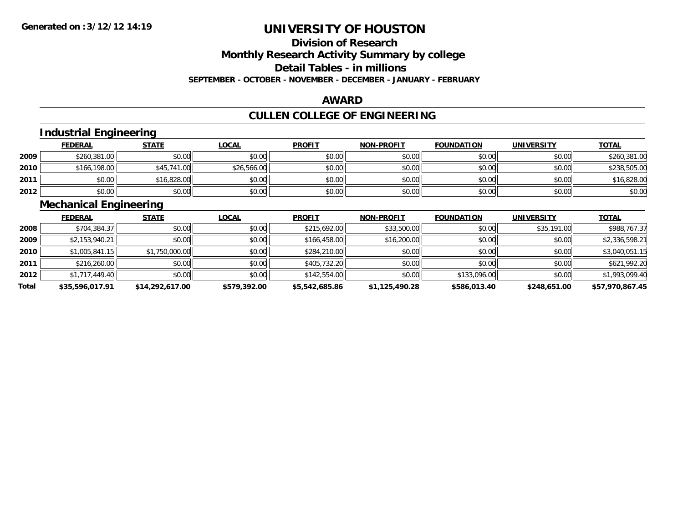# **Division of Research**

**Monthly Research Activity Summary by college**

**Detail Tables - in millions**

**SEPTEMBER - OCTOBER - NOVEMBER - DECEMBER - JANUARY - FEBRUARY**

#### **AWARD**

### **CULLEN COLLEGE OF ENGINEERING**

### **Industrial Engineering**

|      | <b>FEDERAL</b> | <b>STATE</b> | <u>LOCAL</u> | <b>PROFIT</b> | <b>NON-PROFIT</b> | <b>FOUNDATION</b> | <b>UNIVERSITY</b> | <b>TOTAL</b> |
|------|----------------|--------------|--------------|---------------|-------------------|-------------------|-------------------|--------------|
| 2009 | \$260,381.00   | \$0.00       | \$0.00       | \$0.00        | \$0.00            | \$0.00            | \$0.00            | \$260,381.00 |
| 2010 | \$166,198.00   | \$45,741.00  | \$26,566.00  | \$0.00        | \$0.00            | \$0.00            | \$0.00            | \$238,505.00 |
| 2011 | \$0.00         | \$16,828.00  | \$0.00       | \$0.00        | \$0.00            | \$0.00            | \$0.00            | \$16,828.00  |
| 2012 | \$0.00         | \$0.00       | \$0.00       | \$0.00        | \$0.00            | \$0.00            | \$0.00            | \$0.00       |

#### **Mechanical Engineering**

|       | <b>FEDERAL</b>  | <b>STATE</b>    | <b>LOCAL</b> | <b>PROFIT</b>  | <b>NON-PROFIT</b> | <b>FOUNDATION</b> | <b>UNIVERSITY</b> | <b>TOTAL</b>    |
|-------|-----------------|-----------------|--------------|----------------|-------------------|-------------------|-------------------|-----------------|
| 2008  | \$704,384.37    | \$0.00          | \$0.00       | \$215,692.00   | \$33,500.00       | \$0.00            | \$35,191.00       | \$988,767.37    |
| 2009  | \$2,153,940.21  | \$0.00          | \$0.00       | \$166,458.00   | \$16,200.00       | \$0.00            | \$0.00            | \$2,336,598.21  |
| 2010  | \$1,005,841.15  | \$1,750,000.00  | \$0.00       | \$284,210.00   | \$0.00            | \$0.00            | \$0.00            | \$3,040,051.15  |
| 2011  | \$216,260.00    | \$0.00          | \$0.00       | \$405,732.20   | \$0.00            | \$0.00            | \$0.00            | \$621,992.20    |
| 2012  | \$1,717,449.40  | \$0.00          | \$0.00       | \$142,554.00   | \$0.00            | \$133,096.00      | \$0.00            | \$1,993,099.40  |
| Total | \$35,596,017.91 | \$14,292,617.00 | \$579,392.00 | \$5,542,685.86 | \$1,125,490.28    | \$586,013.40      | \$248,651.00      | \$57,970,867.45 |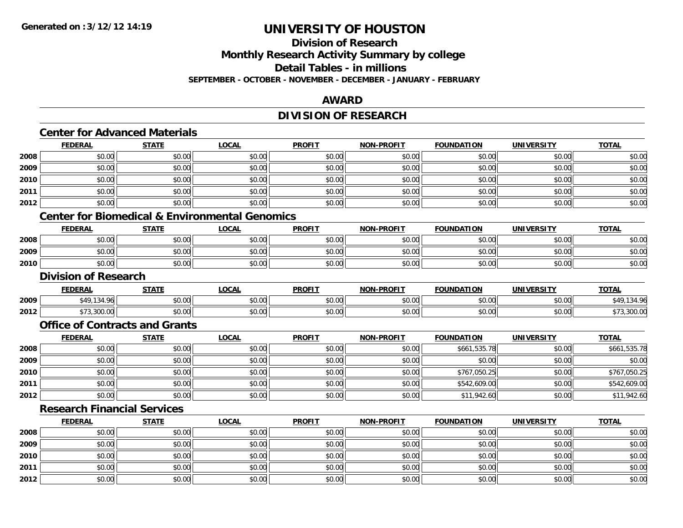**2012**

## **UNIVERSITY OF HOUSTON**

## **Division of Research**

**Monthly Research Activity Summary by college**

**Detail Tables - in millions**

**SEPTEMBER - OCTOBER - NOVEMBER - DECEMBER - JANUARY - FEBRUARY**

#### **AWARD**

### **DIVISION OF RESEARCH**

### **Center for Advanced Materials**

|      | <b>FEDERAL</b>                                            | <b>STATE</b> | <b>LOCAL</b> | <b>PROFIT</b> | <b>NON-PROFIT</b> | <b>FOUNDATION</b> | <b>UNIVERSITY</b> | <b>TOTAL</b> |
|------|-----------------------------------------------------------|--------------|--------------|---------------|-------------------|-------------------|-------------------|--------------|
| 2008 | \$0.00                                                    | \$0.00       | \$0.00       | \$0.00        | \$0.00            | \$0.00            | \$0.00            | \$0.00       |
| 2009 | \$0.00                                                    | \$0.00       | \$0.00       | \$0.00        | \$0.00            | \$0.00            | \$0.00            | \$0.00       |
| 2010 | \$0.00                                                    | \$0.00       | \$0.00       | \$0.00        | \$0.00            | \$0.00            | \$0.00            | \$0.00       |
| 2011 | \$0.00                                                    | \$0.00       | \$0.00       | \$0.00        | \$0.00            | \$0.00            | \$0.00            | \$0.00       |
| 2012 | \$0.00                                                    | \$0.00       | \$0.00       | \$0.00        | \$0.00            | \$0.00            | \$0.00            | \$0.00       |
|      | <b>Center for Biomedical &amp; Environmental Genomics</b> |              |              |               |                   |                   |                   |              |
|      | <b>FEDERAL</b>                                            | <b>STATE</b> | <b>LOCAL</b> | <b>PROFIT</b> | <b>NON-PROFIT</b> | <b>FOUNDATION</b> | <b>UNIVERSITY</b> | <b>TOTAL</b> |
| 2008 | \$0.00                                                    | \$0.00       | \$0.00       | \$0.00        | \$0.00            | \$0.00            | \$0.00            | \$0.00       |
| 2009 | \$0.00                                                    | \$0.00       | \$0.00       | \$0.00        | \$0.00            | \$0.00            | \$0.00            | \$0.00       |
| 2010 | \$0.00                                                    | \$0.00       | \$0.00       | \$0.00        | \$0.00            | \$0.00            | \$0.00            | \$0.00       |
|      | <b>Division of Research</b>                               |              |              |               |                   |                   |                   |              |
|      | <b>FEDERAL</b>                                            | <b>STATE</b> | <b>LOCAL</b> | <b>PROFIT</b> | <b>NON-PROFIT</b> | <b>FOUNDATION</b> | <b>UNIVERSITY</b> | <b>TOTAL</b> |
| 2009 | \$49,134.96                                               | \$0.00       | \$0.00       | \$0.00        | \$0.00            | \$0.00            | \$0.00            | \$49,134.96  |
| 2012 | \$73,300.00                                               | \$0.00       | \$0.00       | \$0.00        | \$0.00            | \$0.00            | \$0.00            | \$73,300.00  |
|      | <b>Office of Contracts and Grants</b>                     |              |              |               |                   |                   |                   |              |
|      | <b>FEDERAL</b>                                            | <b>STATE</b> | <b>LOCAL</b> | <b>PROFIT</b> | <b>NON-PROFIT</b> | <b>FOUNDATION</b> | <b>UNIVERSITY</b> | <b>TOTAL</b> |
| 2008 | \$0.00                                                    | \$0.00       | \$0.00       | \$0.00        | \$0.00            | \$661,535.78      | \$0.00            | \$661,535.78 |
| 2009 | \$0.00                                                    | \$0.00       | \$0.00       | \$0.00        | \$0.00            | \$0.00            | \$0.00            | \$0.00       |
| 2010 | \$0.00                                                    | \$0.00       | \$0.00       | \$0.00        | \$0.00            | \$767,050.25      | \$0.00            | \$767,050.25 |
| 2011 | \$0.00                                                    | \$0.00       | \$0.00       | \$0.00        | \$0.00            | \$542,609.00      | \$0.00            | \$542,609.00 |
| 2012 | \$0.00                                                    | \$0.00       | \$0.00       | \$0.00        | \$0.00            | \$11,942.60       | \$0.00            | \$11,942.60  |
|      | <b>Research Financial Services</b>                        |              |              |               |                   |                   |                   |              |
|      | <b>FEDERAL</b>                                            | <b>STATE</b> | <b>LOCAL</b> | <b>PROFIT</b> | <b>NON-PROFIT</b> | <b>FOUNDATION</b> | <b>UNIVERSITY</b> | <b>TOTAL</b> |
| 2008 | \$0.00                                                    | \$0.00       | \$0.00       | \$0.00        | \$0.00            | \$0.00            | \$0.00            | \$0.00       |
| 2009 | \$0.00                                                    | \$0.00       | \$0.00       | \$0.00        | \$0.00            | \$0.00            | \$0.00            | \$0.00       |
| 2010 | \$0.00                                                    | \$0.00       | \$0.00       | \$0.00        | \$0.00            | \$0.00            | \$0.00            | \$0.00       |
| 2011 | \$0.00                                                    | \$0.00       | \$0.00       | \$0.00        | \$0.00            | \$0.00            | \$0.00            | \$0.00       |

2 | \$0.00 \$0.00 \$0.00 \$0.00 \$0.00 \$0.00 \$0.00 \$0.00 \$0.00 \$0.00 \$0.00 \$0.00 \$0.00 \$0.00 \$0.00 \$0.00 \$0.00 \$0.0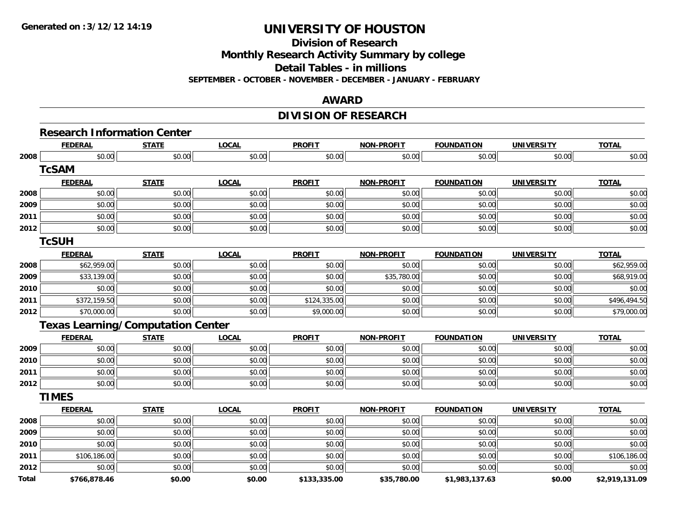**Division of Research**

**Monthly Research Activity Summary by college**

**Detail Tables - in millions**

**SEPTEMBER - OCTOBER - NOVEMBER - DECEMBER - JANUARY - FEBRUARY**

#### **AWARD**

### **DIVISION OF RESEARCH**

|              | <b>FEDERAL</b>                           | <b>STATE</b> | <b>LOCAL</b> | <b>PROFIT</b> | <b>NON-PROFIT</b> | <b>FOUNDATION</b> | <b>UNIVERSITY</b> | <b>TOTAL</b>   |
|--------------|------------------------------------------|--------------|--------------|---------------|-------------------|-------------------|-------------------|----------------|
| 2008         | \$0.00                                   | \$0.00       | \$0.00       | \$0.00        | \$0.00            | \$0.00            | \$0.00            | \$0.00         |
|              | <b>TcSAM</b>                             |              |              |               |                   |                   |                   |                |
|              | <b>FEDERAL</b>                           | <b>STATE</b> | <b>LOCAL</b> | <b>PROFIT</b> | <b>NON-PROFIT</b> | <b>FOUNDATION</b> | <b>UNIVERSITY</b> | <b>TOTAL</b>   |
| 2008         | \$0.00                                   | \$0.00       | \$0.00       | \$0.00        | \$0.00            | \$0.00            | \$0.00            | \$0.00         |
| 2009         | \$0.00                                   | \$0.00       | \$0.00       | \$0.00        | \$0.00            | \$0.00            | \$0.00            | \$0.00         |
| 2011         | \$0.00                                   | \$0.00       | \$0.00       | \$0.00        | \$0.00            | \$0.00            | \$0.00            | \$0.00         |
| 2012         | \$0.00                                   | \$0.00       | \$0.00       | \$0.00        | \$0.00            | \$0.00            | \$0.00            | \$0.00         |
|              | <b>TcSUH</b>                             |              |              |               |                   |                   |                   |                |
|              | <b>FEDERAL</b>                           | <b>STATE</b> | <b>LOCAL</b> | <b>PROFIT</b> | <b>NON-PROFIT</b> | <b>FOUNDATION</b> | <b>UNIVERSITY</b> | <b>TOTAL</b>   |
| 2008         | \$62,959.00                              | \$0.00       | \$0.00       | \$0.00        | \$0.00            | \$0.00            | \$0.00            | \$62,959.00    |
| 2009         | \$33,139.00                              | \$0.00       | \$0.00       | \$0.00        | \$35,780.00       | \$0.00            | \$0.00            | \$68,919.00    |
| 2010         | \$0.00                                   | \$0.00       | \$0.00       | \$0.00        | \$0.00            | \$0.00            | \$0.00            | \$0.00         |
| 2011         | \$372,159.50                             | \$0.00       | \$0.00       | \$124,335.00  | \$0.00            | \$0.00            | \$0.00            | \$496,494.50   |
| 2012         | \$70,000.00                              | \$0.00       | \$0.00       | \$9,000.00    | \$0.00            | \$0.00            | \$0.00            | \$79,000.00    |
|              | <b>Texas Learning/Computation Center</b> |              |              |               |                   |                   |                   |                |
|              | <b>FEDERAL</b>                           | <b>STATE</b> | <b>LOCAL</b> | <b>PROFIT</b> | <b>NON-PROFIT</b> | <b>FOUNDATION</b> | <b>UNIVERSITY</b> | <b>TOTAL</b>   |
| 2009         | \$0.00                                   | \$0.00       | \$0.00       | \$0.00        | \$0.00            | \$0.00            | \$0.00            | \$0.00         |
| 2010         | \$0.00                                   | \$0.00       | \$0.00       | \$0.00        | \$0.00            | \$0.00            | \$0.00            | \$0.00         |
| 2011         | \$0.00                                   | \$0.00       | \$0.00       | \$0.00        | \$0.00            | \$0.00            | \$0.00            | \$0.00         |
| 2012         | \$0.00                                   | \$0.00       | \$0.00       | \$0.00        | \$0.00            | \$0.00            | \$0.00            | \$0.00         |
|              | <b>TIMES</b>                             |              |              |               |                   |                   |                   |                |
|              | <b>FEDERAL</b>                           | <b>STATE</b> | <b>LOCAL</b> | <b>PROFIT</b> | NON-PROFIT        | <b>FOUNDATION</b> | <b>UNIVERSITY</b> | <b>TOTAL</b>   |
| 2008         | \$0.00                                   | \$0.00       | \$0.00       | \$0.00        | \$0.00            | \$0.00            | \$0.00            | \$0.00         |
| 2009         | \$0.00                                   | \$0.00       | \$0.00       | \$0.00        | \$0.00            | \$0.00            | \$0.00            | \$0.00         |
| 2010         | \$0.00                                   | \$0.00       | \$0.00       | \$0.00        | \$0.00            | \$0.00            | \$0.00            | \$0.00         |
| 2011         | \$106,186.00                             | \$0.00       | \$0.00       | \$0.00        | \$0.00            | \$0.00            | \$0.00            | \$106,186.00   |
| 2012         | \$0.00                                   | \$0.00       | \$0.00       | \$0.00        | \$0.00            | \$0.00            | \$0.00            | \$0.00         |
| <b>Total</b> | \$766,878.46                             | \$0.00       | \$0.00       | \$133,335.00  | \$35,780.00       | \$1,983,137.63    | \$0.00            | \$2,919,131.09 |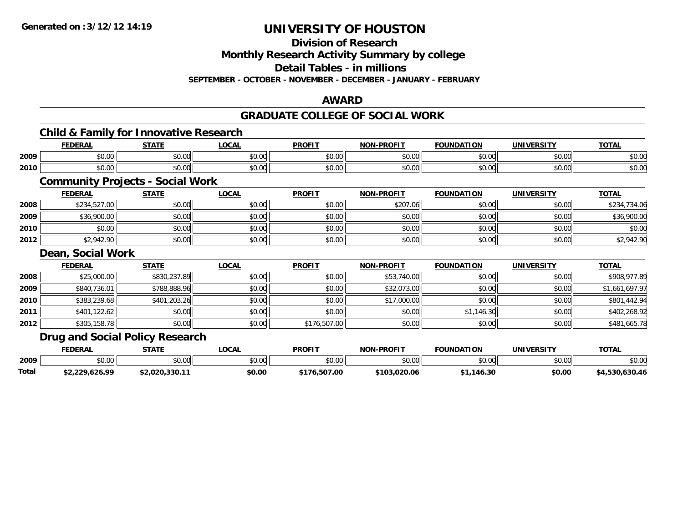**Total**

## **UNIVERSITY OF HOUSTON**

**Division of Research**

**Monthly Research Activity Summary by college**

**Detail Tables - in millions**

**SEPTEMBER - OCTOBER - NOVEMBER - DECEMBER - JANUARY - FEBRUARY**

#### **AWARD**

#### **GRADUATE COLLEGE OF SOCIAL WORK**

|      |                   | <b>Child &amp; Family for Innovative Research</b> |              |               |                   |                   |                   |                |
|------|-------------------|---------------------------------------------------|--------------|---------------|-------------------|-------------------|-------------------|----------------|
|      | <b>FEDERAL</b>    | <b>STATE</b>                                      | <b>LOCAL</b> | <b>PROFIT</b> | <b>NON-PROFIT</b> | <b>FOUNDATION</b> | <b>UNIVERSITY</b> | <b>TOTAL</b>   |
| 2009 | \$0.00            | \$0.00                                            | \$0.00       | \$0.00        | \$0.00            | \$0.00            | \$0.00            | \$0.00         |
| 2010 | \$0.00            | \$0.00                                            | \$0.00       | \$0.00        | \$0.00            | \$0.00            | \$0.00            | \$0.00         |
|      |                   | <b>Community Projects - Social Work</b>           |              |               |                   |                   |                   |                |
|      | <b>FEDERAL</b>    | <b>STATE</b>                                      | <b>LOCAL</b> | <b>PROFIT</b> | <b>NON-PROFIT</b> | <b>FOUNDATION</b> | <b>UNIVERSITY</b> | <b>TOTAL</b>   |
| 2008 | \$234,527.00      | \$0.00                                            | \$0.00       | \$0.00        | \$207.06          | \$0.00            | \$0.00            | \$234,734.06   |
| 2009 | \$36,900.00       | \$0.00                                            | \$0.00       | \$0.00        | \$0.00            | \$0.00            | \$0.00            | \$36,900.00    |
| 2010 | \$0.00            | \$0.00                                            | \$0.00       | \$0.00        | \$0.00            | \$0.00            | \$0.00            | \$0.00         |
| 2012 | \$2,942.90        | \$0.00                                            | \$0.00       | \$0.00        | \$0.00            | \$0.00            | \$0.00            | \$2,942.90     |
|      | Dean, Social Work |                                                   |              |               |                   |                   |                   |                |
|      | <b>FEDERAL</b>    | <b>STATE</b>                                      | <b>LOCAL</b> | <b>PROFIT</b> | <b>NON-PROFIT</b> | <b>FOUNDATION</b> | <b>UNIVERSITY</b> | <b>TOTAL</b>   |
| 2008 | \$25,000.00       | \$830,237.89                                      | \$0.00       | \$0.00        | \$53,740.00       | \$0.00            | \$0.00            | \$908,977.89   |
| 2009 | \$840,736.01      | \$788,888.96                                      | \$0.00       | \$0.00        | \$32,073.00       | \$0.00            | \$0.00            | \$1,661,697.97 |
| 2010 | \$383,239.68      | \$401,203.26                                      | \$0.00       | \$0.00        | \$17,000.00       | \$0.00            | \$0.00            | \$801,442.94   |
| 2011 | \$401,122.62      | \$0.00                                            | \$0.00       | \$0.00        | \$0.00            | \$1,146.30        | \$0.00            | \$402,268.92   |
| 2012 | \$305,158.78      | \$0.00                                            | \$0.00       | \$176,507.00  | \$0.00            | \$0.00            | \$0.00            | \$481,665.78   |
|      |                   | <b>Drug and Social Policy Research</b>            |              |               |                   |                   |                   |                |
|      | <b>FEDERAL</b>    | <b>STATE</b>                                      | <b>LOCAL</b> | <b>PROFIT</b> | <b>NON-PROFIT</b> | <b>FOUNDATION</b> | <b>UNIVERSITY</b> | <b>TOTAL</b>   |
| 2009 | \$0.00            | \$0.00                                            | \$0.00       | \$0.00        | \$0.00            | \$0.00            | \$0.00            | \$0.00         |

**\$2,229,626.99 \$2,020,330.11 \$0.00 \$176,507.00 \$103,020.06 \$1,146.30 \$0.00 \$4,530,630.46**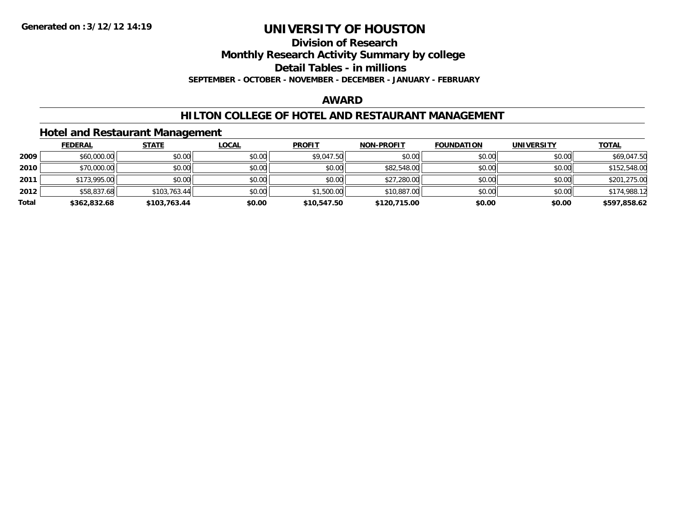#### **Division of Research**

**Monthly Research Activity Summary by college**

**Detail Tables - in millions**

**SEPTEMBER - OCTOBER - NOVEMBER - DECEMBER - JANUARY - FEBRUARY**

#### **AWARD**

#### **HILTON COLLEGE OF HOTEL AND RESTAURANT MANAGEMENT**

#### **Hotel and Restaurant Management**

|       | <b>FEDERAL</b> | <b>STATE</b> | <u>LOCAL</u> | <b>PROFIT</b> | <b>NON-PROFIT</b> | <b>FOUNDATION</b> | UNIVERSITY | <u>TOTAL</u> |
|-------|----------------|--------------|--------------|---------------|-------------------|-------------------|------------|--------------|
| 2009  | \$60,000.00    | \$0.00       | \$0.00       | \$9,047.50    | \$0.00            | \$0.00            | \$0.00     | \$69,047.50  |
| 2010  | \$70,000.00    | \$0.00       | \$0.00       | \$0.00        | \$82,548.00       | \$0.00            | \$0.00     | \$152,548.00 |
| 2011  | \$173,995.00   | \$0.00       | \$0.00       | \$0.00        | \$27,280.00       | \$0.00            | \$0.00     | \$201,275.00 |
| 2012  | \$58,837.68    | \$103,763.44 | \$0.00       | \$1,500.00    | \$10,887.00       | \$0.00            | \$0.00     | \$174,988.12 |
| Total | \$362,832.68   | \$103,763.44 | \$0.00       | \$10,547.50   | \$120,715.00      | \$0.00            | \$0.00     | \$597,858.62 |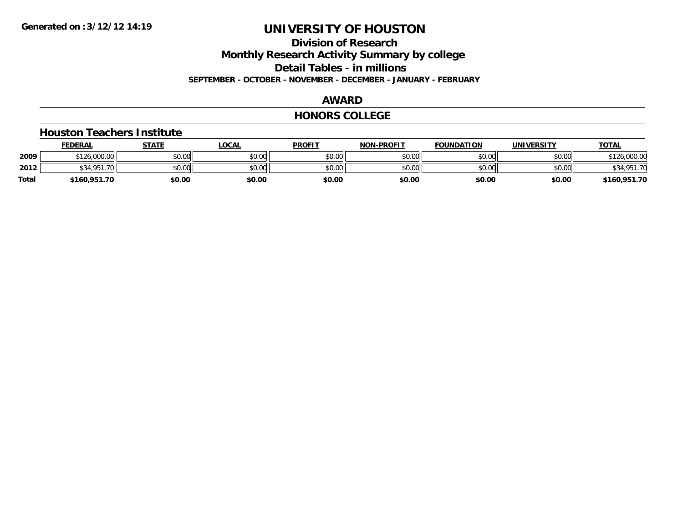### **Division of Research**

**Monthly Research Activity Summary by college**

**Detail Tables - in millions**

**SEPTEMBER - OCTOBER - NOVEMBER - DECEMBER - JANUARY - FEBRUARY**

#### **AWARD**

#### **HONORS COLLEGE**

#### **Houston Teachers Institute**

|       | <b>FEDERAL</b>   | STATE  | <b>LOCAL</b> | <b>PROFIT</b> | <b>NON-PROFIT</b> | <b>FOUNDATION</b> | UNIVERSITY | <b>TOTAL</b> |
|-------|------------------|--------|--------------|---------------|-------------------|-------------------|------------|--------------|
| 2009  | \$126,000.00     | \$0.00 | \$0.00       | \$0.00        | \$0.00            | \$0.00            | \$0.00     | 126,000.00   |
| 2012  | \$34.951.<br>.70 | \$0.00 | \$0.00       | \$0.00        | \$0.00            | \$0.00            | \$0.00     | \$34,951.70  |
| Total | \$160,951.70     | \$0.00 | \$0.00       | \$0.00        | \$0.00            | \$0.00            | \$0.00     | \$160,951.70 |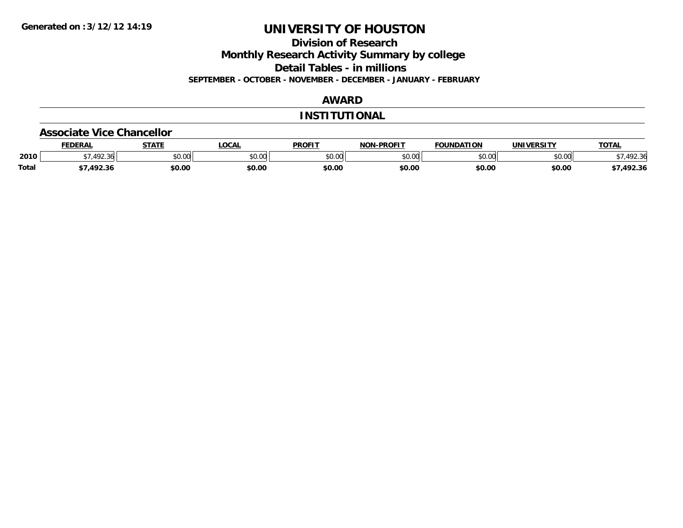**Division of Research**

**Monthly Research Activity Summary by college**

**Detail Tables - in millions**

**SEPTEMBER - OCTOBER - NOVEMBER - DECEMBER - JANUARY - FEBRUARY**

### **AWARD**

#### **INSTITUTIONAL**

#### **Associate Vice Chancellor**

|              | <b>FEDERAL</b> | <b>STATE</b> | <b>OCAL</b>   | <b>PROFIT</b> | <b>NON-PROFIT</b> | <b>FOUNDATION</b> | <b>UNIVERSITY</b> | <b>TOTAL</b> |
|--------------|----------------|--------------|---------------|---------------|-------------------|-------------------|-------------------|--------------|
| 2010         | .492.36        | \$0.00       | 0000<br>vu.uu | \$0.00        | ልስ ሰሰ<br>pu.uu    | \$0.00            | \$0.00            | 92.36        |
| <b>Total</b> | 1022           | \$0.00       | \$0.00        | \$0.00        | \$0.00            | \$0.00            | \$0.00            | /,492.36     |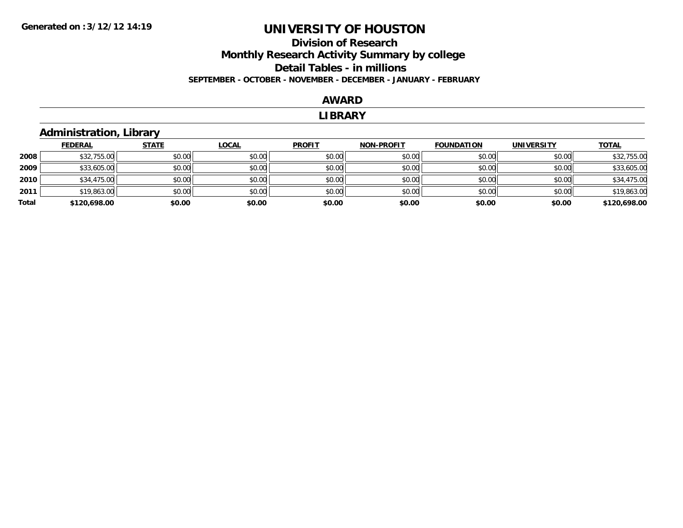### **Division of Research Monthly Research Activity Summary by college Detail Tables - in millions SEPTEMBER - OCTOBER - NOVEMBER - DECEMBER - JANUARY - FEBRUARY**

#### **AWARD**

#### **LIBRARY**

#### **Administration, Library**

|       | <b>FEDERAL</b> | <b>STATE</b> | <b>LOCAL</b> | <b>PROFIT</b> | <b>NON-PROFIT</b> | <b>FOUNDATION</b> | <b>UNIVERSITY</b> | <b>TOTAL</b> |
|-------|----------------|--------------|--------------|---------------|-------------------|-------------------|-------------------|--------------|
| 2008  | \$32,755.00    | \$0.00       | \$0.00       | \$0.00        | \$0.00            | \$0.00            | \$0.00            | \$32,755.00  |
| 2009  | \$33,605.00    | \$0.00       | \$0.00       | \$0.00        | \$0.00            | \$0.00            | \$0.00            | \$33,605.00  |
| 2010  | \$34,475.00    | \$0.00       | \$0.00       | \$0.00        | \$0.00            | \$0.00            | \$0.00            | \$34,475.00  |
| 2011  | \$19,863.00    | \$0.00       | \$0.00       | \$0.00        | \$0.00            | \$0.00            | \$0.00            | \$19,863.00  |
| Total | \$120,698.00   | \$0.00       | \$0.00       | \$0.00        | \$0.00            | \$0.00            | \$0.00            | \$120,698.00 |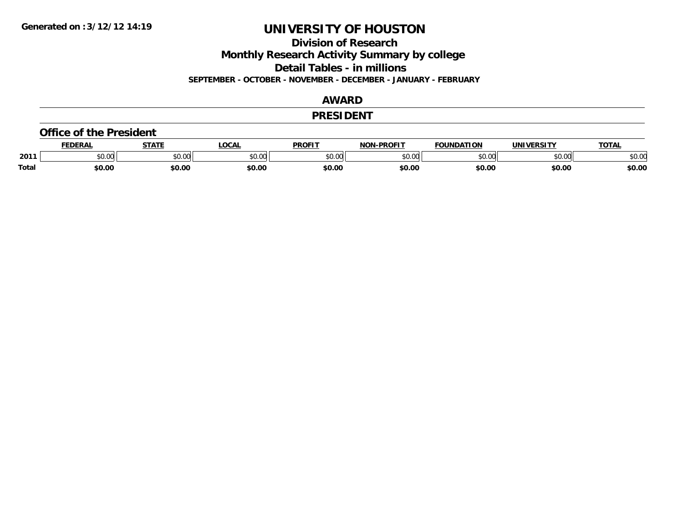**Division of Research**

**Monthly Research Activity Summary by college**

**Detail Tables - in millions**

**SEPTEMBER - OCTOBER - NOVEMBER - DECEMBER - JANUARY - FEBRUARY**

#### **AWARD**

#### **PRESIDENT**

#### **Office of the President**

|       | DERAI  | <b>STATE</b>             | <b>LOCAL</b>                                          | PROFIT        | -PROFIT<br>חרות | <b>NDATION</b><br><b>FAUR</b> | UNIVERSITY | TOTA.  |
|-------|--------|--------------------------|-------------------------------------------------------|---------------|-----------------|-------------------------------|------------|--------|
| 2011  | \$0.00 | $\sim$ 0.0 $\sim$<br>JU. | $\mathsf{A} \cap \mathsf{A} \cap \mathsf{A}$<br>50.Ul | 0000<br>JU.UU | 0000<br>,u.uu   | $n \cap \Omega$               | \$0.00     | \$0.00 |
| Total | \$0.00 | \$0.00                   | \$0.00                                                | \$0.00        | \$0.00          | \$0.00                        | \$0.00     | \$0.00 |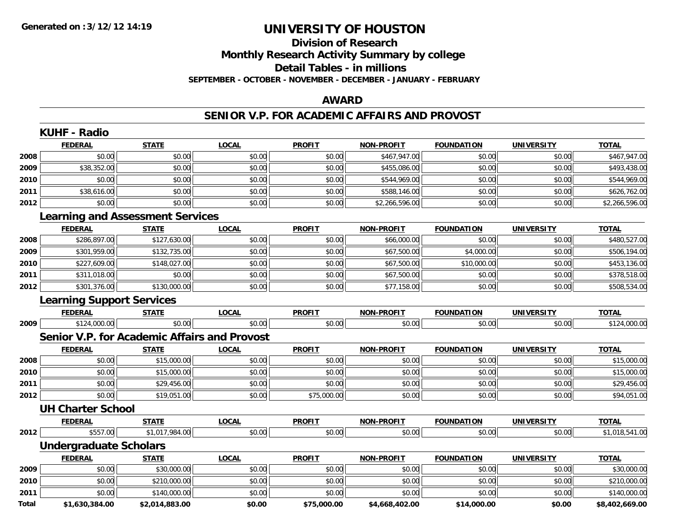#### **Division of Research Monthly Research Activity Summary by college Detail Tables - in millions SEPTEMBER - OCTOBER - NOVEMBER - DECEMBER - JANUARY - FEBRUARY**

#### **AWARD**

#### **SENIOR V.P. FOR ACADEMIC AFFAIRS AND PROVOST**

|       | <b>FEDERAL</b>                               | <b>STATE</b>   | <b>LOCAL</b> | <b>PROFIT</b> | <b>NON-PROFIT</b> | <b>FOUNDATION</b> | <b>UNIVERSITY</b> | <b>TOTAL</b>   |
|-------|----------------------------------------------|----------------|--------------|---------------|-------------------|-------------------|-------------------|----------------|
| 2008  | \$0.00                                       | \$0.00         | \$0.00       | \$0.00        | \$467,947.00      | \$0.00            | \$0.00            | \$467,947.00   |
| 2009  | \$38,352.00                                  | \$0.00         | \$0.00       | \$0.00        | \$455,086.00      | \$0.00            | \$0.00            | \$493,438.00   |
| 2010  | \$0.00                                       | \$0.00         | \$0.00       | \$0.00        | \$544,969.00      | \$0.00            | \$0.00            | \$544,969.00   |
| 2011  | \$38,616.00                                  | \$0.00         | \$0.00       | \$0.00        | \$588,146.00      | \$0.00            | \$0.00            | \$626,762.00   |
| 2012  | \$0.00                                       | \$0.00         | \$0.00       | \$0.00        | \$2,266,596.00    | \$0.00            | \$0.00            | \$2,266,596.00 |
|       | <b>Learning and Assessment Services</b>      |                |              |               |                   |                   |                   |                |
|       | <b>FEDERAL</b>                               | <b>STATE</b>   | <b>LOCAL</b> | <b>PROFIT</b> | <b>NON-PROFIT</b> | <b>FOUNDATION</b> | <b>UNIVERSITY</b> | <b>TOTAL</b>   |
| 2008  | \$286,897.00                                 | \$127,630.00   | \$0.00       | \$0.00        | \$66,000.00       | \$0.00            | \$0.00            | \$480,527.00   |
| 2009  | \$301,959.00                                 | \$132,735.00   | \$0.00       | \$0.00        | \$67,500.00       | \$4,000.00        | \$0.00            | \$506,194.00   |
| 2010  | \$227,609.00                                 | \$148,027.00   | \$0.00       | \$0.00        | \$67,500.00       | \$10,000.00       | \$0.00            | \$453,136.00   |
| 2011  | \$311,018.00                                 | \$0.00         | \$0.00       | \$0.00        | \$67,500.00       | \$0.00            | \$0.00            | \$378,518.00   |
| 2012  | \$301,376.00                                 | \$130,000.00   | \$0.00       | \$0.00        | \$77,158.00       | \$0.00            | \$0.00            | \$508,534.00   |
|       | <b>Learning Support Services</b>             |                |              |               |                   |                   |                   |                |
|       | <b>FEDERAL</b>                               | <b>STATE</b>   | <b>LOCAL</b> | <b>PROFIT</b> | <b>NON-PROFIT</b> | <b>FOUNDATION</b> | <b>UNIVERSITY</b> | <b>TOTAL</b>   |
| 2009  | \$124,000.00                                 | \$0.00         | \$0.00       | \$0.00        | \$0.00            | \$0.00            | \$0.00            | \$124,000.00   |
|       | Senior V.P. for Academic Affairs and Provost |                |              |               |                   |                   |                   |                |
|       | <b>FEDERAL</b>                               | <b>STATE</b>   | <b>LOCAL</b> | <b>PROFIT</b> | <b>NON-PROFIT</b> | <b>FOUNDATION</b> | <b>UNIVERSITY</b> | <b>TOTAL</b>   |
| 2008  | \$0.00                                       | \$15,000.00    | \$0.00       | \$0.00        | \$0.00            | \$0.00            | \$0.00            | \$15,000.00    |
| 2010  | \$0.00                                       | \$15,000.00    | \$0.00       | \$0.00        | \$0.00            | \$0.00            | \$0.00            | \$15,000.00    |
| 2011  | \$0.00                                       | \$29,456.00    | \$0.00       | \$0.00        | \$0.00            | \$0.00            | \$0.00            | \$29,456.00    |
| 2012  | \$0.00                                       | \$19,051.00    | \$0.00       | \$75,000.00   | \$0.00            | \$0.00            | \$0.00            | \$94,051.00    |
|       | <b>UH Charter School</b>                     |                |              |               |                   |                   |                   |                |
|       | <b>FEDERAL</b>                               | <b>STATE</b>   | <b>LOCAL</b> | <b>PROFIT</b> | <b>NON-PROFIT</b> | <b>FOUNDATION</b> | <b>UNIVERSITY</b> | <b>TOTAL</b>   |
| 2012  | \$557.00                                     | \$1,017,984.00 | \$0.00       | \$0.00        | \$0.00            | \$0.00            | \$0.00            | \$1,018,541.00 |
|       | <b>Undergraduate Scholars</b>                |                |              |               |                   |                   |                   |                |
|       | <b>FEDERAL</b>                               | <b>STATE</b>   | <b>LOCAL</b> | <b>PROFIT</b> | <b>NON-PROFIT</b> | <b>FOUNDATION</b> | <b>UNIVERSITY</b> | <b>TOTAL</b>   |
| 2009  | \$0.00                                       | \$30,000.00    | \$0.00       | \$0.00        | \$0.00            | \$0.00            | \$0.00            | \$30,000.00    |
| 2010  | \$0.00                                       | \$210,000.00   | \$0.00       | \$0.00        | \$0.00            | \$0.00            | \$0.00            | \$210,000.00   |
| 2011  | \$0.00                                       | \$140,000.00   | \$0.00       | \$0.00        | \$0.00            | \$0.00            | \$0.00            | \$140,000.00   |
| Total | \$1,630,384.00                               | \$2,014,883.00 | \$0.00       | \$75,000.00   | \$4,668,402.00    | \$14,000.00       | \$0.00            | \$8,402,669.00 |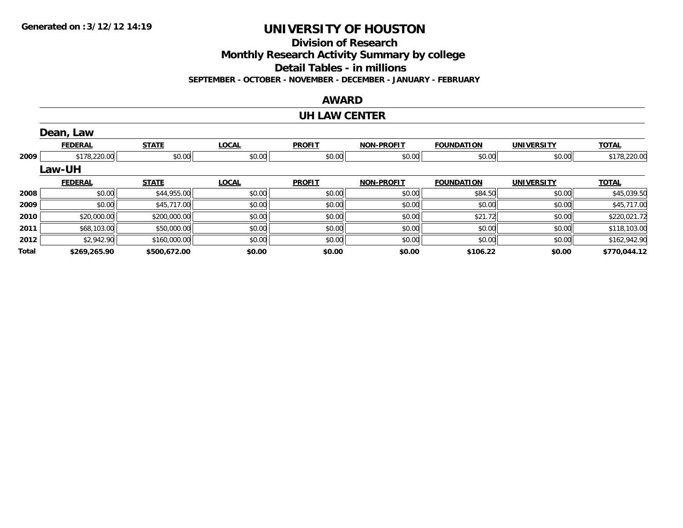**Division of Research**

**Monthly Research Activity Summary by college**

**Detail Tables - in millions**

**SEPTEMBER - OCTOBER - NOVEMBER - DECEMBER - JANUARY - FEBRUARY**

#### **AWARD**

#### **UH LAW CENTER**

|       | Dean, Law      |              |              |               |                   |                   |                   |              |
|-------|----------------|--------------|--------------|---------------|-------------------|-------------------|-------------------|--------------|
|       | <b>FEDERAL</b> | <b>STATE</b> | <b>LOCAL</b> | <b>PROFIT</b> | <b>NON-PROFIT</b> | <b>FOUNDATION</b> | <b>UNIVERSITY</b> | <b>TOTAL</b> |
| 2009  | \$178,220.00   | \$0.00       | \$0.00       | \$0.00        | \$0.00            | \$0.00            | \$0.00            | \$178,220.00 |
|       | <b>Law-UH</b>  |              |              |               |                   |                   |                   |              |
|       | <b>FEDERAL</b> | <b>STATE</b> | <b>LOCAL</b> | <b>PROFIT</b> | <b>NON-PROFIT</b> | <b>FOUNDATION</b> | <b>UNIVERSITY</b> | <b>TOTAL</b> |
| 2008  | \$0.00         | \$44,955.00  | \$0.00       | \$0.00        | \$0.00            | \$84.50           | \$0.00            | \$45,039.50  |
| 2009  | \$0.00         | \$45,717.00  | \$0.00       | \$0.00        | \$0.00            | \$0.00            | \$0.00            | \$45,717.00  |
| 2010  | \$20,000.00    | \$200,000.00 | \$0.00       | \$0.00        | \$0.00            | \$21.72           | \$0.00            | \$220,021.72 |
| 2011  | \$68,103.00    | \$50,000.00  | \$0.00       | \$0.00        | \$0.00            | \$0.00            | \$0.00            | \$118,103.00 |
| 2012  | \$2,942.90     | \$160,000.00 | \$0.00       | \$0.00        | \$0.00            | \$0.00            | \$0.00            | \$162,942.90 |
| Total | \$269,265.90   | \$500,672.00 | \$0.00       | \$0.00        | \$0.00            | \$106.22          | \$0.00            | \$770,044.12 |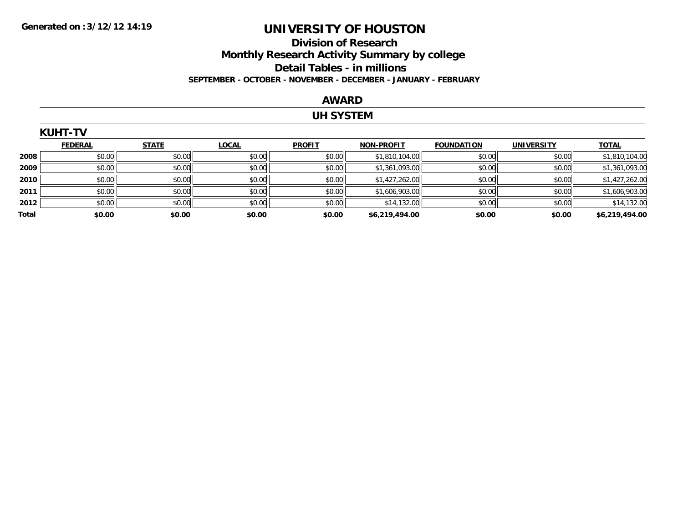### **Division of Research Monthly Research Activity Summary by college Detail Tables - in millions SEPTEMBER - OCTOBER - NOVEMBER - DECEMBER - JANUARY - FEBRUARY**

#### **AWARD**

#### **UH SYSTEM**

|       | <b>KUHT-TV</b> |              |              |               |                   |                   |                   |                |  |  |  |
|-------|----------------|--------------|--------------|---------------|-------------------|-------------------|-------------------|----------------|--|--|--|
|       | <b>FEDERAL</b> | <b>STATE</b> | <b>LOCAL</b> | <b>PROFIT</b> | <b>NON-PROFIT</b> | <b>FOUNDATION</b> | <b>UNIVERSITY</b> | <b>TOTAL</b>   |  |  |  |
| 2008  | \$0.00         | \$0.00       | \$0.00       | \$0.00        | \$1,810,104.00    | \$0.00            | \$0.00            | \$1,810,104.00 |  |  |  |
| 2009  | \$0.00         | \$0.00       | \$0.00       | \$0.00        | \$1,361,093.00    | \$0.00            | \$0.00            | \$1,361,093.00 |  |  |  |
| 2010  | \$0.00         | \$0.00       | \$0.00       | \$0.00        | \$1,427,262.00    | \$0.00            | \$0.00            | \$1,427,262.00 |  |  |  |
| 2011  | \$0.00         | \$0.00       | \$0.00       | \$0.00        | \$1,606,903.00    | \$0.00            | \$0.00            | \$1,606,903.00 |  |  |  |
| 2012  | \$0.00         | \$0.00       | \$0.00       | \$0.00        | \$14,132.00       | \$0.00            | \$0.00            | \$14,132.00    |  |  |  |
| Total | \$0.00         | \$0.00       | \$0.00       | \$0.00        | \$6,219,494.00    | \$0.00            | \$0.00            | \$6,219,494.00 |  |  |  |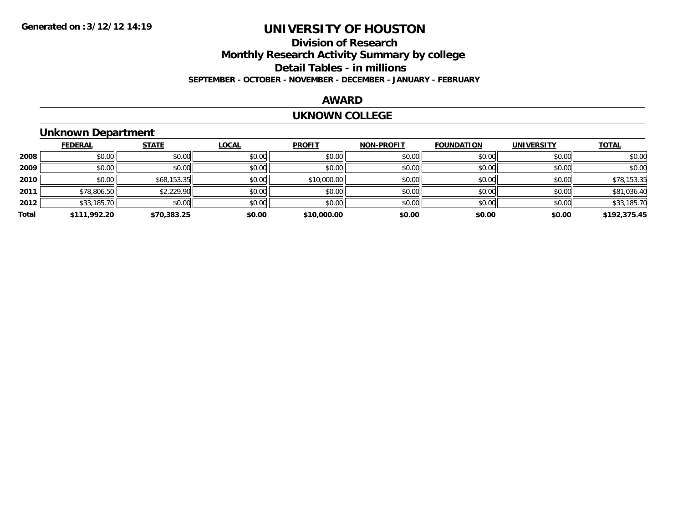### **Division of ResearchMonthly Research Activity Summary by college Detail Tables - in millions SEPTEMBER - OCTOBER - NOVEMBER - DECEMBER - JANUARY - FEBRUARY**

#### **AWARD**

#### **UKNOWN COLLEGE**

### **Unknown Department**

|       | <b>FEDERAL</b> | <b>STATE</b> | <b>LOCAL</b> | <b>PROFIT</b> | <b>NON-PROFIT</b> | <b>FOUNDATION</b> | <b>UNIVERSITY</b> | <b>TOTAL</b> |
|-------|----------------|--------------|--------------|---------------|-------------------|-------------------|-------------------|--------------|
| 2008  | \$0.00         | \$0.00       | \$0.00       | \$0.00        | \$0.00            | \$0.00            | \$0.00            | \$0.00       |
| 2009  | \$0.00         | \$0.00       | \$0.00       | \$0.00        | \$0.00            | \$0.00            | \$0.00            | \$0.00       |
| 2010  | \$0.00         | \$68,153.35  | \$0.00       | \$10,000.00   | \$0.00            | \$0.00            | \$0.00            | \$78,153.35  |
| 2011  | \$78,806.50    | \$2,229.90   | \$0.00       | \$0.00        | \$0.00            | \$0.00            | \$0.00            | \$81,036.40  |
| 2012  | \$33,185.70    | \$0.00       | \$0.00       | \$0.00        | \$0.00            | \$0.00            | \$0.00            | \$33,185.70  |
| Total | \$111,992.20   | \$70,383.25  | \$0.00       | \$10,000.00   | \$0.00            | \$0.00            | \$0.00            | \$192,375.45 |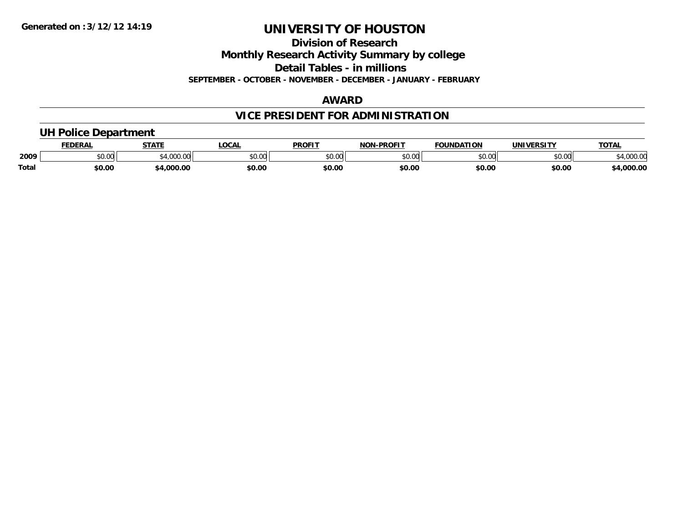**Division of Research**

**Monthly Research Activity Summary by college**

**Detail Tables - in millions**

**SEPTEMBER - OCTOBER - NOVEMBER - DECEMBER - JANUARY - FEBRUARY**

#### **AWARD**

### **VICE PRESIDENT FOR ADMINISTRATION**

#### **UH Police Department**

|              | <b>FEDERAL</b> | <b>STATE</b>     | <b>LOCAL</b>  | <b>PROFIT</b> | <b>I-PROFIT</b><br>NON           | <b>FOUNDATION</b> | UNIVERSITY | TOTA.                     |
|--------------|----------------|------------------|---------------|---------------|----------------------------------|-------------------|------------|---------------------------|
| 2009         | 0.00<br>vv.vv  | 0.00000<br>uuu.u | 0000<br>PU.UU | 0000<br>JU.UU | $\circ$ $\circ$ $\circ$<br>ou.uu | \$0.00            | \$0.00     | $\sim$ $\sim$<br>4,000.00 |
| <b>Total</b> | \$0.00         | .000.00          | \$0.00        | \$0.00        | \$0.00                           | \$0.00            | \$0.00     | 0.000.01                  |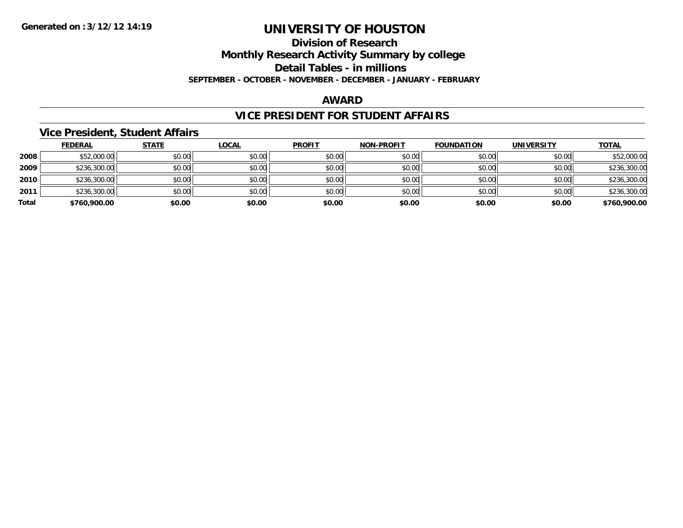#### **Division of Research**

**Monthly Research Activity Summary by college**

**Detail Tables - in millions**

**SEPTEMBER - OCTOBER - NOVEMBER - DECEMBER - JANUARY - FEBRUARY**

#### **AWARD**

#### **VICE PRESIDENT FOR STUDENT AFFAIRS**

#### **Vice President, Student Affairs**

|       | <b>FEDERAL</b> | <u>STATE</u> | <b>LOCAL</b> | <b>PROFIT</b> | <b>NON-PROFIT</b> | <b>FOUNDATION</b> | <b>UNIVERSITY</b> | <b>TOTAL</b> |
|-------|----------------|--------------|--------------|---------------|-------------------|-------------------|-------------------|--------------|
| 2008  | \$52,000.00    | \$0.00       | \$0.00       | \$0.00        | \$0.00            | \$0.00            | \$0.00            | \$52,000.00  |
| 2009  | \$236,300.00   | \$0.00       | \$0.00       | \$0.00        | \$0.00            | \$0.00            | \$0.00            | \$236,300.00 |
| 2010  | \$236,300.00   | \$0.00       | \$0.00       | \$0.00        | \$0.00            | \$0.00            | \$0.00            | \$236,300.00 |
| 2011  | \$236,300.00   | \$0.00       | \$0.00       | \$0.00        | \$0.00            | \$0.00            | \$0.00            | \$236,300.00 |
| Total | \$760,900.00   | \$0.00       | \$0.00       | \$0.00        | \$0.00            | \$0.00            | \$0.00            | \$760,900.00 |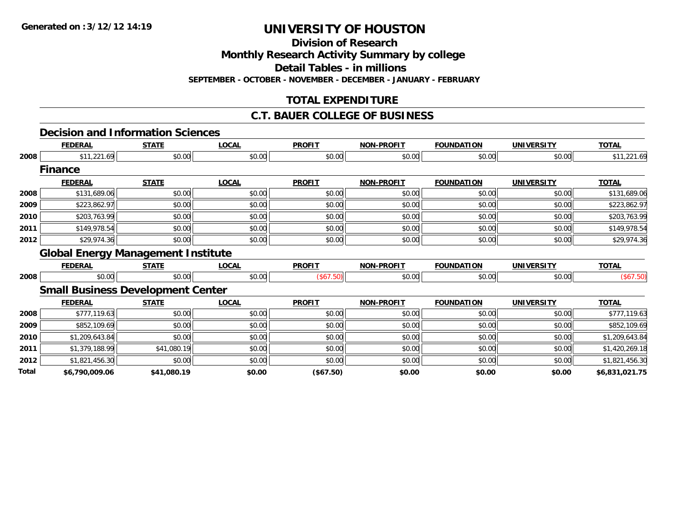**Division of Research**

**Monthly Research Activity Summary by college**

**Detail Tables - in millions**

**SEPTEMBER - OCTOBER - NOVEMBER - DECEMBER - JANUARY - FEBRUARY**

### **TOTAL EXPENDITURE**

#### **C.T. BAUER COLLEGE OF BUSINESS**

#### **Decision and Information Sciences**

|      | <b>FEDERAL</b>                            | <b>STATE</b> | <b>LOCAL</b> | <b>PROFIT</b> | <b>NON-PROFIT</b> | <b>FOUNDATION</b> | <b>UNIVERSITY</b> | <b>TOTAL</b>                     |
|------|-------------------------------------------|--------------|--------------|---------------|-------------------|-------------------|-------------------|----------------------------------|
| 2008 | \$11,221.69                               | \$0.00       | \$0.00       | \$0.00        | \$0.00            | \$0.00            | \$0.00            | \$11,221.69                      |
|      | <b>Finance</b>                            |              |              |               |                   |                   |                   |                                  |
|      | <b>FEDERAL</b>                            | <b>STATE</b> | <b>LOCAL</b> | <b>PROFIT</b> | <b>NON-PROFIT</b> | <b>FOUNDATION</b> | <b>UNIVERSITY</b> | <b>TOTAL</b>                     |
| 2008 | \$131,689.06                              | \$0.00       | \$0.00       | \$0.00        | \$0.00            | \$0.00            | \$0.00            | \$131,689.06                     |
| 2009 | \$223,862.97                              | \$0.00       | \$0.00       | \$0.00        | \$0.00            | \$0.00            | \$0.00            | \$223,862.97                     |
| 2010 | \$203,763.99                              | \$0.00       | \$0.00       | \$0.00        | \$0.00            | \$0.00            | \$0.00            | \$203,763.99                     |
| 2011 | \$149,978.54                              | \$0.00       | \$0.00       | \$0.00        | \$0.00            | \$0.00            | \$0.00            | \$149,978.54                     |
| 2012 | \$29,974.36                               | \$0.00       | \$0.00       | \$0.00        | \$0.00            | \$0.00            | \$0.00            | \$29,974.36                      |
|      | <b>Global Energy Management Institute</b> |              |              |               |                   |                   |                   |                                  |
|      |                                           |              |              |               |                   |                   |                   |                                  |
|      | <b>FEDERAL</b>                            | <b>STATE</b> | <b>LOCAL</b> | <b>PROFIT</b> | <b>NON-PROFIT</b> | <b>FOUNDATION</b> | <b>UNIVERSITY</b> | <b>TOTAL</b>                     |
| 2008 | \$0.00                                    | \$0.00       | \$0.00       | (\$67.50)     | \$0.00            | \$0.00            | \$0.00            | (\$67.50)                        |
|      | <b>Small Business Development Center</b>  |              |              |               |                   |                   |                   |                                  |
|      | <b>FEDERAL</b>                            | <b>STATE</b> | <b>LOCAL</b> | <b>PROFIT</b> | <b>NON-PROFIT</b> | <b>FOUNDATION</b> | <b>UNIVERSITY</b> | <b>TOTAL</b>                     |
| 2008 | \$777,119.63                              | \$0.00       | \$0.00       | \$0.00        | \$0.00            | \$0.00            | \$0.00            |                                  |
| 2009 | \$852,109.69                              | \$0.00       | \$0.00       | \$0.00        | \$0.00            | \$0.00            | \$0.00            | \$777,119.63<br>\$852,109.69     |
| 2010 | \$1,209,643.84                            | \$0.00       | \$0.00       | \$0.00        | \$0.00            | \$0.00            | \$0.00            | \$1,209,643.84                   |
| 2011 | \$1,379,188.99                            | \$41,080.19  | \$0.00       | \$0.00        | \$0.00            | \$0.00            | \$0.00            |                                  |
| 2012 | \$1,821,456.30                            | \$0.00       | \$0.00       | \$0.00        | \$0.00            | \$0.00            | \$0.00            | \$1,420,269.18<br>\$1,821,456.30 |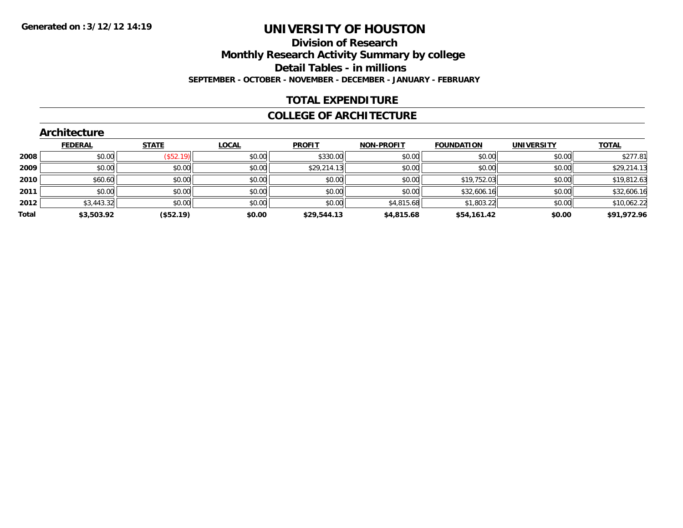#### **Division of Research Monthly Research Activity Summary by college Detail Tables - in millions SEPTEMBER - OCTOBER - NOVEMBER - DECEMBER - JANUARY - FEBRUARY**

#### **TOTAL EXPENDITURE**

#### **COLLEGE OF ARCHITECTURE**

| <b>Architecture</b> |              |              |                                                      |                   |                                                       |                   |                                                |
|---------------------|--------------|--------------|------------------------------------------------------|-------------------|-------------------------------------------------------|-------------------|------------------------------------------------|
| <b>FEDERAL</b>      | <b>STATE</b> | <u>LOCAL</u> | <b>PROFIT</b>                                        | <b>NON-PROFIT</b> | <b>FOUNDATION</b>                                     | <b>UNIVERSITY</b> | <b>TOTAL</b>                                   |
| \$0.00              |              | \$0.00       |                                                      | \$0.00            | \$0.00                                                |                   | \$277.81                                       |
| \$0.00              |              | \$0.00       |                                                      | \$0.00            | \$0.00                                                |                   | \$29,214.13                                    |
| \$60.60             |              | \$0.00       |                                                      | \$0.00            | \$19,752.03                                           |                   | \$19,812.63                                    |
| \$0.00              |              | \$0.00       |                                                      | \$0.00            | \$32,606.16                                           |                   | \$32,606.16                                    |
|                     |              | \$0.00       |                                                      |                   | \$1,803.22                                            |                   | \$10,062.22                                    |
| \$3,503.92          | (\$52.19)    | \$0.00       | \$29,544.13                                          | \$4,815.68        | \$54,161.42                                           | \$0.00            | \$91,972.96                                    |
|                     |              | \$3,443.32   | $($ \$52.19)<br>\$0.00<br>\$0.00<br>\$0.00<br>\$0.00 |                   | \$330.00<br>\$29,214.13<br>\$0.00<br>\$0.00<br>\$0.00 | \$4,815.68        | \$0.00<br>\$0.00<br>\$0.00<br>\$0.00<br>\$0.00 |

#### **Architecture**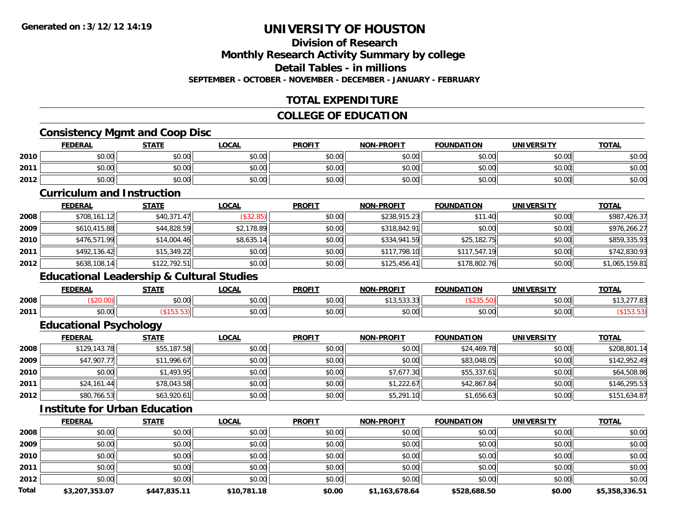### **Division of Research**

**Monthly Research Activity Summary by college**

**Detail Tables - in millions**

**SEPTEMBER - OCTOBER - NOVEMBER - DECEMBER - JANUARY - FEBRUARY**

### **TOTAL EXPENDITURE**

#### **COLLEGE OF EDUCATION**

#### **Consistency Mgmt and Coop Disc**

|      | <b>FEDERAL</b> | <b>STATE</b> | <b>OCAL</b> | <b>PROFIT</b> | <b>NON-PROFIT</b> | <b>FOUNDATION</b> | <b>UNIVERSITY</b> | <b>TOTAL</b> |
|------|----------------|--------------|-------------|---------------|-------------------|-------------------|-------------------|--------------|
| 2010 | \$0.00         | \$0.00       | \$0.00      | \$0.00        | \$0.00            | \$0.00            | \$0.00            | \$0.00       |
| 2011 | \$0.00         | \$0.00       | \$0.00      | \$0.00        | \$0.00            | \$0.00            | \$0.00            | \$0.00       |
| 2012 | \$0.00         | \$0.00       | \$0.00      | \$0.00        | \$0.00            | \$0.00            | \$0.00            | \$0.00       |

#### **Curriculum and Instruction**

|      | <b>FEDERAL</b> | <b>STATE</b> | <b>LOCAL</b> | <b>PROFIT</b> | <b>NON-PROFIT</b> | <b>FOUNDATION</b> | <b>UNIVERSITY</b> | <b>TOTAL</b>   |
|------|----------------|--------------|--------------|---------------|-------------------|-------------------|-------------------|----------------|
| 2008 | \$708,161.12   | \$40,371.47  | (\$32.85)    | \$0.00        | \$238,915.23      | \$11.40           | \$0.00            | \$987,426.37   |
| 2009 | \$610,415.88   | \$44,828.59  | \$2,178.89   | \$0.00        | \$318,842.91      | \$0.00            | \$0.00            | \$976,266.27   |
| 2010 | \$476,571.99   | \$14,004.46  | \$8,635.14   | \$0.00        | \$334,941.59      | \$25,182.75       | \$0.00            | \$859,335.93   |
| 2011 | \$492,136.42   | \$15.349.22  | \$0.00       | \$0.00        | \$117,798.10      | \$117,547.19      | \$0.00            | \$742,830.93   |
| 2012 | \$638,108.14   | \$122,792.51 | \$0.00       | \$0.00        | \$125,456.41      | \$178,802.76      | \$0.00            | \$1,065,159.81 |

### **Educational Leadership & Cultural Studies**

|      | <b>FEDERAL</b> | CTATE<br>,,,,,, | LOCAI                  | <b>PROFIT</b>  | <b>NON-PROFIT</b>    | <b>FOUNDATION</b>       | UNIVERSITY     | $T$ $T$<br>101n |
|------|----------------|-----------------|------------------------|----------------|----------------------|-------------------------|----------------|-----------------|
| 2008 |                | $\sim$<br>JU.UU | $\sim$ $\sim$<br>JU.UU | 0.00<br>wu.uu. | ,,,,,,,,             |                         | 0.001<br>JU.UU |                 |
| 2011 | 0000<br>pu.uu  |                 | $\sim$ $\sim$<br>vv.vv | 0.00<br>JU.UU  | 0000<br><b>DU.UU</b> | $n \cap \Omega$<br>v.vv | 0000<br>JU.UU  |                 |

### **Educational Psychology**

|      | <u>FEDERAL</u> | <u>STATE</u> | <u>LOCAL</u> | <b>PROFIT</b> | <b>NON-PROFIT</b> | <b>FOUNDATION</b> | <b>UNIVERSITY</b> | <b>TOTAL</b> |
|------|----------------|--------------|--------------|---------------|-------------------|-------------------|-------------------|--------------|
| 2008 | \$129,143.78   | \$55,187.58  | \$0.00       | \$0.00        | \$0.00            | \$24,469.78       | \$0.00            | \$208,801.14 |
| 2009 | \$47,907.77    | \$11,996.67  | \$0.00       | \$0.00        | \$0.00            | \$83,048.05       | \$0.00            | \$142,952.49 |
| 2010 | \$0.00         | \$1,493.95   | \$0.00       | \$0.00        | \$7,677.30        | \$55,337.61       | \$0.00            | \$64,508.86  |
| 2011 | \$24,161.44    | \$78,043.58  | \$0.00       | \$0.00        | \$1,222.67        | \$42,867.84       | \$0.00            | \$146,295.53 |
| 2012 | \$80,766.53    | \$63,920.61  | \$0.00       | \$0.00        | \$5,291.10        | \$1,656.63        | \$0.00            | \$151,634.87 |

#### **Institute for Urban Education**

|       | <b>FEDERAL</b> | <b>STATE</b> | <u>LOCAL</u> | <b>PROFIT</b> | <b>NON-PROFIT</b> | <b>FOUNDATION</b> | <b>UNIVERSITY</b> | <b>TOTAL</b>   |
|-------|----------------|--------------|--------------|---------------|-------------------|-------------------|-------------------|----------------|
| 2008  | \$0.00         | \$0.00       | \$0.00       | \$0.00        | \$0.00            | \$0.00            | \$0.00            | \$0.00         |
| 2009  | \$0.00         | \$0.00       | \$0.00       | \$0.00        | \$0.00            | \$0.00            | \$0.00            | \$0.00         |
| 2010  | \$0.00         | \$0.00       | \$0.00       | \$0.00        | \$0.00            | \$0.00            | \$0.00            | \$0.00         |
| 2011  | \$0.00         | \$0.00       | \$0.00       | \$0.00        | \$0.00            | \$0.00            | \$0.00            | \$0.00         |
| 2012  | \$0.00         | \$0.00       | \$0.00       | \$0.00        | \$0.00            | \$0.00            | \$0.00            | \$0.00         |
| Total | \$3,207,353.07 | \$447,835.11 | \$10,781.18  | \$0.00        | \$1,163,678.64    | \$528,688.50      | \$0.00            | \$5,358,336.51 |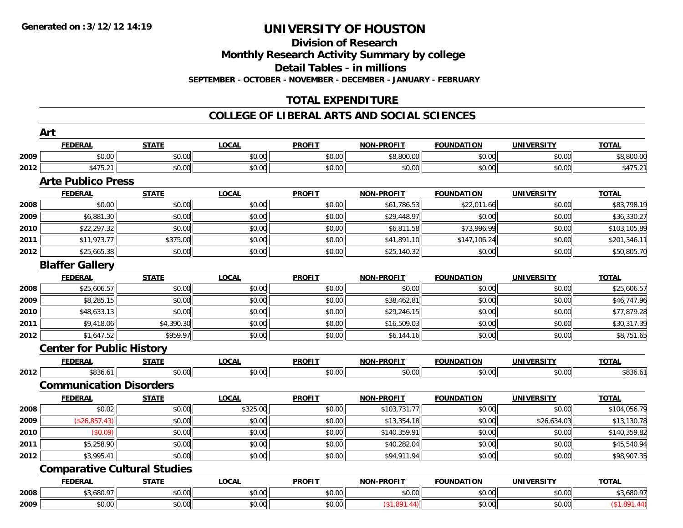**Division of Research**

**Monthly Research Activity Summary by college**

**Detail Tables - in millions**

**SEPTEMBER - OCTOBER - NOVEMBER - DECEMBER - JANUARY - FEBRUARY**

### **TOTAL EXPENDITURE**

#### **COLLEGE OF LIBERAL ARTS AND SOCIAL SCIENCES**

|      | <b>FEDERAL</b>                   | <b>STATE</b>                        | <b>LOCAL</b> | <b>PROFIT</b> | <b>NON-PROFIT</b> | <b>FOUNDATION</b> | <b>UNIVERSITY</b> | <b>TOTAL</b> |
|------|----------------------------------|-------------------------------------|--------------|---------------|-------------------|-------------------|-------------------|--------------|
| 2009 | \$0.00                           | \$0.00                              | \$0.00       | \$0.00        | \$8,800.00        | \$0.00            | \$0.00            | \$8,800.00   |
| 2012 | \$475.21                         | \$0.00                              | \$0.00       | \$0.00        | \$0.00            | \$0.00            | \$0.00            | \$475.21     |
|      | <b>Arte Publico Press</b>        |                                     |              |               |                   |                   |                   |              |
|      | <b>FEDERAL</b>                   | <b>STATE</b>                        | <b>LOCAL</b> | <b>PROFIT</b> | <b>NON-PROFIT</b> | <b>FOUNDATION</b> | <b>UNIVERSITY</b> | <b>TOTAL</b> |
| 2008 | \$0.00                           | \$0.00                              | \$0.00       | \$0.00        | \$61,786.53       | \$22,011.66       | \$0.00            | \$83,798.19  |
| 2009 | \$6,881.30                       | \$0.00                              | \$0.00       | \$0.00        | \$29,448.97       | \$0.00            | \$0.00            | \$36,330.27  |
| 2010 | \$22,297.32                      | \$0.00                              | \$0.00       | \$0.00        | \$6,811.58        | \$73,996.99       | \$0.00            | \$103,105.89 |
| 2011 | \$11,973.77                      | \$375.00                            | \$0.00       | \$0.00        | \$41,891.10       | \$147,106.24      | \$0.00            | \$201,346.11 |
| 2012 | \$25,665.38                      | \$0.00                              | \$0.00       | \$0.00        | \$25,140.32       | \$0.00            | \$0.00            | \$50,805.70  |
|      | <b>Blaffer Gallery</b>           |                                     |              |               |                   |                   |                   |              |
|      | <b>FEDERAL</b>                   | <b>STATE</b>                        | <b>LOCAL</b> | <b>PROFIT</b> | <b>NON-PROFIT</b> | <b>FOUNDATION</b> | <b>UNIVERSITY</b> | <b>TOTAL</b> |
| 2008 | \$25,606.57                      | \$0.00                              | \$0.00       | \$0.00        | \$0.00            | \$0.00            | \$0.00            | \$25,606.57  |
| 2009 | \$8,285.15                       | \$0.00                              | \$0.00       | \$0.00        | \$38,462.81       | \$0.00            | \$0.00            | \$46,747.96  |
| 2010 | \$48,633.13                      | \$0.00                              | \$0.00       | \$0.00        | \$29,246.15       | \$0.00            | \$0.00            | \$77,879.28  |
| 2011 | \$9,418.06                       | \$4,390.30                          | \$0.00       | \$0.00        | \$16,509.03       | \$0.00            | \$0.00            | \$30,317.39  |
| 2012 | \$1,647.52                       | \$959.97                            | \$0.00       | \$0.00        | \$6,144.16        | \$0.00            | \$0.00            | \$8,751.65   |
|      | <b>Center for Public History</b> |                                     |              |               |                   |                   |                   |              |
|      | <b>FEDERAL</b>                   | <b>STATE</b>                        | <b>LOCAL</b> | <b>PROFIT</b> | <b>NON-PROFIT</b> | <b>FOUNDATION</b> | <b>UNIVERSITY</b> | <b>TOTAL</b> |
| 2012 | \$836.61                         | \$0.00                              | \$0.00       | \$0.00        | \$0.00            | \$0.00            | \$0.00            | \$836.61     |
|      | <b>Communication Disorders</b>   |                                     |              |               |                   |                   |                   |              |
|      | <b>FEDERAL</b>                   | <b>STATE</b>                        | <b>LOCAL</b> | <b>PROFIT</b> | <b>NON-PROFIT</b> | <b>FOUNDATION</b> | <b>UNIVERSITY</b> | <b>TOTAL</b> |
| 2008 | \$0.02                           | \$0.00                              | \$325.00     | \$0.00        | \$103,731.77      | \$0.00            | \$0.00            | \$104,056.79 |
| 2009 | (\$26,857.43)                    | \$0.00                              | \$0.00       | \$0.00        | \$13,354.18       | \$0.00            | \$26,634.03       | \$13,130.78  |
| 2010 | (\$0.09)                         | \$0.00                              | \$0.00       | \$0.00        | \$140,359.91      | \$0.00            | \$0.00            | \$140,359.82 |
| 2011 | \$5,258.90                       | \$0.00                              | \$0.00       | \$0.00        | \$40,282.04       | \$0.00            | \$0.00            | \$45,540.94  |
| 2012 | \$3,995.41                       | \$0.00                              | \$0.00       | \$0.00        | \$94,911.94       | \$0.00            | \$0.00            | \$98,907.35  |
|      |                                  | <b>Comparative Cultural Studies</b> |              |               |                   |                   |                   |              |
|      | <b>FEDERAL</b>                   | <b>STATE</b>                        | <b>LOCAL</b> | <b>PROFIT</b> | <b>NON-PROFIT</b> | <b>FOUNDATION</b> | <b>UNIVERSITY</b> | <b>TOTAL</b> |
| 2008 | \$3,680.97                       | \$0.00                              | \$0.00       | \$0.00        | \$0.00            | \$0.00            | \$0.00            | \$3,680.97   |
| 2009 | \$0.00                           | \$0.00                              | \$0.00       | \$0.00        | (\$1,891.44)      | \$0.00            | \$0.00            | (\$1,891.44) |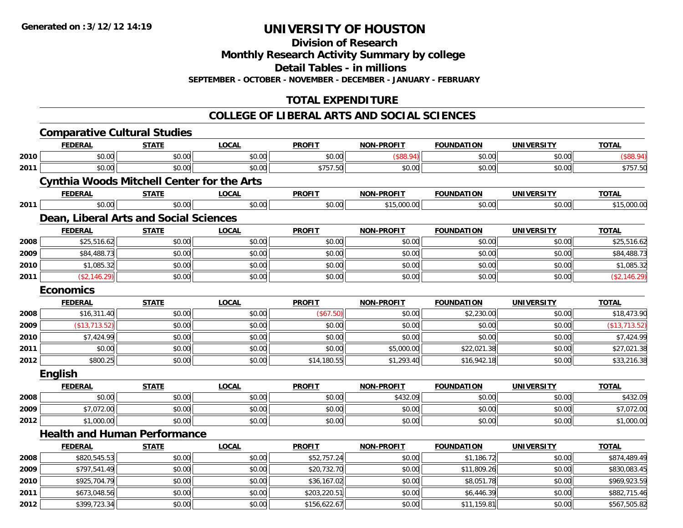**2012**

## **UNIVERSITY OF HOUSTON**

**Division of Research**

**Monthly Research Activity Summary by college**

**Detail Tables - in millions**

**SEPTEMBER - OCTOBER - NOVEMBER - DECEMBER - JANUARY - FEBRUARY**

### **TOTAL EXPENDITURE**

#### **COLLEGE OF LIBERAL ARTS AND SOCIAL SCIENCES**

|      |                                                   | <b>Comparative Cultural Studies</b> |              |               |                   |                   |                   |               |
|------|---------------------------------------------------|-------------------------------------|--------------|---------------|-------------------|-------------------|-------------------|---------------|
|      | <b>FEDERAL</b>                                    | <b>STATE</b>                        | <b>LOCAL</b> | <b>PROFIT</b> | <b>NON-PROFIT</b> | <b>FOUNDATION</b> | <b>UNIVERSITY</b> | <b>TOTAL</b>  |
| 2010 | \$0.00                                            | \$0.00                              | \$0.00       | \$0.00        | (\$88.94)         | \$0.00            | \$0.00            | (\$88.94)     |
| 2011 | \$0.00                                            | \$0.00                              | \$0.00       | \$757.50      | \$0.00            | \$0.00            | \$0.00            | \$757.50      |
|      | <b>Cynthia Woods Mitchell Center for the Arts</b> |                                     |              |               |                   |                   |                   |               |
|      | <b>FEDERAL</b>                                    | <b>STATE</b>                        | <b>LOCAL</b> | <b>PROFIT</b> | NON-PROFIT        | <b>FOUNDATION</b> | <b>UNIVERSITY</b> | <b>TOTAL</b>  |
| 2011 | \$0.00                                            | \$0.00                              | \$0.00       | \$0.00        | \$15,000.00       | \$0.00            | \$0.00            | \$15,000.00   |
|      | Dean, Liberal Arts and Social Sciences            |                                     |              |               |                   |                   |                   |               |
|      | <b>FEDERAL</b>                                    | <b>STATE</b>                        | <b>LOCAL</b> | <b>PROFIT</b> | <b>NON-PROFIT</b> | <b>FOUNDATION</b> | <b>UNIVERSITY</b> | <b>TOTAL</b>  |
| 2008 | \$25,516.62                                       | \$0.00                              | \$0.00       | \$0.00        | \$0.00            | \$0.00            | \$0.00            | \$25,516.62   |
| 2009 | \$84,488.73                                       | \$0.00                              | \$0.00       | \$0.00        | \$0.00            | \$0.00            | \$0.00            | \$84,488.73   |
| 2010 | \$1,085.32                                        | \$0.00                              | \$0.00       | \$0.00        | \$0.00            | \$0.00            | \$0.00            | \$1,085.32    |
| 2011 | (\$2,146.29)                                      | \$0.00                              | \$0.00       | \$0.00        | \$0.00            | \$0.00            | \$0.00            | (\$2,146.29)  |
|      | <b>Economics</b>                                  |                                     |              |               |                   |                   |                   |               |
|      | <b>FEDERAL</b>                                    | <b>STATE</b>                        | <b>LOCAL</b> | <b>PROFIT</b> | <b>NON-PROFIT</b> | <b>FOUNDATION</b> | <b>UNIVERSITY</b> | <b>TOTAL</b>  |
| 2008 | \$16,311.40                                       | \$0.00                              | \$0.00       | (\$67.50)     | \$0.00            | \$2,230.00        | \$0.00            | \$18,473.90   |
| 2009 | (\$13,713.52)                                     | \$0.00                              | \$0.00       | \$0.00        | \$0.00            | \$0.00            | \$0.00            | (\$13,713.52) |
| 2010 | \$7,424.99                                        | \$0.00                              | \$0.00       | \$0.00        | \$0.00            | \$0.00            | \$0.00            | \$7,424.99    |
| 2011 | \$0.00                                            | \$0.00                              | \$0.00       | \$0.00        | \$5,000.00        | \$22,021.38       | \$0.00            | \$27,021.38   |
| 2012 | \$800.25                                          | \$0.00                              | \$0.00       | \$14,180.55   | \$1,293.40        | \$16,942.18       | \$0.00            | \$33,216.38   |
|      | <b>English</b>                                    |                                     |              |               |                   |                   |                   |               |
|      | <b>FEDERAL</b>                                    | <b>STATE</b>                        | <b>LOCAL</b> | <b>PROFIT</b> | <b>NON-PROFIT</b> | <b>FOUNDATION</b> | <b>UNIVERSITY</b> | <b>TOTAL</b>  |
| 2008 | \$0.00                                            | \$0.00                              | \$0.00       | \$0.00        | \$432.09          | \$0.00            | \$0.00            | \$432.09      |
| 2009 | \$7,072.00                                        | \$0.00                              | \$0.00       | \$0.00        | \$0.00            | \$0.00            | \$0.00            | \$7,072.00    |
| 2012 | \$1,000.00                                        | \$0.00                              | \$0.00       | \$0.00        | \$0.00            | \$0.00            | \$0.00            | \$1,000.00    |
|      | <b>Health and Human Performance</b>               |                                     |              |               |                   |                   |                   |               |
|      | <b>FEDERAL</b>                                    | <b>STATE</b>                        | <b>LOCAL</b> | <b>PROFIT</b> | <b>NON-PROFIT</b> | <b>FOUNDATION</b> | <b>UNIVERSITY</b> | <b>TOTAL</b>  |
| 2008 | \$820,545.53                                      | \$0.00                              | \$0.00       | \$52,757.24   | \$0.00            | \$1,186.72        | \$0.00            | \$874,489.49  |
| 2009 | \$797,541.49                                      | \$0.00                              | \$0.00       | \$20,732.70   | \$0.00            | \$11,809.26       | \$0.00            | \$830,083.45  |
| 2010 | \$925,704.79                                      | \$0.00                              | \$0.00       | \$36,167.02   | \$0.00            | \$8,051.78        | \$0.00            | \$969,923.59  |
| 2011 | \$673,048.56                                      | \$0.00                              | \$0.00       | \$203,220.51  | \$0.00            | \$6,446.39        | \$0.00            | \$882,715.46  |

\$399,723.34 \$0.00 \$0.00 \$156,622.67 \$0.00 \$11,159.81 \$0.00 \$567,505.82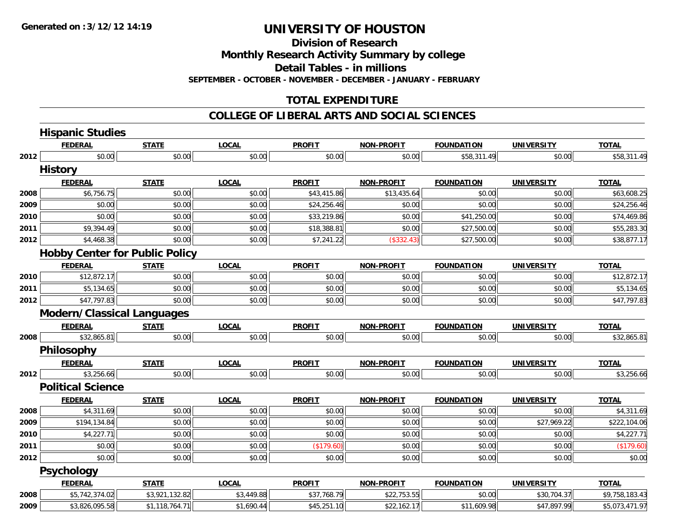**Division of Research**

**Monthly Research Activity Summary by college**

**Detail Tables - in millions**

**SEPTEMBER - OCTOBER - NOVEMBER - DECEMBER - JANUARY - FEBRUARY**

#### **TOTAL EXPENDITURE**

#### **COLLEGE OF LIBERAL ARTS AND SOCIAL SCIENCES**

|      | <b>Hispanic Studies</b>           |                                       |              |               |                   |                   |                   |                |
|------|-----------------------------------|---------------------------------------|--------------|---------------|-------------------|-------------------|-------------------|----------------|
|      | <b>FEDERAL</b>                    | <b>STATE</b>                          | <b>LOCAL</b> | <b>PROFIT</b> | <b>NON-PROFIT</b> | <b>FOUNDATION</b> | <b>UNIVERSITY</b> | <b>TOTAL</b>   |
| 2012 | \$0.00                            | \$0.00                                | \$0.00       | \$0.00        | \$0.00            | \$58,311.49       | \$0.00            | \$58,311.49    |
|      | <b>History</b>                    |                                       |              |               |                   |                   |                   |                |
|      | <b>FEDERAL</b>                    | <b>STATE</b>                          | <b>LOCAL</b> | <b>PROFIT</b> | <b>NON-PROFIT</b> | <b>FOUNDATION</b> | <b>UNIVERSITY</b> | <b>TOTAL</b>   |
| 2008 | \$6,756.75                        | \$0.00                                | \$0.00       | \$43,415.86   | \$13,435.64       | \$0.00            | \$0.00            | \$63,608.25    |
| 2009 | \$0.00                            | \$0.00                                | \$0.00       | \$24,256.46   | \$0.00            | \$0.00            | \$0.00            | \$24,256.46    |
| 2010 | \$0.00                            | \$0.00                                | \$0.00       | \$33,219.86   | \$0.00            | \$41,250.00       | \$0.00            | \$74,469.86    |
| 2011 | \$9,394.49                        | \$0.00                                | \$0.00       | \$18,388.81   | \$0.00            | \$27,500.00       | \$0.00            | \$55,283.30    |
| 2012 | \$4,468.38                        | \$0.00                                | \$0.00       | \$7,241.22    | (\$332.43)        | \$27,500.00       | \$0.00            | \$38,877.17    |
|      |                                   | <b>Hobby Center for Public Policy</b> |              |               |                   |                   |                   |                |
|      | <b>FEDERAL</b>                    | <b>STATE</b>                          | <b>LOCAL</b> | <b>PROFIT</b> | <b>NON-PROFIT</b> | <b>FOUNDATION</b> | <b>UNIVERSITY</b> | <b>TOTAL</b>   |
| 2010 | \$12,872.17                       | \$0.00                                | \$0.00       | \$0.00        | \$0.00            | \$0.00            | \$0.00            | \$12,872.17    |
| 2011 | \$5,134.65                        | \$0.00                                | \$0.00       | \$0.00        | \$0.00            | \$0.00            | \$0.00            | \$5,134.65     |
| 2012 | \$47,797.83                       | \$0.00                                | \$0.00       | \$0.00        | \$0.00            | \$0.00            | \$0.00            | \$47,797.83    |
|      | <b>Modern/Classical Languages</b> |                                       |              |               |                   |                   |                   |                |
|      | <b>FEDERAL</b>                    | <b>STATE</b>                          | <b>LOCAL</b> | <b>PROFIT</b> | <b>NON-PROFIT</b> | <b>FOUNDATION</b> | <b>UNIVERSITY</b> | <b>TOTAL</b>   |
| 2008 | \$32,865.81                       | \$0.00                                | \$0.00       | \$0.00        | \$0.00            | \$0.00            | \$0.00            | \$32,865.81    |
|      | Philosophy                        |                                       |              |               |                   |                   |                   |                |
|      | <b>FEDERAL</b>                    | <b>STATE</b>                          | <b>LOCAL</b> | <b>PROFIT</b> | <b>NON-PROFIT</b> | <b>FOUNDATION</b> | <b>UNIVERSITY</b> | <b>TOTAL</b>   |
| 2012 | \$3,256.66                        | \$0.00                                | \$0.00       | \$0.00        | \$0.00            | \$0.00            | \$0.00            | \$3,256.66     |
|      | <b>Political Science</b>          |                                       |              |               |                   |                   |                   |                |
|      | <b>FEDERAL</b>                    | <b>STATE</b>                          | <b>LOCAL</b> | <b>PROFIT</b> | <b>NON-PROFIT</b> | <b>FOUNDATION</b> | <b>UNIVERSITY</b> | <b>TOTAL</b>   |
| 2008 | \$4,311.69                        | \$0.00                                | \$0.00       | \$0.00        | \$0.00            | \$0.00            | \$0.00            | \$4,311.69     |
| 2009 | \$194,134.84                      | \$0.00                                | \$0.00       | \$0.00        | \$0.00            | \$0.00            | \$27,969.22       | \$222,104.06   |
| 2010 | \$4,227.71                        | \$0.00                                | \$0.00       | \$0.00        | \$0.00            | \$0.00            | \$0.00            | \$4,227.71     |
| 2011 | \$0.00                            | \$0.00                                | \$0.00       | (\$179.60)    | \$0.00            | \$0.00            | \$0.00            | (\$179.60)     |
| 2012 | \$0.00                            | \$0.00                                | \$0.00       | \$0.00        | \$0.00            | \$0.00            | \$0.00            | \$0.00         |
|      | <b>Psychology</b>                 |                                       |              |               |                   |                   |                   |                |
|      | <b>FEDERAL</b>                    | <b>STATE</b>                          | <b>LOCAL</b> | <b>PROFIT</b> | <b>NON-PROFIT</b> | <b>FOUNDATION</b> | <b>UNIVERSITY</b> | <b>TOTAL</b>   |
| 2008 | \$5,742,374.02                    | \$3,921,132.82                        | \$3,449.88   | \$37,768.79   | \$22,753.55       | \$0.00            | \$30,704.37       | \$9,758,183.43 |
| 2009 | \$3,826,095.58                    | \$1,118,764.71                        | \$1,690.44   | \$45,251.10   | \$22,162.17       | \$11,609.98       | \$47,897.99       | \$5,073,471.97 |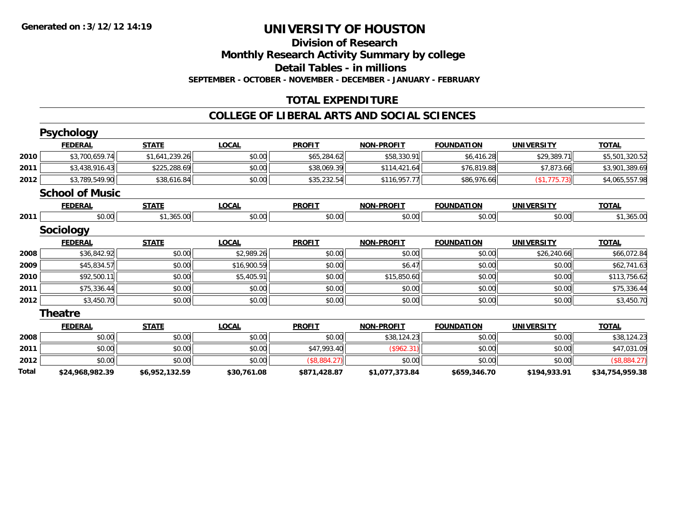#### **Division of Research Monthly Research Activity Summary by college Detail Tables - in millions SEPTEMBER - OCTOBER - NOVEMBER - DECEMBER - JANUARY - FEBRUARY**

### **TOTAL EXPENDITURE**

#### **COLLEGE OF LIBERAL ARTS AND SOCIAL SCIENCES**

|       | <b>Psychology</b>      |                |              |               |                   |                   |                   |                 |
|-------|------------------------|----------------|--------------|---------------|-------------------|-------------------|-------------------|-----------------|
|       | <b>FEDERAL</b>         | <b>STATE</b>   | <b>LOCAL</b> | <b>PROFIT</b> | <b>NON-PROFIT</b> | <b>FOUNDATION</b> | <b>UNIVERSITY</b> | <b>TOTAL</b>    |
| 2010  | \$3,700,659.74         | \$1,641,239.26 | \$0.00       | \$65,284.62   | \$58,330.91       | \$6,416.28        | \$29,389.71       | \$5,501,320.52  |
| 2011  | \$3,438,916.43         | \$225,288.69   | \$0.00       | \$38,069.39   | \$114,421.64      | \$76,819.88       | \$7,873.66        | \$3,901,389.69  |
| 2012  | \$3,789,549.90         | \$38,616.84    | \$0.00       | \$35,232.54   | \$116,957.77      | \$86,976.66       | (\$1,775.73)      | \$4,065,557.98  |
|       | <b>School of Music</b> |                |              |               |                   |                   |                   |                 |
|       | <b>FEDERAL</b>         | <b>STATE</b>   | <b>LOCAL</b> | <b>PROFIT</b> | <b>NON-PROFIT</b> | <b>FOUNDATION</b> | <b>UNIVERSITY</b> | <b>TOTAL</b>    |
| 2011  | \$0.00                 | \$1,365.00     | \$0.00       | \$0.00        | \$0.00            | \$0.00            | \$0.00            | \$1,365.00      |
|       | <b>Sociology</b>       |                |              |               |                   |                   |                   |                 |
|       | <b>FEDERAL</b>         | <b>STATE</b>   | <b>LOCAL</b> | <b>PROFIT</b> | <b>NON-PROFIT</b> | <b>FOUNDATION</b> | <b>UNIVERSITY</b> | <b>TOTAL</b>    |
| 2008  | \$36,842.92            | \$0.00         | \$2,989.26   | \$0.00        | \$0.00            | \$0.00            | \$26,240.66       | \$66,072.84     |
| 2009  | \$45,834.57            | \$0.00         | \$16,900.59  | \$0.00        | \$6.47            | \$0.00            | \$0.00            | \$62,741.63     |
| 2010  | \$92,500.11            | \$0.00         | \$5,405.91   | \$0.00        | \$15,850.60       | \$0.00            | \$0.00            | \$113,756.62    |
| 2011  | \$75,336.44            | \$0.00         | \$0.00       | \$0.00        | \$0.00            | \$0.00            | \$0.00            | \$75,336.44     |
| 2012  | \$3,450.70             | \$0.00         | \$0.00       | \$0.00        | \$0.00            | \$0.00            | \$0.00            | \$3,450.70      |
|       | <b>Theatre</b>         |                |              |               |                   |                   |                   |                 |
|       | <b>FEDERAL</b>         | <b>STATE</b>   | <b>LOCAL</b> | <b>PROFIT</b> | <b>NON-PROFIT</b> | <b>FOUNDATION</b> | <b>UNIVERSITY</b> | <b>TOTAL</b>    |
| 2008  | \$0.00                 | \$0.00         | \$0.00       | \$0.00        | \$38,124.23       | \$0.00            | \$0.00            | \$38,124.23     |
| 2011  | \$0.00                 | \$0.00         | \$0.00       | \$47,993.40   | (\$962.31)        | \$0.00            | \$0.00            | \$47,031.09     |
| 2012  | \$0.00                 | \$0.00         | \$0.00       | (\$8,884.27)  | \$0.00            | \$0.00            | \$0.00            | (\$8,884.27)    |
| Total | \$24,968,982.39        | \$6,952,132.59 | \$30,761.08  | \$871,428.87  | \$1,077,373.84    | \$659,346.70      | \$194,933.91      | \$34,754,959.38 |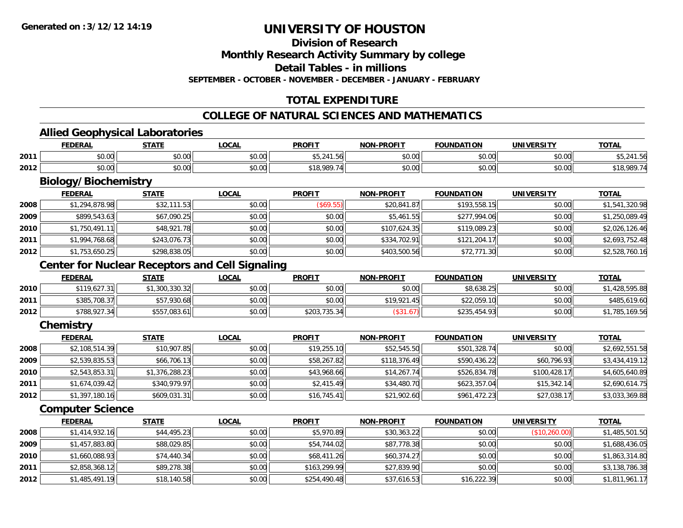**Division of Research**

**Monthly Research Activity Summary by college**

**Detail Tables - in millions**

**SEPTEMBER - OCTOBER - NOVEMBER - DECEMBER - JANUARY - FEBRUARY**

### **TOTAL EXPENDITURE**

### **COLLEGE OF NATURAL SCIENCES AND MATHEMATICS**

<u> 1989 - Johann Stoff, amerikansk politiker (d. 1989)</u>

#### **Allied Geophysical Laboratories**

|      | <b>FEDERAL</b>     | <b>STATE</b><br>$\cdot$ | .OCAL  | <b>PROFIT</b>     | -PROFIT<br>NON- | <b>FOUNDATION</b> | UNIVERSITY           | <b>TOTAL</b>       |
|------|--------------------|-------------------------|--------|-------------------|-----------------|-------------------|----------------------|--------------------|
| 2011 | $\sim$ 00<br>vu.uu | 0.00<br>vu.vu           | \$0.00 | $AT$ $244$<br>۔ ۔ | 0000<br>vv.vv   | \$0.00            | 0.00<br>vu.vu        | ے , ب              |
| 2012 | $\sim$ 00<br>vv.vv | 0.00<br>JU.UU           | \$0.00 | 020               | 0000<br>vv.vv   | \$0.00            | 0000<br><b>JU.UU</b> | t 1 Q Q Q Q<br>10. |

# **Biology/Biochemistry**

|      | <b>FEDERAL</b> | <b>STATE</b> | <b>LOCAL</b> | <b>PROFIT</b> | <b>NON-PROFIT</b> | <b>FOUNDATION</b> | <b>UNIVERSITY</b> | <b>TOTAL</b>   |
|------|----------------|--------------|--------------|---------------|-------------------|-------------------|-------------------|----------------|
| 2008 | \$1,294,878.98 | \$32,111.53  | \$0.00       | (\$69.55)     | \$20,841.87       | \$193,558.15      | \$0.00            | \$1,541,320.98 |
| 2009 | \$899,543.63   | \$67,090.25  | \$0.00       | \$0.00        | \$5,461.55        | \$277,994.06      | \$0.00            | \$1,250,089.49 |
| 2010 | \$1,750,491.11 | \$48,921.78  | \$0.00       | \$0.00        | \$107,624.35      | \$119,089.23      | \$0.00            | \$2,026,126.46 |
| 2011 | \$1,994,768.68 | \$243,076.73 | \$0.00       | \$0.00        | \$334,702.91      | \$121,204.17      | \$0.00            | \$2,693,752.48 |
| 2012 | \$1,753,650.25 | \$298,838.05 | \$0.00       | \$0.00        | \$403,500.56      | \$72,771.30       | \$0.00            | \$2,528,760.16 |

### **Center for Nuclear Receptors and Cell Signaling**

|      | <b>FEDERAL</b> | <b>STATE</b>  | <u>LOCAL</u> | <b>PROFIT</b> | <b>NON-PROFIT</b> | FOUNDATION   | <b>UNIVERSITY</b> | <b>TOTAL</b>   |
|------|----------------|---------------|--------------|---------------|-------------------|--------------|-------------------|----------------|
| 2010 | \$119,627.31   | , 300, 330.32 | \$0.00       | \$0.00        | \$0.00            | \$8,638.25   | \$0.00            | \$1,428,595.88 |
| 2011 | \$385,708.37   | ,930.68       | \$0.00       | \$0.00        | \$19,921<br>.45   | \$22,059.10  | \$0.00            | \$485,619.60   |
| 2012 | \$788,927.34   | \$557,083.61  | \$0.00       | \$203,735.34  | — ال1.67ك⊊.       | \$235,454.93 | \$0.00            | \$1,785,169.56 |

### **Chemistry**

|      | <u>FEDERAL</u> | <u>STATE</u>   | <b>LOCAL</b> | <b>PROFIT</b> | <b>NON-PROFIT</b> | <b>FOUNDATION</b> | <b>UNIVERSITY</b> | <b>TOTAL</b>   |
|------|----------------|----------------|--------------|---------------|-------------------|-------------------|-------------------|----------------|
| 2008 | \$2,108,514.39 | \$10,907.85    | \$0.00       | \$19,255.10   | \$52,545.50       | \$501,328.74      | \$0.00            | \$2,692,551.58 |
| 2009 | \$2,539,835.53 | \$66,706.13    | \$0.00       | \$58,267.82   | \$118,376.49      | \$590,436.22      | \$60,796.93       | \$3,434,419.12 |
| 2010 | \$2,543,853.31 | \$1,376,288.23 | \$0.00       | \$43,968.66   | \$14,267.74       | \$526,834.78      | \$100,428.17      | \$4,605,640.89 |
| 2011 | \$1,674,039.42 | \$340.979.97   | \$0.00       | \$2,415.49    | \$34,480.70       | \$623,357.04      | \$15,342.14       | \$2,690,614.75 |
| 2012 | \$1,397,180.16 | \$609,031.31   | \$0.00       | \$16,745.41   | \$21,902.60       | \$961,472.23      | \$27,038.17       | \$3,033,369.88 |

#### **Computer Science**

|      | <u>FEDERAL</u> | <b>STATE</b> | <u>LOCAL</u> | <b>PROFIT</b> | <b>NON-PROFIT</b> | <b>FOUNDATION</b> | <b>UNIVERSITY</b> | <u>TOTAL</u>   |
|------|----------------|--------------|--------------|---------------|-------------------|-------------------|-------------------|----------------|
| 2008 | \$1,414,932.16 | \$44,495.23  | \$0.00       | \$5,970.89    | \$30,363.22       | \$0.00            | (\$10,260.00)     | \$1,485,501.50 |
| 2009 | \$1,457,883.80 | \$88,029.85  | \$0.00       | \$54,744.02   | \$87,778.38       | \$0.00            | \$0.00            | \$1,688,436.05 |
| 2010 | \$1,660,088.93 | \$74,440.34  | \$0.00       | \$68,411.26   | \$60,374.27       | \$0.00            | \$0.00            | \$1,863,314.80 |
| 2011 | \$2,858,368.12 | \$89,278.38  | \$0.00       | \$163,299.99  | \$27,839.90       | \$0.00            | \$0.00            | \$3,138,786.38 |
| 2012 | \$1,485,491.19 | \$18,140.58  | \$0.00       | \$254,490.48  | \$37,616.53       | \$16,222.39       | \$0.00            | \$1,811,961.17 |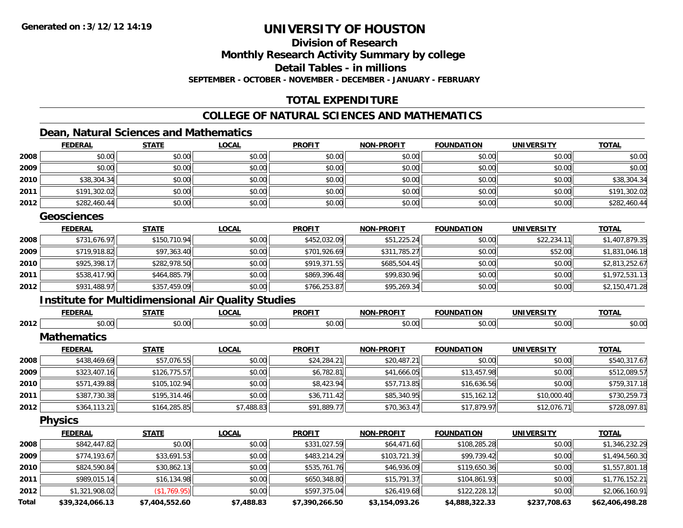## **Division of Research**

**Monthly Research Activity Summary by college**

**Detail Tables - in millions**

**SEPTEMBER - OCTOBER - NOVEMBER - DECEMBER - JANUARY - FEBRUARY**

### **TOTAL EXPENDITURE**

### **COLLEGE OF NATURAL SCIENCES AND MATHEMATICS**

### **Dean, Natural Sciences and Mathematics**

|      | <b>FEDERAL</b> | <b>STATE</b> | <u>LOCAL</u> | <b>PROFIT</b> | <b>NON-PROFIT</b> | <b>FOUNDATION</b> | <b>UNIVERSITY</b> | <b>TOTAL</b> |
|------|----------------|--------------|--------------|---------------|-------------------|-------------------|-------------------|--------------|
| 2008 | \$0.00         | \$0.00       | \$0.00       | \$0.00        | \$0.00            | \$0.00            | \$0.00            | \$0.00       |
| 2009 | \$0.00         | \$0.00       | \$0.00       | \$0.00        | \$0.00            | \$0.00            | \$0.00            | \$0.00       |
| 2010 | \$38,304.34    | \$0.00       | \$0.00       | \$0.00        | \$0.00            | \$0.00            | \$0.00            | \$38,304.34  |
| 2011 | \$191,302.02   | \$0.00       | \$0.00       | \$0.00        | \$0.00            | \$0.00            | \$0.00            | \$191,302.02 |
| 2012 | \$282,460.44   | \$0.00       | \$0.00       | \$0.00        | \$0.00            | \$0.00            | \$0.00            | \$282,460.44 |

#### **Geosciences**

|      | <b>FEDERAL</b> | <u>STATE</u> | <b>LOCAL</b> | <b>PROFIT</b> | <b>NON-PROFIT</b> | <b>FOUNDATION</b> | <b>UNIVERSITY</b> | <b>TOTAL</b>   |
|------|----------------|--------------|--------------|---------------|-------------------|-------------------|-------------------|----------------|
| 2008 | \$731,676.97   | \$150,710.94 | \$0.00       | \$452,032.09  | \$51,225.24       | \$0.00            | \$22,234.11       | \$1,407,879.35 |
| 2009 | \$719,918.82   | \$97,363.40  | \$0.00       | \$701,926.69  | \$311,785.27      | \$0.00            | \$52.00           | \$1,831,046.18 |
| 2010 | \$925,398.17   | \$282,978.50 | \$0.00       | \$919,371.55  | \$685,504.45      | \$0.00            | \$0.00            | \$2,813,252.67 |
| 2011 | \$538,417.90   | \$464,885.79 | \$0.00       | \$869,396.48  | \$99,830.96       | \$0.00            | \$0.00            | \$1,972,531.13 |
| 2012 | \$931,488.97   | \$357,459.09 | \$0.00       | \$766,253.87  | \$95,269.34       | \$0.00            | \$0.00            | \$2,150,471.28 |

### **Institute for Multidimensional Air Quality Studies**

|      | <b>FEDERAL</b>     | <b>STATE</b> | <b>LOCAL</b> | <b>PROFIT</b>       | <b>NON-PROFIT</b>   | <b>FOUNDATION</b>   | <b>UNIVERSITY</b> | <b>TOTAL</b>          |
|------|--------------------|--------------|--------------|---------------------|---------------------|---------------------|-------------------|-----------------------|
| 2012 | \$0.00             | \$0.00       | \$0.00       | \$0.00              | \$0.00              | \$0.00              | \$0.00            | \$0.00                |
|      | <b>Mathematics</b> |              |              |                     |                     |                     |                   |                       |
|      | <b>FEDERAL</b>     | <b>STATE</b> | <b>LOCAL</b> | <b>PROFIT</b>       | <b>NON-PROFIT</b>   | <b>FOUNDATION</b>   | <b>UNIVERSITY</b> | <b>TOTAL</b>          |
| 2008 | \$438,469.69       | \$57,076.55  | \$0.00       | \$24,284.21         | \$20,487.21         | \$0.00              | \$0.00            | \$540,317.67          |
| 2009 | \$323,407.16       | \$126,775.57 | \$0.00       | \$6,782.81          | \$41,666.05         | \$13,457.98         | \$0.00            | \$512,089.57          |
| 2010 | \$571,439.88       | \$105,102.94 | \$0.00       | \$8,423.94          | \$57,713.85         | \$16,636.56         | \$0.00            | \$759,317.18          |
| 2011 | \$387,730.38       | \$195,314.46 | \$0.00       | \$36,711.42         | \$85,340.95         | \$15,162.12         | \$10,000.40       | \$730,259.73          |
| 2012 | \$364,113.21       | \$164,285.85 | \$7,488.83   | \$91,889.77         | \$70,363.47         | \$17,879.97         | \$12,076.71       | \$728,097.81          |
|      | <b>Physics</b>     |              |              |                     |                     |                     |                   |                       |
|      | <b>FEDERAL</b>     | <b>STATE</b> | <b>LOCAL</b> | <b>PROFIT</b>       | <b>NON-PROFIT</b>   | <b>FOUNDATION</b>   | <b>UNIVERSITY</b> | <b>TOTAL</b>          |
| 2008 | 491211791          | t∩ ∩∩l       | t∩ ∩∩ll      | <b>\$221 027 50</b> | $C_{A1}$ $A71$ $A0$ | <b>\$108.285.28</b> | t∩ ∪v             | <b>\$1,346,222.20</b> |

| 2008  | \$842,447.82    | \$0.00         | \$0.00     | \$331,027.59   | \$64,471.60    | \$108,285.28   | \$0.00       | \$1,346,232.29  |
|-------|-----------------|----------------|------------|----------------|----------------|----------------|--------------|-----------------|
| 2009  | \$774,193.67    | \$33,691.53    | \$0.00     | \$483,214.29   | \$103,721.39   | \$99,739.42    | \$0.00       | \$1,494,560.30  |
| 2010  | \$824,590.84    | \$30,862.13    | \$0.00     | \$535,761.76   | \$46,936.09    | \$119,650.36   | \$0.00       | \$1,557,801.18  |
| 2011  | \$989,015.14    | \$16,134.98    | \$0.00     | \$650,348.80   | \$15,791.37    | \$104,861.93   | \$0.00       | \$1,776,152.21  |
| 2012  | \$1,321,908.02  | (S1, 769.95)   | \$0.00     | \$597,375.04   | \$26,419.68    | \$122,228.12   | \$0.00       | \$2,066,160.91  |
| Total | \$39,324,066.13 | \$7,404,552.60 | \$7,488.83 | \$7,390,266.50 | \$3,154,093.26 | \$4,888,322.33 | \$237,708.63 | \$62,406,498.28 |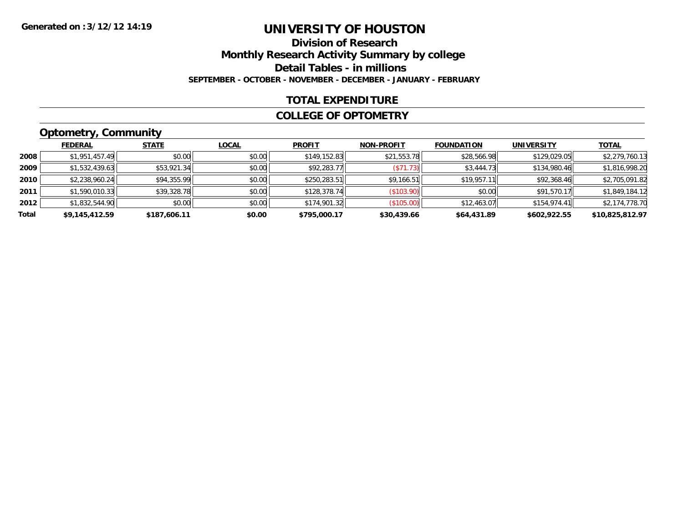### **Division of ResearchMonthly Research Activity Summary by college Detail Tables - in millions SEPTEMBER - OCTOBER - NOVEMBER - DECEMBER - JANUARY - FEBRUARY**

#### **TOTAL EXPENDITURE**

#### **COLLEGE OF OPTOMETRY**

### **Optometry, Community**

|       | <b>FEDERAL</b> | <b>STATE</b> | <b>LOCAL</b> | <b>PROFIT</b> | <b>NON-PROFIT</b> | <b>FOUNDATION</b> | <b>UNIVERSITY</b> | <b>TOTAL</b>    |
|-------|----------------|--------------|--------------|---------------|-------------------|-------------------|-------------------|-----------------|
| 2008  | \$1,951,457.49 | \$0.00       | \$0.00       | \$149,152.83  | \$21,553.78       | \$28,566.98       | \$129,029.05      | \$2,279,760.13  |
| 2009  | \$1,532,439.63 | \$53,921.34  | \$0.00       | \$92,283.77   | ( \$71.73)        | \$3,444.73        | \$134,980.46      | \$1,816,998.20  |
| 2010  | \$2,238,960.24 | \$94,355.99  | \$0.00       | \$250,283.51  | \$9,166.51        | \$19.957.11       | \$92,368.46       | \$2,705,091.82  |
| 2011  | \$1,590,010.33 | \$39,328.78  | \$0.00       | \$128,378.74  | $($ \$103.90) $ $ | \$0.00            | \$91,570.17       | \$1,849,184.12  |
| 2012  | \$1,832,544.90 | \$0.00       | \$0.00       | \$174,901.32  | (S105.00)         | \$12,463.07       | \$154,974.41      | \$2,174,778.70  |
| Total | \$9,145,412.59 | \$187,606.11 | \$0.00       | \$795,000.17  | \$30,439.66       | \$64,431.89       | \$602,922.55      | \$10,825,812.97 |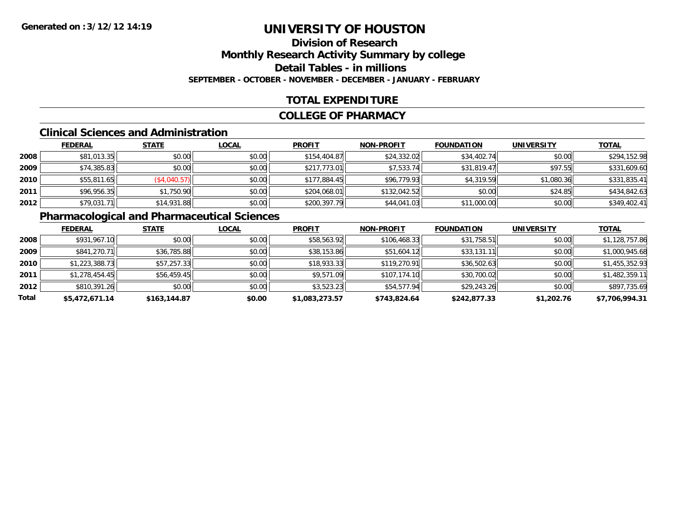### **Division of ResearchMonthly Research Activity Summary by college Detail Tables - in millions SEPTEMBER - OCTOBER - NOVEMBER - DECEMBER - JANUARY - FEBRUARY**

### **TOTAL EXPENDITURE**

#### **COLLEGE OF PHARMACY**

#### **Clinical Sciences and Administration**

|      | <b>FEDERAL</b> | <b>STATE</b> | <b>LOCAL</b> | <b>PROFIT</b> | <b>NON-PROFIT</b> | <b>FOUNDATION</b> | <b>UNIVERSITY</b> | <u>TOTAL</u> |
|------|----------------|--------------|--------------|---------------|-------------------|-------------------|-------------------|--------------|
| 2008 | \$81,013.35    | \$0.00       | \$0.00       | \$154,404.87  | \$24,332.02       | \$34,402.74       | \$0.00            | \$294,152.98 |
| 2009 | \$74,385.83    | \$0.00       | \$0.00       | \$217,773.01  | \$7,533.74        | \$31,819.47       | \$97.55           | \$331,609.60 |
| 2010 | \$55,811.65    | (\$4,040.57) | \$0.00       | \$177,884.45  | \$96,779.93       | \$4,319.59        | \$1,080.36        | \$331,835.41 |
| 2011 | \$96,956.35    | \$1,750.90   | \$0.00       | \$204,068.01  | \$132,042.52      | \$0.00            | \$24.85           | \$434,842.63 |
| 2012 | \$79,031.71    | \$14,931.88  | \$0.00       | \$200,397.79  | \$44,041.03       | \$11,000.00       | \$0.00            | \$349,402.41 |

# **Pharmacological and Pharmaceutical Sciences**

|       | <b>FEDERAL</b> | <b>STATE</b> | <b>LOCAL</b> | <b>PROFIT</b>  | <b>NON-PROFIT</b> | <b>FOUNDATION</b> | <b>UNIVERSITY</b> | <u>TOTAL</u>   |
|-------|----------------|--------------|--------------|----------------|-------------------|-------------------|-------------------|----------------|
| 2008  | \$931,967.10   | \$0.00       | \$0.00       | \$58,563.92    | \$106,468.33      | \$31,758.51       | \$0.00            | \$1,128,757.86 |
| 2009  | \$841,270.71   | \$36,785.88  | \$0.00       | \$38,153.86    | \$51,604.12       | \$33,131.11       | \$0.00            | \$1,000,945.68 |
| 2010  | \$1,223,388.73 | \$57,257.33  | \$0.00       | \$18,933.33    | \$119,270.91      | \$36,502.63       | \$0.00            | \$1,455,352.93 |
| 2011  | \$1,278,454.45 | \$56,459.45  | \$0.00       | \$9,571.09     | \$107,174.10      | \$30,700.02       | \$0.00            | \$1,482,359.11 |
| 2012  | \$810,391.26   | \$0.00       | \$0.00       | \$3,523.23     | \$54,577.94       | \$29,243.26       | \$0.00            | \$897,735.69   |
| Total | \$5,472,671.14 | \$163,144.87 | \$0.00       | \$1,083,273.57 | \$743,824.64      | \$242,877.33      | \$1,202.76        | \$7,706,994.31 |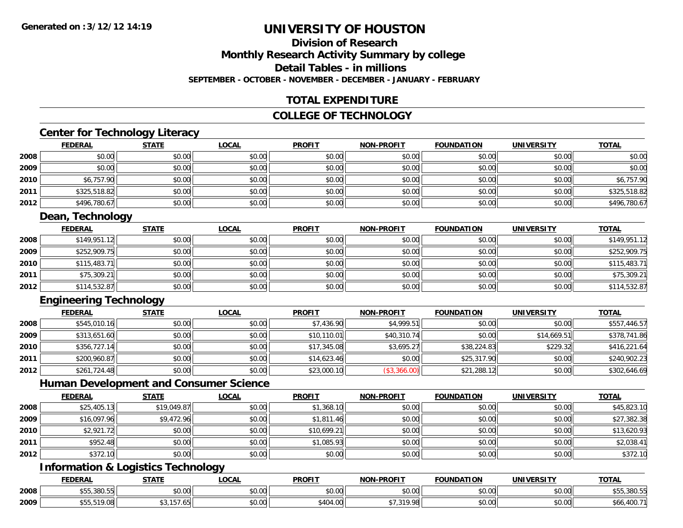# **Division of Research**

**Monthly Research Activity Summary by college**

**Detail Tables - in millions**

**SEPTEMBER - OCTOBER - NOVEMBER - DECEMBER - JANUARY - FEBRUARY**

### **TOTAL EXPENDITURE**

#### **COLLEGE OF TECHNOLOGY**

<u> 1980 - Johann Barbara, martxa alemaniar amerikan basar da a</u>

### **Center for Technology Literacy**

|      | <b>FEDERAL</b> | <b>STATE</b> | <b>LOCAL</b> | <b>PROFIT</b> | <b>NON-PROFIT</b> | <b>FOUNDATION</b> | <b>UNIVERSITY</b> | <b>TOTAL</b> |
|------|----------------|--------------|--------------|---------------|-------------------|-------------------|-------------------|--------------|
| 2008 | \$0.00         | \$0.00       | \$0.00       | \$0.00        | \$0.00            | \$0.00            | \$0.00            | \$0.00       |
| 2009 | \$0.00         | \$0.00       | \$0.00       | \$0.00        | \$0.00            | \$0.00            | \$0.00            | \$0.00       |
| 2010 | \$6,757.90     | \$0.00       | \$0.00       | \$0.00        | \$0.00            | \$0.00            | \$0.00            | \$6,757.90   |
| 2011 | \$325,518.82   | \$0.00       | \$0.00       | \$0.00        | \$0.00            | \$0.00            | \$0.00            | \$325,518.82 |
| 2012 | \$496,780.67   | \$0.00       | \$0.00       | \$0.00        | \$0.00            | \$0.00            | \$0.00            | \$496,780.67 |

### **Dean, Technology**

|      | <b>FEDERAL</b> | <b>STATE</b> | <b>LOCAL</b> | <b>PROFIT</b> | <b>NON-PROFIT</b> | <b>FOUNDATION</b> | <b>UNIVERSITY</b> | <b>TOTAL</b> |
|------|----------------|--------------|--------------|---------------|-------------------|-------------------|-------------------|--------------|
| 2008 | \$149,951.12   | \$0.00       | \$0.00       | \$0.00        | \$0.00            | \$0.00            | \$0.00            | \$149,951.12 |
| 2009 | \$252,909.75   | \$0.00       | \$0.00       | \$0.00        | \$0.00            | \$0.00            | \$0.00            | \$252,909.75 |
| 2010 | \$115,483.71   | \$0.00       | \$0.00       | \$0.00        | \$0.00            | \$0.00            | \$0.00            | \$115,483.71 |
| 2011 | \$75,309.21    | \$0.00       | \$0.00       | \$0.00        | \$0.00            | \$0.00            | \$0.00            | \$75,309.21  |
| 2012 | \$114,532.87   | \$0.00       | \$0.00       | \$0.00        | \$0.00            | \$0.00            | \$0.00            | \$114,532.87 |

### **Engineering Technology**

|      | <b>FEDERAL</b> | <b>STATE</b> | <u>LOCAL</u> | <b>PROFIT</b> | <b>NON-PROFIT</b> | <b>FOUNDATION</b> | <b>UNIVERSITY</b> | <b>TOTAL</b> |
|------|----------------|--------------|--------------|---------------|-------------------|-------------------|-------------------|--------------|
| 2008 | \$545,010.16   | \$0.00       | \$0.00       | \$7,436.90    | \$4,999.51        | \$0.00            | \$0.00            | \$557,446.57 |
| 2009 | \$313,651.60   | \$0.00       | \$0.00       | \$10,110.01   | \$40,310.74       | \$0.00            | \$14,669.51       | \$378,741.86 |
| 2010 | \$356,727.14   | \$0.00       | \$0.00       | \$17,345.08   | \$3,695.27        | \$38,224.83       | \$229.32          | \$416,221.64 |
| 2011 | \$200,960.87   | \$0.00       | \$0.00       | \$14,623.46   | \$0.00            | \$25,317.90       | \$0.00            | \$240,902.23 |
| 2012 | \$261,724.48   | \$0.00       | \$0.00       | \$23,000.10   | (\$3,366.00)      | \$21,288.12       | \$0.00            | \$302,646.69 |

#### **Human Development and Consumer Science**

|      | <b>FEDERAL</b> | <b>STATE</b> | <b>LOCAL</b> | <b>PROFIT</b> | <b>NON-PROFIT</b> | <b>FOUNDATION</b> | UNIVERSITY | <b>TOTAL</b> |
|------|----------------|--------------|--------------|---------------|-------------------|-------------------|------------|--------------|
| 2008 | \$25,405.13    | \$19,049.87  | \$0.00       | \$1,368.10    | \$0.00            | \$0.00            | \$0.00     | \$45,823.10  |
| 2009 | \$16,097.96    | \$9,472.96   | \$0.00       | \$1,811.46    | \$0.00            | \$0.00            | \$0.00     | \$27,382.38  |
| 2010 | \$2,921.72     | \$0.00       | \$0.00       | \$10,699.21   | \$0.00            | \$0.00            | \$0.00     | \$13,620.93  |
| 2011 | \$952.48       | \$0.00       | \$0.00       | \$1,085.93    | \$0.00            | \$0.00            | \$0.00     | \$2,038.41   |
| 2012 | \$372.10       | \$0.00       | \$0.00       | \$0.00        | \$0.00            | \$0.00            | \$0.00     | \$372.10     |

### **Information & Logistics Technology**

|      | <b>FEDERAL</b>      | CTATI         | .OCAL              | <b>PROFIT</b>       | DDOCIT<br>וחרות       | <b>DATION</b>        | UNIVERSITY                                                   | <b>TOTA</b>       |
|------|---------------------|---------------|--------------------|---------------------|-----------------------|----------------------|--------------------------------------------------------------|-------------------|
| 2008 | 555.380.55<br>$+ -$ | 0.00<br>vv.vv | $\sim$ 00<br>vv.vv | 0000<br>vu.vu       | 0.00<br>JU.UU         | 0.00<br><b>JU.UU</b> | $\mathsf{A} \cap \mathsf{A} \cap \mathsf{A}$<br>vv.vv        | 200E<br>POPION PO |
| 2009 | $\sim$              |               | $\sim$ 00<br>JU.UU | 5.10100<br>$\ldots$ | 1.210.00<br>7.70<br>. | 0.00<br>JU.UU        | $\mathsf{A} \cap \mathsf{A} \cap \mathsf{A}$<br><b>JU.UU</b> | poo               |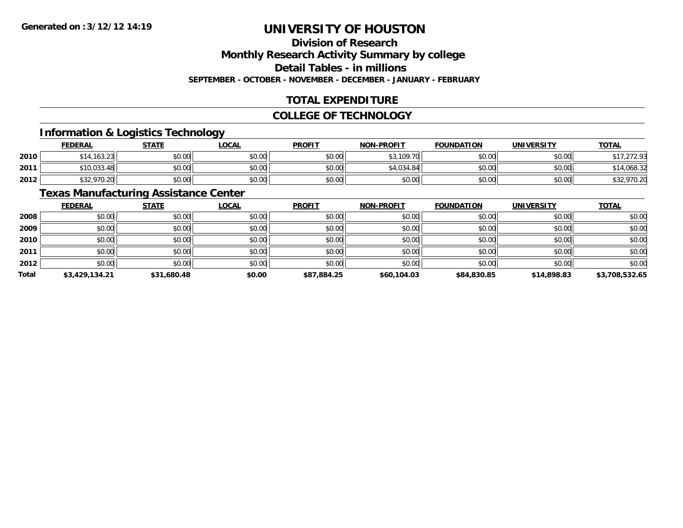### **Division of Research**

**Monthly Research Activity Summary by college**

**Detail Tables - in millions**

**SEPTEMBER - OCTOBER - NOVEMBER - DECEMBER - JANUARY - FEBRUARY**

### **TOTAL EXPENDITURE**

#### **COLLEGE OF TECHNOLOGY**

### **Information & Logistics Technology**

|      | <b>FEDERAL</b> | <b>STATE</b> | <u>LOCAL</u> | <b>PROFIT</b> | <b>NON-PROFIT</b> | <b>FOUNDATION</b> | UNIVERSITY | <b>TOTAL</b> |
|------|----------------|--------------|--------------|---------------|-------------------|-------------------|------------|--------------|
| 2010 | \$14,163.23    | \$0.00       | \$0.00       | \$0.00        | \$3,109.70        | \$0.00            | \$0.00     | \$17,272.93  |
| 2011 | \$10,033.48    | \$0.00       | \$0.00       | \$0.00        | \$4,034.84        | \$0.00            | \$0.00     | \$14,068.32  |
| 2012 | \$32,970.20    | \$0.00       | \$0.00       | \$0.00        | \$0.00            | \$0.00            | \$0.00     | \$32,970.20  |

### **Texas Manufacturing Assistance Center**

|       | <b>FEDERAL</b> | <b>STATE</b> | <b>LOCAL</b> | <b>PROFIT</b> | <b>NON-PROFIT</b> | <b>FOUNDATION</b> | <b>UNIVERSITY</b> | <b>TOTAL</b>   |
|-------|----------------|--------------|--------------|---------------|-------------------|-------------------|-------------------|----------------|
| 2008  | \$0.00         | \$0.00       | \$0.00       | \$0.00        | \$0.00            | \$0.00            | \$0.00            | \$0.00         |
| 2009  | \$0.00         | \$0.00       | \$0.00       | \$0.00        | \$0.00            | \$0.00            | \$0.00            | \$0.00         |
| 2010  | \$0.00         | \$0.00       | \$0.00       | \$0.00        | \$0.00            | \$0.00            | \$0.00            | \$0.00         |
| 2011  | \$0.00         | \$0.00       | \$0.00       | \$0.00        | \$0.00            | \$0.00            | \$0.00            | \$0.00         |
| 2012  | \$0.00         | \$0.00       | \$0.00       | \$0.00        | \$0.00            | \$0.00            | \$0.00            | \$0.00         |
| Total | \$3,429,134.21 | \$31,680.48  | \$0.00       | \$87,884.25   | \$60,104.03       | \$84,830.85       | \$14,898.83       | \$3,708,532.65 |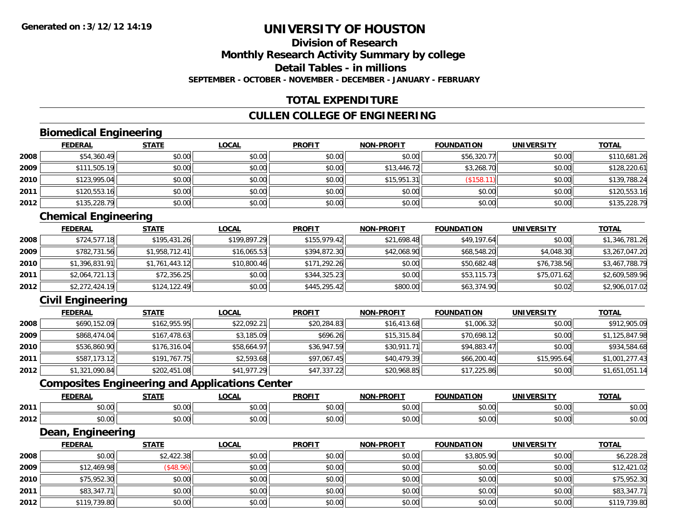### **Division of ResearchMonthly Research Activity Summary by college Detail Tables - in millionsSEPTEMBER - OCTOBER - NOVEMBER - DECEMBER - JANUARY - FEBRUARY**

### **TOTAL EXPENDITURE**

### **CULLEN COLLEGE OF ENGINEERING**

### **Biomedical Engineering**

|      | <b>FEDERAL</b> | <b>STATE</b> | <b>LOCAL</b> | <b>PROFIT</b> | <b>NON-PROFIT</b> | <b>FOUNDATION</b> | <b>UNIVERSITY</b> | <b>TOTAL</b> |
|------|----------------|--------------|--------------|---------------|-------------------|-------------------|-------------------|--------------|
| 2008 | \$54,360.49    | \$0.00       | \$0.00       | \$0.00        | \$0.00            | \$56,320.77       | \$0.00            | \$110,681.26 |
| 2009 | \$111,505.19   | \$0.00       | \$0.00       | \$0.00        | \$13,446.72       | \$3,268.70        | \$0.00            | \$128,220.61 |
| 2010 | \$123,995.04   | \$0.00       | \$0.00       | \$0.00        | \$15,951.31       | \$158.            | \$0.00            | \$139,788.24 |
| 2011 | \$120,553.16   | \$0.00       | \$0.00       | \$0.00        | \$0.00            | \$0.00            | \$0.00            | \$120,553.16 |
| 2012 | \$135,228.79   | \$0.00       | \$0.00       | \$0.00        | \$0.00            | \$0.00            | \$0.00            | \$135,228.79 |

### **Chemical Engineering**

|      | <u>FEDERAL</u> | <b>STATE</b>   | <u>LOCAL</u> | <b>PROFIT</b> | <b>NON-PROFIT</b> | <b>FOUNDATION</b> | <b>UNIVERSITY</b> | <b>TOTAL</b>   |
|------|----------------|----------------|--------------|---------------|-------------------|-------------------|-------------------|----------------|
| 2008 | \$724,577.18   | \$195,431.26   | \$199,897.29 | \$155.979.42  | \$21,698.48       | \$49,197.64       | \$0.00            | \$1,346,781.26 |
| 2009 | \$782,731.56   | \$1,958,712.41 | \$16.065.53  | \$394,872.30  | \$42,068.90       | \$68,548.20       | \$4,048.30        | \$3,267,047.20 |
| 2010 | \$1,396,831.91 | \$1,761,443.12 | \$10,800.46  | \$171,292.26  | \$0.00            | \$50,682.48       | \$76,738.56       | \$3,467,788.79 |
| 2011 | \$2,064,721.13 | \$72,356.25    | \$0.00       | \$344,325.23  | \$0.00            | \$53,115.73       | \$75,071.62       | \$2,609,589.96 |
| 2012 | \$2,272,424.19 | \$124,122.49   | \$0.00       | \$445,295.42  | \$800.00          | \$63,374.90       | \$0.02            | \$2,906,017.02 |

### **Civil Engineering**

|      | <b>FEDERAL</b> | <b>STATE</b> | <u>LOCAL</u> | <b>PROFIT</b> | <b>NON-PROFIT</b> | <b>FOUNDATION</b> | <b>UNIVERSITY</b> | <b>TOTAL</b>   |
|------|----------------|--------------|--------------|---------------|-------------------|-------------------|-------------------|----------------|
| 2008 | \$690.152.09   | \$162,955.95 | \$22,092.21  | \$20,284.83   | \$16,413.68       | \$1,006.32        | \$0.00            | \$912,905.09   |
| 2009 | \$868,474.04   | \$167,478.63 | \$3,185.09   | \$696.26      | \$15,315.84       | \$70,698.12       | \$0.00            | \$1,125,847.98 |
| 2010 | \$536,860.90   | \$176,316.04 | \$58,664.97  | \$36,947.59   | \$30,911.71       | \$94,883.47       | \$0.00            | \$934,584.68   |
| 2011 | \$587,173,12   | \$191,767.75 | \$2,593.68   | \$97,067.45   | \$40,479.39       | \$66,200.40       | \$15,995.64       | \$1,001,277.43 |
| 2012 | \$1,321,090.84 | \$202,451.08 | \$41,977.29  | \$47,337.22   | \$20,968.85       | \$17,225.86       | \$0.00            | \$1,651,051.14 |

### **Composites Engineering and Applications Center**

|      | EENEDA<br>LI\ <i>r</i>        | <b>CTATE</b>           | $\sim$<br>.UCAL | <b>PROFIT</b>         | <b>-PROFIT</b><br>NON. | <b>FOUNDATION</b>      | UNIVERSITY           | <b>TOTAL</b>  |
|------|-------------------------------|------------------------|-----------------|-----------------------|------------------------|------------------------|----------------------|---------------|
| 2011 | $\sim$ $\sim$ $\sim$<br>vv.vv | $\sim$ $\sim$<br>90.UU | 0.00<br>vv.vv   | $\sim$ $\sim$<br>υυ., | 0000<br>vv.vv          | 0 <sub>n</sub><br>u.uu | $\sigma \cap \Delta$ | 0000<br>DU.UG |
| 2012 | $\sim$ $\sim$<br>PU.UU        | $\sim$ 00<br>DU.UU     | 0.00<br>JU.UU   | JU.                   | 0000<br>JU.UU          | 0000<br>u.uu           | 0000<br>JU.UU        | \$0.00        |

<u> 1989 - Johann Stoff, deutscher Stoffen und der Stoffen und der Stoffen und der Stoffen und der Stoffen und der</u>

#### **Dean, Engineering**

|      | <b>FEDERAL</b> | <b>STATE</b> | <b>LOCAL</b> | <b>PROFIT</b> | <b>NON-PROFIT</b> | FOUNDATION | <b>UNIVERSITY</b> | <b>TOTAL</b> |
|------|----------------|--------------|--------------|---------------|-------------------|------------|-------------------|--------------|
| 2008 | \$0.00         | \$2,422.38   | \$0.00       | \$0.00        | \$0.00            | \$3,805.90 | \$0.00            | \$6,228.28   |
| 2009 | \$12,469.98    | \$48.96      | \$0.00       | \$0.00        | \$0.00            | \$0.00     | \$0.00            | \$12,421.02  |
| 2010 | \$75,952.30    | \$0.00       | \$0.00       | \$0.00        | \$0.00            | \$0.00     | \$0.00            | \$75,952.30  |
| 2011 | \$83,347.71    | \$0.00       | \$0.00       | \$0.00        | \$0.00            | \$0.00     | \$0.00            | \$83,347.71  |
| 2012 | \$119,739.80   | \$0.00       | \$0.00       | \$0.00        | \$0.00            | \$0.00     | \$0.00            | \$119,739.80 |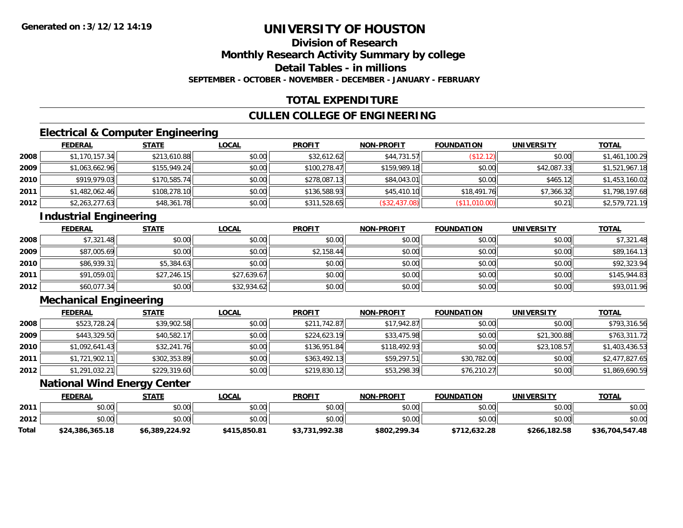### **Division of ResearchMonthly Research Activity Summary by college Detail Tables - in millions**

**SEPTEMBER - OCTOBER - NOVEMBER - DECEMBER - JANUARY - FEBRUARY**

### **TOTAL EXPENDITURE**

### **CULLEN COLLEGE OF ENGINEERING**

### **Electrical & Computer Engineering**

|      | <b>FEDERAL</b> | <b>STATE</b> | <b>LOCAL</b> | <b>PROFIT</b> | <b>NON-PROFIT</b> | <b>FOUNDATION</b> | <b>UNIVERSITY</b> | <b>TOTAL</b>   |
|------|----------------|--------------|--------------|---------------|-------------------|-------------------|-------------------|----------------|
| 2008 | \$1,170,157.34 | \$213,610.88 | \$0.00       | \$32,612.62   | \$44,731.57       | \$12.12]          | \$0.00            | \$1,461,100.29 |
| 2009 | \$1,063,662.96 | \$155,949.24 | \$0.00       | \$100,278.47  | \$159,989.18      | \$0.00            | \$42,087.33       | \$1,521,967.18 |
| 2010 | \$919,979.03   | \$170,585.74 | \$0.00       | \$278,087.13  | \$84,043.01       | \$0.00            | \$465.12          | \$1,453,160.02 |
| 2011 | \$1,482,062.46 | \$108,278.10 | \$0.00       | \$136,588.93  | \$45,410.10       | \$18,491.76       | \$7,366.32        | \$1,798,197.68 |
| 2012 | \$2,263,277.63 | \$48,361.78  | \$0.00       | \$311,528.65  | (\$32,437.08)     | (\$11,010.00)     | \$0.21            | \$2,579,721.19 |

### **Industrial Engineering**

|      | <b>FEDERAL</b> | <b>STATE</b> | <u>LOCAL</u> | <b>PROFIT</b> | <b>NON-PROFIT</b> | <b>FOUNDATION</b> | <b>UNIVERSITY</b> | <b>TOTAL</b> |
|------|----------------|--------------|--------------|---------------|-------------------|-------------------|-------------------|--------------|
| 2008 | \$7,321.48     | \$0.00       | \$0.00       | \$0.00        | \$0.00            | \$0.00            | \$0.00            | \$7,321.48   |
| 2009 | \$87,005.69    | \$0.00       | \$0.00       | \$2,158.44    | \$0.00            | \$0.00            | \$0.00            | \$89,164.13  |
| 2010 | \$86,939.31    | \$5,384.63   | \$0.00       | \$0.00        | \$0.00            | \$0.00            | \$0.00            | \$92,323.94  |
| 2011 | \$91,059.01    | \$27,246.15  | \$27,639.67  | \$0.00        | \$0.00            | \$0.00            | \$0.00            | \$145,944.83 |
| 2012 | \$60,077.34    | \$0.00       | \$32,934.62  | \$0.00        | \$0.00            | \$0.00            | \$0.00            | \$93,011.96  |

### **Mechanical Engineering**

|      | <b>FEDERAL</b> | <b>STATE</b> | <u>LOCAL</u> | <b>PROFIT</b> | <b>NON-PROFIT</b> | <b>FOUNDATION</b> | <b>UNIVERSITY</b> | <b>TOTAL</b>   |
|------|----------------|--------------|--------------|---------------|-------------------|-------------------|-------------------|----------------|
| 2008 | \$523,728.24   | \$39,902.58  | \$0.00       | \$211,742.87  | \$17,942.87       | \$0.00            | \$0.00            | \$793,316.56   |
| 2009 | \$443,329.50   | \$40,582.17  | \$0.00       | \$224,623.19  | \$33,475.98       | \$0.00            | \$21,300.88       | \$763,311.72   |
| 2010 | \$1,092,641.43 | \$32,241.76  | \$0.00       | \$136,951.84  | \$118,492.93      | \$0.00            | \$23,108.57       | \$1,403,436.53 |
| 2011 | \$1,721,902.11 | \$302,353.89 | \$0.00       | \$363,492.13  | \$59,297.51       | \$30,782.00       | \$0.00            | \$2,477,827.65 |
| 2012 | \$1,291,032.21 | \$229,319.60 | \$0.00       | \$219,830.12  | \$53,298.39       | \$76,210.27       | \$0.00            | \$1,869,690.59 |

### **National Wind Energy Center**

|              | <b>FEDERAL</b>  | STATE          | <u>LOCAL</u> | <b>PROFIT</b>  | <b>NON-PROFIT</b> | <b>FOUNDATION</b> | <b>UNIVERSITY</b> | <b>TOTAL</b>    |
|--------------|-----------------|----------------|--------------|----------------|-------------------|-------------------|-------------------|-----------------|
| 2011         | \$0.00          | \$0.00         | \$0.00       | \$0.00         | \$0.00            | \$0.00            | \$0.00            | \$0.00          |
| 2012         | \$0.00          | \$0.00         | \$0.00       | \$0.00         | \$0.00            | \$0.00            | \$0.00            | \$0.00          |
| <b>Total</b> | \$24,386,365.18 | \$6,389,224.92 | \$415,850.81 | \$3,731,992.38 | \$802,299.34      | \$712.632.28      | \$266,182.58      | \$36,704,547.48 |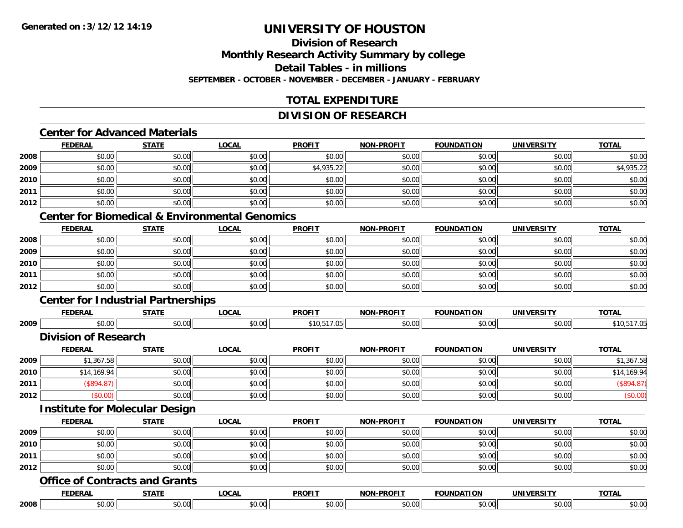### **Division of ResearchMonthly Research Activity Summary by college Detail Tables - in millionsSEPTEMBER - OCTOBER - NOVEMBER - DECEMBER - JANUARY - FEBRUARY**

### **TOTAL EXPENDITURE**

#### **DIVISION OF RESEARCH**

### **Center for Advanced Materials**

|      | <b>FEDERAL</b> | <b>STATE</b> | <b>LOCAL</b> | <b>PROFIT</b> | <b>NON-PROFIT</b> | <b>FOUNDATION</b> | <b>UNIVERSITY</b> | <b>TOTAL</b> |
|------|----------------|--------------|--------------|---------------|-------------------|-------------------|-------------------|--------------|
| 2008 | \$0.00         | \$0.00       | \$0.00       | \$0.00        | \$0.00            | \$0.00            | \$0.00            | \$0.00       |
| 2009 | \$0.00         | \$0.00       | \$0.00       | \$4,935.22    | \$0.00            | \$0.00            | \$0.00            | \$4,935.22   |
| 2010 | \$0.00         | \$0.00       | \$0.00       | \$0.00        | \$0.00            | \$0.00            | \$0.00            | \$0.00       |
| 2011 | \$0.00         | \$0.00       | \$0.00       | \$0.00        | \$0.00            | \$0.00            | \$0.00            | \$0.00       |
| 2012 | \$0.00         | \$0.00       | \$0.00       | \$0.00        | \$0.00            | \$0.00            | \$0.00            | \$0.00       |

### **Center for Biomedical & Environmental Genomics**

|      | <u>FEDERAL</u> | <b>STATE</b> | <b>LOCAL</b> | <b>PROFIT</b> | <b>NON-PROFIT</b> | <b>FOUNDATION</b> | <b>UNIVERSITY</b> | <b>TOTAL</b> |
|------|----------------|--------------|--------------|---------------|-------------------|-------------------|-------------------|--------------|
| 2008 | \$0.00         | \$0.00       | \$0.00       | \$0.00        | \$0.00            | \$0.00            | \$0.00            | \$0.00       |
| 2009 | \$0.00         | \$0.00       | \$0.00       | \$0.00        | \$0.00            | \$0.00            | \$0.00            | \$0.00       |
| 2010 | \$0.00         | \$0.00       | \$0.00       | \$0.00        | \$0.00            | \$0.00            | \$0.00            | \$0.00       |
| 2011 | \$0.00         | \$0.00       | \$0.00       | \$0.00        | \$0.00            | \$0.00            | \$0.00            | \$0.00       |
| 2012 | \$0.00         | \$0.00       | \$0.00       | \$0.00        | \$0.00            | \$0.00            | \$0.00            | \$0.00       |

### **Center for Industrial Partnerships**

|      | -------                | ----- | $\sim$ $\sim$ $\sim$ | <b>DDOEIT</b> | -----<br>$\sim$ |                  |              | $-2 -$ |
|------|------------------------|-------|----------------------|---------------|-----------------|------------------|--------------|--------|
| 2009 | 0 <sub>n</sub><br>ט.טע |       | $\sim$ $\sim$<br>,,, | 10            |                 | $\Omega$<br>v.vv | 0.00<br>ט.טי |        |

#### **Division of Research**

|      | <u>FEDERAL</u> | <b>STATE</b> | <u>LOCAL</u> | <b>PROFIT</b> | <b>NON-PROFIT</b> | <b>FOUNDATION</b> | <b>UNIVERSITY</b> | <b>TOTAL</b> |
|------|----------------|--------------|--------------|---------------|-------------------|-------------------|-------------------|--------------|
| 2009 | \$1,367.58     | \$0.00       | \$0.00       | \$0.00        | \$0.00            | \$0.00            | \$0.00            | \$1,367.58   |
| 2010 | \$14,169.94    | \$0.00       | \$0.00       | \$0.00        | \$0.00            | \$0.00            | \$0.00            | \$14,169.94  |
| 2011 | \$894.8]       | \$0.00       | \$0.00       | \$0.00        | \$0.00            | \$0.00            | \$0.00            |              |
| 2012 | \$0.00)        | \$0.00       | \$0.00       | \$0.00        | \$0.00            | \$0.00            | \$0.00            | (\$0.00)     |

#### **Institute for Molecular Design**

|      | <b>FEDERAL</b> | <b>STATE</b> | <u>LOCAL</u> | <b>PROFIT</b> | <b>NON-PROFIT</b> | <b>FOUNDATION</b> | <b>UNIVERSITY</b> | <u>TOTAL</u> |
|------|----------------|--------------|--------------|---------------|-------------------|-------------------|-------------------|--------------|
| 2009 | \$0.00         | \$0.00       | \$0.00       | \$0.00        | \$0.00            | \$0.00            | \$0.00            | \$0.00       |
| 2010 | \$0.00         | \$0.00       | \$0.00       | \$0.00        | \$0.00            | \$0.00            | \$0.00            | \$0.00       |
| 2011 | \$0.00         | \$0.00       | \$0.00       | \$0.00        | \$0.00            | \$0.00            | \$0.00            | \$0.00       |
| 2012 | \$0.00         | \$0.00       | \$0.00       | \$0.00        | \$0.00            | \$0.00            | \$0.00            | \$0.00       |

#### **Office of Contracts and Grants**

|      | <b>FEDERA</b> | -----         | OCAL<br>ᇅᇦᇅ | <b>PROFIT</b><br>'ru            | ------<br>$\cdots$     | DATION<br>ш | 2.1734<br>JNIVEF<br>-531 | <b>TOTAL</b> |
|------|---------------|---------------|-------------|---------------------------------|------------------------|-------------|--------------------------|--------------|
| 2008 | 0000<br>DU.UU | 0000<br>v.vv. | $\cap$      | $\sim$ $\sim$<br>$\sim$<br>ט. ט | $\sim$ $\sim$<br>וטייט | 100.07      | $\sim$ $\sim$            | .00<br>∙∪.∪∖ |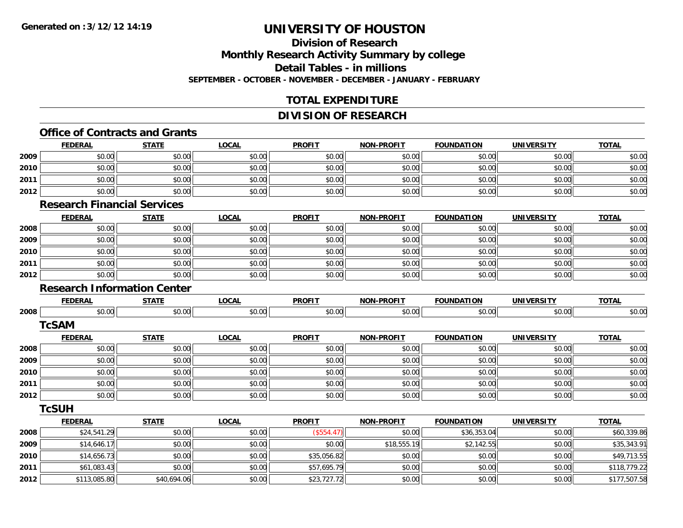### **Division of ResearchMonthly Research Activity Summary by college Detail Tables - in millions SEPTEMBER - OCTOBER - NOVEMBER - DECEMBER - JANUARY - FEBRUARY**

### **TOTAL EXPENDITURE**

### **DIVISION OF RESEARCH**

### **Office of Contracts and Grants**

|      | <b>FEDERAL</b>                     | <b>STATE</b> | <b>LOCAL</b> | <b>PROFIT</b> | <b>NON-PROFIT</b> | <b>FOUNDATION</b> | <b>UNIVERSITY</b> | <b>TOTAL</b> |
|------|------------------------------------|--------------|--------------|---------------|-------------------|-------------------|-------------------|--------------|
| 2009 | \$0.00                             | \$0.00       | \$0.00       | \$0.00        | \$0.00            | \$0.00            | \$0.00            | \$0.00       |
| 2010 | \$0.00                             | \$0.00       | \$0.00       | \$0.00        | \$0.00            | \$0.00            | \$0.00            | \$0.00       |
| 2011 | \$0.00                             | \$0.00       | \$0.00       | \$0.00        | \$0.00            | \$0.00            | \$0.00            | \$0.00       |
| 2012 | \$0.00                             | \$0.00       | \$0.00       | \$0.00        | \$0.00            | \$0.00            | \$0.00            | \$0.00       |
|      | <b>Research Financial Services</b> |              |              |               |                   |                   |                   |              |
|      | <b>FEDERAL</b>                     | <b>STATE</b> | <b>LOCAL</b> | <b>PROFIT</b> | <b>NON-PROFIT</b> | <b>FOUNDATION</b> | <b>UNIVERSITY</b> | <b>TOTAL</b> |
| 2008 | \$0.00                             | \$0.00       | \$0.00       | \$0.00        | \$0.00            | \$0.00            | \$0.00            | \$0.00       |
| 2009 | \$0.00                             | \$0.00       | \$0.00       | \$0.00        | \$0.00            | \$0.00            | \$0.00            | \$0.00       |
| 2010 | \$0.00                             | \$0.00       | \$0.00       | \$0.00        | \$0.00            | \$0.00            | \$0.00            | \$0.00       |
| 2011 | \$0.00                             | \$0.00       | \$0.00       | \$0.00        | \$0.00            | \$0.00            | \$0.00            | \$0.00       |
| 2012 | \$0.00                             | \$0.00       | \$0.00       | \$0.00        | \$0.00            | \$0.00            | \$0.00            | \$0.00       |
|      | <b>Research Information Center</b> |              |              |               |                   |                   |                   |              |
|      | <b>FEDERAL</b>                     | <b>STATE</b> | <b>LOCAL</b> | <b>PROFIT</b> | <b>NON-PROFIT</b> | <b>FOUNDATION</b> | <b>UNIVERSITY</b> | <b>TOTAL</b> |
| 2008 | \$0.00                             | \$0.00       | \$0.00       | \$0.00        | \$0.00            | \$0.00            | \$0.00            | \$0.00       |
|      | <b>TcSAM</b>                       |              |              |               |                   |                   |                   |              |
|      | <b>FEDERAL</b>                     | <b>STATE</b> | <b>LOCAL</b> | <b>PROFIT</b> | <b>NON-PROFIT</b> | <b>FOUNDATION</b> | <b>UNIVERSITY</b> | <b>TOTAL</b> |
| 2008 | \$0.00                             | \$0.00       | \$0.00       | \$0.00        | \$0.00            | \$0.00            | \$0.00            | \$0.00       |
| 2009 | \$0.00                             | \$0.00       | \$0.00       | \$0.00        | \$0.00            | \$0.00            | \$0.00            | \$0.00       |
| 2010 | \$0.00                             | \$0.00       | \$0.00       | \$0.00        | \$0.00            | \$0.00            | \$0.00            | \$0.00       |
| 2011 | \$0.00                             | \$0.00       | \$0.00       | \$0.00        | \$0.00            | \$0.00            | \$0.00            | \$0.00       |
| 2012 | \$0.00                             | \$0.00       | \$0.00       | \$0.00        | \$0.00            | \$0.00            | \$0.00            | \$0.00       |
|      | <b>TcSUH</b>                       |              |              |               |                   |                   |                   |              |
|      | <b>FEDERAL</b>                     | <b>STATE</b> | <b>LOCAL</b> | <b>PROFIT</b> | <b>NON-PROFIT</b> | <b>FOUNDATION</b> | <b>UNIVERSITY</b> | <b>TOTAL</b> |
| 2008 | \$24,541.29                        | \$0.00       | \$0.00       | (\$554.47)    | \$0.00            | \$36,353.04       | \$0.00            | \$60,339.86  |
| 2009 | \$14,646.17                        | \$0.00       | \$0.00       | \$0.00        | \$18,555.19       | \$2,142.55        | \$0.00            | \$35,343.91  |
| 2010 | \$14,656.73                        | \$0.00       | \$0.00       | \$35,056.82   | \$0.00            | \$0.00            | \$0.00            | \$49,713.55  |
| 2011 | \$61,083.43                        | \$0.00       | \$0.00       | \$57,695.79   | \$0.00            | \$0.00            | \$0.00            | \$118,779.22 |
| 2012 | \$113,085.80                       | \$40,694.06  | \$0.00       | \$23,727.72   | \$0.00            | \$0.00            | \$0.00            | \$177,507.58 |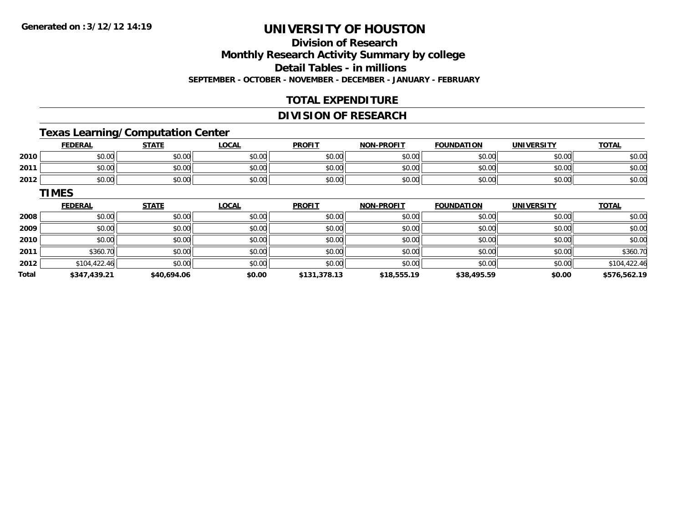**TIMES**

## **UNIVERSITY OF HOUSTON**

# **Division of Research**

**Monthly Research Activity Summary by college**

**Detail Tables - in millions**

**SEPTEMBER - OCTOBER - NOVEMBER - DECEMBER - JANUARY - FEBRUARY**

## **TOTAL EXPENDITURE**

### **DIVISION OF RESEARCH**

## **Texas Learning/Computation Center**

|      | <u>FEDERAL</u> | <b>STATE</b> | LOCAL  | <b>PROFIT</b> | <b>NON-PROFIT</b> | <b>FOUNDATION</b> | <b>UNIVERSITY</b> | <b>TOTAL</b> |
|------|----------------|--------------|--------|---------------|-------------------|-------------------|-------------------|--------------|
| 2010 | \$0.00         | \$0.00       | \$0.00 | \$0.00        | \$0.00            | \$0.00            | \$0.00            | \$0.00       |
| 2011 | \$0.00         | \$0.00       | \$0.00 | \$0.00        | \$0.00            | \$0.00            | \$0.00            | \$0.00       |
| 2012 | \$0.00         | \$0.00       | \$0.00 | \$0.00        | \$0.00            | \$0.00            | \$0.00            | \$0.00       |

|       | <b>FEDERAL</b> | <b>STATE</b> | <u>LOCAL</u> | <b>PROFIT</b> | <b>NON-PROFIT</b> | <b>FOUNDATION</b> | <b>UNIVERSITY</b> | <b>TOTAL</b> |
|-------|----------------|--------------|--------------|---------------|-------------------|-------------------|-------------------|--------------|
| 2008  | \$0.00         | \$0.00       | \$0.00       | \$0.00        | \$0.00            | \$0.00            | \$0.00            | \$0.00       |
| 2009  | \$0.00         | \$0.00       | \$0.00       | \$0.00        | \$0.00            | \$0.00            | \$0.00            | \$0.00       |
| 2010  | \$0.00         | \$0.00       | \$0.00       | \$0.00        | \$0.00            | \$0.00            | \$0.00            | \$0.00       |
| 2011  | \$360.70       | \$0.00       | \$0.00       | \$0.00        | \$0.00            | \$0.00            | \$0.00            | \$360.70     |
| 2012  | \$104,422.46   | \$0.00       | \$0.00       | \$0.00        | \$0.00            | \$0.00            | \$0.00            | \$104,422.46 |
| Total | \$347,439.21   | \$40,694.06  | \$0.00       | \$131,378.13  | \$18,555.19       | \$38,495.59       | \$0.00            | \$576,562.19 |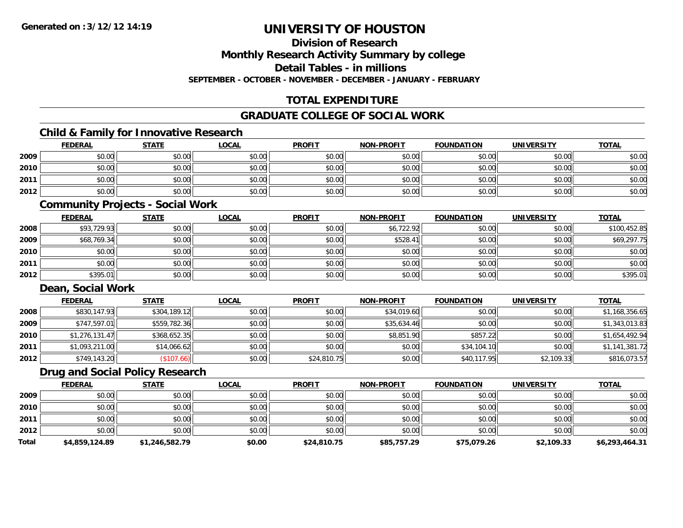**Division of Research**

**Monthly Research Activity Summary by college**

**Detail Tables - in millions**

**SEPTEMBER - OCTOBER - NOVEMBER - DECEMBER - JANUARY - FEBRUARY**

### **TOTAL EXPENDITURE**

### **GRADUATE COLLEGE OF SOCIAL WORK**

### **Child & Family for Innovative Research**

|      | <b>FEDERAL</b> | <b>STATE</b> | <u>LOCAL</u> | <b>PROFIT</b> | <b>NON-PROFIT</b> | <b>FOUNDATION</b> | <b>UNIVERSITY</b> | <b>TOTAL</b> |
|------|----------------|--------------|--------------|---------------|-------------------|-------------------|-------------------|--------------|
| 2009 | \$0.00         | \$0.00       | \$0.00       | \$0.00        | \$0.00            | \$0.00            | \$0.00            | \$0.00       |
| 2010 | \$0.00         | \$0.00       | \$0.00       | \$0.00        | \$0.00            | \$0.00            | \$0.00            | \$0.00       |
| 2011 | \$0.00         | \$0.00       | \$0.00       | \$0.00        | \$0.00            | \$0.00            | \$0.00            | \$0.00       |
| 2012 | \$0.00         | \$0.00       | \$0.00       | \$0.00        | \$0.00            | \$0.00            | \$0.00            | \$0.00       |

### **Community Projects - Social Work**

|      | <b>FEDERAL</b> | <b>STATE</b> | <u>LOCAL</u> | <b>PROFIT</b> | <b>NON-PROFIT</b> | <b>FOUNDATION</b> | <b>UNIVERSITY</b> | <b>TOTAL</b> |
|------|----------------|--------------|--------------|---------------|-------------------|-------------------|-------------------|--------------|
| 2008 | \$93,729.93    | \$0.00       | \$0.00       | \$0.00        | \$6,722.92        | \$0.00            | \$0.00            | \$100,452.85 |
| 2009 | \$68,769.34    | \$0.00       | \$0.00       | \$0.00        | \$528.41          | \$0.00            | \$0.00            | \$69,297.75  |
| 2010 | \$0.00         | \$0.00       | \$0.00       | \$0.00        | \$0.00            | \$0.00            | \$0.00            | \$0.00       |
| 2011 | \$0.00         | \$0.00       | \$0.00       | \$0.00        | \$0.00            | \$0.00            | \$0.00            | \$0.00       |
| 2012 | \$395.01       | \$0.00       | \$0.00       | \$0.00        | \$0.00            | \$0.00            | \$0.00            | \$395.01     |

#### **Dean, Social Work**

|      | <b>FEDERAL</b> | <b>STATE</b> | <b>LOCAL</b> | <b>PROFIT</b> | <b>NON-PROFIT</b> | <b>FOUNDATION</b> | <b>UNIVERSITY</b> | <b>TOTAL</b>   |
|------|----------------|--------------|--------------|---------------|-------------------|-------------------|-------------------|----------------|
| 2008 | \$830,147.93   | \$304,189.12 | \$0.00       | \$0.00        | \$34,019.60       | \$0.00            | \$0.00            | \$1,168,356.65 |
| 2009 | \$747,597.01   | \$559,782.36 | \$0.00       | \$0.00        | \$35,634.46       | \$0.00            | \$0.00            | \$1,343,013.83 |
| 2010 | \$1,276,131.47 | \$368,652.35 | \$0.00       | \$0.00        | \$8,851.90        | \$857.22          | \$0.00            | \$1,654,492.94 |
| 2011 | \$1,093,211.00 | \$14,066.62  | \$0.00       | \$0.00        | \$0.00            | \$34,104.10       | \$0.00            | \$1,141,381.72 |
| 2012 | \$749,143.20   | (\$107.66)   | \$0.00       | \$24,810.75   | \$0.00            | \$40,117.95       | \$2,109.33        | \$816,073.57   |

### **Drug and Social Policy Research**

|              | <b>FEDERAL</b> | <b>STATE</b>   | <u>LOCAL</u> | <b>PROFIT</b> | <b>NON-PROFIT</b> | <b>FOUNDATION</b> | <b>UNIVERSITY</b> | <b>TOTAL</b>   |
|--------------|----------------|----------------|--------------|---------------|-------------------|-------------------|-------------------|----------------|
| 2009         | \$0.00         | \$0.00         | \$0.00       | \$0.00        | \$0.00            | \$0.00            | \$0.00            | \$0.00         |
| 2010         | \$0.00         | \$0.00         | \$0.00       | \$0.00        | \$0.00            | \$0.00            | \$0.00            | \$0.00         |
| 2011         | \$0.00         | \$0.00         | \$0.00       | \$0.00        | \$0.00            | \$0.00            | \$0.00            | \$0.00         |
| 2012         | \$0.00         | \$0.00         | \$0.00       | \$0.00        | \$0.00            | \$0.00            | \$0.00            | \$0.00         |
| <b>Total</b> | \$4,859,124.89 | \$1,246,582.79 | \$0.00       | \$24,810.75   | \$85,757.29       | \$75,079.26       | \$2,109.33        | \$6,293,464.31 |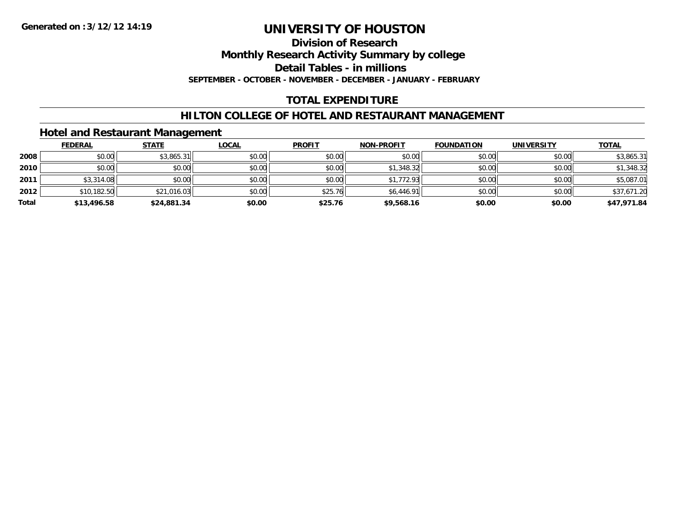### **Division of Research**

**Monthly Research Activity Summary by college**

**Detail Tables - in millions**

**SEPTEMBER - OCTOBER - NOVEMBER - DECEMBER - JANUARY - FEBRUARY**

### **TOTAL EXPENDITURE**

### **HILTON COLLEGE OF HOTEL AND RESTAURANT MANAGEMENT**

### **Hotel and Restaurant Management**

|       | <b>FEDERAL</b> | <b>STATE</b> | <u>LOCAL</u> | <b>PROFIT</b> | <b>NON-PROFIT</b> | <b>FOUNDATION</b> | <b>UNIVERSITY</b> | <b>TOTAL</b> |
|-------|----------------|--------------|--------------|---------------|-------------------|-------------------|-------------------|--------------|
| 2008  | \$0.00         | \$3,865.31   | \$0.00       | \$0.00        | \$0.00            | \$0.00            | \$0.00            | \$3,865.31   |
| 2010  | \$0.00         | \$0.00       | \$0.00       | \$0.00        | \$1,348.32        | \$0.00            | \$0.00            | \$1,348.32   |
| 2011  | \$3,314.08     | \$0.00       | \$0.00       | \$0.00        | \$1,772.93        | \$0.00            | \$0.00            | \$5,087.01   |
| 2012  | \$10,182.50    | \$21,016.03  | \$0.00       | \$25.76       | \$6,446.91        | \$0.00            | \$0.00            | \$37,671.20  |
| Total | \$13,496.58    | \$24,881.34  | \$0.00       | \$25.76       | \$9,568.16        | \$0.00            | \$0.00            | \$47,971.84  |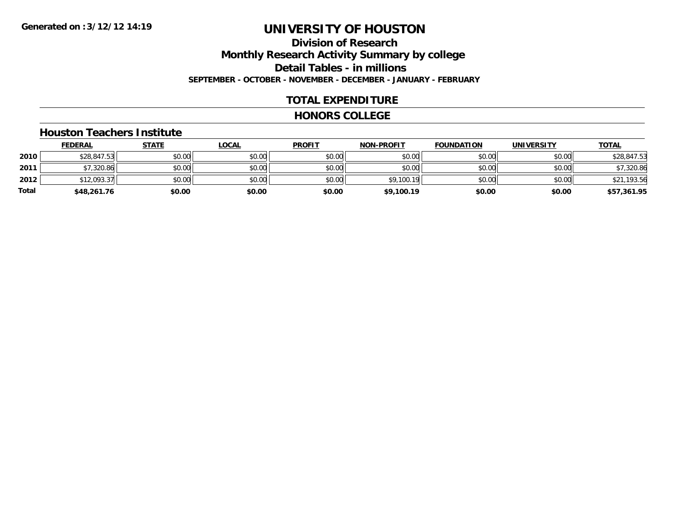### **Division of ResearchMonthly Research Activity Summary by college Detail Tables - in millions SEPTEMBER - OCTOBER - NOVEMBER - DECEMBER - JANUARY - FEBRUARY**

### **TOTAL EXPENDITURE**

#### **HONORS COLLEGE**

#### **Houston Teachers Institute**

|       | <b>FEDERAL</b> | <u>STATE</u> | <b>LOCAL</b> | <b>PROFIT</b> | <b>NON-PROFIT</b> | <b>FOUNDATION</b> | <b>UNIVERSITY</b> | <b>TOTAL</b> |
|-------|----------------|--------------|--------------|---------------|-------------------|-------------------|-------------------|--------------|
| 2010  | \$28,847.53    | \$0.00       | \$0.00       | \$0.00        | \$0.00            | \$0.00            | \$0.00            | \$28,847.53  |
| 2011  | \$7,320.86     | \$0.00       | \$0.00       | \$0.00        | \$0.00            | \$0.00            | \$0.00            | \$7,320.86   |
| 2012  | \$12,093.37    | \$0.00       | \$0.00       | \$0.00        | \$9,100.19        | \$0.00            | \$0.00            | \$21,193.56  |
| Total | \$48,261.76    | \$0.00       | \$0.00       | \$0.00        | \$9,100.19        | \$0.00            | \$0.00            | \$57,361.95  |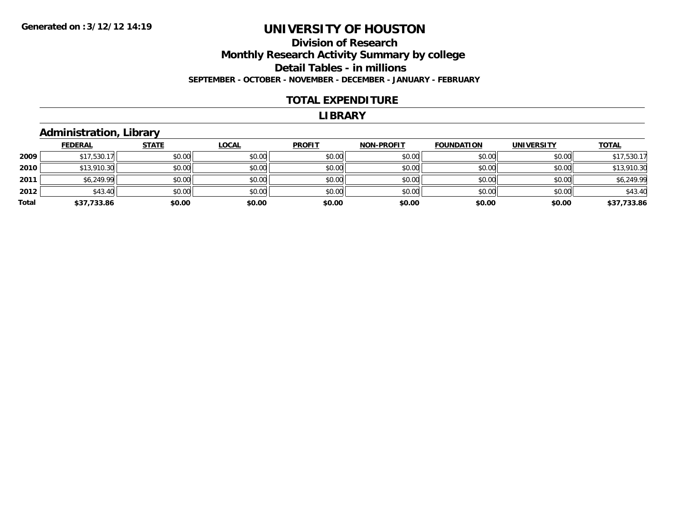### **Division of Research Monthly Research Activity Summary by college Detail Tables - in millions SEPTEMBER - OCTOBER - NOVEMBER - DECEMBER - JANUARY - FEBRUARY**

#### **TOTAL EXPENDITURE**

#### **LIBRARY**

### **Administration, Library**

|       | <b>FEDERAL</b> | <b>STATE</b> | <b>LOCAL</b> | <b>PROFIT</b> | <b>NON-PROFIT</b> | <b>FOUNDATION</b> | <b>UNIVERSITY</b> | <b>TOTAL</b> |
|-------|----------------|--------------|--------------|---------------|-------------------|-------------------|-------------------|--------------|
| 2009  | \$17,530.17    | \$0.00       | \$0.00       | \$0.00        | \$0.00            | \$0.00            | \$0.00            | \$17,530.17  |
| 2010  | \$13,910.30    | \$0.00       | \$0.00       | \$0.00        | \$0.00            | \$0.00            | \$0.00            | \$13,910.30  |
| 2011  | \$6,249.99     | \$0.00       | \$0.00       | \$0.00        | \$0.00            | \$0.00            | \$0.00            | \$6,249.99   |
| 2012  | \$43.40        | \$0.00       | \$0.00       | \$0.00        | \$0.00            | \$0.00            | \$0.00            | \$43.40      |
| Total | \$37,733.86    | \$0.00       | \$0.00       | \$0.00        | \$0.00            | \$0.00            | \$0.00            | \$37,733.86  |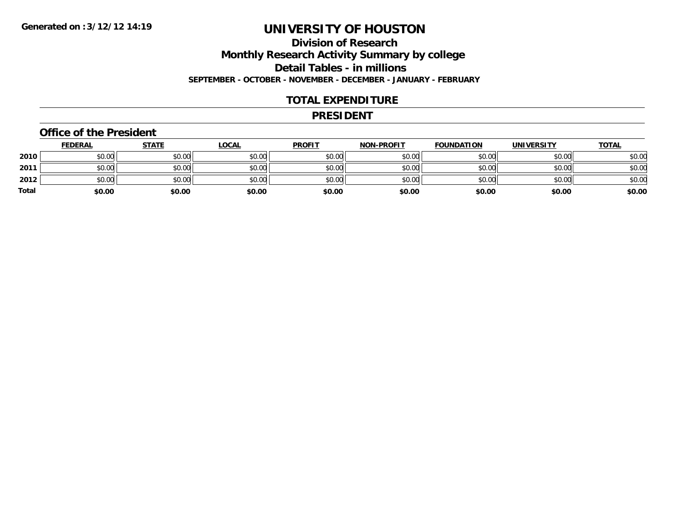## **Division of Research**

**Monthly Research Activity Summary by college**

**Detail Tables - in millions**

**SEPTEMBER - OCTOBER - NOVEMBER - DECEMBER - JANUARY - FEBRUARY**

### **TOTAL EXPENDITURE**

#### **PRESIDENT**

#### **Office of the President**

|       | <b>FEDERAL</b> | <u>STATE</u> | <b>LOCAL</b> | <b>PROFIT</b> | <b>NON-PROFIT</b> | <b>FOUNDATION</b> | <b>UNIVERSITY</b> | <u>TOTAL</u> |
|-------|----------------|--------------|--------------|---------------|-------------------|-------------------|-------------------|--------------|
| 2010  | \$0.00         | \$0.00       | \$0.00       | \$0.00        | \$0.00            | \$0.00            | \$0.00            | \$0.00       |
| 2011  | \$0.00         | \$0.00       | \$0.00       | \$0.00        | \$0.00            | \$0.00            | \$0.00            | \$0.00       |
| 2012  | \$0.00         | \$0.00       | \$0.00       | \$0.00        | \$0.00            | \$0.00            | \$0.00            | \$0.00       |
| Total | \$0.00         | \$0.00       | \$0.00       | \$0.00        | \$0.00            | \$0.00            | \$0.00            | \$0.00       |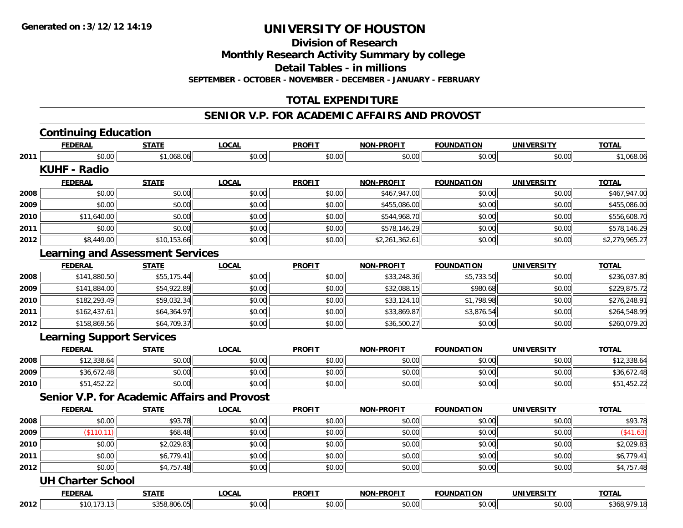**Division of Research**

**Monthly Research Activity Summary by college**

**Detail Tables - in millions**

**SEPTEMBER - OCTOBER - NOVEMBER - DECEMBER - JANUARY - FEBRUARY**

### **TOTAL EXPENDITURE**

#### **SENIOR V.P. FOR ACADEMIC AFFAIRS AND PROVOST**

|      | <b>Continuing Education</b>      |                                                     |              |               |                   |                   |                   |                |
|------|----------------------------------|-----------------------------------------------------|--------------|---------------|-------------------|-------------------|-------------------|----------------|
|      | <b>FEDERAL</b>                   | <b>STATE</b>                                        | <b>LOCAL</b> | <b>PROFIT</b> | <b>NON-PROFIT</b> | <b>FOUNDATION</b> | <b>UNIVERSITY</b> | <b>TOTAL</b>   |
| 2011 | \$0.00                           | \$1,068.06                                          | \$0.00       | \$0.00        | \$0.00            | \$0.00            | \$0.00            | \$1,068.06     |
|      | <b>KUHF - Radio</b>              |                                                     |              |               |                   |                   |                   |                |
|      | <b>FEDERAL</b>                   | <b>STATE</b>                                        | <b>LOCAL</b> | <b>PROFIT</b> | <b>NON-PROFIT</b> | <b>FOUNDATION</b> | <b>UNIVERSITY</b> | <b>TOTAL</b>   |
| 2008 | \$0.00                           | \$0.00                                              | \$0.00       | \$0.00        | \$467,947.00      | \$0.00            | \$0.00            | \$467,947.00   |
| 2009 | \$0.00                           | \$0.00                                              | \$0.00       | \$0.00        | \$455,086.00      | \$0.00            | \$0.00            | \$455,086.00   |
| 2010 | \$11,640.00                      | \$0.00                                              | \$0.00       | \$0.00        | \$544,968.70      | \$0.00            | \$0.00            | \$556,608.70   |
| 2011 | \$0.00                           | \$0.00                                              | \$0.00       | \$0.00        | \$578,146.29      | \$0.00            | \$0.00            | \$578,146.29   |
| 2012 | \$8,449.00                       | \$10,153.66                                         | \$0.00       | \$0.00        | \$2,261,362.61    | \$0.00            | \$0.00            | \$2,279,965.27 |
|      |                                  | <b>Learning and Assessment Services</b>             |              |               |                   |                   |                   |                |
|      | <b>FEDERAL</b>                   | <b>STATE</b>                                        | <b>LOCAL</b> | <b>PROFIT</b> | <b>NON-PROFIT</b> | <b>FOUNDATION</b> | <b>UNIVERSITY</b> | <b>TOTAL</b>   |
| 2008 | \$141,880.50                     | \$55,175.44                                         | \$0.00       | \$0.00        | \$33,248.36       | \$5,733.50        | \$0.00            | \$236,037.80   |
| 2009 | \$141,884.00                     | \$54,922.89                                         | \$0.00       | \$0.00        | \$32,088.15       | \$980.68          | \$0.00            | \$229,875.72   |
| 2010 | \$182,293.49                     | \$59,032.34                                         | \$0.00       | \$0.00        | \$33,124.10       | \$1,798.98        | \$0.00            | \$276,248.91   |
| 2011 | \$162,437.61                     | \$64,364.97                                         | \$0.00       | \$0.00        | \$33,869.87       | \$3,876.54        | \$0.00            | \$264,548.99   |
| 2012 | \$158,869.56                     | \$64,709.37                                         | \$0.00       | \$0.00        | \$36,500.27       | \$0.00            | \$0.00            | \$260,079.20   |
|      | <b>Learning Support Services</b> |                                                     |              |               |                   |                   |                   |                |
|      | <b>FEDERAL</b>                   | <b>STATE</b>                                        | <b>LOCAL</b> | <b>PROFIT</b> | <b>NON-PROFIT</b> | <b>FOUNDATION</b> | UNIVERSITY        | <b>TOTAL</b>   |
| 2008 | \$12,338.64                      | \$0.00                                              | \$0.00       | \$0.00        | \$0.00            | \$0.00            | \$0.00            | \$12,338.64    |
| 2009 | \$36,672.48                      | \$0.00                                              | \$0.00       | \$0.00        | \$0.00            | \$0.00            | \$0.00            | \$36,672.48    |
| 2010 | \$51,452.22                      | \$0.00                                              | \$0.00       | \$0.00        | \$0.00            | \$0.00            | \$0.00            | \$51,452.22    |
|      |                                  | <b>Senior V.P. for Academic Affairs and Provost</b> |              |               |                   |                   |                   |                |
|      | <b>FEDERAL</b>                   | <b>STATE</b>                                        | <b>LOCAL</b> | <b>PROFIT</b> | <b>NON-PROFIT</b> | <b>FOUNDATION</b> | <b>UNIVERSITY</b> | <b>TOTAL</b>   |
| 2008 | \$0.00                           | \$93.78                                             | \$0.00       | \$0.00        | \$0.00            | \$0.00            | \$0.00            | \$93.78        |
| 2009 | (\$110.11)                       | \$68.48                                             | \$0.00       | \$0.00        | \$0.00            | \$0.00            | \$0.00            | (\$41.63)      |
| 2010 | \$0.00                           | \$2,029.83                                          | \$0.00       | \$0.00        | \$0.00            | \$0.00            | \$0.00            | \$2,029.83     |
| 2011 | \$0.00                           | \$6,779.41                                          | \$0.00       | \$0.00        | \$0.00            | \$0.00            | \$0.00            | \$6,779.41     |
| 2012 | \$0.00                           | \$4,757.48                                          | \$0.00       | \$0.00        | \$0.00            | \$0.00            | \$0.00            | \$4,757.48     |
|      | <b>UH Charter School</b>         |                                                     |              |               |                   |                   |                   |                |
|      | <b>FEDERAL</b>                   | <b>STATE</b>                                        | <b>LOCAL</b> | <b>PROFIT</b> | <b>NON-PROFIT</b> | <b>FOUNDATION</b> | <b>UNIVERSITY</b> | <b>TOTAL</b>   |
| 2012 | \$10,173.13                      | \$358,806.05                                        | \$0.00       | \$0.00        | \$0.00            | \$0.00            | \$0.00            | \$368,979.18   |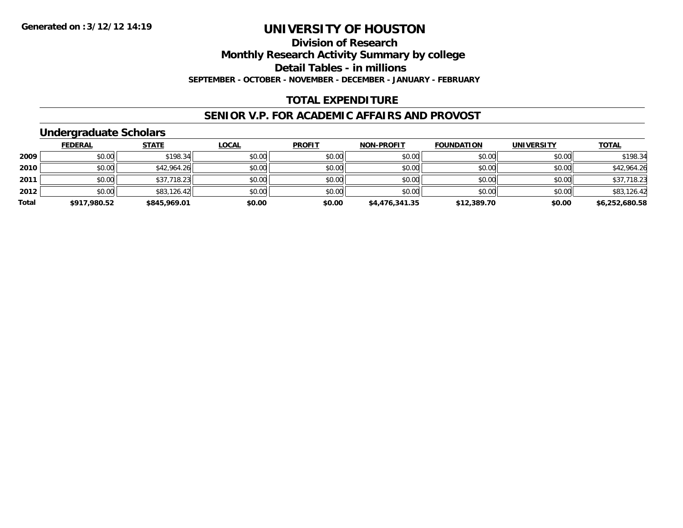**Division of Research**

**Monthly Research Activity Summary by college**

**Detail Tables - in millions**

**SEPTEMBER - OCTOBER - NOVEMBER - DECEMBER - JANUARY - FEBRUARY**

### **TOTAL EXPENDITURE**

#### **SENIOR V.P. FOR ACADEMIC AFFAIRS AND PROVOST**

### **Undergraduate Scholars**

|       | <b>FEDERAL</b> | <b>STATE</b> | <u>LOCAL</u> | <b>PROFIT</b> | <b>NON-PROFIT</b> | <b>FOUNDATION</b> | <b>UNIVERSITY</b> | <b>TOTAL</b>   |
|-------|----------------|--------------|--------------|---------------|-------------------|-------------------|-------------------|----------------|
| 2009  | \$0.00         | \$198.34     | \$0.00       | \$0.00        | \$0.00            | \$0.00            | \$0.00            | \$198.34       |
| 2010  | \$0.00         | \$42,964.26  | \$0.00       | \$0.00        | \$0.00            | \$0.00            | \$0.00            | \$42,964.26    |
| 2011  | \$0.00         | \$37,718.23  | \$0.00       | \$0.00        | \$0.00            | \$0.00            | \$0.00            | \$37,718.23    |
| 2012  | \$0.00         | \$83,126.42  | \$0.00       | \$0.00        | \$0.00            | \$0.00            | \$0.00            | \$83,126.42    |
| Total | \$917,980.52   | \$845,969.01 | \$0.00       | \$0.00        | \$4,476,341.35    | \$12,389.70       | \$0.00            | \$6,252,680.58 |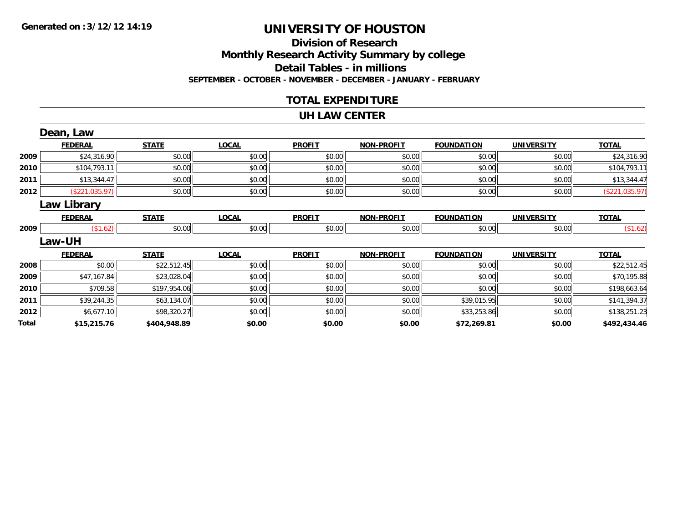### **Division of Research Monthly Research Activity Summary by college Detail Tables - in millions SEPTEMBER - OCTOBER - NOVEMBER - DECEMBER - JANUARY - FEBRUARY**

### **TOTAL EXPENDITURE**

#### **UH LAW CENTER**

|       | Dean, Law          |              |              |               |                   |                   |                   |                |
|-------|--------------------|--------------|--------------|---------------|-------------------|-------------------|-------------------|----------------|
|       | <b>FEDERAL</b>     | <b>STATE</b> | <b>LOCAL</b> | <b>PROFIT</b> | <b>NON-PROFIT</b> | <b>FOUNDATION</b> | <b>UNIVERSITY</b> | <b>TOTAL</b>   |
| 2009  | \$24,316.90        | \$0.00       | \$0.00       | \$0.00        | \$0.00            | \$0.00            | \$0.00            | \$24,316.90    |
| 2010  | \$104,793.11       | \$0.00       | \$0.00       | \$0.00        | \$0.00            | \$0.00            | \$0.00            | \$104,793.11   |
| 2011  | \$13,344.47        | \$0.00       | \$0.00       | \$0.00        | \$0.00            | \$0.00            | \$0.00            | \$13,344.47    |
| 2012  | (\$221,035.97)     | \$0.00       | \$0.00       | \$0.00        | \$0.00            | \$0.00            | \$0.00            | (\$221,035.97) |
|       | <b>Law Library</b> |              |              |               |                   |                   |                   |                |
|       | <b>FEDERAL</b>     | <b>STATE</b> | <b>LOCAL</b> | <b>PROFIT</b> | <b>NON-PROFIT</b> | <b>FOUNDATION</b> | <b>UNIVERSITY</b> | <b>TOTAL</b>   |
| 2009  | (\$1.62)           | \$0.00       | \$0.00       | \$0.00        | \$0.00            | \$0.00            | \$0.00            | (\$1.62)       |
|       | Law-UH             |              |              |               |                   |                   |                   |                |
|       | <b>FEDERAL</b>     | <b>STATE</b> | <b>LOCAL</b> | <b>PROFIT</b> | <b>NON-PROFIT</b> | <b>FOUNDATION</b> | <b>UNIVERSITY</b> | <b>TOTAL</b>   |
| 2008  | \$0.00             | \$22,512.45  | \$0.00       | \$0.00        | \$0.00            | \$0.00            | \$0.00            | \$22,512.45    |
| 2009  | \$47,167.84        | \$23,028.04  | \$0.00       | \$0.00        | \$0.00            | \$0.00            | \$0.00            | \$70,195.88    |
| 2010  | \$709.58           | \$197,954.06 | \$0.00       | \$0.00        | \$0.00            | \$0.00            | \$0.00            | \$198,663.64   |
| 2011  | \$39,244.35        | \$63,134.07  | \$0.00       | \$0.00        | \$0.00            | \$39,015.95       | \$0.00            | \$141,394.37   |
| 2012  | \$6,677.10         | \$98,320.27  | \$0.00       | \$0.00        | \$0.00            | \$33,253.86       | \$0.00            | \$138,251.23   |
| Total | \$15,215.76        | \$404,948.89 | \$0.00       | \$0.00        | \$0.00            | \$72,269.81       | \$0.00            | \$492,434.46   |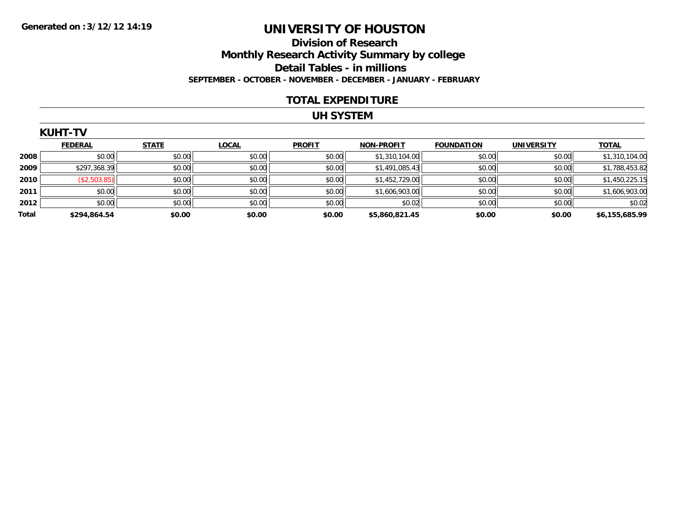### **Division of Research Monthly Research Activity Summary by college Detail Tables - in millions SEPTEMBER - OCTOBER - NOVEMBER - DECEMBER - JANUARY - FEBRUARY**

#### **TOTAL EXPENDITURE**

### **UH SYSTEM**

|       | <b>KUHT-TV</b> |              |              |               |                   |                   |                   |                |
|-------|----------------|--------------|--------------|---------------|-------------------|-------------------|-------------------|----------------|
|       | <b>FEDERAL</b> | <b>STATE</b> | <b>LOCAL</b> | <b>PROFIT</b> | <b>NON-PROFIT</b> | <b>FOUNDATION</b> | <b>UNIVERSITY</b> | <b>TOTAL</b>   |
| 2008  | \$0.00         | \$0.00       | \$0.00       | \$0.00        | \$1,310,104.00    | \$0.00            | \$0.00            | \$1,310,104.00 |
| 2009  | \$297,368.39   | \$0.00       | \$0.00       | \$0.00        | \$1,491,085.43    | \$0.00            | \$0.00            | \$1,788,453.82 |
| 2010  | (\$2,503.85)   | \$0.00       | \$0.00       | \$0.00        | \$1,452,729.00    | \$0.00            | \$0.00            | \$1,450,225.15 |
| 2011  | \$0.00         | \$0.00       | \$0.00       | \$0.00        | \$1,606,903.00    | \$0.00            | \$0.00            | \$1,606,903.00 |
| 2012  | \$0.00         | \$0.00       | \$0.00       | \$0.00        | \$0.02            | \$0.00            | \$0.00            | \$0.02         |
| Total | \$294,864.54   | \$0.00       | \$0.00       | \$0.00        | \$5,860,821.45    | \$0.00            | \$0.00            | \$6,155,685.99 |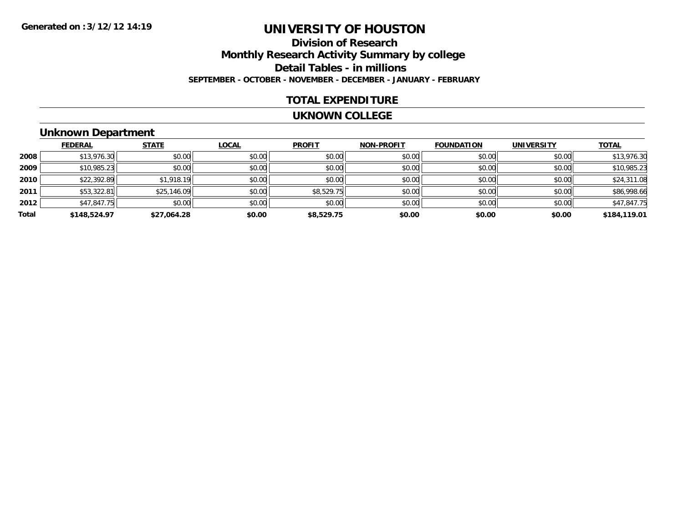### **Division of ResearchMonthly Research Activity Summary by college Detail Tables - in millions SEPTEMBER - OCTOBER - NOVEMBER - DECEMBER - JANUARY - FEBRUARY**

### **TOTAL EXPENDITURE**

#### **UKNOWN COLLEGE**

### **Unknown Department**

|       | <b>FEDERAL</b> | <b>STATE</b> | <b>LOCAL</b> | <b>PROFIT</b> | <b>NON-PROFIT</b> | <b>FOUNDATION</b> | <b>UNIVERSITY</b> | <b>TOTAL</b> |
|-------|----------------|--------------|--------------|---------------|-------------------|-------------------|-------------------|--------------|
| 2008  | \$13,976.30    | \$0.00       | \$0.00       | \$0.00        | \$0.00            | \$0.00            | \$0.00            | \$13,976.30  |
| 2009  | \$10,985.23    | \$0.00       | \$0.00       | \$0.00        | \$0.00            | \$0.00            | \$0.00            | \$10,985.23  |
| 2010  | \$22,392.89    | \$1,918.19   | \$0.00       | \$0.00        | \$0.00            | \$0.00            | \$0.00            | \$24,311.08  |
| 2011  | \$53,322.81    | \$25,146.09  | \$0.00       | \$8,529.75    | \$0.00            | \$0.00            | \$0.00            | \$86,998.66  |
| 2012  | \$47,847.75    | \$0.00       | \$0.00       | \$0.00        | \$0.00            | \$0.00            | \$0.00            | \$47,847.75  |
| Total | \$148,524.97   | \$27,064.28  | \$0.00       | \$8,529.75    | \$0.00            | \$0.00            | \$0.00            | \$184,119.01 |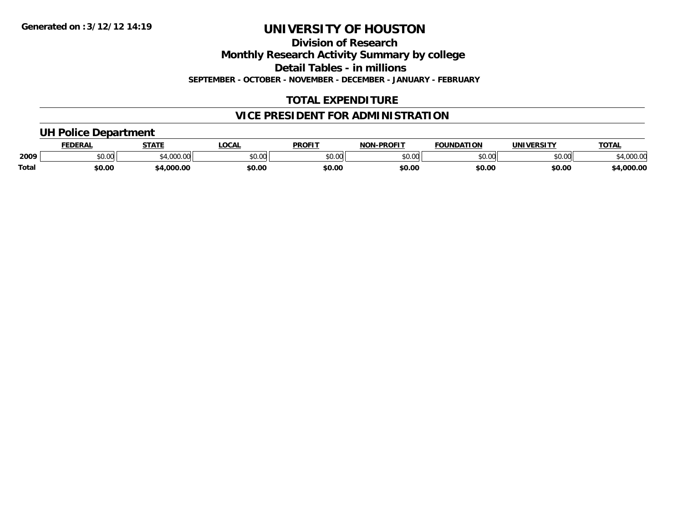**Division of Research**

**Monthly Research Activity Summary by college**

**Detail Tables - in millions**

**SEPTEMBER - OCTOBER - NOVEMBER - DECEMBER - JANUARY - FEBRUARY**

### **TOTAL EXPENDITURE**

### **VICE PRESIDENT FOR ADMINISTRATION**

### **UH Police Department**

|              | <b>FEDERAL</b> | <b>STATE</b>                                | <b>LOCAL</b>  | <b>PROFIT</b> | <b>J-PROFIT</b><br><b>NON</b> | <b>FOUNDATION</b> | UNIVERSITY | <b>TOTAL</b>      |
|--------------|----------------|---------------------------------------------|---------------|---------------|-------------------------------|-------------------|------------|-------------------|
| 2009         | vv.vv          | $\rightarrow$ 000.00 $\rightarrow$<br>uuu.u | 0000<br>PU.UU | 4000<br>DU.UU | 0000<br>o.uu                  | \$0.00            | \$0.00     | 00000<br>4,000.00 |
| <b>Total</b> | \$0.00         | .000.00                                     | \$0.00        | \$0.00        | \$0.00                        | \$0.00            | \$0.00     | 4,000.00          |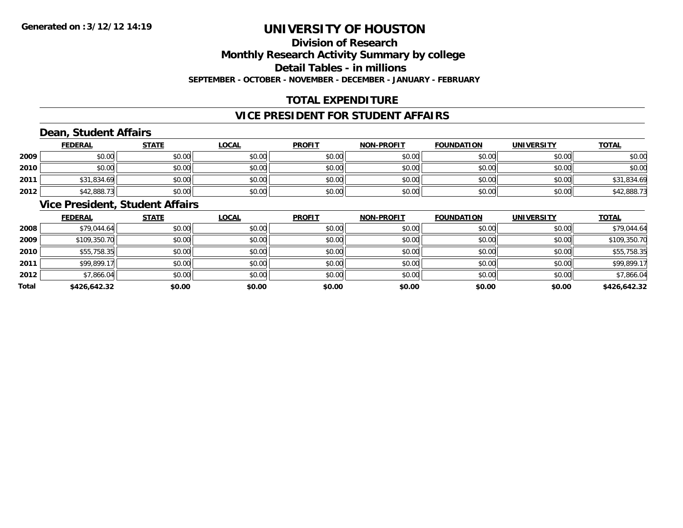### **Division of ResearchMonthly Research Activity Summary by college Detail Tables - in millions SEPTEMBER - OCTOBER - NOVEMBER - DECEMBER - JANUARY - FEBRUARY**

### **TOTAL EXPENDITURE**

### **VICE PRESIDENT FOR STUDENT AFFAIRS**

### **Dean, Student Affairs**

|      | <b>FEDERAL</b> | <b>STATE</b> | <u>LOCAL</u> | <b>PROFIT</b> | <b>NON-PROFIT</b> | <b>FOUNDATION</b> | <b>UNIVERSITY</b> | <b>TOTAL</b> |
|------|----------------|--------------|--------------|---------------|-------------------|-------------------|-------------------|--------------|
| 2009 | \$0.00         | \$0.00       | \$0.00       | \$0.00        | \$0.00            | \$0.00            | \$0.00            | \$0.00       |
| 2010 | \$0.00         | \$0.00       | \$0.00       | \$0.00        | \$0.00            | \$0.00            | \$0.00            | \$0.00       |
| 2011 | \$31,834.69    | \$0.00       | \$0.00       | \$0.00        | \$0.00            | \$0.00            | \$0.00            | \$31,834.69  |
| 2012 | \$42,888.73    | \$0.00       | \$0.00       | \$0.00        | \$0.00            | \$0.00            | \$0.00            | \$42,888.73  |

### **Vice President, Student Affairs**

|       | <b>FEDERAL</b> | <b>STATE</b> | <b>LOCAL</b> | <b>PROFIT</b> | <b>NON-PROFIT</b> | <b>FOUNDATION</b> | <b>UNIVERSITY</b> | <b>TOTAL</b> |
|-------|----------------|--------------|--------------|---------------|-------------------|-------------------|-------------------|--------------|
| 2008  | \$79,044.64    | \$0.00       | \$0.00       | \$0.00        | \$0.00            | \$0.00            | \$0.00            | \$79,044.64  |
| 2009  | \$109,350.70   | \$0.00       | \$0.00       | \$0.00        | \$0.00            | \$0.00            | \$0.00            | \$109,350.70 |
| 2010  | \$55,758.35    | \$0.00       | \$0.00       | \$0.00        | \$0.00            | \$0.00            | \$0.00            | \$55,758.35  |
| 2011  | \$99,899.17    | \$0.00       | \$0.00       | \$0.00        | \$0.00            | \$0.00            | \$0.00            | \$99,899.17  |
| 2012  | \$7,866.04     | \$0.00       | \$0.00       | \$0.00        | \$0.00            | \$0.00            | \$0.00            | \$7,866.04   |
| Total | \$426,642.32   | \$0.00       | \$0.00       | \$0.00        | \$0.00            | \$0.00            | \$0.00            | \$426,642.32 |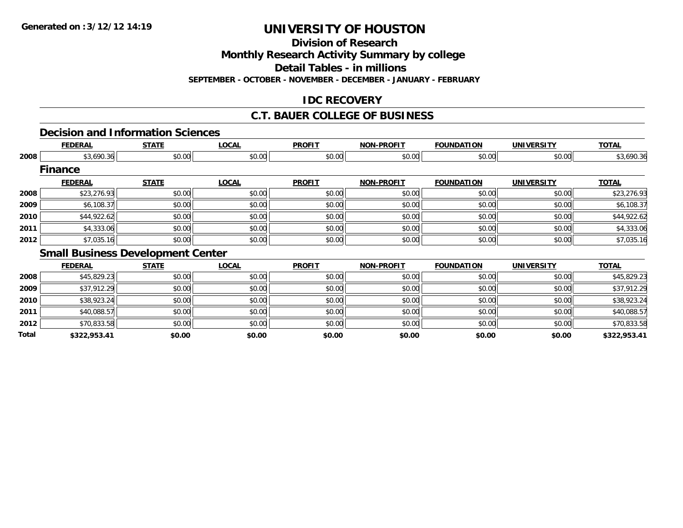**Division of Research**

**Monthly Research Activity Summary by college**

**Detail Tables - in millions**

**SEPTEMBER - OCTOBER - NOVEMBER - DECEMBER - JANUARY - FEBRUARY**

### **IDC RECOVERY**

### **C.T. BAUER COLLEGE OF BUSINESS**

### **Decision and Information Sciences**

|      | <b>FEDERAL</b> | <b>STATE</b>                             | <b>LOCAL</b> | <b>PROFIT</b> | <b>NON-PROFIT</b> | <b>FOUNDATION</b> | <b>UNIVERSITY</b> | <b>TOTAL</b> |
|------|----------------|------------------------------------------|--------------|---------------|-------------------|-------------------|-------------------|--------------|
| 2008 | \$3,690.36     | \$0.00                                   | \$0.00       | \$0.00        | \$0.00            | \$0.00            | \$0.00            | \$3,690.36   |
|      | <b>Finance</b> |                                          |              |               |                   |                   |                   |              |
|      | <b>FEDERAL</b> | <b>STATE</b>                             | <b>LOCAL</b> | <b>PROFIT</b> | <b>NON-PROFIT</b> | <b>FOUNDATION</b> | <b>UNIVERSITY</b> | <b>TOTAL</b> |
| 2008 | \$23,276.93    | \$0.00                                   | \$0.00       | \$0.00        | \$0.00            | \$0.00            | \$0.00            | \$23,276.93  |
| 2009 | \$6,108.37     | \$0.00                                   | \$0.00       | \$0.00        | \$0.00            | \$0.00            | \$0.00            | \$6,108.37   |
| 2010 | \$44,922.62    | \$0.00                                   | \$0.00       | \$0.00        | \$0.00            | \$0.00            | \$0.00            | \$44,922.62  |
| 2011 | \$4,333.06     | \$0.00                                   | \$0.00       | \$0.00        | \$0.00            | \$0.00            | \$0.00            | \$4,333.06   |
| 2012 | \$7,035.16     | \$0.00                                   | \$0.00       | \$0.00        | \$0.00            | \$0.00            | \$0.00            | \$7,035.16   |
|      |                | <b>Small Business Development Center</b> |              |               |                   |                   |                   |              |
|      | <b>FEDERAL</b> | <b>STATE</b>                             | <b>LOCAL</b> | <b>PROFIT</b> | <b>NON-PROFIT</b> | <b>FOUNDATION</b> | <b>UNIVERSITY</b> | <b>TOTAL</b> |
| 2008 | \$45,829.23    | \$0.00                                   | \$0.00       | \$0.00        | \$0.00            | \$0.00            | \$0.00            | \$45,829.23  |
| 2009 | \$37,912.29    | \$0.00                                   | \$0.00       | \$0.00        | \$0.00            | \$0.00            | \$0.00            | \$37,912.29  |
| 2010 | \$38,923.24    | \$0.00                                   | \$0.00       | \$0.00        | \$0.00            | \$0.00            | \$0.00            | \$38,923.24  |
|      |                |                                          |              |               |                   |                   |                   |              |

**2011**1 \$0.00 \$0.00 \$0.00 \$0.00 \$0.00 \$0.00 \$0.00 \$0.00 \$0.00 \$0.00 \$0.00 \$0.00 \$0.00 \$0.00 \$10,088.57 **2012**2 \$10,833.58 \$0.00 \$0.00 \$0.00 \$0.00 \$0.00 \$0.00 \$0.00 \$0.00 \$0.00 \$0.00 \$0.00 \$0.00 \$10,833.58 **Total\$322,953.41 \$0.00 \$0.00 \$0.00 \$0.00 \$0.00 \$0.00 \$322,953.41**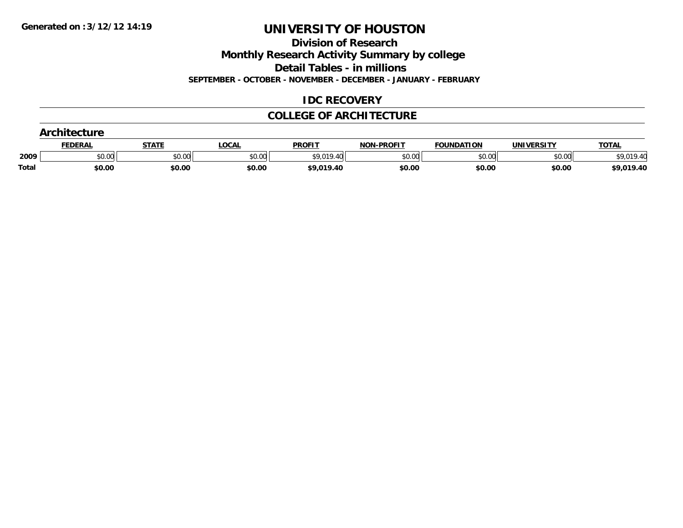**Division of Research**

**Monthly Research Activity Summary by college**

**Detail Tables - in millions**

**SEPTEMBER - OCTOBER - NOVEMBER - DECEMBER - JANUARY - FEBRUARY**

### **IDC RECOVERY**

### **COLLEGE OF ARCHITECTURE**

|       | <b>Architecture</b> |              |              |               |                   |                   |            |              |  |  |  |
|-------|---------------------|--------------|--------------|---------------|-------------------|-------------------|------------|--------------|--|--|--|
|       | <b>FEDERAL</b>      | <u>STATE</u> | <b>LOCAL</b> | <b>PROFIT</b> | <b>NON-PROFIT</b> | <b>FOUNDATION</b> | UNIVERSITY | <b>TOTAL</b> |  |  |  |
| 2009  | \$0.00              | \$0.00       | \$0.00       | \$9,019.40    | \$0.00            | \$0.00            | \$0.00     | .019.40      |  |  |  |
| Total | \$0.00              | \$0.00       | \$0.00       | \$9,019.40    | \$0.00            | \$0.00            | \$0.00     | \$9,019.40   |  |  |  |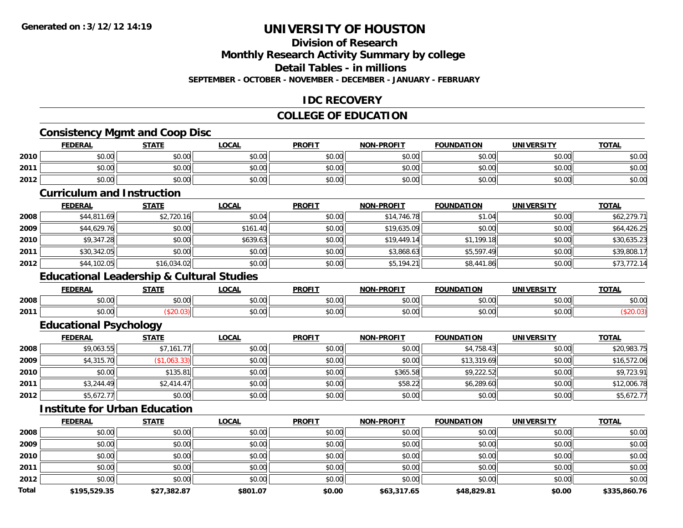### **Division of Research**

**Monthly Research Activity Summary by college**

**Detail Tables - in millions**

**SEPTEMBER - OCTOBER - NOVEMBER - DECEMBER - JANUARY - FEBRUARY**

### **IDC RECOVERY**

### **COLLEGE OF EDUCATION**

<u> 1980 - Johann Barn, mars an t-Amerikaansk politiker (\* 1908)</u>

### **Consistency Mgmt and Coop Disc**

|      | <b>FEDERAL</b> | <b>STATE</b> | LOCAL  | <b>PROFIT</b> | <b>NON-PROFIT</b> | <b>FOUNDATION</b> | <b>UNIVERSITY</b> | <b>TOTAL</b> |
|------|----------------|--------------|--------|---------------|-------------------|-------------------|-------------------|--------------|
| 2010 | \$0.00         | \$0.00       | \$0.00 | \$0.00        | \$0.00            | \$0.00            | \$0.00            | \$0.00       |
| 2011 | \$0.00         | \$0.00       | \$0.00 | \$0.00        | \$0.00            | \$0.00            | \$0.00            | \$0.00       |
| 2012 | \$0.00         | \$0.00       | \$0.00 | \$0.00        | \$0.00            | \$0.00            | \$0.00            | \$0.00       |

#### **Curriculum and Instruction**

|      | <b>FEDERAL</b> | <b>STATE</b> | <b>LOCAL</b> | <b>PROFIT</b> | <b>NON-PROFIT</b> | <b>FOUNDATION</b> | <b>UNIVERSITY</b> | <b>TOTAL</b> |
|------|----------------|--------------|--------------|---------------|-------------------|-------------------|-------------------|--------------|
| 2008 | \$44,811.69    | \$2,720.16   | \$0.04       | \$0.00        | \$14,746.78       | \$1.04            | \$0.00            | \$62,279.71  |
| 2009 | \$44,629.76    | \$0.00       | \$161.40     | \$0.00        | \$19,635.09       | \$0.00            | \$0.00            | \$64,426.25  |
| 2010 | \$9,347.28     | \$0.00       | \$639.63     | \$0.00        | \$19,449,14       | \$1,199.18        | \$0.00            | \$30,635.23  |
| 2011 | \$30,342.05    | \$0.00       | \$0.00       | \$0.00        | \$3,868.63        | \$5,597.49        | \$0.00            | \$39,808.17  |
| 2012 | \$44,102.05    | \$16,034.02  | \$0.00       | \$0.00        | \$5,194.21        | \$8,441.86        | \$0.00            | \$73,772.14  |

### **Educational Leadership & Cultural Studies**

|      | <b>FEDERAL</b>                                    | <b>STATE</b>   | ne n<br>.UUAI | <b>PROFIT</b>                      | -PROFIT<br>NON- | <b>FOUNDATION</b>      | <b>IINIVERSITY</b> | <b>TOTA</b>            |
|------|---------------------------------------------------|----------------|---------------|------------------------------------|-----------------|------------------------|--------------------|------------------------|
| 2008 | 0000<br>DU.UU                                     | ሶስ ሰሰ<br>JU.UU | 0.00<br>DU.UU | $\hat{r} \hat{r} \hat{r}$<br>JU.UU | 0000<br>JU.UU   | $\sim$ 00<br>JU.UU     | 0000<br>JU.UU      | $\sim$ $\sim$<br>DU.UU |
| 2011 | $\mathsf{A}\cap\mathsf{A}\cap\mathsf{A}$<br>pv.uu |                | 0.00<br>pu.uu | $\sim$ $\sim$<br>vv.v              | 0.00<br>vv.vv   | $\sim$ $\sim$<br>JU.UU | 0000<br>vv.vv      |                        |

### **Educational Psychology**

|      | <u>FEDERAL</u> | <b>STATE</b> | <b>LOCAL</b> | <b>PROFIT</b> | <b>NON-PROFIT</b> | <b>FOUNDATION</b> | <b>UNIVERSITY</b> | <b>TOTAL</b> |
|------|----------------|--------------|--------------|---------------|-------------------|-------------------|-------------------|--------------|
| 2008 | \$9,063.55     | \$7,161.77   | \$0.00       | \$0.00        | \$0.00            | \$4,758.43        | \$0.00            | \$20,983.75  |
| 2009 | \$4,315.70     | (\$1,063.33) | \$0.00       | \$0.00        | \$0.00            | \$13,319.69       | \$0.00            | \$16,572.06  |
| 2010 | \$0.00         | \$135.81     | \$0.00       | \$0.00        | \$365.58          | \$9,222.52        | \$0.00            | \$9,723.91   |
| 2011 | \$3,244.49     | \$2,414.47   | \$0.00       | \$0.00        | \$58.22           | \$6,289.60        | \$0.00            | \$12,006.78  |
| 2012 | \$5,672.77     | \$0.00       | \$0.00       | \$0.00        | \$0.00            | \$0.00            | \$0.00            | \$5,672.77   |

#### **Institute for Urban Education**

|              | <b>FEDERAL</b> | <b>STATE</b> | <b>LOCAL</b> | <b>PROFIT</b> | <b>NON-PROFIT</b> | <b>FOUNDATION</b> | UNIVERSITY | <b>TOTAL</b> |
|--------------|----------------|--------------|--------------|---------------|-------------------|-------------------|------------|--------------|
| 2008         | \$0.00         | \$0.00       | \$0.00       | \$0.00        | \$0.00            | \$0.00            | \$0.00     | \$0.00       |
| 2009         | \$0.00         | \$0.00       | \$0.00       | \$0.00        | \$0.00            | \$0.00            | \$0.00     | \$0.00       |
| 2010         | \$0.00         | \$0.00       | \$0.00       | \$0.00        | \$0.00            | \$0.00            | \$0.00     | \$0.00       |
| 2011         | \$0.00         | \$0.00       | \$0.00       | \$0.00        | \$0.00            | \$0.00            | \$0.00     | \$0.00       |
| 2012         | \$0.00         | \$0.00       | \$0.00       | \$0.00        | \$0.00            | \$0.00            | \$0.00     | \$0.00       |
| <b>Total</b> | \$195,529.35   | \$27,382.87  | \$801.07     | \$0.00        | \$63,317.65       | \$48,829.81       | \$0.00     | \$335,860.76 |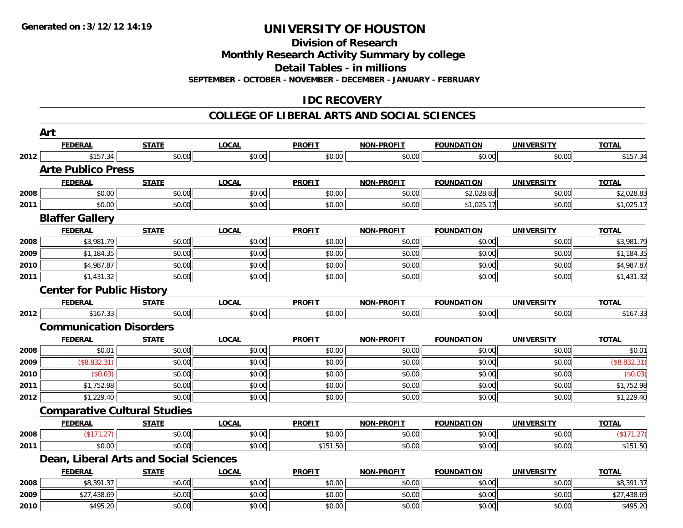**Division of Research**

**Monthly Research Activity Summary by college**

**Detail Tables - in millions**

**SEPTEMBER - OCTOBER - NOVEMBER - DECEMBER - JANUARY - FEBRUARY**

### **IDC RECOVERY**

#### **COLLEGE OF LIBERAL ARTS AND SOCIAL SCIENCES**

|      | Art                                    |              |              |               |                   |                   |                   |              |
|------|----------------------------------------|--------------|--------------|---------------|-------------------|-------------------|-------------------|--------------|
|      | <b>FEDERAL</b>                         | <b>STATE</b> | <b>LOCAL</b> | <b>PROFIT</b> | <b>NON-PROFIT</b> | <b>FOUNDATION</b> | <b>UNIVERSITY</b> | <b>TOTAL</b> |
| 2012 | \$157.34                               | \$0.00       | \$0.00       | \$0.00        | \$0.00            | \$0.00            | \$0.00            | \$157.34     |
|      | <b>Arte Publico Press</b>              |              |              |               |                   |                   |                   |              |
|      | <b>FEDERAL</b>                         | <b>STATE</b> | <b>LOCAL</b> | <b>PROFIT</b> | <b>NON-PROFIT</b> | <b>FOUNDATION</b> | <b>UNIVERSITY</b> | <b>TOTAL</b> |
| 2008 | \$0.00                                 | \$0.00       | \$0.00       | \$0.00        | \$0.00            | \$2,028.83        | \$0.00            | \$2,028.83   |
| 2011 | \$0.00                                 | \$0.00       | \$0.00       | \$0.00        | \$0.00            | \$1,025.17        | \$0.00            | \$1,025.17   |
|      | <b>Blaffer Gallery</b>                 |              |              |               |                   |                   |                   |              |
|      | <b>FEDERAL</b>                         | <b>STATE</b> | <b>LOCAL</b> | <b>PROFIT</b> | <b>NON-PROFIT</b> | <b>FOUNDATION</b> | <b>UNIVERSITY</b> | <b>TOTAL</b> |
| 2008 | \$3,981.79                             | \$0.00       | \$0.00       | \$0.00        | \$0.00            | \$0.00            | \$0.00            | \$3,981.79   |
| 2009 | \$1,184.35                             | \$0.00       | \$0.00       | \$0.00        | \$0.00            | \$0.00            | \$0.00            | \$1,184.35   |
| 2010 | \$4,987.87                             | \$0.00       | \$0.00       | \$0.00        | \$0.00            | \$0.00            | \$0.00            | \$4,987.87   |
| 2011 | \$1,431.32                             | \$0.00       | \$0.00       | \$0.00        | \$0.00            | \$0.00            | \$0.00            | \$1,431.32   |
|      | <b>Center for Public History</b>       |              |              |               |                   |                   |                   |              |
|      | <b>FEDERAL</b>                         | <b>STATE</b> | <b>LOCAL</b> | <b>PROFIT</b> | <b>NON-PROFIT</b> | <b>FOUNDATION</b> | <b>UNIVERSITY</b> | <b>TOTAL</b> |
| 2012 | \$167.33                               | \$0.00       | \$0.00       | \$0.00        | \$0.00            | \$0.00            | \$0.00            | \$167.33     |
|      | <b>Communication Disorders</b>         |              |              |               |                   |                   |                   |              |
|      | <b>FEDERAL</b>                         | <b>STATE</b> | <b>LOCAL</b> | <b>PROFIT</b> | <b>NON-PROFIT</b> | <b>FOUNDATION</b> | <b>UNIVERSITY</b> | <b>TOTAL</b> |
| 2008 | \$0.01                                 | \$0.00       | \$0.00       | \$0.00        | \$0.00            | \$0.00            | \$0.00            | \$0.01       |
| 2009 | (\$8,832.31)                           | \$0.00       | \$0.00       | \$0.00        | \$0.00            | \$0.00            | \$0.00            | (\$8,832.31) |
| 2010 | (\$0.03)                               | \$0.00       | \$0.00       | \$0.00        | \$0.00            | \$0.00            | \$0.00            | (\$0.03)     |
| 2011 | \$1,752.98                             | \$0.00       | \$0.00       | \$0.00        | \$0.00            | \$0.00            | \$0.00            | \$1,752.98   |
| 2012 | \$1,229.40                             | \$0.00       | \$0.00       | \$0.00        | \$0.00            | \$0.00            | \$0.00            | \$1,229.40   |
|      | <b>Comparative Cultural Studies</b>    |              |              |               |                   |                   |                   |              |
|      | <b>FEDERAL</b>                         | <b>STATE</b> | <b>LOCAL</b> | <b>PROFIT</b> | <b>NON-PROFIT</b> | <b>FOUNDATION</b> | <b>UNIVERSITY</b> | <b>TOTAL</b> |
| 2008 | (\$171.27)                             | \$0.00       | \$0.00       | \$0.00        | \$0.00            | \$0.00            | \$0.00            | (\$171.27)   |
| 2011 | \$0.00                                 | \$0.00       | \$0.00       | \$151.50      | \$0.00            | \$0.00            | \$0.00            | \$151.50     |
|      | Dean, Liberal Arts and Social Sciences |              |              |               |                   |                   |                   |              |
|      | <b>FEDERAL</b>                         | <b>STATE</b> | <b>LOCAL</b> | <b>PROFIT</b> | <b>NON-PROFIT</b> | <b>FOUNDATION</b> | <b>UNIVERSITY</b> | <b>TOTAL</b> |
| 2008 | \$8,391.37                             | \$0.00       | \$0.00       | \$0.00        | \$0.00            | \$0.00            | \$0.00            | \$8,391.37   |
| 2009 | \$27,438.69                            | \$0.00       | \$0.00       | \$0.00        | \$0.00            | \$0.00            | \$0.00            | \$27,438.69  |
| 2010 | \$495.20                               | \$0.00       | \$0.00       | \$0.00        | \$0.00            | \$0.00            | \$0.00            | \$495.20     |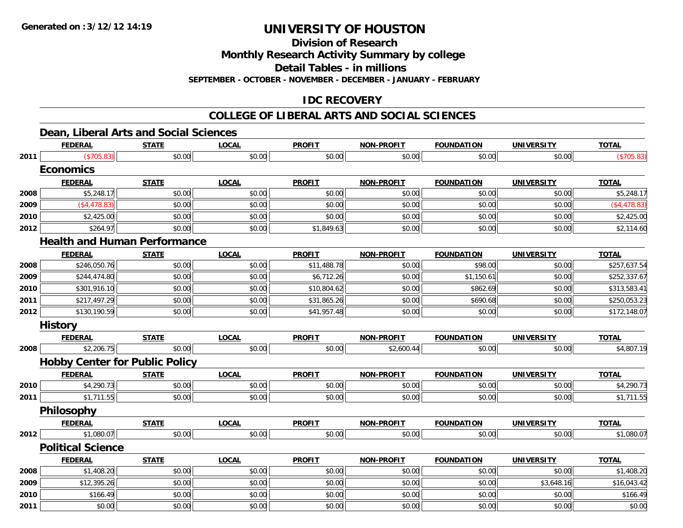**Division of Research**

**Monthly Research Activity Summary by college**

**Detail Tables - in millions**

**SEPTEMBER - OCTOBER - NOVEMBER - DECEMBER - JANUARY - FEBRUARY**

### **IDC RECOVERY**

#### **COLLEGE OF LIBERAL ARTS AND SOCIAL SCIENCES**

### **Dean, Liberal Arts and Social Sciences**

|      | <b>FEDERAL</b>                        | <b>STATE</b> | <b>LOCAL</b> | <b>PROFIT</b> | <b>NON-PROFIT</b> | <b>FOUNDATION</b> | <b>UNIVERSITY</b> | <b>TOTAL</b> |
|------|---------------------------------------|--------------|--------------|---------------|-------------------|-------------------|-------------------|--------------|
| 2011 | (\$705.83)                            | \$0.00       | \$0.00       | \$0.00        | \$0.00            | \$0.00            | \$0.00            | (\$705.83)   |
|      | <b>Economics</b>                      |              |              |               |                   |                   |                   |              |
|      | <b>FEDERAL</b>                        | <b>STATE</b> | <b>LOCAL</b> | <b>PROFIT</b> | <b>NON-PROFIT</b> | <b>FOUNDATION</b> | <b>UNIVERSITY</b> | <b>TOTAL</b> |
| 2008 | \$5,248.17                            | \$0.00       | \$0.00       | \$0.00        | \$0.00            | \$0.00            | \$0.00            | \$5,248.17   |
| 2009 | (\$4,478.83)                          | \$0.00       | \$0.00       | \$0.00        | \$0.00            | \$0.00            | \$0.00            | (\$4,478.83) |
| 2010 | \$2,425.00                            | \$0.00       | \$0.00       | \$0.00        | \$0.00            | \$0.00            | \$0.00            | \$2,425.00   |
| 2012 | \$264.97                              | \$0.00       | \$0.00       | \$1,849.63    | \$0.00            | \$0.00            | \$0.00            | \$2,114.60   |
|      | <b>Health and Human Performance</b>   |              |              |               |                   |                   |                   |              |
|      | <b>FEDERAL</b>                        | <b>STATE</b> | <b>LOCAL</b> | <b>PROFIT</b> | <b>NON-PROFIT</b> | <b>FOUNDATION</b> | <b>UNIVERSITY</b> | <b>TOTAL</b> |
| 2008 | \$246,050.76                          | \$0.00       | \$0.00       | \$11,488.78   | \$0.00            | \$98.00           | \$0.00            | \$257,637.54 |
| 2009 | \$244,474.80                          | \$0.00       | \$0.00       | \$6,712.26    | \$0.00            | \$1,150.61        | \$0.00            | \$252,337.67 |
| 2010 | \$301,916.10                          | \$0.00       | \$0.00       | \$10,804.62   | \$0.00            | \$862.69          | \$0.00            | \$313,583.41 |
| 2011 | \$217,497.29                          | \$0.00       | \$0.00       | \$31,865.26   | \$0.00            | \$690.68          | \$0.00            | \$250,053.23 |
| 2012 | \$130,190.59                          | \$0.00       | \$0.00       | \$41,957.48   | \$0.00            | \$0.00            | \$0.00            | \$172,148.07 |
|      | <b>History</b>                        |              |              |               |                   |                   |                   |              |
|      | <b>FEDERAL</b>                        | <b>STATE</b> | <b>LOCAL</b> | <b>PROFIT</b> | <b>NON-PROFIT</b> | <b>FOUNDATION</b> | <b>UNIVERSITY</b> | <b>TOTAL</b> |
| 2008 | \$2,206.75                            | \$0.00       | \$0.00       | \$0.00        | \$2,600.44        | \$0.00            | \$0.00            | \$4,807.19   |
|      | <b>Hobby Center for Public Policy</b> |              |              |               |                   |                   |                   |              |
|      | <b>FEDERAL</b>                        | <b>STATE</b> | <b>LOCAL</b> | <b>PROFIT</b> | <b>NON-PROFIT</b> | <b>FOUNDATION</b> | <b>UNIVERSITY</b> | <b>TOTAL</b> |
| 2010 | \$4,290.73                            | \$0.00       | \$0.00       | \$0.00        | \$0.00            | \$0.00            | \$0.00            | \$4,290.73   |
| 2011 | \$1,711.55                            | \$0.00       | \$0.00       | \$0.00        | \$0.00            | \$0.00            | \$0.00            | \$1,711.55   |
|      | Philosophy                            |              |              |               |                   |                   |                   |              |
|      | <b>FEDERAL</b>                        | <b>STATE</b> | <b>LOCAL</b> | <b>PROFIT</b> | <b>NON-PROFIT</b> | <b>FOUNDATION</b> | <b>UNIVERSITY</b> | <b>TOTAL</b> |
| 2012 | \$1,080.07                            | \$0.00       | \$0.00       | \$0.00        | \$0.00            | \$0.00            | \$0.00            | \$1,080.07   |
|      | <b>Political Science</b>              |              |              |               |                   |                   |                   |              |
|      | <b>FEDERAL</b>                        | <b>STATE</b> | <b>LOCAL</b> | <b>PROFIT</b> | <b>NON-PROFIT</b> | <b>FOUNDATION</b> | <b>UNIVERSITY</b> | <b>TOTAL</b> |
| 2008 | \$1,408.20                            | \$0.00       | \$0.00       | \$0.00        | \$0.00            | \$0.00            | \$0.00            | \$1,408.20   |
| 2009 | \$12,395.26                           | \$0.00       | \$0.00       | \$0.00        | \$0.00            | \$0.00            | \$3,648.16        | \$16,043.42  |
| 2010 | \$166.49                              | \$0.00       | \$0.00       | \$0.00        | \$0.00            | \$0.00            | \$0.00            | \$166.49     |
| 2011 | \$0.00                                | \$0.00       | \$0.00       | \$0.00        | \$0.00            | \$0.00            | \$0.00            | \$0.00       |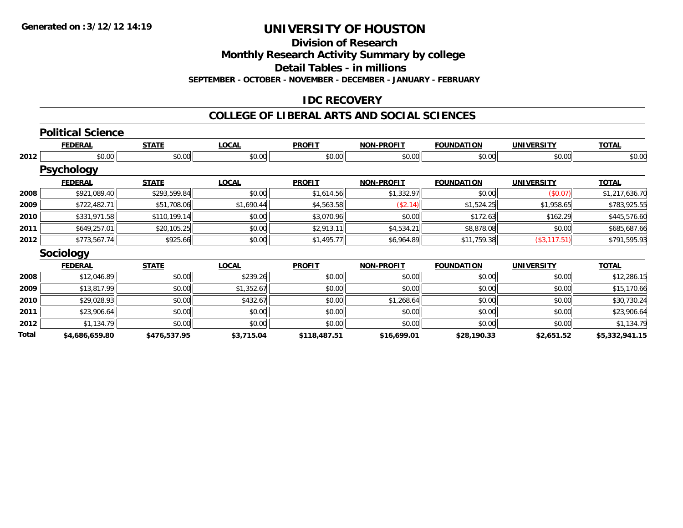**Division of Research**

**Monthly Research Activity Summary by college**

**Detail Tables - in millions**

**SEPTEMBER - OCTOBER - NOVEMBER - DECEMBER - JANUARY - FEBRUARY**

### **IDC RECOVERY**

#### **COLLEGE OF LIBERAL ARTS AND SOCIAL SCIENCES**

|       | <b>Political Science</b> |              |              |               |                   |                   |                   |                |
|-------|--------------------------|--------------|--------------|---------------|-------------------|-------------------|-------------------|----------------|
|       | <b>FEDERAL</b>           | <b>STATE</b> | <b>LOCAL</b> | <b>PROFIT</b> | <b>NON-PROFIT</b> | <b>FOUNDATION</b> | <b>UNIVERSITY</b> | <b>TOTAL</b>   |
| 2012  | \$0.00                   | \$0.00       | \$0.00       | \$0.00        | \$0.00            | \$0.00            | \$0.00            | \$0.00         |
|       | <b>Psychology</b>        |              |              |               |                   |                   |                   |                |
|       | <b>FEDERAL</b>           | <b>STATE</b> | <b>LOCAL</b> | <b>PROFIT</b> | <b>NON-PROFIT</b> | <b>FOUNDATION</b> | <b>UNIVERSITY</b> | <b>TOTAL</b>   |
| 2008  | \$921,089.40             | \$293,599.84 | \$0.00       | \$1,614.56    | \$1,332.97        | \$0.00            | (\$0.07)          | \$1,217,636.70 |
| 2009  | \$722,482.71             | \$51,708.06  | \$1,690.44   | \$4,563.58    | (\$2.14)          | \$1,524.25        | \$1,958.65        | \$783,925.55   |
| 2010  | \$331,971.58             | \$110,199.14 | \$0.00       | \$3,070.96    | \$0.00            | \$172.63          | \$162.29          | \$445,576.60   |
| 2011  | \$649,257.01             | \$20,105.25  | \$0.00       | \$2,913.11    | \$4,534.21        | \$8,878.08        | \$0.00            | \$685,687.66   |
| 2012  | \$773,567.74             | \$925.66     | \$0.00       | \$1,495.77    | \$6,964.89        | \$11,759.38       | (\$3, 117.51)     | \$791,595.93   |
|       | Sociology                |              |              |               |                   |                   |                   |                |
|       | <b>FEDERAL</b>           | <b>STATE</b> | <b>LOCAL</b> | <b>PROFIT</b> | <b>NON-PROFIT</b> | <b>FOUNDATION</b> | <b>UNIVERSITY</b> | <b>TOTAL</b>   |
| 2008  | \$12,046.89              | \$0.00       | \$239.26     | \$0.00        | \$0.00            | \$0.00            | \$0.00            | \$12,286.15    |
| 2009  | \$13,817.99              | \$0.00       | \$1,352.67   | \$0.00        | \$0.00            | \$0.00            | \$0.00            | \$15,170.66    |
| 2010  | \$29,028.93              | \$0.00       | \$432.67     | \$0.00        | \$1,268.64        | \$0.00            | \$0.00            | \$30,730.24    |
| 2011  | \$23,906.64              | \$0.00       | \$0.00       | \$0.00        | \$0.00            | \$0.00            | \$0.00            | \$23,906.64    |
| 2012  | \$1,134.79               | \$0.00       | \$0.00       | \$0.00        | \$0.00            | \$0.00            | \$0.00            | \$1,134.79     |
| Total | \$4,686,659.80           | \$476,537.95 | \$3,715.04   | \$118,487.51  | \$16,699.01       | \$28,190.33       | \$2,651.52        | \$5,332,941.15 |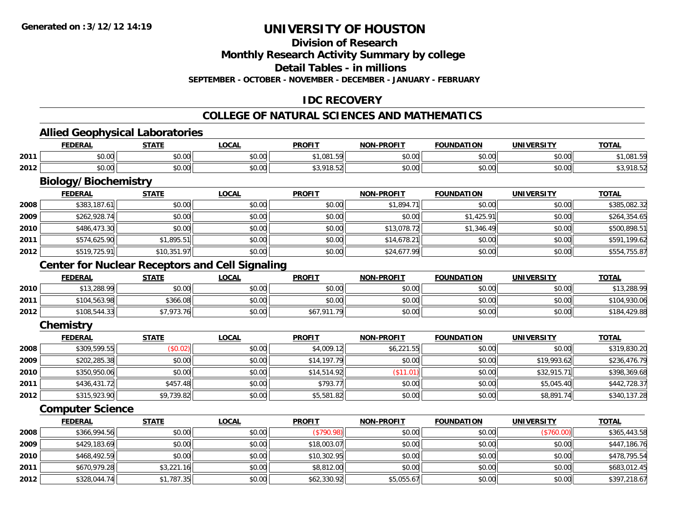### **Division of Research**

**Monthly Research Activity Summary by college**

**Detail Tables - in millions**

**SEPTEMBER - OCTOBER - NOVEMBER - DECEMBER - JANUARY - FEBRUARY**

### **IDC RECOVERY**

### **COLLEGE OF NATURAL SCIENCES AND MATHEMATICS**

<u> 1980 - Johann Barbara, martxa amerikan bashkar (</u>

### **Allied Geophysical Laboratories**

|      | <b>FEDERAL</b>     | <b>STATE</b>       | <b>LOCAL</b>                                 | <b>PROFIT</b>     | <b>-PROFIT</b><br><b>NON</b> | <b>FOUNDATION</b> | UNIVERSITY | <b>TOTAL</b> |
|------|--------------------|--------------------|----------------------------------------------|-------------------|------------------------------|-------------------|------------|--------------|
| 2011 | $\sim$ 00<br>vu.ou | $\sim$ 00<br>JU.UU | 0.00<br><b>DU.UU</b>                         | .081<br>$\cdot$ . | 0000<br>pv.uu                | \$0.00            | \$0.00     | 001E<br>,UO  |
| 2012 | $\sim$ 00<br>vu.uu | 0.00<br>J∪.∪∪ ¦    | $\mathsf{A} \cap \mathsf{A}$<br><b>DU.UU</b> | 010<br>10.37      | 0000<br>JU.UU                | \$0.00            | \$0.00     |              |

## **Biology/Biochemistry**

|      | <b>FEDERAL</b> | <b>STATE</b> | <u>LOCAL</u> | <b>PROFIT</b> | <b>NON-PROFIT</b> | <b>FOUNDATION</b> | <b>UNIVERSITY</b> | <b>TOTAL</b> |
|------|----------------|--------------|--------------|---------------|-------------------|-------------------|-------------------|--------------|
| 2008 | \$383,187.61   | \$0.00       | \$0.00       | \$0.00        | \$1.894.71        | \$0.00            | \$0.00            | \$385,082.32 |
| 2009 | \$262,928.74   | \$0.00       | \$0.00       | \$0.00        | \$0.00            | \$1,425.91        | \$0.00            | \$264,354.65 |
| 2010 | \$486,473.30   | \$0.00       | \$0.00       | \$0.00        | \$13,078.72       | \$1,346.49        | \$0.00            | \$500,898.51 |
| 2011 | \$574,625.90   | \$1,895.51   | \$0.00       | \$0.00        | \$14,678.21       | \$0.00            | \$0.00            | \$591,199.62 |
| 2012 | \$519,725.91   | \$10,351.97  | \$0.00       | \$0.00        | \$24,677.99       | \$0.00            | \$0.00            | \$554,755.87 |

### **Center for Nuclear Receptors and Cell Signaling**

|      | <b>FEDERAL</b> | <b>STATE</b> | <u>_OCAL</u> | <b>PROFIT</b> | <b>NON-PROFIT</b> | <b>FOUNDATION</b> | UNIVERSITY | <b>TOTAL</b> |
|------|----------------|--------------|--------------|---------------|-------------------|-------------------|------------|--------------|
| 2010 | \$13,288.99    | \$0.00       | \$0.00       | \$0.00        | \$0.00            | \$0.00            | \$0.00     | \$13,288.99  |
| 2011 | \$104,563.98   | \$366.08     | \$0.00       | \$0.00        | \$0.00            | \$0.00            | \$0.00     | \$104,930.06 |
| 2012 | \$108,544.33   | .973.76      | \$0.00       | \$67,911.79   | \$0.00            | \$0.00            | \$0.00     | \$184,429.88 |

### **Chemistry**

|      | <b>FEDERAL</b> | <u>STATE</u> | <u>LOCAL</u> | <b>PROFIT</b> | <b>NON-PROFIT</b> | <b>FOUNDATION</b> | <b>UNIVERSITY</b> | <b>TOTAL</b> |
|------|----------------|--------------|--------------|---------------|-------------------|-------------------|-------------------|--------------|
| 2008 | \$309,599.55   | (\$0.02)     | \$0.00       | \$4,009.12    | \$6,221.55        | \$0.00            | \$0.00            | \$319,830.20 |
| 2009 | \$202,285.38   | \$0.00       | \$0.00       | \$14,197.79   | \$0.00            | \$0.00            | \$19,993.62       | \$236,476.79 |
| 2010 | \$350,950.06   | \$0.00       | \$0.00       | \$14,514.92   | $($ \$11.01)      | \$0.00            | \$32,915.71       | \$398,369.68 |
| 2011 | \$436,431.72   | \$457.48     | \$0.00       | \$793.77      | \$0.00            | \$0.00            | \$5,045.40        | \$442,728.37 |
| 2012 | \$315,923.90   | \$9,739.82   | \$0.00       | \$5,581.82    | \$0.00            | \$0.00            | \$8,891.74        | \$340,137.28 |

### **Computer Science**

|      | <b>FEDERAL</b> | <b>STATE</b> | <b>LOCAL</b> | <b>PROFIT</b> | <b>NON-PROFIT</b> | <b>FOUNDATION</b> | <b>UNIVERSITY</b> | <b>TOTAL</b> |
|------|----------------|--------------|--------------|---------------|-------------------|-------------------|-------------------|--------------|
| 2008 | \$366,994.56   | \$0.00       | \$0.00       | (\$790.98)    | \$0.00            | \$0.00            | (\$760.00)        | \$365,443.58 |
| 2009 | \$429,183.69   | \$0.00       | \$0.00       | \$18,003.07   | \$0.00            | \$0.00            | \$0.00            | \$447,186.76 |
| 2010 | \$468,492.59   | \$0.00       | \$0.00       | \$10,302.95   | \$0.00            | \$0.00            | \$0.00            | \$478,795.54 |
| 2011 | \$670,979.28   | \$3,221.16   | \$0.00       | \$8,812.00    | \$0.00            | \$0.00            | \$0.00            | \$683,012.45 |
| 2012 | \$328,044.74   | \$1,787.35   | \$0.00       | \$62,330.92   | \$5,055.67        | \$0.00            | \$0.00            | \$397,218.67 |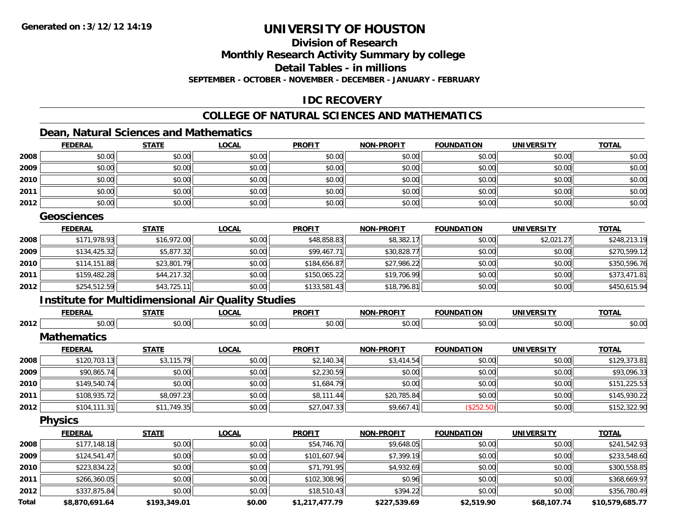### **Division of Research**

**Monthly Research Activity Summary by college**

**Detail Tables - in millions**

**SEPTEMBER - OCTOBER - NOVEMBER - DECEMBER - JANUARY - FEBRUARY**

### **IDC RECOVERY**

### **COLLEGE OF NATURAL SCIENCES AND MATHEMATICS**

### **Dean, Natural Sciences and Mathematics**

|      | <b>FEDERAL</b> | <b>STATE</b> | <b>LOCAL</b> | <b>PROFIT</b> | <b>NON-PROFIT</b> | <b>FOUNDATION</b> | <b>UNIVERSITY</b> | <b>TOTAL</b> |
|------|----------------|--------------|--------------|---------------|-------------------|-------------------|-------------------|--------------|
| 2008 | \$0.00         | \$0.00       | \$0.00       | \$0.00        | \$0.00            | \$0.00            | \$0.00            | \$0.00       |
| 2009 | \$0.00         | \$0.00       | \$0.00       | \$0.00        | \$0.00            | \$0.00            | \$0.00            | \$0.00       |
| 2010 | \$0.00         | \$0.00       | \$0.00       | \$0.00        | \$0.00            | \$0.00            | \$0.00            | \$0.00       |
| 2011 | \$0.00         | \$0.00       | \$0.00       | \$0.00        | \$0.00            | \$0.00            | \$0.00            | \$0.00       |
| 2012 | \$0.00         | \$0.00       | \$0.00       | \$0.00        | \$0.00            | \$0.00            | \$0.00            | \$0.00       |

#### **Geosciences**

|      | <b>FEDERAL</b> | <u>STATE</u> | <b>LOCAL</b> | <b>PROFIT</b> | <b>NON-PROFIT</b> | <b>FOUNDATION</b> | <b>UNIVERSITY</b> | <b>TOTAL</b> |
|------|----------------|--------------|--------------|---------------|-------------------|-------------------|-------------------|--------------|
| 2008 | \$171,978.93   | \$16,972.00  | \$0.00       | \$48,858.83   | \$8,382.17        | \$0.00            | \$2,021.27        | \$248,213.19 |
| 2009 | \$134,425.32   | \$5,877.32   | \$0.00       | \$99,467.71   | \$30,828.77       | \$0.00            | \$0.00            | \$270,599.12 |
| 2010 | \$114,151.88   | \$23,801.79  | \$0.00       | \$184,656.87  | \$27,986.22       | \$0.00            | \$0.00            | \$350,596.76 |
| 2011 | \$159,482.28   | \$44,217.32  | \$0.00       | \$150,065.22  | \$19,706.99       | \$0.00            | \$0.00            | \$373,471.81 |
| 2012 | \$254,512.59   | \$43,725.11  | \$0.00       | \$133,581.43  | \$18,796.81       | \$0.00            | \$0.00            | \$450,615.94 |

### **Institute for Multidimensional Air Quality Studies**

|      | <b>FEDERAL</b>     | <b>STATE</b> | <b>LOCAL</b> | <b>PROFIT</b> | <b>NON-PROFIT</b> | <b>FOUNDATION</b> | <b>UNIVERSITY</b> | <b>TOTAL</b> |
|------|--------------------|--------------|--------------|---------------|-------------------|-------------------|-------------------|--------------|
| 2012 | \$0.00             | \$0.00       | \$0.00       | \$0.00        | \$0.00            | \$0.00            | \$0.00            | \$0.00       |
|      | <b>Mathematics</b> |              |              |               |                   |                   |                   |              |
|      | <b>FEDERAL</b>     | <b>STATE</b> | <b>LOCAL</b> | <b>PROFIT</b> | <b>NON-PROFIT</b> | <b>FOUNDATION</b> | <b>UNIVERSITY</b> | <b>TOTAL</b> |
| 2008 | \$120,703.13       | \$3,115.79   | \$0.00       | \$2,140.34    | \$3,414.54        | \$0.00            | \$0.00            | \$129,373.81 |
| 2009 | \$90,865.74        | \$0.00       | \$0.00       | \$2,230.59    | \$0.00            | \$0.00            | \$0.00            | \$93,096.33  |
| 2010 | \$149,540.74       | \$0.00       | \$0.00       | \$1,684.79    | \$0.00            | \$0.00            | \$0.00            | \$151,225.53 |
| 2011 | \$108,935.72       | \$8,097.23   | \$0.00       | \$8,111.44    | \$20,785.84       | \$0.00            | \$0.00            | \$145,930.22 |
| 2012 | \$104, 111.31      | \$11,749.35  | \$0.00       | \$27,047.33   | \$9,667.41        | (\$252.50)        | \$0.00            | \$152,322.90 |
|      | <b>Physics</b>     |              |              |               |                   |                   |                   |              |
|      | <b>FEDERAL</b>     | <b>STATE</b> | <b>LOCAL</b> | <b>PROFIT</b> | <b>NON-PROFIT</b> | <b>FOUNDATION</b> | <b>UNIVERSITY</b> | <b>TOTAL</b> |
| 2008 | \$177,148.18       | \$0.00       | \$0.00       | \$54,746.70   | \$9,648.05        | \$0.00            | \$0.00            | \$241,542.93 |
| 2009 | \$124,541.47       | \$0.00       | \$0.00       | \$101,607.94  | \$7,399.19        | \$0.00            | \$0.00            | \$233,548.60 |
| 2010 | \$223,834.22       | \$0.00       | \$0.00       | \$71,791.95   | \$4,932.69        | \$0.00            | \$0.00            | \$300,558.85 |
|      |                    |              |              |               |                   |                   |                   |              |

**2011** \$266,360.05 \$0.00 \$0.00 \$102,308.96 \$0.96 \$0.00 \$0.00 \$368,669.97 **2012** \$337,875.84 \$0.00 \$0.00 \$18,510.43 \$394.22 \$0.00 \$0.00 \$356,780.49 **Total\$8,870,691.64 \$193,349.01 \$0.00 \$1,217,477.79 \$227,539.69 \$2,519.90 \$68,107.74 \$10,579,685.77**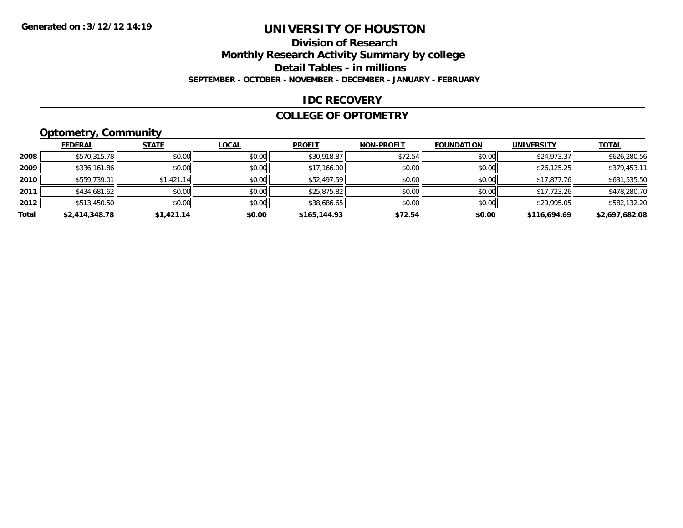### **Division of Research**

**Monthly Research Activity Summary by college**

**Detail Tables - in millions**

**SEPTEMBER - OCTOBER - NOVEMBER - DECEMBER - JANUARY - FEBRUARY**

#### **IDC RECOVERY**

#### **COLLEGE OF OPTOMETRY**

### **Optometry, Community**

|       | .              |              |              |               |                   |                   |                   |                |
|-------|----------------|--------------|--------------|---------------|-------------------|-------------------|-------------------|----------------|
|       | <b>FEDERAL</b> | <b>STATE</b> | <b>LOCAL</b> | <b>PROFIT</b> | <b>NON-PROFIT</b> | <b>FOUNDATION</b> | <b>UNIVERSITY</b> | <b>TOTAL</b>   |
| 2008  | \$570,315.78   | \$0.00       | \$0.00       | \$30,918.87   | \$72.54           | \$0.00            | \$24,973.37       | \$626,280.56   |
| 2009  | \$336,161.86   | \$0.00       | \$0.00       | \$17,166.00   | \$0.00            | \$0.00            | \$26,125.25       | \$379,453.11   |
| 2010  | \$559,739.01   | \$1,421.14   | \$0.00       | \$52,497.59   | \$0.00            | \$0.00            | \$17,877.76       | \$631,535.50   |
| 2011  | \$434,681.62   | \$0.00       | \$0.00       | \$25,875.82   | \$0.00            | \$0.00            | \$17,723.26       | \$478,280.70   |
| 2012  | \$513,450.50   | \$0.00       | \$0.00       | \$38,686.65   | \$0.00            | \$0.00            | \$29,995.05       | \$582,132.20   |
| Total | \$2,414,348.78 | \$1,421.14   | \$0.00       | \$165,144.93  | \$72.54           | \$0.00            | \$116,694.69      | \$2,697,682.08 |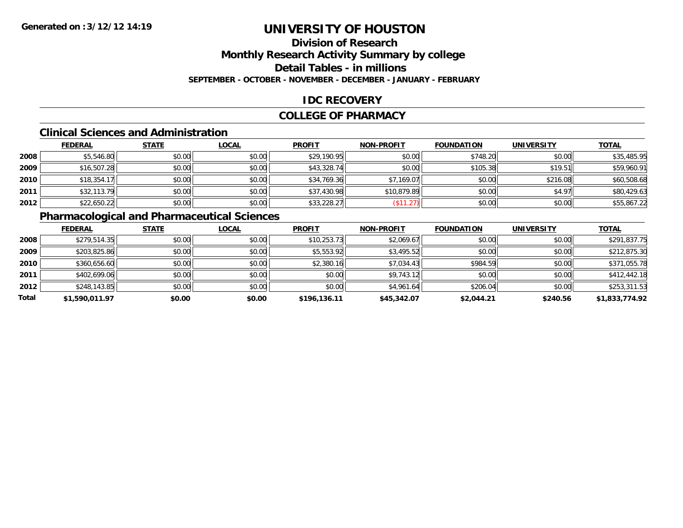## **Division of Research**

**Monthly Research Activity Summary by college**

**Detail Tables - in millions**

**SEPTEMBER - OCTOBER - NOVEMBER - DECEMBER - JANUARY - FEBRUARY**

### **IDC RECOVERY**

#### **COLLEGE OF PHARMACY**

#### **Clinical Sciences and Administration**

|      | <b>FEDERAL</b> | <b>STATE</b> | <b>LOCAL</b> | <b>PROFIT</b> | <b>NON-PROFIT</b> | <b>FOUNDATION</b> | <b>UNIVERSITY</b> | <b>TOTAL</b> |
|------|----------------|--------------|--------------|---------------|-------------------|-------------------|-------------------|--------------|
| 2008 | \$5,546.80     | \$0.00       | \$0.00       | \$29,190.95   | \$0.00            | \$748.20          | \$0.00            | \$35,485.95  |
| 2009 | \$16,507.28    | \$0.00       | \$0.00       | \$43,328.74   | \$0.00            | \$105.38          | \$19.51           | \$59,960.91  |
| 2010 | \$18,354.17    | \$0.00       | \$0.00       | \$34,769.36   | \$7,169.07        | \$0.00            | \$216.08          | \$60,508.68  |
| 2011 | \$32,113.79    | \$0.00       | \$0.00       | \$37,430.98   | \$10,879.89       | \$0.00            | \$4.97            | \$80,429.63  |
| 2012 | \$22,650.22    | \$0.00       | \$0.00       | \$33,228.27   | \$11.27           | \$0.00            | \$0.00            | \$55,867.22  |

## **Pharmacological and Pharmaceutical Sciences**

|       | <b>FEDERAL</b> | <u>STATE</u> | <b>LOCAL</b> | <b>PROFIT</b> | <b>NON-PROFIT</b> | <b>FOUNDATION</b> | <b>UNIVERSITY</b> | <b>TOTAL</b>   |
|-------|----------------|--------------|--------------|---------------|-------------------|-------------------|-------------------|----------------|
| 2008  | \$279,514.35   | \$0.00       | \$0.00       | \$10,253.73   | \$2,069.67        | \$0.00            | \$0.00            | \$291,837.75   |
| 2009  | \$203,825.86   | \$0.00       | \$0.00       | \$5,553.92    | \$3,495.52        | \$0.00            | \$0.00            | \$212,875.30   |
| 2010  | \$360,656.60   | \$0.00       | \$0.00       | \$2,380.16    | \$7,034.43        | \$984.59          | \$0.00            | \$371,055.78   |
| 2011  | \$402,699.06   | \$0.00       | \$0.00       | \$0.00        | \$9,743.12        | \$0.00            | \$0.00            | \$412,442.18   |
| 2012  | \$248,143.85   | \$0.00       | \$0.00       | \$0.00        | \$4,961.64        | \$206.04          | \$0.00            | \$253,311.53   |
| Total | \$1,590,011.97 | \$0.00       | \$0.00       | \$196,136.11  | \$45,342.07       | \$2,044.21        | \$240.56          | \$1,833,774.92 |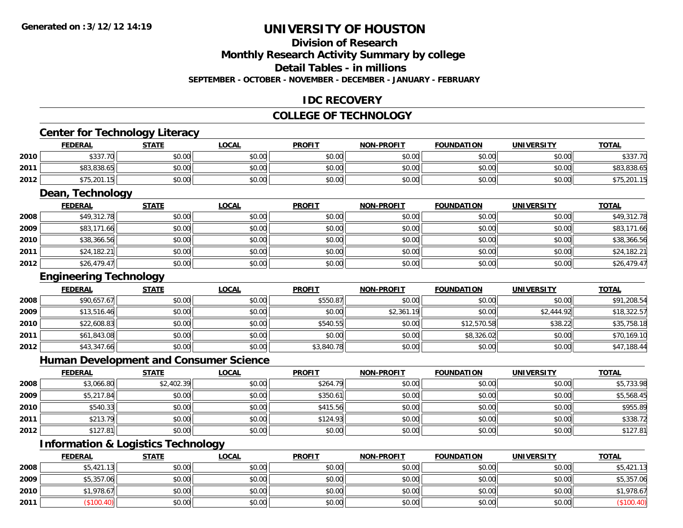### **Division of Research**

**Monthly Research Activity Summary by college**

**Detail Tables - in millions**

**SEPTEMBER - OCTOBER - NOVEMBER - DECEMBER - JANUARY - FEBRUARY**

### **IDC RECOVERY**

#### **COLLEGE OF TECHNOLOGY**

## **Center for Technology Literacy**

|      | <b>FEDERAL</b> | STATE  | LOCAL  | <b>PROFIT</b> | <b>NON-PROFIT</b> | <b>FOUNDATION</b> | UNIVERSITY | <b>TOTAL</b> |
|------|----------------|--------|--------|---------------|-------------------|-------------------|------------|--------------|
| 2010 | \$337.70       | \$0.00 | \$0.00 | \$0.00        | \$0.00            | \$0.00            | \$0.00     | \$337.70     |
| 2011 | \$83,838.65    | \$0.00 | \$0.00 | \$0.00        | \$0.00            | \$0.00            | \$0.00     | \$83,838.65  |
| 2012 | \$75,201.15    | \$0.00 | \$0.00 | \$0.00        | \$0.00            | \$0.00            | \$0.00     | \$75,201.15  |

## **Dean, Technology**

|      | <b>FEDERAL</b> | <b>STATE</b> | <u>LOCAL</u> | <b>PROFIT</b> | <b>NON-PROFIT</b> | <b>FOUNDATION</b> | <b>UNIVERSITY</b> | <b>TOTAL</b> |
|------|----------------|--------------|--------------|---------------|-------------------|-------------------|-------------------|--------------|
| 2008 | \$49,312.78    | \$0.00       | \$0.00       | \$0.00        | \$0.00            | \$0.00            | \$0.00            | \$49,312.78  |
| 2009 | \$83,171.66    | \$0.00       | \$0.00       | \$0.00        | \$0.00            | \$0.00            | \$0.00            | \$83,171.66  |
| 2010 | \$38,366.56    | \$0.00       | \$0.00       | \$0.00        | \$0.00            | \$0.00            | \$0.00            | \$38,366.56  |
| 2011 | \$24,182.21    | \$0.00       | \$0.00       | \$0.00        | \$0.00            | \$0.00            | \$0.00            | \$24,182.21  |
| 2012 | \$26,479.47    | \$0.00       | \$0.00       | \$0.00        | \$0.00            | \$0.00            | \$0.00            | \$26,479.47  |

### **Engineering Technology**

|      | <b>FEDERAL</b> | <b>STATE</b> | <u>LOCAL</u> | <b>PROFIT</b> | <b>NON-PROFIT</b> | <b>FOUNDATION</b> | <b>UNIVERSITY</b> | <b>TOTAL</b> |
|------|----------------|--------------|--------------|---------------|-------------------|-------------------|-------------------|--------------|
| 2008 | \$90,657.67    | \$0.00       | \$0.00       | \$550.87      | \$0.00            | \$0.00            | \$0.00            | \$91,208.54  |
| 2009 | \$13,516.46    | \$0.00       | \$0.00       | \$0.00        | \$2,361.19        | \$0.00            | \$2,444.92        | \$18,322.57  |
| 2010 | \$22,608.83    | \$0.00       | \$0.00       | \$540.55      | \$0.00            | \$12,570.58       | \$38.22           | \$35,758.18  |
| 2011 | \$61,843.08    | \$0.00       | \$0.00       | \$0.00        | \$0.00            | \$8,326.02        | \$0.00            | \$70,169.10  |
| 2012 | \$43,347.66    | \$0.00       | \$0.00       | \$3,840.78    | \$0.00            | \$0.00            | \$0.00            | \$47,188.44  |

#### **Human Development and Consumer Science**

|      | <u>FEDERAL</u> | <u>STATE</u> | <b>LOCAL</b> | <b>PROFIT</b> | <b>NON-PROFIT</b> | <b>FOUNDATION</b> | <b>UNIVERSITY</b> | <b>TOTAL</b> |
|------|----------------|--------------|--------------|---------------|-------------------|-------------------|-------------------|--------------|
| 2008 | \$3,066.80     | \$2,402.39   | \$0.00       | \$264.79      | \$0.00            | \$0.00            | \$0.00            | \$5,733.98   |
| 2009 | \$5,217.84     | \$0.00       | \$0.00       | \$350.61      | \$0.00            | \$0.00            | \$0.00            | \$5,568.45   |
| 2010 | \$540.33       | \$0.00       | \$0.00       | \$415.56      | \$0.00            | \$0.00            | \$0.00            | \$955.89     |
| 2011 | \$213.79       | \$0.00       | \$0.00       | \$124.93      | \$0.00            | \$0.00            | \$0.00            | \$338.72     |
| 2012 | \$127.81       | \$0.00       | \$0.00       | \$0.00        | \$0.00            | \$0.00            | \$0.00            | \$127.81     |

### **Information & Logistics Technology**

|      | <b>FEDERAL</b> | <b>STATE</b> | <b>LOCAL</b> | <b>PROFIT</b> | <b>NON-PROFIT</b> | <b>FOUNDATION</b> | <b>UNIVERSITY</b> | <b>TOTAL</b> |
|------|----------------|--------------|--------------|---------------|-------------------|-------------------|-------------------|--------------|
| 2008 | \$5,421.13     | \$0.00       | \$0.00       | \$0.00        | \$0.00            | \$0.00            | \$0.00            | \$5,421.13   |
| 2009 | \$5,357.06     | \$0.00       | \$0.00       | \$0.00        | \$0.00            | \$0.00            | \$0.00            | \$5,357.06   |
| 2010 | \$1,978.67     | \$0.00       | \$0.00       | \$0.00        | \$0.00            | \$0.00            | \$0.00            | \$1,978.67   |
| 2011 | $($ \$100.40)  | \$0.00       | \$0.00       | \$0.00        | \$0.00            | \$0.00            | \$0.00            | (\$100.40)   |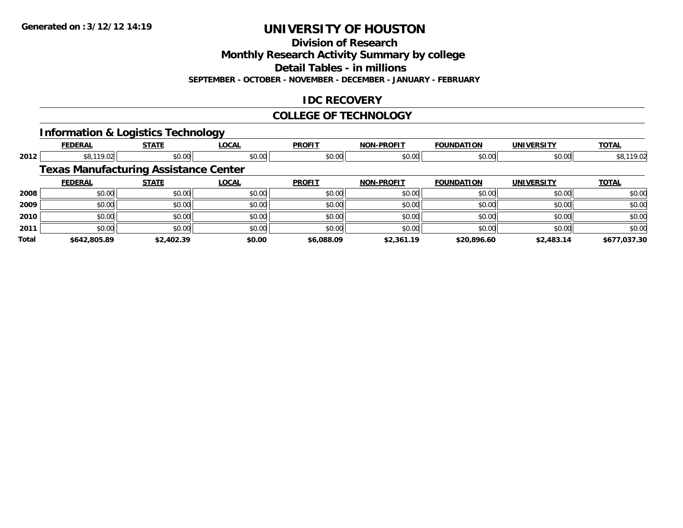**Division of Research**

**Monthly Research Activity Summary by college**

**Detail Tables - in millions**

**SEPTEMBER - OCTOBER - NOVEMBER - DECEMBER - JANUARY - FEBRUARY**

### **IDC RECOVERY**

### **COLLEGE OF TECHNOLOGY**

### **Information & Logistics Technology**

|       | <b>FEDERAL</b> | <b>STATE</b>                                 | <b>LOCAL</b> | <b>PROFIT</b> | <b>NON-PROFIT</b> | <b>FOUNDATION</b> | <b>UNIVERSITY</b> | <b>TOTAL</b> |
|-------|----------------|----------------------------------------------|--------------|---------------|-------------------|-------------------|-------------------|--------------|
| 2012  | \$8,119.02     | \$0.00                                       | \$0.00       | \$0.00        | \$0.00            | \$0.00            | \$0.00            | \$8,119.02   |
|       |                | <b>Texas Manufacturing Assistance Center</b> |              |               |                   |                   |                   |              |
|       | <b>FEDERAL</b> | <b>STATE</b>                                 | LOCAL        | <b>PROFIT</b> | <b>NON-PROFIT</b> | <b>FOUNDATION</b> | <b>UNIVERSITY</b> | <b>TOTAL</b> |
| 2008  | \$0.00         | \$0.00                                       | \$0.00       | \$0.00        | \$0.00            | \$0.00            | \$0.00            | \$0.00       |
| 2009  | \$0.00         | \$0.00                                       | \$0.00       | \$0.00        | \$0.00            | \$0.00            | \$0.00            | \$0.00       |
| 2010  | \$0.00         | \$0.00                                       | \$0.00       | \$0.00        | \$0.00            | \$0.00            | \$0.00            | \$0.00       |
| 2011  | \$0.00         | \$0.00                                       | \$0.00       | \$0.00        | \$0.00            | \$0.00            | \$0.00            | \$0.00       |
| Total | \$642,805.89   | \$2,402.39                                   | \$0.00       | \$6,088.09    | \$2,361.19        | \$20,896.60       | \$2,483.14        | \$677.037.30 |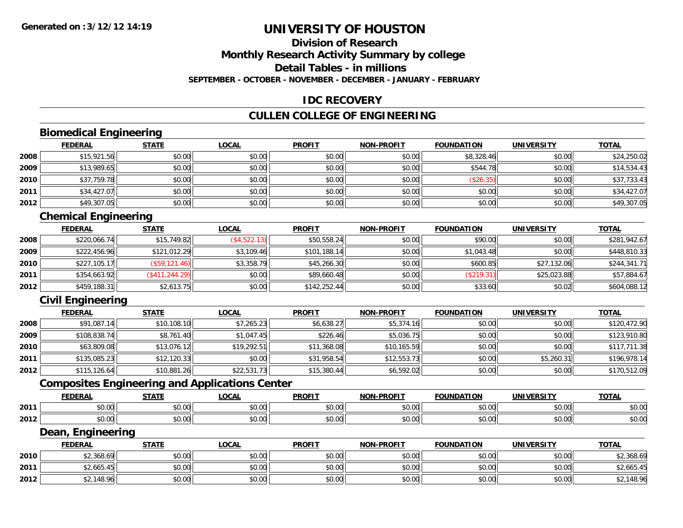## **Division of Research**

**Monthly Research Activity Summary by college**

**Detail Tables - in millions**

**SEPTEMBER - OCTOBER - NOVEMBER - DECEMBER - JANUARY - FEBRUARY**

### **IDC RECOVERY**

### **CULLEN COLLEGE OF ENGINEERING**

### **Biomedical Engineering**

|      | <b>FEDERAL</b> | <b>STATE</b> | <u>LOCAL</u> | <b>PROFIT</b> | <b>NON-PROFIT</b> | <b>FOUNDATION</b> | <b>UNIVERSITY</b> | <u>TOTAL</u> |
|------|----------------|--------------|--------------|---------------|-------------------|-------------------|-------------------|--------------|
| 2008 | \$15,921.56    | \$0.00       | \$0.00       | \$0.00        | \$0.00            | \$8,328.46        | \$0.00            | \$24,250.02  |
| 2009 | \$13,989.65    | \$0.00       | \$0.00       | \$0.00        | \$0.00            | \$544.78          | \$0.00            | \$14,534.43  |
| 2010 | \$37,759.78    | \$0.00       | \$0.00       | \$0.00        | \$0.00            | (\$26.35)         | \$0.00            | \$37,733.43  |
| 2011 | \$34,427.07    | \$0.00       | \$0.00       | \$0.00        | \$0.00            | \$0.00            | \$0.00            | \$34,427.07  |
| 2012 | \$49,307.05    | \$0.00       | \$0.00       | \$0.00        | \$0.00            | \$0.00            | \$0.00            | \$49,307.05  |

### **Chemical Engineering**

|      | <b>FEDERAL</b> | <b>STATE</b>   | <u>LOCAL</u> | <b>PROFIT</b> | <b>NON-PROFIT</b> | <b>FOUNDATION</b> | <b>UNIVERSITY</b> | <b>TOTAL</b> |
|------|----------------|----------------|--------------|---------------|-------------------|-------------------|-------------------|--------------|
| 2008 | \$220,066.74   | \$15,749.82    | (\$4,522.13) | \$50,558.24   | \$0.00            | \$90.00           | \$0.00            | \$281,942.67 |
| 2009 | \$222,456.96   | \$121,012.29   | \$3.109.46   | \$101.188.14  | \$0.00            | \$1,043.48        | \$0.00            | \$448,810.33 |
| 2010 | \$227,105.17   | (S59, 121.46)  | \$3,358.79   | \$45,266.30   | \$0.00            | \$600.85          | \$27,132.06       | \$244,341.71 |
| 2011 | \$354,663.92   | (S411, 244.29) | \$0.00       | \$89,660.48   | \$0.00            | (\$219.31)        | \$25,023.88       | \$57,884.67  |
| 2012 | \$459,188.31   | \$2,613.75     | \$0.00       | \$142,252.44  | \$0.00            | \$33.60           | \$0.02            | \$604,088.12 |

### **Civil Engineering**

|      | <b>FEDERAL</b> | <b>STATE</b> | <b>LOCAL</b> | <b>PROFIT</b> | <b>NON-PROFIT</b> | <b>FOUNDATION</b> | <b>UNIVERSITY</b> | <b>TOTAL</b> |
|------|----------------|--------------|--------------|---------------|-------------------|-------------------|-------------------|--------------|
| 2008 | \$91,087.14    | \$10,108.10  | \$7,265.23   | \$6,638.27    | \$5,374.16        | \$0.00            | \$0.00            | \$120,472.90 |
| 2009 | \$108,838.74   | \$8,761.40   | \$1,047.45   | \$226.46      | \$5,036.75        | \$0.00            | \$0.00            | \$123,910.80 |
| 2010 | \$63,809.08    | \$13,076.12  | \$19,292.51  | \$11,368.08   | \$10,165.59       | \$0.00            | \$0.00            | \$117,711.38 |
| 2011 | \$135,085.23   | \$12,120.33  | \$0.00       | \$31,958.54   | \$12,553.73       | \$0.00            | \$5,260.31        | \$196,978.14 |
| 2012 | \$115,126.64   | \$10,881.26  | \$22,531.73  | \$15,380.44   | \$6,592.02        | \$0.00            | \$0.00            | \$170,512.09 |

### **Composites Engineering and Applications Center**

|      | <b>FEDERAL</b> | <b>CTATE</b>           | <b>OCAL</b>                                             | <b>PROFIT</b>                                       | <b>DDAFIT</b><br><b>NON</b> | <b>FOUNDATION</b> | UNIVERSITY | <b>TOTAL</b>  |
|------|----------------|------------------------|---------------------------------------------------------|-----------------------------------------------------|-----------------------------|-------------------|------------|---------------|
| 2011 | ሶስ ሰሰ<br>ט.טע  | $\sim$ $\sim$<br>JU.UU | $\mathfrak{e}\cap\mathfrak{g}\cap\mathfrak{g}$<br>pu.uu | $\uparrow$ $\uparrow$ $\uparrow$ $\uparrow$<br>JU.U | ტი იი<br>vu.uu              | 0 <sub>n</sub>    | \$0.00     | 0000<br>DU.UU |
| 2012 | ሖヘ<br>vv.vv    | $\cdots$<br>vv.vv      | \$0.00                                                  | 0 <sub>n</sub><br>JU.U                              | 0000<br>vv.vv               | 0000              | \$0.00     | \$0.00        |

<u> 1989 - Johann Stoff, amerikansk politiker (d. 1989)</u>

#### **Dean, Engineering**

|      | <b>FEDERAL</b> | <b>STATE</b>   | LOCAL                                       | <b>PROFIT</b> | <b>NON-PROFIT</b> | <b>FOUNDATION</b> | <b>UNIVERSITY</b> | <u>TOTAL</u>             |
|------|----------------|----------------|---------------------------------------------|---------------|-------------------|-------------------|-------------------|--------------------------|
| 2010 | \$2,368.69     | 4000<br>JU.UU  | $\mathfrak{c}\cap\mathfrak{a}\cap$<br>JU.UU | \$0.00        | \$0.00            | \$0.00            | \$0.00            | \$2,368.69               |
| 2011 | \$2,665        | 40.00<br>งบ.บบ | $n \cap \neg$<br>DU.UU                      | \$0.00        | \$0.00            | \$0.00            | \$0.00            | $0.25E$ AD<br>\$2,665.45 |
| 2012 | \$2,148.96     | \$0.00         | \$0.00                                      | \$0.00        | \$0.00            | \$0.00            | \$0.00            | \$2,148.96               |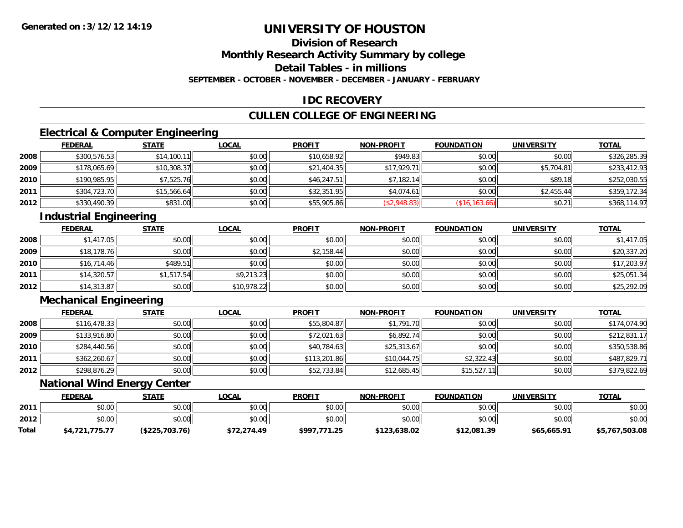## **Division of Research**

**Monthly Research Activity Summary by college**

**Detail Tables - in millions**

**SEPTEMBER - OCTOBER - NOVEMBER - DECEMBER - JANUARY - FEBRUARY**

### **IDC RECOVERY**

### **CULLEN COLLEGE OF ENGINEERING**

### **Electrical & Computer Engineering**

|      | <b>FEDERAL</b> | <b>STATE</b> | <b>LOCAL</b> | <b>PROFIT</b> | <b>NON-PROFIT</b> | <b>FOUNDATION</b> | <b>UNIVERSITY</b> | <b>TOTAL</b> |
|------|----------------|--------------|--------------|---------------|-------------------|-------------------|-------------------|--------------|
| 2008 | \$300,576.53   | \$14,100.11  | \$0.00       | \$10,658.92   | \$949.83          | \$0.00            | \$0.00            | \$326,285.39 |
| 2009 | \$178,065.69   | \$10,308.37  | \$0.00       | \$21,404.35   | \$17,929.71       | \$0.00            | \$5,704.81        | \$233,412.93 |
| 2010 | \$190,985.95   | \$7,525.76   | \$0.00       | \$46,247.51   | \$7,182.14        | \$0.00            | \$89.18           | \$252,030.55 |
| 2011 | \$304,723.70   | \$15,566.64  | \$0.00       | \$32,351.95   | \$4,074.61        | \$0.00            | \$2,455.44        | \$359,172.34 |
| 2012 | \$330,490.39   | \$831.00     | \$0.00       | \$55,905.86   | (\$2,948.83)      | (\$16, 163.66)    | \$0.21            | \$368,114.97 |

### **Industrial Engineering**

|      | <b>FEDERAL</b> | <b>STATE</b> | <u>LOCAL</u> | <b>PROFIT</b> | <b>NON-PROFIT</b> | <b>FOUNDATION</b> | <b>UNIVERSITY</b> | <b>TOTAL</b> |
|------|----------------|--------------|--------------|---------------|-------------------|-------------------|-------------------|--------------|
| 2008 | \$1,417.05     | \$0.00       | \$0.00       | \$0.00        | \$0.00            | \$0.00            | \$0.00            | \$1,417.05   |
| 2009 | \$18,178.76    | \$0.00       | \$0.00       | \$2,158.44    | \$0.00            | \$0.00            | \$0.00            | \$20,337.20  |
| 2010 | \$16,714.46    | \$489.51     | \$0.00       | \$0.00        | \$0.00            | \$0.00            | \$0.00            | \$17,203.97  |
| 2011 | \$14,320.57    | \$1,517.54   | \$9,213.23   | \$0.00        | \$0.00            | \$0.00            | \$0.00            | \$25,051.34  |
| 2012 | \$14,313.87    | \$0.00       | \$10,978.22  | \$0.00        | \$0.00            | \$0.00            | \$0.00            | \$25,292.09  |

### **Mechanical Engineering**

|      | <b>FEDERAL</b> | <b>STATE</b> | <u>LOCAL</u> | <b>PROFIT</b> | <b>NON-PROFIT</b> | <b>FOUNDATION</b> | <b>UNIVERSITY</b> | <b>TOTAL</b> |
|------|----------------|--------------|--------------|---------------|-------------------|-------------------|-------------------|--------------|
| 2008 | \$116,478.33   | \$0.00       | \$0.00       | \$55,804.87   | \$1,791.70        | \$0.00            | \$0.00            | \$174,074.90 |
| 2009 | \$133,916.80   | \$0.00       | \$0.00       | \$72,021.63   | \$6,892.74        | \$0.00            | \$0.00            | \$212,831.17 |
| 2010 | \$284,440.56   | \$0.00       | \$0.00       | \$40,784.63   | \$25,313.67       | \$0.00            | \$0.00            | \$350,538.86 |
| 2011 | \$362,260.67   | \$0.00       | \$0.00       | \$113,201.86  | \$10,044.75       | \$2,322.43        | \$0.00            | \$487,829.71 |
| 2012 | \$298,876.29   | \$0.00       | \$0.00       | \$52,733.84   | \$12,685.45       | \$15,527.11       | \$0.00            | \$379,822.69 |

#### **National Wind Energy Center**

|              | <b>FEDERAL</b> | STATE          | <u>LOCAL</u> | <b>PROFIT</b> | <b>NON-PROFIT</b> | <b>FOUNDATION</b> | <b>UNIVERSITY</b> | <b>TOTAL</b>   |
|--------------|----------------|----------------|--------------|---------------|-------------------|-------------------|-------------------|----------------|
| 2011         | \$0.00         | \$0.00         | \$0.00       | \$0.00        | \$0.00            | \$0.00            | \$0.00            | \$0.00         |
| 2012         | \$0.00         | \$0.00         | \$0.00       | \$0.00        | \$0.00            | \$0.00            | \$0.00            | \$0.00         |
| <b>Total</b> | \$4,721,775.77 | (\$225,703.76) | \$72,274.49  | \$997.771.25  | \$123,638.02      | \$12,081.39       | \$65,665.91       | \$5,767,503.08 |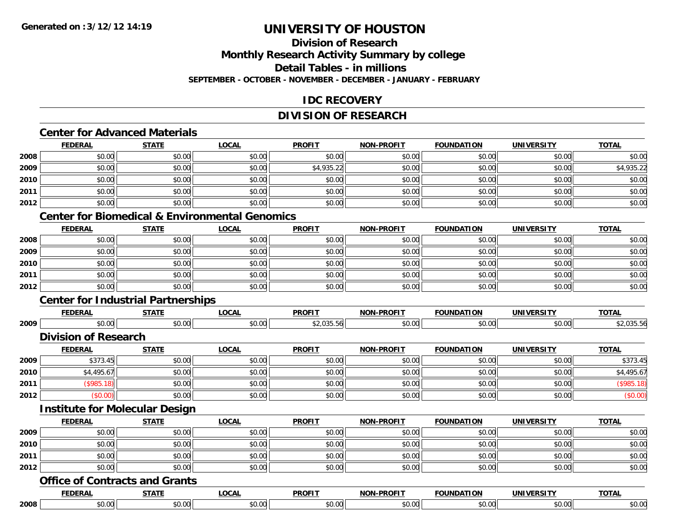## **Division of Research**

**Monthly Research Activity Summary by college**

**Detail Tables - in millions**

**SEPTEMBER - OCTOBER - NOVEMBER - DECEMBER - JANUARY - FEBRUARY**

### **IDC RECOVERY**

#### **DIVISION OF RESEARCH**

### **Center for Advanced Materials**

|      | <b>FEDERAL</b> | <b>STATE</b> | <b>LOCAL</b> | <b>PROFIT</b> | <b>NON-PROFIT</b> | <b>FOUNDATION</b> | <b>UNIVERSITY</b> | <b>TOTAL</b> |
|------|----------------|--------------|--------------|---------------|-------------------|-------------------|-------------------|--------------|
| 2008 | \$0.00         | \$0.00       | \$0.00       | \$0.00        | \$0.00            | \$0.00            | \$0.00            | \$0.00       |
| 2009 | \$0.00         | \$0.00       | \$0.00       | \$4,935.22    | \$0.00            | \$0.00            | \$0.00            | \$4,935.22   |
| 2010 | \$0.00         | \$0.00       | \$0.00       | \$0.00        | \$0.00            | \$0.00            | \$0.00            | \$0.00       |
| 2011 | \$0.00         | \$0.00       | \$0.00       | \$0.00        | \$0.00            | \$0.00            | \$0.00            | \$0.00       |
| 2012 | \$0.00         | \$0.00       | \$0.00       | \$0.00        | \$0.00            | \$0.00            | \$0.00            | \$0.00       |

### **Center for Biomedical & Environmental Genomics**

|      | <b>FEDERAL</b> | <b>STATE</b> | <b>LOCAL</b> | <b>PROFIT</b> | <b>NON-PROFIT</b> | <b>FOUNDATION</b> | <b>UNIVERSITY</b> | <b>TOTAL</b> |
|------|----------------|--------------|--------------|---------------|-------------------|-------------------|-------------------|--------------|
| 2008 | \$0.00         | \$0.00       | \$0.00       | \$0.00        | \$0.00            | \$0.00            | \$0.00            | \$0.00       |
| 2009 | \$0.00         | \$0.00       | \$0.00       | \$0.00        | \$0.00            | \$0.00            | \$0.00            | \$0.00       |
| 2010 | \$0.00         | \$0.00       | \$0.00       | \$0.00        | \$0.00            | \$0.00            | \$0.00            | \$0.00       |
| 2011 | \$0.00         | \$0.00       | \$0.00       | \$0.00        | \$0.00            | \$0.00            | \$0.00            | \$0.00       |
| 2012 | \$0.00         | \$0.00       | \$0.00       | \$0.00        | \$0.00            | \$0.00            | \$0.00            | \$0.00       |

### **Center for Industrial Partnerships**

|      | -------                                               | ----- | $\sim$ $\sim$ $\sim$<br>. | <b>DDOEIT</b> |             |                        | $T^{\sim}$ |
|------|-------------------------------------------------------|-------|---------------------------|---------------|-------------|------------------------|------------|
| 2009 | $\mathsf{A} \cap \mathsf{A} \cap \mathsf{A}$<br>יט.טי |       |                           | $\sim$        | $\sim$ 0.00 | $\sim$ 00 $\sim$<br>uu |            |

#### **Division of Research**

|      | <b>FEDERAL</b> | STATE  | <u>LOCAL</u> | <b>PROFIT</b> | <b>NON-PROFIT</b> | <b>FOUNDATION</b> | <b>UNIVERSITY</b> | <b>TOTAL</b> |
|------|----------------|--------|--------------|---------------|-------------------|-------------------|-------------------|--------------|
| 2009 | \$373.45       | \$0.00 | \$0.00       | \$0.00        | \$0.00            | \$0.00            | \$0.00            | \$373.45     |
| 2010 | \$4,495.67     | \$0.00 | \$0.00       | \$0.00        | \$0.00            | \$0.00            | \$0.00            | \$4,495.67   |
| 2011 | \$985.         | \$0.00 | \$0.00       | \$0.00        | \$0.00            | \$0.00            | \$0.00            | \$985.18     |
| 2012 | \$0.00         | \$0.00 | \$0.00       | \$0.00        | \$0.00            | \$0.00            | \$0.00            | (\$0.00)     |

#### **Institute for Molecular Design**

|      | <b>FEDERAL</b> | <b>STATE</b> | <u>LOCAL</u> | <b>PROFIT</b> | <b>NON-PROFIT</b> | <b>FOUNDATION</b> | <b>UNIVERSITY</b> | <b>TOTAL</b> |
|------|----------------|--------------|--------------|---------------|-------------------|-------------------|-------------------|--------------|
| 2009 | \$0.00         | \$0.00       | \$0.00       | \$0.00        | \$0.00            | \$0.00            | \$0.00            | \$0.00       |
| 2010 | \$0.00         | \$0.00       | \$0.00       | \$0.00        | \$0.00            | \$0.00            | \$0.00            | \$0.00       |
| 2011 | \$0.00         | \$0.00       | \$0.00       | \$0.00        | \$0.00            | \$0.00            | \$0.00            | \$0.00       |
| 2012 | \$0.00         | \$0.00       | \$0.00       | \$0.00        | \$0.00            | \$0.00            | \$0.00            | \$0.00       |

#### **Office of Contracts and Grants**

|      | <b>FEDERA</b> | -----         | $\sim$ $\sim$ $\sim$<br>7 J J<br>.uun | <b>DDOFIT</b><br>7 IV J      | ------                     | ΠΟΝ<br>---                | ----<br><b>INIVI</b> | $T^{\sim}$   |
|------|---------------|---------------|---------------------------------------|------------------------------|----------------------------|---------------------------|----------------------|--------------|
| 2008 | 0000<br>90.UU | 0000<br>ັບ ເປ | $\sim$ $\sim$                         | $\sim$ $\sim$<br>* ^<br>ט. ט | $\sim$ 0.0 $\sim$<br>₽U.UU | 0000<br>$\cdot\cdot\cdot$ | 0.001<br>JU.UU       | $ -$<br>יט.ט |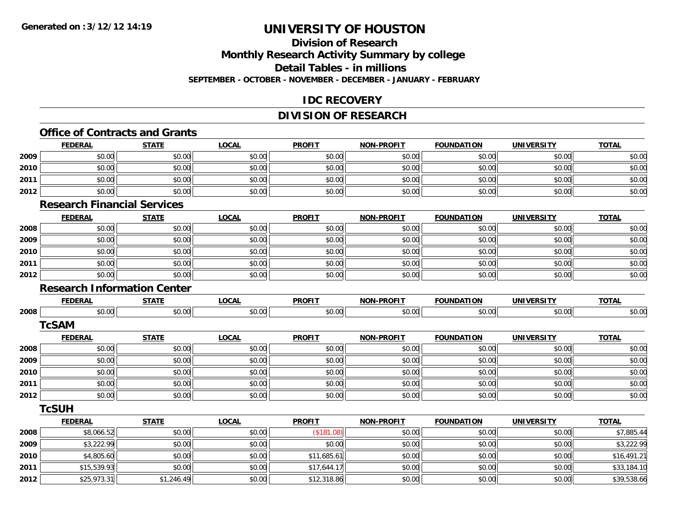## **Division of Research**

**Monthly Research Activity Summary by college**

**Detail Tables - in millions**

**SEPTEMBER - OCTOBER - NOVEMBER - DECEMBER - JANUARY - FEBRUARY**

### **IDC RECOVERY**

### **DIVISION OF RESEARCH**

## **Office of Contracts and Grants**

|      | <b>FEDERAL</b>                     | <b>STATE</b> | <b>LOCAL</b> | <b>PROFIT</b> | <b>NON-PROFIT</b> | <b>FOUNDATION</b> | <b>UNIVERSITY</b> | <b>TOTAL</b> |
|------|------------------------------------|--------------|--------------|---------------|-------------------|-------------------|-------------------|--------------|
| 2009 | \$0.00                             | \$0.00       | \$0.00       | \$0.00        | \$0.00            | \$0.00            | \$0.00            | \$0.00       |
| 2010 | \$0.00                             | \$0.00       | \$0.00       | \$0.00        | \$0.00            | \$0.00            | \$0.00            | \$0.00       |
| 2011 | \$0.00                             | \$0.00       | \$0.00       | \$0.00        | \$0.00            | \$0.00            | \$0.00            | \$0.00       |
| 2012 | \$0.00                             | \$0.00       | \$0.00       | \$0.00        | \$0.00            | \$0.00            | \$0.00            | \$0.00       |
|      | <b>Research Financial Services</b> |              |              |               |                   |                   |                   |              |
|      | <b>FEDERAL</b>                     | <b>STATE</b> | <b>LOCAL</b> | <b>PROFIT</b> | <b>NON-PROFIT</b> | <b>FOUNDATION</b> | <b>UNIVERSITY</b> | <b>TOTAL</b> |
| 2008 | \$0.00                             | \$0.00       | \$0.00       | \$0.00        | \$0.00            | \$0.00            | \$0.00            | \$0.00       |
| 2009 | \$0.00                             | \$0.00       | \$0.00       | \$0.00        | \$0.00            | \$0.00            | \$0.00            | \$0.00       |
| 2010 | \$0.00                             | \$0.00       | \$0.00       | \$0.00        | \$0.00            | \$0.00            | \$0.00            | \$0.00       |
| 2011 | \$0.00                             | \$0.00       | \$0.00       | \$0.00        | \$0.00            | \$0.00            | \$0.00            | \$0.00       |
| 2012 | \$0.00                             | \$0.00       | \$0.00       | \$0.00        | \$0.00            | \$0.00            | \$0.00            | \$0.00       |
|      | <b>Research Information Center</b> |              |              |               |                   |                   |                   |              |
|      | <b>FEDERAL</b>                     | <b>STATE</b> | <b>LOCAL</b> | <b>PROFIT</b> | <b>NON-PROFIT</b> | <b>FOUNDATION</b> | <b>UNIVERSITY</b> | <b>TOTAL</b> |
| 2008 | \$0.00                             | \$0.00       | \$0.00       | \$0.00        | \$0.00            | \$0.00            | \$0.00            | \$0.00       |
|      | <b>TcSAM</b>                       |              |              |               |                   |                   |                   |              |
|      | <b>FEDERAL</b>                     | <b>STATE</b> | <b>LOCAL</b> | <b>PROFIT</b> | <b>NON-PROFIT</b> | <b>FOUNDATION</b> | <b>UNIVERSITY</b> | <b>TOTAL</b> |
| 2008 | \$0.00                             | \$0.00       | \$0.00       | \$0.00        | \$0.00            | \$0.00            | \$0.00            | \$0.00       |
| 2009 | \$0.00                             | \$0.00       | \$0.00       | \$0.00        | \$0.00            | \$0.00            | \$0.00            | \$0.00       |
| 2010 | \$0.00                             | \$0.00       | \$0.00       | \$0.00        | \$0.00            | \$0.00            | \$0.00            | \$0.00       |
| 2011 | \$0.00                             | \$0.00       | \$0.00       | \$0.00        | \$0.00            | \$0.00            | \$0.00            | \$0.00       |
| 2012 | \$0.00                             | \$0.00       | \$0.00       | \$0.00        | \$0.00            | \$0.00            | \$0.00            | \$0.00       |
|      | <b>TcSUH</b>                       |              |              |               |                   |                   |                   |              |
|      | <b>FEDERAL</b>                     | <b>STATE</b> | <b>LOCAL</b> | <b>PROFIT</b> | <b>NON-PROFIT</b> | <b>FOUNDATION</b> | <b>UNIVERSITY</b> | <b>TOTAL</b> |
| 2008 | \$8,066.52                         | \$0.00       | \$0.00       | (\$181.08)    | \$0.00            | \$0.00            | \$0.00            | \$7,885.44   |
| 2009 | \$3,222.99                         | \$0.00       | \$0.00       | \$0.00        | \$0.00            | \$0.00            | \$0.00            | \$3,222.99   |
| 2010 | \$4,805.60                         | \$0.00       | \$0.00       | \$11,685.61   | \$0.00            | \$0.00            | \$0.00            | \$16,491.21  |
| 2011 | \$15,539.93                        | \$0.00       | \$0.00       | \$17,644.17   | \$0.00            | \$0.00            | \$0.00            | \$33,184.10  |
| 2012 | \$25,973.31                        | \$1,246.49   | \$0.00       | \$12,318.86   | \$0.00            | \$0.00            | \$0.00            | \$39,538.66  |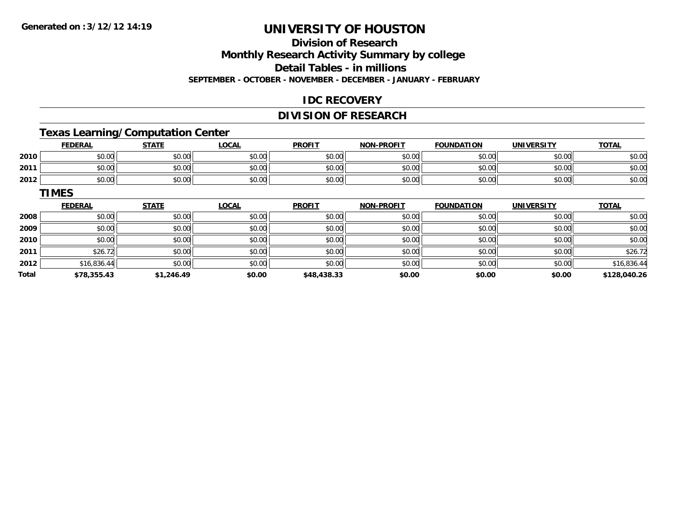### **Division of Research**

**Monthly Research Activity Summary by college**

**Detail Tables - in millions**

**SEPTEMBER - OCTOBER - NOVEMBER - DECEMBER - JANUARY - FEBRUARY**

### **IDC RECOVERY**

#### **DIVISION OF RESEARCH**

### **Texas Learning/Computation Center**

|      | <b>FEDERAL</b> | <b>STATE</b> | <b>_OCAL</b> | <b>PROFIT</b> | <b>NON-PROFIT</b> | <b>FOUNDATION</b> | <b>UNIVERSITY</b> | <b>TOTAL</b> |
|------|----------------|--------------|--------------|---------------|-------------------|-------------------|-------------------|--------------|
| 2010 | \$0.00         | \$0.00       | \$0.00       | \$0.00        | \$0.00            | \$0.00            | \$0.00            | \$0.00       |
| 2011 | \$0.00         | \$0.00       | \$0.00       | \$0.00        | \$0.00            | \$0.00            | \$0.00            | \$0.00       |
| 2012 | \$0.00         | \$0.00       | \$0.00       | \$0.00        | \$0.00            | \$0.00            | \$0.00            | \$0.00       |

#### **TIMESFEDERAL STATE LOCAL PROFIT NON-PROFIT FOUNDATION UNIVERSITY TOTALTOTAL 2008**8 \$0.00 \$0.00 \$0.00 \$0.00 \$0.00 \$0.00 \$0.00 \$0.00 \$0.00 \$0.00 \$0.00 \$0.00 \$0.00 \$0.00 \$0.00 \$0.00 \$0.00 **2009** \$0.00 \$0.00 \$0.00 \$0.00 \$0.00 \$0.00 \$0.00 \$0.00 **2010**0 \$0.00 \$0.00 \$0.00 \$0.00 \$0.00 \$0.00 \$0.00 \$0.00 \$0.00 \$0.00 \$0.00 \$0.00 \$0.00 \$0.00 \$0.00 \$0.00 \$0.00 **2011**1 \$26.72 \$0.00 \$0.00 \$0.00 \$0.00 \$0.00 \$0.00 \$0.00 \$0.00 \$0.00 \$0.00 \$0.00 \$0.00 \$26.72 **2012** \$16,836.44 \$0.00 \$0.00 \$0.00 \$0.00 \$0.00 \$0.00 \$16,836.44 **Total\$78,355.43 \$1,246.49 \$0.00 \$48,438.33 \$0.00 \$0.00 \$0.00 \$128,040.26**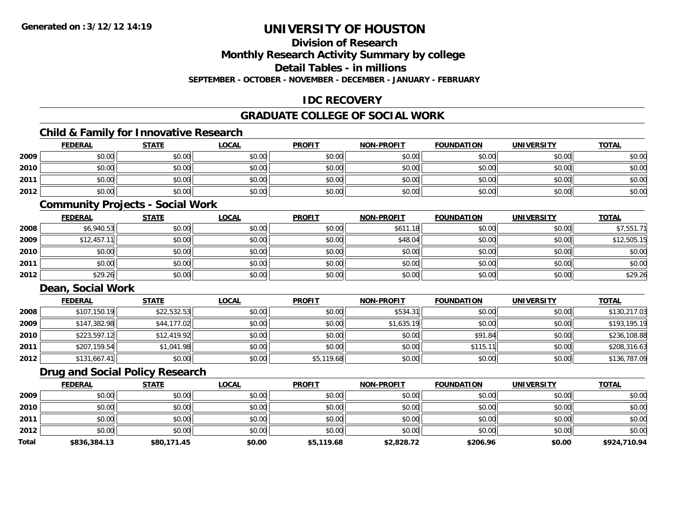### **Division of Research**

**Monthly Research Activity Summary by college**

**Detail Tables - in millions**

**SEPTEMBER - OCTOBER - NOVEMBER - DECEMBER - JANUARY - FEBRUARY**

### **IDC RECOVERY**

### **GRADUATE COLLEGE OF SOCIAL WORK**

### **Child & Family for Innovative Research**

|      | <b>FEDERAL</b> | <b>STATE</b> | <b>LOCAL</b> | <b>PROFIT</b> | <b>NON-PROFIT</b> | <b>FOUNDATION</b> | <b>UNIVERSITY</b> | <b>TOTAL</b> |
|------|----------------|--------------|--------------|---------------|-------------------|-------------------|-------------------|--------------|
| 2009 | \$0.00         | \$0.00       | \$0.00       | \$0.00        | \$0.00            | \$0.00            | \$0.00            | \$0.00       |
| 2010 | \$0.00         | \$0.00       | \$0.00       | \$0.00        | \$0.00            | \$0.00            | \$0.00            | \$0.00       |
| 2011 | \$0.00         | \$0.00       | \$0.00       | \$0.00        | \$0.00            | \$0.00            | \$0.00            | \$0.00       |
| 2012 | \$0.00         | \$0.00       | \$0.00       | \$0.00        | \$0.00            | \$0.00            | \$0.00            | \$0.00       |

### **Community Projects - Social Work**

|      | <b>FEDERAL</b> | <u>STATE</u> | <u>LOCAL</u> | <b>PROFIT</b> | <b>NON-PROFIT</b> | <b>FOUNDATION</b> | <b>UNIVERSITY</b> | <b>TOTAL</b> |
|------|----------------|--------------|--------------|---------------|-------------------|-------------------|-------------------|--------------|
| 2008 | \$6,940.53     | \$0.00       | \$0.00       | \$0.00        | \$611.18          | \$0.00            | \$0.00            | \$7,551.71   |
| 2009 | \$12,457.11    | \$0.00       | \$0.00       | \$0.00        | \$48.04           | \$0.00            | \$0.00            | \$12,505.15  |
| 2010 | \$0.00         | \$0.00       | \$0.00       | \$0.00        | \$0.00            | \$0.00            | \$0.00            | \$0.00       |
| 2011 | \$0.00         | \$0.00       | \$0.00       | \$0.00        | \$0.00            | \$0.00            | \$0.00            | \$0.00       |
| 2012 | \$29.26        | \$0.00       | \$0.00       | \$0.00        | \$0.00            | \$0.00            | \$0.00            | \$29.26      |

### **Dean, Social Work**

|      | <b>FEDERAL</b> | <b>STATE</b> | <u>LOCAL</u> | <b>PROFIT</b> | <b>NON-PROFIT</b> | <b>FOUNDATION</b> | <b>UNIVERSITY</b> | <b>TOTAL</b> |
|------|----------------|--------------|--------------|---------------|-------------------|-------------------|-------------------|--------------|
| 2008 | \$107,150.19   | \$22,532.53  | \$0.00       | \$0.00        | \$534.31          | \$0.00            | \$0.00            | \$130,217.03 |
| 2009 | \$147,382.98   | \$44,177.02  | \$0.00       | \$0.00        | \$1,635.19        | \$0.00            | \$0.00            | \$193,195.19 |
| 2010 | \$223,597.12   | \$12,419.92  | \$0.00       | \$0.00        | \$0.00            | \$91.84           | \$0.00            | \$236,108.88 |
| 2011 | \$207,159.54   | \$1,041.98   | \$0.00       | \$0.00        | \$0.00            | \$115             | \$0.00            | \$208,316.63 |
| 2012 | \$131,667.41   | \$0.00       | \$0.00       | \$5,119.68    | \$0.00            | \$0.00            | \$0.00            | \$136,787.09 |

### **Drug and Social Policy Research**

|              | <b>FEDERAL</b> | <u>STATE</u> | <u>LOCAL</u> | <b>PROFIT</b> | <b>NON-PROFIT</b> | <b>FOUNDATION</b> | UNIVERSITY | <b>TOTAL</b> |
|--------------|----------------|--------------|--------------|---------------|-------------------|-------------------|------------|--------------|
| 2009         | \$0.00         | \$0.00       | \$0.00       | \$0.00        | \$0.00            | \$0.00            | \$0.00     | \$0.00       |
| 2010         | \$0.00         | \$0.00       | \$0.00       | \$0.00        | \$0.00            | \$0.00            | \$0.00     | \$0.00       |
| 2011         | \$0.00         | \$0.00       | \$0.00       | \$0.00        | \$0.00            | \$0.00            | \$0.00     | \$0.00       |
| 2012         | \$0.00         | \$0.00       | \$0.00       | \$0.00        | \$0.00            | \$0.00            | \$0.00     | \$0.00       |
| <b>Total</b> | \$836,384.13   | \$80,171.45  | \$0.00       | \$5,119.68    | \$2,828.72        | \$206.96          | \$0.00     | \$924,710.94 |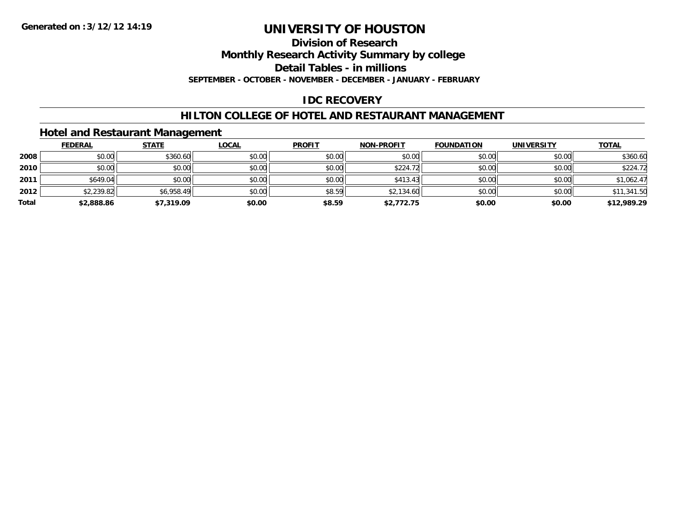#### **Division of Research**

**Monthly Research Activity Summary by college**

**Detail Tables - in millions**

**SEPTEMBER - OCTOBER - NOVEMBER - DECEMBER - JANUARY - FEBRUARY**

### **IDC RECOVERY**

### **HILTON COLLEGE OF HOTEL AND RESTAURANT MANAGEMENT**

### **Hotel and Restaurant Management**

|       | <b>FEDERAL</b> | <b>STATE</b> | <u>LOCAL</u> | <b>PROFIT</b> | <b>NON-PROFIT</b> | <b>FOUNDATION</b> | <b>UNIVERSITY</b> | <b>TOTAL</b> |
|-------|----------------|--------------|--------------|---------------|-------------------|-------------------|-------------------|--------------|
| 2008  | \$0.00         | \$360.60     | \$0.00       | \$0.00        | \$0.00            | \$0.00            | \$0.00            | \$360.60     |
| 2010  | \$0.00         | \$0.00       | \$0.00       | \$0.00        | \$224.72          | \$0.00            | \$0.00            | \$224.72     |
| 2011  | \$649.04       | \$0.00       | \$0.00       | \$0.00        | \$413.43          | \$0.00            | \$0.00            | \$1,062.47   |
| 2012  | \$2,239.82     | \$6,958.49   | \$0.00       | \$8.59        | \$2,134.60        | \$0.00            | \$0.00            | \$11,341.50  |
| Total | \$2,888.86     | \$7,319.09   | \$0.00       | \$8.59        | \$2,772.75        | \$0.00            | \$0.00            | \$12,989.29  |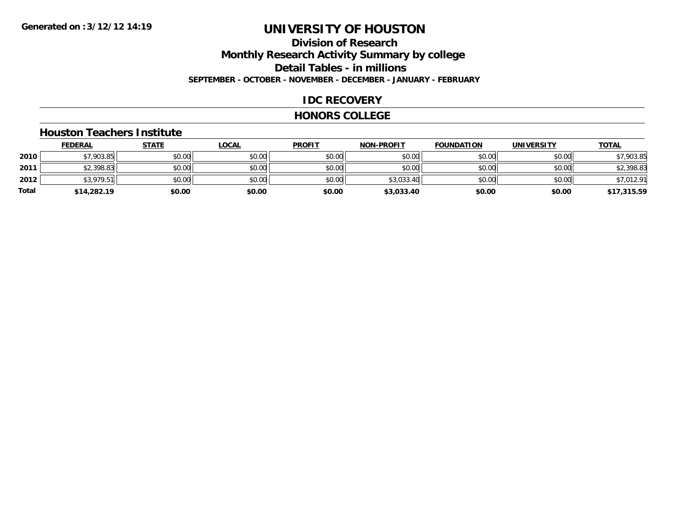## **Division of ResearchMonthly Research Activity Summary by college Detail Tables - in millions SEPTEMBER - OCTOBER - NOVEMBER - DECEMBER - JANUARY - FEBRUARY**

### **IDC RECOVERY**

#### **HONORS COLLEGE**

#### **Houston Teachers Institute**

|       | <b>FEDERAL</b> | <b>STATE</b> | <b>LOCAL</b> | <b>PROFIT</b> | <b>NON-PROFIT</b> | <b>FOUNDATION</b> | <b>UNIVERSITY</b> | <b>TOTAL</b> |
|-------|----------------|--------------|--------------|---------------|-------------------|-------------------|-------------------|--------------|
| 2010  | 57,903.85      | \$0.00       | \$0.00       | \$0.00        | \$0.00            | \$0.00            | \$0.00            | \$7,903.85   |
| 2011  | \$2,398.83     | \$0.00       | \$0.00       | \$0.00        | \$0.00            | \$0.00            | \$0.00            | \$2,398.83   |
| 2012  | \$3,979.51     | \$0.00       | \$0.00       | \$0.00        | \$3,033.40        | \$0.00            | \$0.00            | \$7,012.91   |
| Total | \$14,282.19    | \$0.00       | \$0.00       | \$0.00        | \$3,033.40        | \$0.00            | \$0.00            | \$17,315.59  |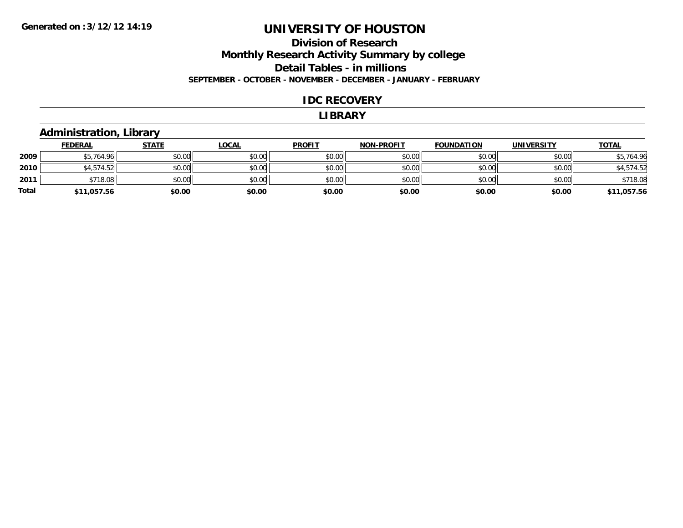# **Division of Research Monthly Research Activity Summary by college Detail Tables - in millions**

**SEPTEMBER - OCTOBER - NOVEMBER - DECEMBER - JANUARY - FEBRUARY**

### **IDC RECOVERY**

#### **LIBRARY**

### **Administration, Library**

|              | <b>FEDERAL</b> | <b>STATE</b> | <u>LOCAL</u> | <b>PROFIT</b> | <b>NON-PROFIT</b> | <b>FOUNDATION</b> | <b>UNIVERSITY</b> | <b>TOTAL</b> |
|--------------|----------------|--------------|--------------|---------------|-------------------|-------------------|-------------------|--------------|
| 2009         | \$5,764.96     | \$0.00       | \$0.00       | \$0.00        | \$0.00            | \$0.00            | \$0.00            | \$5,764.96   |
| 2010         | \$4,574.52     | \$0.00       | \$0.00       | \$0.00        | \$0.00            | \$0.00            | \$0.00            | \$4,574.52   |
| 2011         | \$718.08       | \$0.00       | \$0.00       | \$0.00        | \$0.00            | \$0.00            | \$0.00            | \$718.08     |
| <b>Total</b> | \$11,057.56    | \$0.00       | \$0.00       | \$0.00        | \$0.00            | \$0.00            | \$0.00            | \$11,057.56  |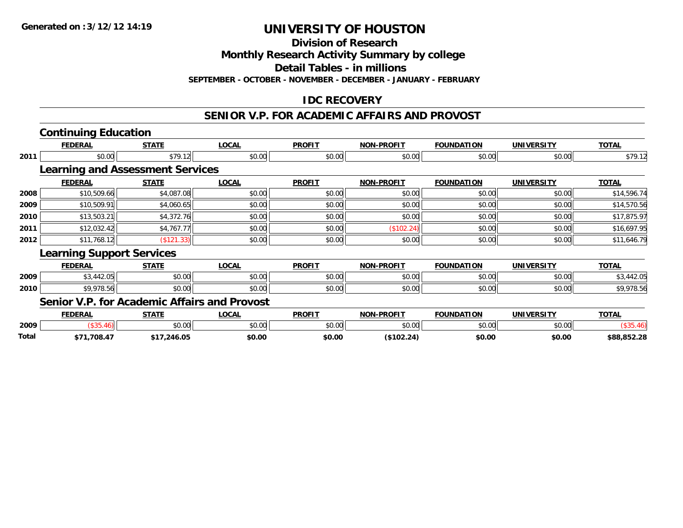**Division of Research**

**Monthly Research Activity Summary by college**

**Detail Tables - in millions**

**SEPTEMBER - OCTOBER - NOVEMBER - DECEMBER - JANUARY - FEBRUARY**

## **IDC RECOVERY**

#### **SENIOR V.P. FOR ACADEMIC AFFAIRS AND PROVOST**

|       | <b>Continuing Education</b>                  |              |              |               |                   |                   |                   |              |
|-------|----------------------------------------------|--------------|--------------|---------------|-------------------|-------------------|-------------------|--------------|
|       | <b>FEDERAL</b>                               | <b>STATE</b> | <b>LOCAL</b> | <b>PROFIT</b> | <b>NON-PROFIT</b> | <b>FOUNDATION</b> | <b>UNIVERSITY</b> | <b>TOTAL</b> |
| 2011  | \$0.00                                       | \$79.12      | \$0.00       | \$0.00        | \$0.00            | \$0.00            | \$0.00            | \$79.12      |
|       | <b>Learning and Assessment Services</b>      |              |              |               |                   |                   |                   |              |
|       | <b>FEDERAL</b>                               | <b>STATE</b> | <b>LOCAL</b> | <b>PROFIT</b> | <b>NON-PROFIT</b> | <b>FOUNDATION</b> | <b>UNIVERSITY</b> | <b>TOTAL</b> |
| 2008  | \$10,509.66                                  | \$4,087.08   | \$0.00       | \$0.00        | \$0.00            | \$0.00            | \$0.00            | \$14,596.74  |
| 2009  | \$10,509.91                                  | \$4,060.65   | \$0.00       | \$0.00        | \$0.00            | \$0.00            | \$0.00            | \$14,570.56  |
| 2010  | \$13,503.21                                  | \$4,372.76   | \$0.00       | \$0.00        | \$0.00            | \$0.00            | \$0.00            | \$17,875.97  |
| 2011  | \$12,032.42                                  | \$4,767.77   | \$0.00       | \$0.00        | (\$102.24)        | \$0.00            | \$0.00            | \$16,697.95  |
| 2012  | \$11,768.12                                  | (\$121.33)   | \$0.00       | \$0.00        | \$0.00            | \$0.00            | \$0.00            | \$11,646.79  |
|       | <b>Learning Support Services</b>             |              |              |               |                   |                   |                   |              |
|       | <b>FEDERAL</b>                               | <b>STATE</b> | <b>LOCAL</b> | <b>PROFIT</b> | <b>NON-PROFIT</b> | <b>FOUNDATION</b> | <b>UNIVERSITY</b> | <b>TOTAL</b> |
| 2009  | \$3,442.05                                   | \$0.00       | \$0.00       | \$0.00        | \$0.00            | \$0.00            | \$0.00            | \$3,442.05   |
| 2010  | \$9,978.56                                   | \$0.00       | \$0.00       | \$0.00        | \$0.00            | \$0.00            | \$0.00            | \$9,978.56   |
|       | Senior V.P. for Academic Affairs and Provost |              |              |               |                   |                   |                   |              |
|       | <b>FEDERAL</b>                               | <b>STATE</b> | <b>LOCAL</b> | <b>PROFIT</b> | <b>NON-PROFIT</b> | <b>FOUNDATION</b> | <b>UNIVERSITY</b> | <b>TOTAL</b> |
| 2009  | (\$35.46)                                    | \$0.00       | \$0.00       | \$0.00        | \$0.00            | \$0.00            | \$0.00            | (\$35.46)    |
| Total | \$71.708.47                                  | \$17.246.05  | \$0.00       | \$0.00        | (S102.24)         | \$0.00            | \$0.00            | \$88.852.28  |

**\$71,708.47 \$17,246.05 \$0.00 \$0.00 (\$102.24) \$0.00 \$0.00 \$88,852.28**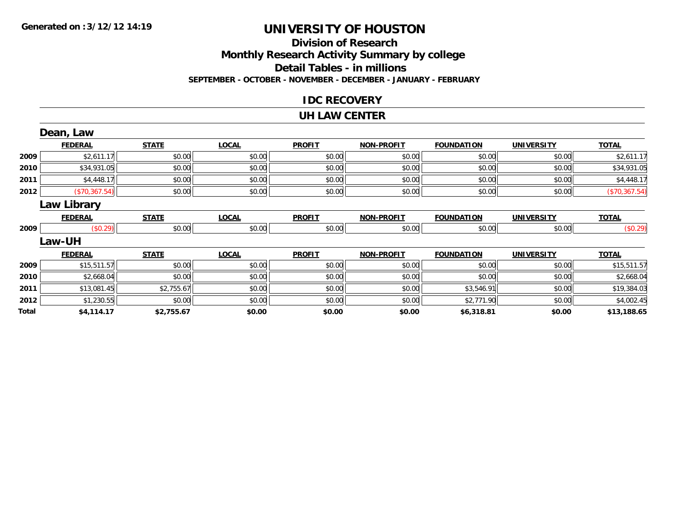### **Division of Research Monthly Research Activity Summary by college Detail Tables - in millions SEPTEMBER - OCTOBER - NOVEMBER - DECEMBER - JANUARY - FEBRUARY**

### **IDC RECOVERY**

#### **UH LAW CENTER**

|       | Dean, Law      |              |              |               |                   |                   |                   |               |
|-------|----------------|--------------|--------------|---------------|-------------------|-------------------|-------------------|---------------|
|       | <b>FEDERAL</b> | <b>STATE</b> | <b>LOCAL</b> | <b>PROFIT</b> | <b>NON-PROFIT</b> | <b>FOUNDATION</b> | <b>UNIVERSITY</b> | <b>TOTAL</b>  |
| 2009  | \$2,611.17     | \$0.00       | \$0.00       | \$0.00        | \$0.00            | \$0.00            | \$0.00            | \$2,611.17    |
| 2010  | \$34,931.05    | \$0.00       | \$0.00       | \$0.00        | \$0.00            | \$0.00            | \$0.00            | \$34,931.05   |
| 2011  | \$4,448.17     | \$0.00       | \$0.00       | \$0.00        | \$0.00            | \$0.00            | \$0.00            | \$4,448.17    |
| 2012  | (\$70,367.54)  | \$0.00       | \$0.00       | \$0.00        | \$0.00            | \$0.00            | \$0.00            | (\$70,367.54) |
|       | Law Library    |              |              |               |                   |                   |                   |               |
|       | <b>FEDERAL</b> | <b>STATE</b> | <b>LOCAL</b> | <b>PROFIT</b> | <b>NON-PROFIT</b> | <b>FOUNDATION</b> | <b>UNIVERSITY</b> | <b>TOTAL</b>  |
| 2009  | (\$0.29)       | \$0.00       | \$0.00       | \$0.00        | \$0.00            | \$0.00            | \$0.00            | (\$0.29)      |
|       | Law-UH         |              |              |               |                   |                   |                   |               |
|       | <b>FEDERAL</b> | <b>STATE</b> | <b>LOCAL</b> | <b>PROFIT</b> | <b>NON-PROFIT</b> | <b>FOUNDATION</b> | <b>UNIVERSITY</b> | <b>TOTAL</b>  |
| 2009  | \$15,511.57    | \$0.00       | \$0.00       | \$0.00        | \$0.00            | \$0.00            | \$0.00            | \$15,511.57   |
| 2010  | \$2,668.04     | \$0.00       | \$0.00       | \$0.00        | \$0.00            | \$0.00            | \$0.00            | \$2,668.04    |
| 2011  | \$13,081.45    | \$2,755.67   | \$0.00       | \$0.00        | \$0.00            | \$3,546.91        | \$0.00            | \$19,384.03   |
| 2012  | \$1,230.55     | \$0.00       | \$0.00       | \$0.00        | \$0.00            | \$2,771.90        | \$0.00            | \$4,002.45    |
| Total | \$4,114.17     | \$2,755.67   | \$0.00       | \$0.00        | \$0.00            | \$6,318.81        | \$0.00            | \$13,188.65   |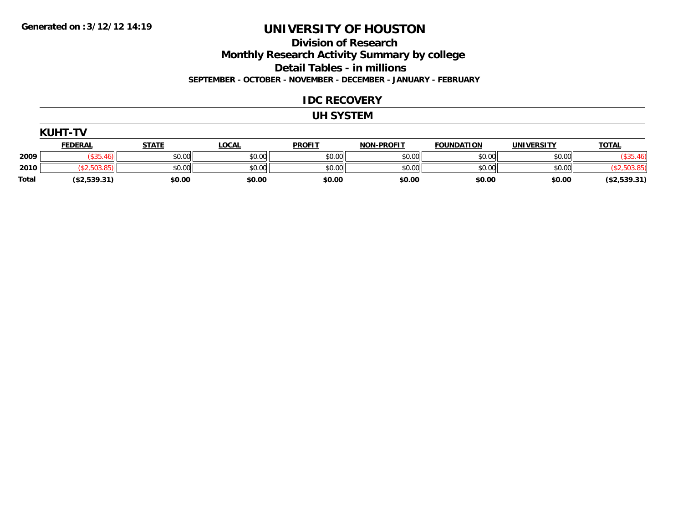**Division of Research**

**Monthly Research Activity Summary by college**

**Detail Tables - in millions**

**SEPTEMBER - OCTOBER - NOVEMBER - DECEMBER - JANUARY - FEBRUARY**

### **IDC RECOVERY**

#### **UH SYSTEM**

|       | <b>KUHT-TV</b> |              |              |               |                   |                   |                   |              |
|-------|----------------|--------------|--------------|---------------|-------------------|-------------------|-------------------|--------------|
|       | <b>FEDERAL</b> | <u>STATE</u> | <b>LOCAL</b> | <b>PROFIT</b> | <b>NON-PROFIT</b> | <b>FOUNDATION</b> | <b>UNIVERSITY</b> | <b>TOTAL</b> |
| 2009  | \$35.46        | \$0.00       | \$0.00       | \$0.00        | \$0.00            | \$0.00            | \$0.00            | (\$35.46)    |
| 2010  |                | \$0.00       | \$0.00       | \$0.00        | \$0.00            | \$0.00            | \$0.00            |              |
| Total | (\$2,539.31)   | \$0.00       | \$0.00       | \$0.00        | \$0.00            | \$0.00            | \$0.00            | (\$2,539.31) |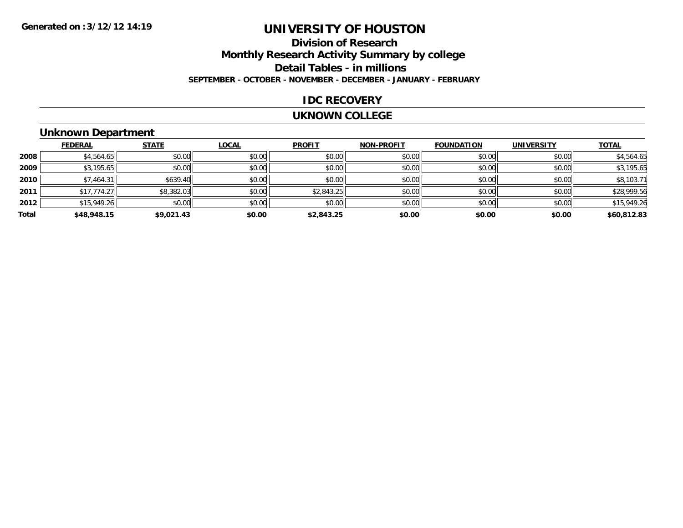## **Division of ResearchMonthly Research Activity Summary by college Detail Tables - in millions SEPTEMBER - OCTOBER - NOVEMBER - DECEMBER - JANUARY - FEBRUARY**

### **IDC RECOVERY**

#### **UKNOWN COLLEGE**

## **Unknown Department**

|       | <b>FEDERAL</b> | <b>STATE</b> | <b>LOCAL</b> | <b>PROFIT</b> | <b>NON-PROFIT</b> | <b>FOUNDATION</b> | <b>UNIVERSITY</b> | <b>TOTAL</b> |
|-------|----------------|--------------|--------------|---------------|-------------------|-------------------|-------------------|--------------|
| 2008  | \$4,564.65     | \$0.00       | \$0.00       | \$0.00        | \$0.00            | \$0.00            | \$0.00            | \$4,564.65   |
| 2009  | \$3,195.65     | \$0.00       | \$0.00       | \$0.00        | \$0.00            | \$0.00            | \$0.00            | \$3,195.65   |
| 2010  | \$7,464.31     | \$639.40     | \$0.00       | \$0.00        | \$0.00            | \$0.00            | \$0.00            | \$8,103.71   |
| 2011  | \$17,774.27    | \$8,382.03   | \$0.00       | \$2,843.25    | \$0.00            | \$0.00            | \$0.00            | \$28,999.56  |
| 2012  | \$15,949.26    | \$0.00       | \$0.00       | \$0.00        | \$0.00            | \$0.00            | \$0.00            | \$15,949.26  |
| Total | \$48,948.15    | \$9,021.43   | \$0.00       | \$2,843.25    | \$0.00            | \$0.00            | \$0.00            | \$60,812.83  |